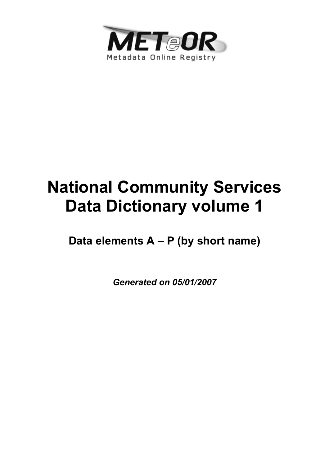

# **National Community Services Data Dictionary volume 1**

**Data elements A – P (by short name)**

*Generated on 05/01/2007*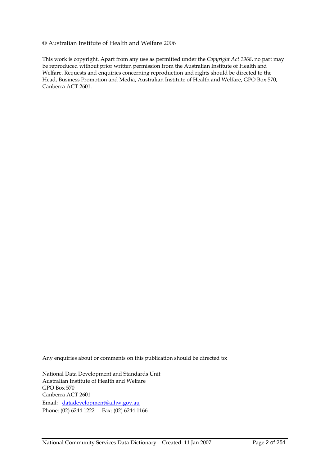#### © Australian Institute of Health and Welfare 2006

This work is copyright. Apart from any use as permitted under the *Copyright Act 1968*, no part may be reproduced without prior written permission from the Australian Institute of Health and Welfare. Requests and enquiries concerning reproduction and rights should be directed to the Head, Business Promotion and Media, Australian Institute of Health and Welfare, GPO Box 570, Canberra ACT 2601.

Any enquiries about or comments on this publication should be directed to:

National Data Development and Standards Unit Australian Institute of Health and Welfare GPO Box 570 Canberra ACT 2601 Email: datadevelopment@aihw.gov.au Phone: (02) 6244 1222 Fax: (02) 6244 1166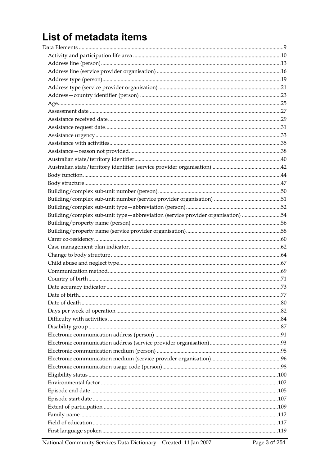# List of metadata items

| Building/complex sub-unit type-abbreviation (service provider organisation) 54 |  |
|--------------------------------------------------------------------------------|--|
|                                                                                |  |
|                                                                                |  |
|                                                                                |  |
|                                                                                |  |
|                                                                                |  |
|                                                                                |  |
|                                                                                |  |
|                                                                                |  |
|                                                                                |  |
|                                                                                |  |
|                                                                                |  |
|                                                                                |  |
|                                                                                |  |
|                                                                                |  |
|                                                                                |  |
|                                                                                |  |
|                                                                                |  |
|                                                                                |  |
|                                                                                |  |
|                                                                                |  |
|                                                                                |  |
|                                                                                |  |
|                                                                                |  |
|                                                                                |  |
|                                                                                |  |
|                                                                                |  |
|                                                                                |  |

National Community Services Data Dictionary - Created: 11 Jan 2007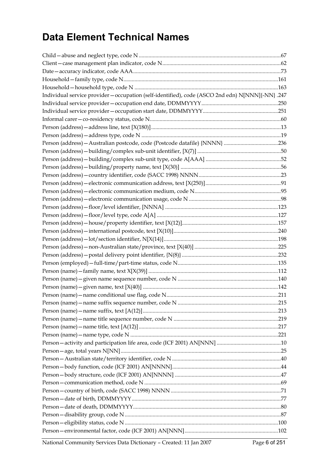# **Data Element Technical Names**

| Individual service provider - occupation (self-identified), code (ASCO 2nd edn) N[NNN]{-NN} .247 |  |
|--------------------------------------------------------------------------------------------------|--|
|                                                                                                  |  |
|                                                                                                  |  |
|                                                                                                  |  |
|                                                                                                  |  |
|                                                                                                  |  |
|                                                                                                  |  |
|                                                                                                  |  |
|                                                                                                  |  |
|                                                                                                  |  |
|                                                                                                  |  |
|                                                                                                  |  |
|                                                                                                  |  |
|                                                                                                  |  |
|                                                                                                  |  |
|                                                                                                  |  |
|                                                                                                  |  |
|                                                                                                  |  |
|                                                                                                  |  |
|                                                                                                  |  |
|                                                                                                  |  |
|                                                                                                  |  |
|                                                                                                  |  |
|                                                                                                  |  |
|                                                                                                  |  |
|                                                                                                  |  |
|                                                                                                  |  |
|                                                                                                  |  |
|                                                                                                  |  |
|                                                                                                  |  |
|                                                                                                  |  |
|                                                                                                  |  |
|                                                                                                  |  |
|                                                                                                  |  |
|                                                                                                  |  |
|                                                                                                  |  |
|                                                                                                  |  |
|                                                                                                  |  |
|                                                                                                  |  |
|                                                                                                  |  |
|                                                                                                  |  |
|                                                                                                  |  |
|                                                                                                  |  |
|                                                                                                  |  |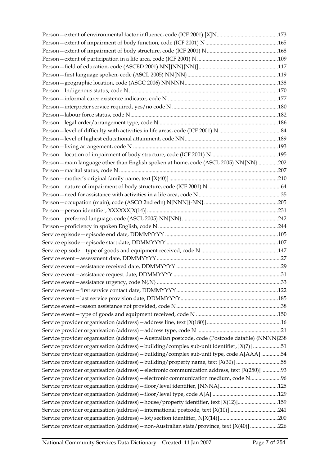| Person - main language other than English spoken at home, code (ASCL 2005) NN{NN} 202             |  |
|---------------------------------------------------------------------------------------------------|--|
|                                                                                                   |  |
|                                                                                                   |  |
|                                                                                                   |  |
|                                                                                                   |  |
|                                                                                                   |  |
|                                                                                                   |  |
|                                                                                                   |  |
|                                                                                                   |  |
|                                                                                                   |  |
|                                                                                                   |  |
|                                                                                                   |  |
|                                                                                                   |  |
|                                                                                                   |  |
|                                                                                                   |  |
|                                                                                                   |  |
|                                                                                                   |  |
|                                                                                                   |  |
|                                                                                                   |  |
|                                                                                                   |  |
|                                                                                                   |  |
|                                                                                                   |  |
|                                                                                                   |  |
| Service provider organisation (address) - Australian postcode, code (Postcode datafile) {NNNN}238 |  |
| Service provider organisation (address) - building/complex sub-unit identifier, [X(7)] 51         |  |
| Service provider organisation (address) - building/complex sub-unit type, code A[AAA] 54          |  |
| Service provider organisation (address) - building/property name, text [X(30)] 58                 |  |
| Service provider organisation (address) - electronic communication address, text [X(250)]93       |  |
| Service provider organisation (address) - electronic communication medium, code N96               |  |
|                                                                                                   |  |
|                                                                                                   |  |
| Service provider organisation (address) - house/property identifier, text [X(12)]159              |  |
| Service provider organisation (address) - international postcode, text [X(10)]241                 |  |
|                                                                                                   |  |
| Service provider organisation (address) - non-Australian state/province, text [X(40)] 226         |  |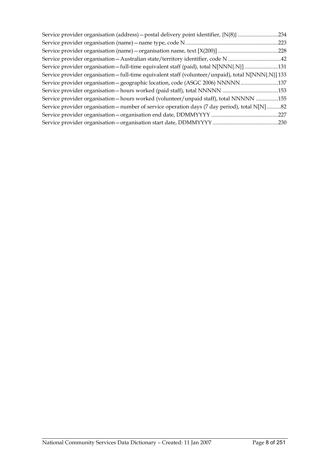|                                                                                                     | .234 |
|-----------------------------------------------------------------------------------------------------|------|
|                                                                                                     | .223 |
|                                                                                                     |      |
| Service provider organisation - Australian state/territory identifier, code N 42                    |      |
| Service provider organisation—full-time equivalent staff (paid), total N[NNN{.N}] 131               |      |
| Service provider organisation - full-time equivalent staff (volunteer/unpaid), total N[NNN{.N}] 133 |      |
|                                                                                                     |      |
|                                                                                                     |      |
| Service provider organisation - hours worked (volunteer/unpaid staff), total NNNNN 155              |      |
| Service provider organisation - number of service operation days (7 day period), total N[N] 82      |      |
|                                                                                                     | .227 |
|                                                                                                     |      |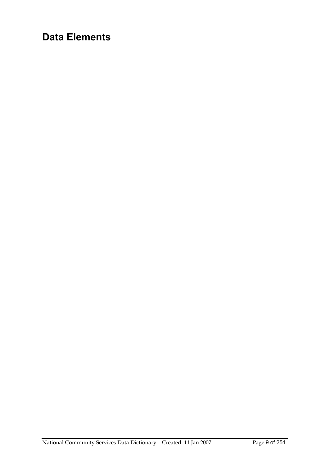# **Data Elements**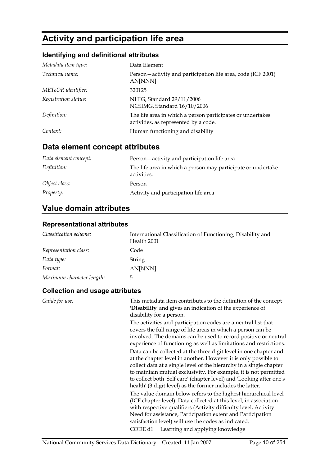# **Activity and participation life area**

### **Identifying and definitional attributes**

| Metadata item type:  | Data Element                                                                                        |
|----------------------|-----------------------------------------------------------------------------------------------------|
| Technical name:      | Person-activity and participation life area, code (ICF 2001)<br>AN[NNN]                             |
| METeOR identifier:   | 320125                                                                                              |
| Registration status: | NHIG, Standard 29/11/2006<br>NCSIMG, Standard 16/10/2006                                            |
| Definition:          | The life area in which a person participates or undertakes<br>activities, as represented by a code. |
| Context:             | Human functioning and disability                                                                    |

### **Data element concept attributes**

| Data element concept: | Person-activity and participation life area                                 |
|-----------------------|-----------------------------------------------------------------------------|
| Definition:           | The life area in which a person may participate or undertake<br>activities. |
| Object class:         | Person                                                                      |
| <i>Property:</i>      | Activity and participation life area                                        |

### **Value domain attributes**

#### **Representational attributes**

| Classification scheme:    | International Classification of Functioning, Disability and<br>Health 2001 |
|---------------------------|----------------------------------------------------------------------------|
| Representation class:     | Code                                                                       |
| Data type:                | String                                                                     |
| Format:                   | AN[NNN]                                                                    |
| Maximum character length: | 5.                                                                         |

#### **Collection and usage attributes**

| Guide for use: | This metadata item contributes to the definition of the concept<br>'Disability' and gives an indication of the experience of<br>disability for a person.                                                                                                                                                                                                                                                              |
|----------------|-----------------------------------------------------------------------------------------------------------------------------------------------------------------------------------------------------------------------------------------------------------------------------------------------------------------------------------------------------------------------------------------------------------------------|
|                | The activities and participation codes are a neutral list that<br>covers the full range of life areas in which a person can be<br>involved. The domains can be used to record positive or neutral<br>experience of functioning as well as limitations and restrictions.                                                                                                                                               |
|                | Data can be collected at the three digit level in one chapter and<br>at the chapter level in another. However it is only possible to<br>collect data at a single level of the hierarchy in a single chapter<br>to maintain mutual exclusivity. For example, it is not permitted<br>to collect both 'Self care' (chapter level) and 'Looking after one's<br>health' (3 digit level) as the former includes the latter. |
|                | The value domain below refers to the highest hierarchical level<br>(ICF chapter level). Data collected at this level, in association<br>with respective qualifiers (Activity difficulty level, Activity<br>Need for assistance, Participation extent and Participation<br>satisfaction level) will use the codes as indicated.                                                                                        |
|                | CODE d1 Learning and applying knowledge                                                                                                                                                                                                                                                                                                                                                                               |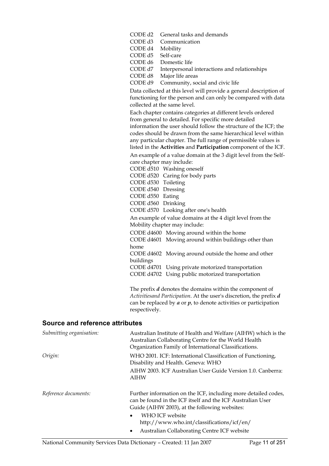| CODE d2 | General tasks and demands                                                                                                                                           |
|---------|---------------------------------------------------------------------------------------------------------------------------------------------------------------------|
| CODE d3 | Communication                                                                                                                                                       |
| CODE d4 | Mobility                                                                                                                                                            |
| CODE d5 | Self-care                                                                                                                                                           |
| CODE d6 | Domestic life                                                                                                                                                       |
| CODE d7 | Interpersonal interactions and relationships                                                                                                                        |
| CODE d8 | Major life areas                                                                                                                                                    |
| CODE d9 | Community, social and civic life                                                                                                                                    |
|         | Data collected at this level will provide a general description of<br>functioning for the person and can only be compared with data<br>collected at the same level. |
|         | Each chapter contains categories at different levels ordered                                                                                                        |
|         | from general to detailed. For specific more detailed                                                                                                                |
|         | information the user should follow the structure of the ICF; the                                                                                                    |
|         | codes should be drawn from the same bierarchical level within                                                                                                       |

codes should be drawn from the same hierarchical level within any particular chapter. The full range of permissible values is listed in the **Activities** and **Participation** component of the ICF.

An example of a value domain at the 3 digit level from the Selfcare chapter may include:

CODE d510 Washing oneself

CODE d520 Caring for body parts

CODE d530 Toileting

CODE d540 Dressing

CODE d550 Eating CODE d560 Drinking

CODE d570 Looking after one's health

An example of value domains at the 4 digit level from the Mobility chapter may include:

CODE d4600 Moving around within the home

CODE d4601 Moving around within buildings other than home

CODE d4602 Moving around outside the home and other buildings

CODE d4701 Using private motorized transportation CODE d4702 Using public motorized transportation

The prefix *d* denotes the domains within the component of *Activitiesand Participation*. At the user's discretion, the prefix *d* can be replaced by *a* or *p*, to denote activities or participation respectively.

| Submitting organisation: | Australian Institute of Health and Welfare (AIHW) which is the<br>Australian Collaborating Centre for the World Health<br>Organization Family of International Classifications. |
|--------------------------|---------------------------------------------------------------------------------------------------------------------------------------------------------------------------------|
| Origin:                  | WHO 2001. ICF: International Classification of Functioning,<br>Disability and Health. Geneva: WHO                                                                               |
|                          | AIHW 2003. ICF Australian User Guide Version 1.0. Canberra:<br>AIHW                                                                                                             |
| Reference documents:     | Further information on the ICF, including more detailed codes,<br>can be found in the ICF itself and the ICF Australian User<br>Guide (AIHW 2003), at the following websites:   |
|                          | WHO ICF website<br>$\bullet$                                                                                                                                                    |
|                          | http://www.who.int/classifications/icf/en/                                                                                                                                      |
|                          | Australian Collaborating Centre ICF website                                                                                                                                     |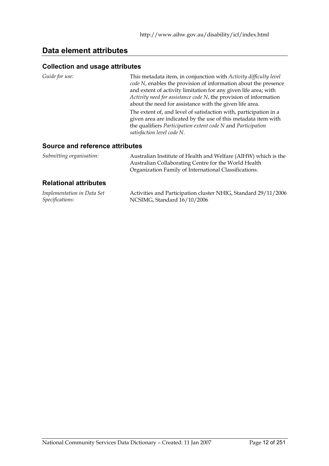### **Data element attributes**

#### **Collection and usage attributes**

*Guide for use:* This metadata item, in conjunction with *Activity difficulty level code N*, enables the provision of information about the presence and extent of activity limitation for any given life area; with *Activity need for assistance code N*, the provision of information about the need for assistance with the given life area.

> The extent of, and level of satisfaction with, participation in a given area are indicated by the use of this metadata item with the qualifiers *Participation extent code N* and *Participation satisfaction level code N*.

#### **Source and reference attributes**

| Submitting organisation: | Australian Institute of Health and Welfare (AIHW) which is the |
|--------------------------|----------------------------------------------------------------|
|                          | Australian Collaborating Centre for the World Health           |
|                          | Organization Family of International Classifications.          |

#### **Relational attributes**

| Implementation in Data Set | Activities and Participation cluster NHIG, Standard 29/11/2006 |
|----------------------------|----------------------------------------------------------------|
| Specifications:            | NCSIMG, Standard 16/10/2006                                    |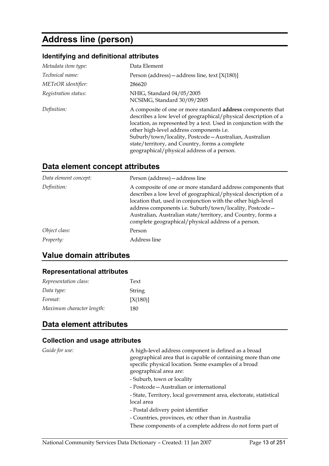# **Address line (person)**

#### **Identifying and definitional attributes**

| Metadata item type:  | Data Element                                                                                                                                                                                                                                                                                                                                                                                                     |
|----------------------|------------------------------------------------------------------------------------------------------------------------------------------------------------------------------------------------------------------------------------------------------------------------------------------------------------------------------------------------------------------------------------------------------------------|
| Technical name:      | Person (address) – address line, text $[X(180)]$                                                                                                                                                                                                                                                                                                                                                                 |
| METeOR identifier:   | 286620                                                                                                                                                                                                                                                                                                                                                                                                           |
| Registration status: | NHIG, Standard 04/05/2005<br>NCSIMG, Standard 30/09/2005                                                                                                                                                                                                                                                                                                                                                         |
| Definition:          | A composite of one or more standard <b>address</b> components that<br>describes a low level of geographical/physical description of a<br>location, as represented by a text. Used in conjunction with the<br>other high-level address components i.e.<br>Suburb/town/locality, Postcode - Australian, Australian<br>state/territory, and Country, forms a complete<br>geographical/physical address of a person. |

### **Data element concept attributes**

| Data element concept: | Person (address) - address line                                                                                                                                                                                                                                                                                                                                                  |
|-----------------------|----------------------------------------------------------------------------------------------------------------------------------------------------------------------------------------------------------------------------------------------------------------------------------------------------------------------------------------------------------------------------------|
| Definition:           | A composite of one or more standard address components that<br>describes a low level of geographical/physical description of a<br>location that, used in conjunction with the other high-level<br>address components i.e. Suburb/town/locality, Postcode-<br>Australian, Australian state/territory, and Country, forms a<br>complete geographical/physical address of a person. |
| Object class:         | Person                                                                                                                                                                                                                                                                                                                                                                           |
| Property:             | Address line                                                                                                                                                                                                                                                                                                                                                                     |

### **Value domain attributes**

#### **Representational attributes**

| Representation class:     | Text       |
|---------------------------|------------|
| Data type:                | String     |
| Format:                   | $[X(180)]$ |
| Maximum character length: | 180        |

### **Data element attributes**

#### **Collection and usage attributes**

*Guide for use:* A high-level address component is defined as a broad geographical area that is capable of containing more than one specific physical location. Some examples of a broad geographical area are:

- Suburb, town or locality
- Postcode—Australian or international

- State, Territory, local government area, electorate, statistical local area

- Postal delivery point identifier
- Countries, provinces, etc other than in Australia

These components of a complete address do not form part of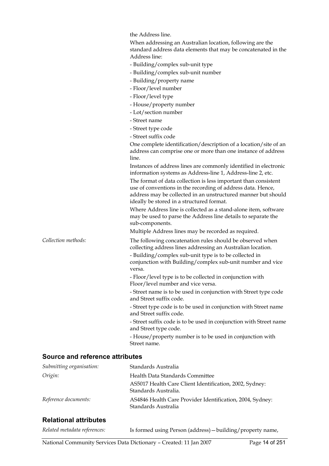the Address line.

When addressing an Australian location, following are the standard address data elements that may be concatenated in the Address line: - Building/complex sub-unit type - Building/complex sub-unit number - Building/property name - Floor/level number - Floor/level type - House/property number - Lot/section number - Street name - Street type code - Street suffix code One complete identification/description of a location/site of an address can comprise one or more than one instance of address line. Instances of address lines are commonly identified in electronic information systems as Address-line 1, Address-line 2, etc. The format of data collection is less important than consistent use of conventions in the recording of address data. Hence, address may be collected in an unstructured manner but should ideally be stored in a structured format. Where Address line is collected as a stand-alone item, software may be used to parse the Address line details to separate the sub-components. Multiple Address lines may be recorded as required. *Collection methods:* The following concatenation rules should be observed when collecting address lines addressing an Australian location. - Building/complex sub-unit type is to be collected in conjunction with Building/complex sub-unit number and vice versa. - Floor/level type is to be collected in conjunction with Floor/level number and vice versa. - Street name is to be used in conjunction with Street type code and Street suffix code. - Street type code is to be used in conjunction with Street name and Street suffix code. - Street suffix code is to be used in conjunction with Street name and Street type code. - House/property number is to be used in conjunction with Street name.

#### **Source and reference attributes**

| Submitting organisation: | Standards Australia                                                              |
|--------------------------|----------------------------------------------------------------------------------|
| Origin:                  | Health Data Standards Committee                                                  |
|                          | AS5017 Health Care Client Identification, 2002, Sydney:<br>Standards Australia.  |
| Reference documents:     | AS4846 Health Care Provider Identification, 2004, Sydney:<br>Standards Australia |

#### **Relational attributes**

| Related metadata references: | Is formed using Person (address) - building/property name, |
|------------------------------|------------------------------------------------------------|
|------------------------------|------------------------------------------------------------|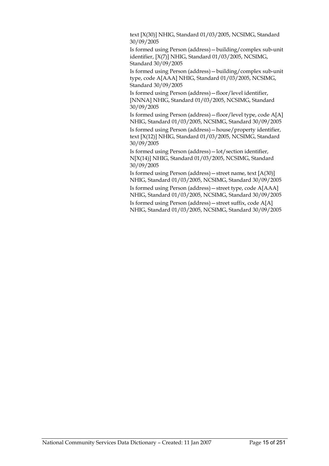text [X(30)] NHIG, Standard 01/03/2005, NCSIMG, Standard 30/09/2005

Is formed using Person (address)—building/complex sub-unit identifier, [X(7)] NHIG, Standard 01/03/2005, NCSIMG, Standard 30/09/2005

Is formed using Person (address)—building/complex sub-unit type, code A[AAA] NHIG, Standard 01/03/2005, NCSIMG, Standard 30/09/2005

Is formed using Person (address)—floor/level identifier, [NNNA] NHIG, Standard 01/03/2005, NCSIMG, Standard 30/09/2005

Is formed using Person (address)—floor/level type, code A[A] NHIG, Standard 01/03/2005, NCSIMG, Standard 30/09/2005

Is formed using Person (address)—house/property identifier, text [X(12)] NHIG, Standard 01/03/2005, NCSIMG, Standard 30/09/2005

Is formed using Person (address)—lot/section identifier, N[X(14)] NHIG, Standard 01/03/2005, NCSIMG, Standard 30/09/2005

Is formed using Person (address)—street name, text [A(30)] NHIG, Standard 01/03/2005, NCSIMG, Standard 30/09/2005

Is formed using Person (address)—street type, code A[AAA] NHIG, Standard 01/03/2005, NCSIMG, Standard 30/09/2005

Is formed using Person (address)—street suffix, code A[A] NHIG, Standard 01/03/2005, NCSIMG, Standard 30/09/2005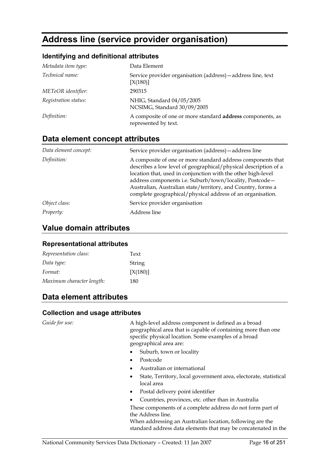# **Address line (service provider organisation)**

#### **Identifying and definitional attributes**

| Data Element                                                                       |
|------------------------------------------------------------------------------------|
| Service provider organisation (address) - address line, text<br>[X(180)]           |
| 290315                                                                             |
| NHIG, Standard 04/05/2005<br>NCSIMG, Standard 30/09/2005                           |
| A composite of one or more standard address components, as<br>represented by text. |
|                                                                                    |

#### **Data element concept attributes**

| Data element concept: | Service provider organisation (address) - address line                                                                                                                                                                                                                                                                                                                                  |
|-----------------------|-----------------------------------------------------------------------------------------------------------------------------------------------------------------------------------------------------------------------------------------------------------------------------------------------------------------------------------------------------------------------------------------|
| Definition:           | A composite of one or more standard address components that<br>describes a low level of geographical/physical description of a<br>location that, used in conjunction with the other high-level<br>address components i.e. Suburb/town/locality, Postcode-<br>Australian, Australian state/territory, and Country, forms a<br>complete geographical/physical address of an organisation. |
| Object class:         | Service provider organisation                                                                                                                                                                                                                                                                                                                                                           |
| Property:             | Address line                                                                                                                                                                                                                                                                                                                                                                            |

### **Value domain attributes**

#### **Representational attributes**

| Representation class:     | Text       |
|---------------------------|------------|
| Data type:                | String     |
| Format:                   | $[X(180)]$ |
| Maximum character length: | 180        |

### **Data element attributes**

#### **Collection and usage attributes**

*Guide for use:* A high-level address component is defined as a broad geographical area that is capable of containing more than one specific physical location. Some examples of a broad geographical area are:

- Suburb, town or locality
- Postcode
- Australian or international
- State, Territory, local government area, electorate, statistical local area
- Postal delivery point identifier
- Countries, provinces, etc. other than in Australia

These components of a complete address do not form part of the Address line.

When addressing an Australian location, following are the standard address data elements that may be concatenated in the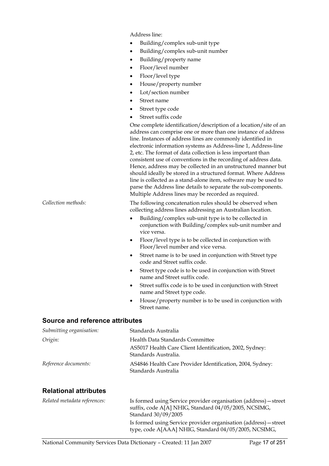Address line:

- Building/complex sub-unit type
- Building/complex sub-unit number
- Building/property name
- Floor/level number
- Floor/level type
- House/property number
- Lot/section number
- Street name
- Street type code
- Street suffix code

One complete identification/description of a location/site of an address can comprise one or more than one instance of address line. Instances of address lines are commonly identified in electronic information systems as Address-line 1, Address-line 2, etc. The format of data collection is less important than consistent use of conventions in the recording of address data. Hence, address may be collected in an unstructured manner but should ideally be stored in a structured format. Where Address line is collected as a stand-alone item, software may be used to parse the Address line details to separate the sub-components. Multiple Address lines may be recorded as required.

*Collection methods:* The following concatenation rules should be observed when collecting address lines addressing an Australian location.

- Building/complex sub-unit type is to be collected in conjunction with Building/complex sub-unit number and vice versa.
- Floor/level type is to be collected in conjunction with Floor/level number and vice versa.
- Street name is to be used in conjunction with Street type code and Street suffix code.
- Street type code is to be used in conjunction with Street name and Street suffix code.
- Street suffix code is to be used in conjunction with Street name and Street type code.
- House/property number is to be used in conjunction with Street name.

#### **Source and reference attributes**

| Submitting organisation: | Standards Australia                                                              |
|--------------------------|----------------------------------------------------------------------------------|
| Origin:                  | Health Data Standards Committee                                                  |
|                          | AS5017 Health Care Client Identification, 2002, Sydney:<br>Standards Australia.  |
| Reference documents:     | AS4846 Health Care Provider Identification, 2004, Sydney:<br>Standards Australia |

#### **Relational attributes**

| Related metadata references: | Is formed using Service provider organisation (address) – street<br>suffix, code A[A] NHIG, Standard 04/05/2005, NCSIMG,<br>Standard 30/09/2005 |
|------------------------------|-------------------------------------------------------------------------------------------------------------------------------------------------|
|                              | Is formed using Service provider organisation (address) – street<br>type, code A[AAA] NHIG, Standard 04/05/2005, NCSIMG,                        |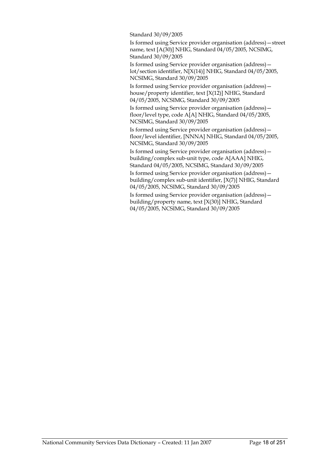Standard 30/09/2005

Is formed using Service provider organisation (address)—street name, text [A(30)] NHIG, Standard 04/05/2005, NCSIMG, Standard 30/09/2005

Is formed using Service provider organisation (address) lot/section identifier, N[X(14)] NHIG, Standard 04/05/2005, NCSIMG, Standard 30/09/2005

Is formed using Service provider organisation (address) house/property identifier, text [X(12)] NHIG, Standard 04/05/2005, NCSIMG, Standard 30/09/2005

Is formed using Service provider organisation (address) floor/level type, code A[A] NHIG, Standard 04/05/2005, NCSIMG, Standard 30/09/2005

Is formed using Service provider organisation (address) floor/level identifier, [NNNA] NHIG, Standard 04/05/2005, NCSIMG, Standard 30/09/2005

Is formed using Service provider organisation (address) building/complex sub-unit type, code A[AAA] NHIG, Standard 04/05/2005, NCSIMG, Standard 30/09/2005

Is formed using Service provider organisation (address) building/complex sub-unit identifier, [X(7)] NHIG, Standard 04/05/2005, NCSIMG, Standard 30/09/2005

Is formed using Service provider organisation (address) building/property name, text [X(30)] NHIG, Standard 04/05/2005, NCSIMG, Standard 30/09/2005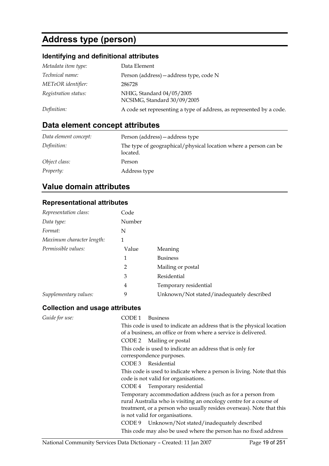# **Address type (person)**

### **Identifying and definitional attributes**

| Metadata item type:  | Data Element                                                         |
|----------------------|----------------------------------------------------------------------|
| Technical name:      | Person (address) - address type, code N                              |
| METeOR identifier:   | 286728                                                               |
| Registration status: | NHIG, Standard 04/05/2005<br>NCSIMG, Standard 30/09/2005             |
| Definition:          | A code set representing a type of address, as represented by a code. |

### **Data element concept attributes**

| Data element concept: | Person (address) – address type                                              |
|-----------------------|------------------------------------------------------------------------------|
| Definition:           | The type of geographical/physical location where a person can be<br>located. |
| Object class:         | Person                                                                       |
| <i>Property:</i>      | Address type                                                                 |

### **Value domain attributes**

#### **Representational attributes**

| Representation class:     | Code   |                                           |
|---------------------------|--------|-------------------------------------------|
| Data type:                | Number |                                           |
| Format:                   | N      |                                           |
| Maximum character length: | 1      |                                           |
| Permissible values:       | Value  | Meaning                                   |
|                           | 1      | <b>Business</b>                           |
|                           | 2      | Mailing or postal                         |
|                           | 3      | Residential                               |
|                           | 4      | Temporary residential                     |
| Supplementary values:     | 9      | Unknown/Not stated/inadequately described |

### **Collection and usage attributes**

| Guide for use: | CODE 1<br><b>Business</b>                                                                                                                                                                                                                   |
|----------------|---------------------------------------------------------------------------------------------------------------------------------------------------------------------------------------------------------------------------------------------|
|                | This code is used to indicate an address that is the physical location<br>of a business, an office or from where a service is delivered.                                                                                                    |
|                | CODE 2 Mailing or postal                                                                                                                                                                                                                    |
|                | This code is used to indicate an address that is only for                                                                                                                                                                                   |
|                | correspondence purposes.                                                                                                                                                                                                                    |
|                | CODE 3 Residential                                                                                                                                                                                                                          |
|                | This code is used to indicate where a person is living. Note that this<br>code is not valid for organisations.                                                                                                                              |
|                | CODE 4 Temporary residential                                                                                                                                                                                                                |
|                | Temporary accommodation address (such as for a person from<br>rural Australia who is visiting an oncology centre for a course of<br>treatment, or a person who usually resides overseas). Note that this<br>is not valid for organisations. |
|                | CODE 9 Unknown/Not stated/inadequately described                                                                                                                                                                                            |
|                | This code may also be used where the person has no fixed address                                                                                                                                                                            |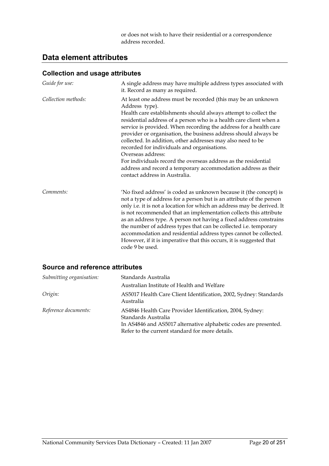or does not wish to have their residential or a correspondence address recorded.

### **Data element attributes**

#### **Collection and usage attributes**

| Guide for use:      | A single address may have multiple address types associated with<br>it. Record as many as required.                                                                                                                                                                                                                                                                                                                                                                                                                                                                                                                                                                     |
|---------------------|-------------------------------------------------------------------------------------------------------------------------------------------------------------------------------------------------------------------------------------------------------------------------------------------------------------------------------------------------------------------------------------------------------------------------------------------------------------------------------------------------------------------------------------------------------------------------------------------------------------------------------------------------------------------------|
| Collection methods: | At least one address must be recorded (this may be an unknown<br>Address type).<br>Health care establishments should always attempt to collect the<br>residential address of a person who is a health care client when a<br>service is provided. When recording the address for a health care<br>provider or organisation, the business address should always be<br>collected. In addition, other addresses may also need to be<br>recorded for individuals and organisations.<br>Overseas address:<br>For individuals record the overseas address as the residential<br>address and record a temporary accommodation address as their<br>contact address in Australia. |
| Comments:           | 'No fixed address' is coded as unknown because it (the concept) is<br>not a type of address for a person but is an attribute of the person<br>only i.e. it is not a location for which an address may be derived. It<br>is not recommended that an implementation collects this attribute<br>as an address type. A person not having a fixed address constrains<br>the number of address types that can be collected i.e. temporary<br>accommodation and residential address types cannot be collected.<br>However, if it is imperative that this occurs, it is suggested that<br>code 9 be used.                                                                       |

| Submitting organisation: | Standards Australia                                                                                                                                                                                     |
|--------------------------|---------------------------------------------------------------------------------------------------------------------------------------------------------------------------------------------------------|
|                          | Australian Institute of Health and Welfare                                                                                                                                                              |
| Origin:                  | AS5017 Health Care Client Identification, 2002, Sydney: Standards<br>Australia                                                                                                                          |
| Reference documents:     | AS4846 Health Care Provider Identification, 2004, Sydney:<br>Standards Australia<br>In AS4846 and AS5017 alternative alphabetic codes are presented.<br>Refer to the current standard for more details. |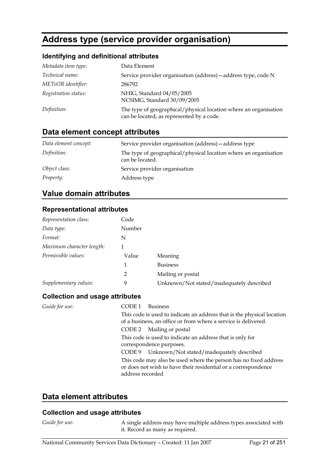# **Address type (service provider organisation)**

#### **Identifying and definitional attributes**

| Metadata item type:  | Data Element                                                                                                  |
|----------------------|---------------------------------------------------------------------------------------------------------------|
| Technical name:      | Service provider organisation (address) - address type, code N                                                |
| METeOR identifier:   | 286792                                                                                                        |
| Registration status: | NHIG, Standard 04/05/2005<br>NCSIMG, Standard 30/09/2005                                                      |
| Definition:          | The type of geographical/physical location where an organisation<br>can be located, as represented by a code. |

### **Data element concept attributes**

| Data element concept: | Service provider organisation (address) – address type                              |
|-----------------------|-------------------------------------------------------------------------------------|
| Definition:           | The type of geographical/physical location where an organisation<br>can be located. |
| Object class:         | Service provider organisation                                                       |
| <i>Property:</i>      | Address type                                                                        |

### **Value domain attributes**

#### **Representational attributes**

| Representation class:     | Code   |                                           |
|---------------------------|--------|-------------------------------------------|
| Data type:                | Number |                                           |
| Format:                   | N      |                                           |
| Maximum character length: |        |                                           |
| Permissible values:       | Value  | Meaning                                   |
|                           | 1      | <b>Business</b>                           |
|                           | 2      | Mailing or postal                         |
| Supplementary values:     | 9      | Unknown/Not stated/inadequately described |

#### **Collection and usage attributes**

*Guide for use:* CODE 1 Business This code is used to indicate an address that is the physical location of a business, an office or from where a service is delivered. CODE 2 Mailing or postal This code is used to indicate an address that is only for correspondence purposes. CODE 9 Unknown/Not stated/inadequately described This code may also be used where the person has no fixed address or does not wish to have their residential or a correspondence address recorded

### **Data element attributes**

#### **Collection and usage attributes**

*Guide for use:* A single address may have multiple address types associated with it. Record as many as required.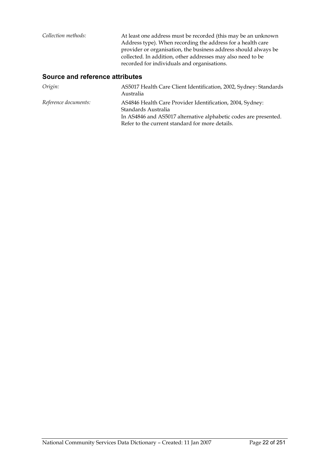| Collection methods: | At least one address must be recorded (this may be an unknown<br>Address type). When recording the address for a health care<br>provider or organisation, the business address should always be<br>collected. In addition, other addresses may also need to be<br>recorded for individuals and organisations. |
|---------------------|---------------------------------------------------------------------------------------------------------------------------------------------------------------------------------------------------------------------------------------------------------------------------------------------------------------|
|                     |                                                                                                                                                                                                                                                                                                               |

| Origin:              | AS5017 Health Care Client Identification, 2002, Sydney: Standards<br>Australia                                                                                                                          |
|----------------------|---------------------------------------------------------------------------------------------------------------------------------------------------------------------------------------------------------|
| Reference documents: | AS4846 Health Care Provider Identification, 2004, Sydney:<br>Standards Australia<br>In AS4846 and AS5017 alternative alphabetic codes are presented.<br>Refer to the current standard for more details. |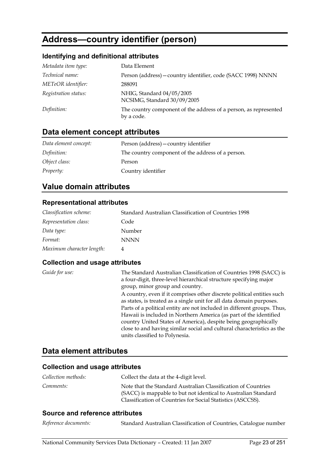# **Address—country identifier (person)**

### **Identifying and definitional attributes**

| Metadata item type:  | Data Element                                                                   |
|----------------------|--------------------------------------------------------------------------------|
| Technical name:      | Person (address) - country identifier, code (SACC 1998) NNNN                   |
| METeOR identifier:   | 288091                                                                         |
| Registration status: | NHIG, Standard 04/05/2005<br>NCSIMG, Standard 30/09/2005                       |
| Definition:          | The country component of the address of a person, as represented<br>by a code. |

### **Data element concept attributes**

| Data element concept: | Person (address) - country identifier             |
|-----------------------|---------------------------------------------------|
| Definition:           | The country component of the address of a person. |
| Object class:         | Person                                            |
| <i>Property:</i>      | Country identifier                                |

### **Value domain attributes**

#### **Representational attributes**

| Classification scheme:    | Standard Australian Classification of Countries 1998 |
|---------------------------|------------------------------------------------------|
| Representation class:     | Code                                                 |
| Data type:                | Number                                               |
| Format:                   | <b>NNNN</b>                                          |
| Maximum character length: |                                                      |

#### **Collection and usage attributes**

| Guide for use: | The Standard Australian Classification of Countries 1998 (SACC) is<br>a four-digit, three-level hierarchical structure specifying major |
|----------------|-----------------------------------------------------------------------------------------------------------------------------------------|
|                | group, minor group and country.                                                                                                         |
|                | A country, even if it comprises other discrete political entities such                                                                  |
|                | as states, is treated as a single unit for all data domain purposes.                                                                    |
|                | Parts of a political entity are not included in different groups. Thus,                                                                 |
|                | Hawaii is included in Northern America (as part of the identified                                                                       |
|                | country United States of America), despite being geographically                                                                         |
|                | close to and having similar social and cultural characteristics as the                                                                  |
|                | units classified to Polynesia.                                                                                                          |

### **Data element attributes**

### **Collection and usage attributes**

| Collection methods: | Collect the data at the 4-digit level.                                                                                                                                                         |
|---------------------|------------------------------------------------------------------------------------------------------------------------------------------------------------------------------------------------|
| Comments:           | Note that the Standard Australian Classification of Countries<br>(SACC) is mappable to but not identical to Australian Standard<br>Classification of Countries for Social Statistics (ASCCSS). |

| Reference documents: | Standard Australian Classification of Countries, Catalogue number |  |
|----------------------|-------------------------------------------------------------------|--|
|----------------------|-------------------------------------------------------------------|--|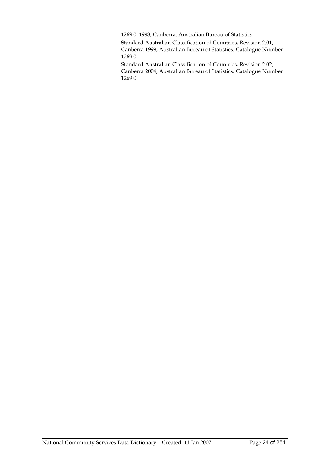1269.0, 1998, Canberra: Australian Bureau of Statistics

Standard Australian Classification of Countries, Revision 2.01, Canberra 1999, Australian Bureau of Statistics. Catalogue Number 1269.0

Standard Australian Classification of Countries, Revision 2.02, Canberra 2004, Australian Bureau of Statistics. Catalogue Number 1269.0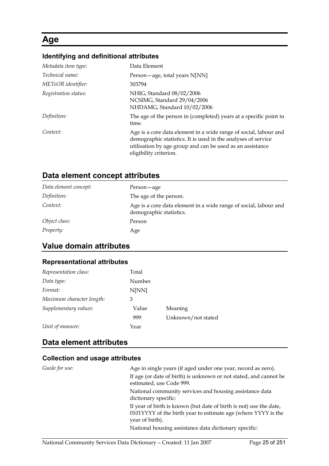# **Age**

# **Identifying and definitional attributes**

| Metadata item type:  | Data Element                                                                                                                                                                                                             |
|----------------------|--------------------------------------------------------------------------------------------------------------------------------------------------------------------------------------------------------------------------|
| Technical name:      | Person - age, total years N[NN]                                                                                                                                                                                          |
| METeOR identifier:   | 303794                                                                                                                                                                                                                   |
| Registration status: | NHIG, Standard 08/02/2006<br>NCSIMG, Standard 29/04/2006<br>NHDAMG, Standard 10/02/2006                                                                                                                                  |
| Definition:          | The age of the person in (completed) years at a specific point in<br>time.                                                                                                                                               |
| Context:             | Age is a core data element in a wide range of social, labour and<br>demographic statistics. It is used in the analyses of service<br>utilisation by age group and can be used as an assistance<br>eligibility criterion. |

### **Data element concept attributes**

| Data element concept: | Person — age                                                                                |
|-----------------------|---------------------------------------------------------------------------------------------|
| Definition:           | The age of the person.                                                                      |
| Context:              | Age is a core data element in a wide range of social, labour and<br>demographic statistics. |
| Object class:         | Person                                                                                      |
| <i>Property:</i>      | Age                                                                                         |

### **Value domain attributes**

### **Representational attributes**

| Representation class:     | Total  |                    |
|---------------------------|--------|--------------------|
| Data type:                | Number |                    |
| Format:                   | N[NN]  |                    |
| Maximum character length: | 3      |                    |
| Supplementary values:     | Value  | Meaning            |
|                           | 999    | Unknown/not stated |
| Unit of measure:          | Year   |                    |

### **Data element attributes**

#### **Collection and usage attributes**

| Guide for use: | Age in single years (if aged under one year, record as zero).                                                                                          |
|----------------|--------------------------------------------------------------------------------------------------------------------------------------------------------|
|                | If age (or date of birth) is unknown or not stated, and cannot be<br>estimated, use Code 999.                                                          |
|                | National community services and housing assistance data<br>dictionary specific:                                                                        |
|                | If year of birth is known (but date of birth is not) use the date,<br>0101YYYY of the birth year to estimate age (where YYYY is the<br>year of birth). |
|                | National housing assistance data dictionary specific:                                                                                                  |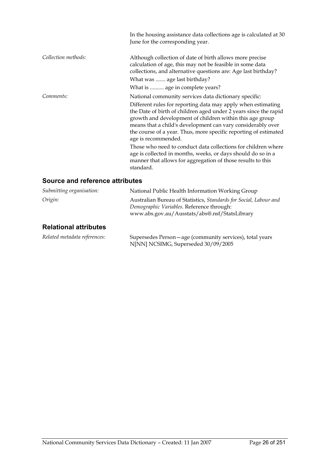|                     | In the housing assistance data collections age is calculated at 30<br>June for the corresponding year.                                                                                                                                                                                                                                                                                                          |
|---------------------|-----------------------------------------------------------------------------------------------------------------------------------------------------------------------------------------------------------------------------------------------------------------------------------------------------------------------------------------------------------------------------------------------------------------|
| Collection methods: | Although collection of date of birth allows more precise<br>calculation of age, this may not be feasible in some data<br>collections, and alternative questions are: Age last birthday?                                                                                                                                                                                                                         |
|                     | What was  age last birthday?                                                                                                                                                                                                                                                                                                                                                                                    |
|                     | What is  age in complete years?                                                                                                                                                                                                                                                                                                                                                                                 |
| Comments:           | National community services data dictionary specific:<br>Different rules for reporting data may apply when estimating<br>the Date of birth of children aged under 2 years since the rapid<br>growth and development of children within this age group<br>means that a child's development can vary considerably over<br>the course of a year. Thus, more specific reporting of estimated<br>age is recommended. |
|                     | Those who need to conduct data collections for children where<br>age is collected in months, weeks, or days should do so in a<br>manner that allows for aggregation of those results to this<br>standard.                                                                                                                                                                                                       |

| Submitting organisation:     | National Public Health Information Working Group                                                                                                                |
|------------------------------|-----------------------------------------------------------------------------------------------------------------------------------------------------------------|
| Origin:                      | Australian Bureau of Statistics, Standards for Social, Labour and<br>Demographic Variables. Reference through:<br>www.abs.gov.au/Ausstats/abs@.nsf/StatsLibrary |
| <b>Relational attributes</b> |                                                                                                                                                                 |

| Related metadata references: | Supersedes Person – age (community services), total years |
|------------------------------|-----------------------------------------------------------|
|                              | N[NN] NCSIMG, Superseded 30/09/2005                       |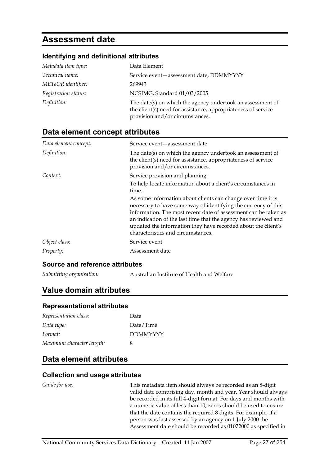# **Assessment date**

#### **Identifying and definitional attributes**

| Metadata item type:  | Data Element                                                                                                                                                   |
|----------------------|----------------------------------------------------------------------------------------------------------------------------------------------------------------|
| Technical name:      | Service event-assessment date, DDMMYYYY                                                                                                                        |
| METeOR identifier:   | 269943                                                                                                                                                         |
| Registration status: | NCSIMG, Standard 01/03/2005                                                                                                                                    |
| Definition:          | The date(s) on which the agency undertook an assessment of<br>the client(s) need for assistance, appropriateness of service<br>provision and/or circumstances. |

### **Data element concept attributes**

| Data element concept: | Service event – assessment date                                                                                                                                                                                                                                                                                                                                             |
|-----------------------|-----------------------------------------------------------------------------------------------------------------------------------------------------------------------------------------------------------------------------------------------------------------------------------------------------------------------------------------------------------------------------|
| Definition:           | The date(s) on which the agency undertook an assessment of<br>the client(s) need for assistance, appropriateness of service<br>provision and/or circumstances.                                                                                                                                                                                                              |
| Context:              | Service provision and planning:                                                                                                                                                                                                                                                                                                                                             |
|                       | To help locate information about a client's circumstances in<br>time.                                                                                                                                                                                                                                                                                                       |
|                       | As some information about clients can change over time it is<br>necessary to have some way of identifying the currency of this<br>information. The most recent date of assessment can be taken as<br>an indication of the last time that the agency has reviewed and<br>updated the information they have recorded about the client's<br>characteristics and circumstances. |
| Object class:         | Service event                                                                                                                                                                                                                                                                                                                                                               |
| Property:             | Assessment date                                                                                                                                                                                                                                                                                                                                                             |

#### **Source and reference attributes**

*Submitting organisation:* Australian Institute of Health and Welfare

### **Value domain attributes**

#### **Representational attributes**

| Representation class:     | Date            |
|---------------------------|-----------------|
| Data type:                | Date/Time       |
| Format:                   | <b>DDMMYYYY</b> |
| Maximum character length: | x               |

### **Data element attributes**

#### **Collection and usage attributes**

*Guide for use:* This metadata item should always be recorded as an 8-digit valid date comprising day, month and year. Year should always be recorded in its full 4-digit format. For days and months with a numeric value of less than 10, zeros should be used to ensure that the date contains the required 8 digits. For example, if a person was last assessed by an agency on 1 July 2000 the Assessment date should be recorded as 01072000 as specified in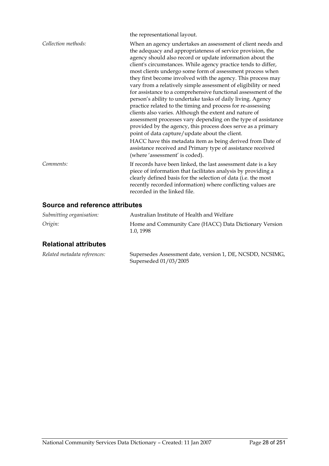|                     | the representational layout.                                                                                                                                                                                                                                                                                                                                                                                                                                                                                                                                                                                                                                                                                                                                                                                                                                                                                                                                                                                                       |
|---------------------|------------------------------------------------------------------------------------------------------------------------------------------------------------------------------------------------------------------------------------------------------------------------------------------------------------------------------------------------------------------------------------------------------------------------------------------------------------------------------------------------------------------------------------------------------------------------------------------------------------------------------------------------------------------------------------------------------------------------------------------------------------------------------------------------------------------------------------------------------------------------------------------------------------------------------------------------------------------------------------------------------------------------------------|
| Collection methods: | When an agency undertakes an assessment of client needs and<br>the adequacy and appropriateness of service provision, the<br>agency should also record or update information about the<br>client's circumstances. While agency practice tends to differ,<br>most clients undergo some form of assessment process when<br>they first become involved with the agency. This process may<br>vary from a relatively simple assessment of eligibility or need<br>for assistance to a comprehensive functional assessment of the<br>person's ability to undertake tasks of daily living. Agency<br>practice related to the timing and process for re-assessing<br>clients also varies. Although the extent and nature of<br>assessment processes vary depending on the type of assistance<br>provided by the agency, this process does serve as a primary<br>point of data capture/update about the client.<br>HACC have this metadata item as being derived from Date of<br>assistance received and Primary type of assistance received |
|                     | (where 'assessment' is coded).                                                                                                                                                                                                                                                                                                                                                                                                                                                                                                                                                                                                                                                                                                                                                                                                                                                                                                                                                                                                     |
| Comments:           | If records have been linked, the last assessment date is a key<br>piece of information that facilitates analysis by providing a<br>clearly defined basis for the selection of data (i.e. the most<br>recently recorded information) where conflicting values are<br>recorded in the linked file.                                                                                                                                                                                                                                                                                                                                                                                                                                                                                                                                                                                                                                                                                                                                   |

### **Source and reference attributes**

| Submitting organisation: | Australian Institute of Health and Welfare                         |
|--------------------------|--------------------------------------------------------------------|
| Origin:                  | Home and Community Care (HACC) Data Dictionary Version<br>1.0.1998 |

### **Relational attributes**

| Related metadata references: | Supersedes Assessment date, version 1, DE, NCSDD, NCSIMG, |
|------------------------------|-----------------------------------------------------------|
|                              | Superseded 01/03/2005                                     |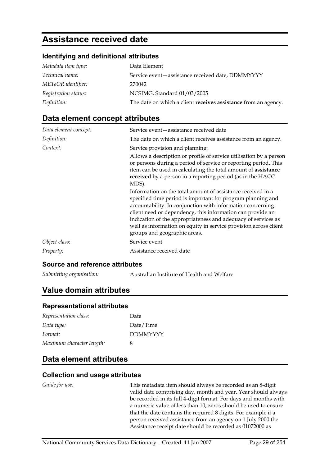# **Assistance received date**

#### **Identifying and definitional attributes**

| Metadata item type:  | Data Element                                                   |
|----------------------|----------------------------------------------------------------|
| Technical name:      | Service event-assistance received date, DDMMYYYY               |
| METeOR identifier:   | 270042                                                         |
| Registration status: | NCSIMG, Standard 01/03/2005                                    |
| Definition:          | The date on which a client receives assistance from an agency. |

### **Data element concept attributes**

| Data element concept: | Service event – assistance received date                                                                                                                                                                                                                                                                                                                                                                                    |
|-----------------------|-----------------------------------------------------------------------------------------------------------------------------------------------------------------------------------------------------------------------------------------------------------------------------------------------------------------------------------------------------------------------------------------------------------------------------|
| Definition:           | The date on which a client receives assistance from an agency.                                                                                                                                                                                                                                                                                                                                                              |
| Context:              | Service provision and planning:<br>Allows a description or profile of service utilisation by a person<br>or persons during a period of service or reporting period. This<br>item can be used in calculating the total amount of assistance<br>received by a person in a reporting period (as in the HACC<br>MDS).                                                                                                           |
|                       | Information on the total amount of assistance received in a<br>specified time period is important for program planning and<br>accountability. In conjunction with information concerning<br>client need or dependency, this information can provide an<br>indication of the appropriateness and adequacy of services as<br>well as information on equity in service provision across client<br>groups and geographic areas. |
| Object class:         | Service event                                                                                                                                                                                                                                                                                                                                                                                                               |
| Property:             | Assistance received date                                                                                                                                                                                                                                                                                                                                                                                                    |

#### **Source and reference attributes**

*Submitting organisation:* Australian Institute of Health and Welfare

### **Value domain attributes**

#### **Representational attributes**

| Representation class:     | Date            |
|---------------------------|-----------------|
| Data type:                | Date/Time       |
| Format:                   | <b>DDMMYYYY</b> |
| Maximum character length: | x               |

### **Data element attributes**

#### **Collection and usage attributes**

*Guide for use:* This metadata item should always be recorded as an 8-digit valid date comprising day, month and year. Year should always be recorded in its full 4-digit format. For days and months with a numeric value of less than 10, zeros should be used to ensure that the date contains the required 8 digits. For example if a person received assistance from an agency on 1 July 2000 the Assistance receipt date should be recorded as 01072000 as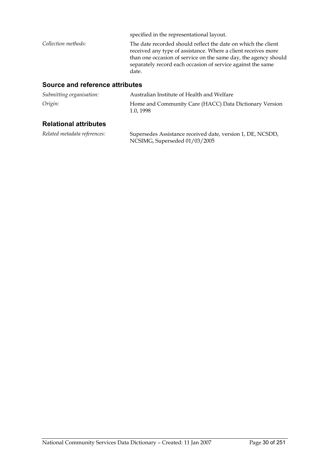|                     | specified in the representational layout.                                                                                                                                                                                                                                 |
|---------------------|---------------------------------------------------------------------------------------------------------------------------------------------------------------------------------------------------------------------------------------------------------------------------|
| Collection methods: | The date recorded should reflect the date on which the client<br>received any type of assistance. Where a client receives more<br>than one occasion of service on the same day, the agency should<br>separately record each occasion of service against the same<br>date. |

#### **Source and reference attributes**

| Submitting organisation: | Australian Institute of Health and Welfare                         |
|--------------------------|--------------------------------------------------------------------|
| Origin:                  | Home and Community Care (HACC) Data Dictionary Version<br>1.0.1998 |

#### **Relational attributes**

*Related metadata references:* Supersedes Assistance received date, version 1, DE, NCSDD, NCSIMG, Superseded 01/03/2005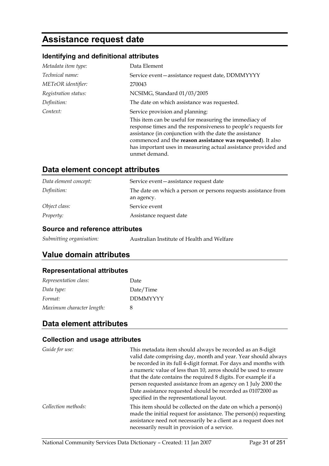# **Assistance request date**

### **Identifying and definitional attributes**

| Metadata item type:  | Data Element                                                                                                                                                                                                                                                                                                                          |
|----------------------|---------------------------------------------------------------------------------------------------------------------------------------------------------------------------------------------------------------------------------------------------------------------------------------------------------------------------------------|
| Technical name:      | Service event-assistance request date, DDMMYYYY                                                                                                                                                                                                                                                                                       |
| METeOR identifier:   | 270043                                                                                                                                                                                                                                                                                                                                |
| Registration status: | NCSIMG, Standard 01/03/2005                                                                                                                                                                                                                                                                                                           |
| Definition:          | The date on which assistance was requested.                                                                                                                                                                                                                                                                                           |
| Context:             | Service provision and planning:                                                                                                                                                                                                                                                                                                       |
|                      | This item can be useful for measuring the immediacy of<br>response times and the responsiveness to people's requests for<br>assistance (in conjunction with the date the assistance<br>commenced and the reason assistance was requested). It also<br>has important uses in measuring actual assistance provided and<br>unmet demand. |

### **Data element concept attributes**

| Data element concept: | Service event – assistance request date                                      |
|-----------------------|------------------------------------------------------------------------------|
| Definition:           | The date on which a person or persons requests assistance from<br>an agency. |
| Object class:         | Service event                                                                |
| <i>Property:</i>      | Assistance request date                                                      |

#### **Source and reference attributes**

| Australian Institute of Health and Welfare |
|--------------------------------------------|
|                                            |

### **Value domain attributes**

# **Representational attributes**

| Representation class:     | Date            |
|---------------------------|-----------------|
| Data type:                | Date/Time       |
| Format:                   | <b>DDMMYYYY</b> |
| Maximum character length: | x               |

### **Data element attributes**

#### **Collection and usage attributes**

| Guide for use:      | This metadata item should always be recorded as an 8-digit<br>valid date comprising day, month and year. Year should always<br>be recorded in its full 4-digit format. For days and months with<br>a numeric value of less than 10, zeros should be used to ensure<br>that the date contains the required 8 digits. For example if a<br>person requested assistance from an agency on 1 July 2000 the |
|---------------------|-------------------------------------------------------------------------------------------------------------------------------------------------------------------------------------------------------------------------------------------------------------------------------------------------------------------------------------------------------------------------------------------------------|
|                     | Date assistance requested should be recorded as 01072000 as<br>specified in the representational layout.                                                                                                                                                                                                                                                                                              |
| Collection methods: | This item should be collected on the date on which a person(s)<br>made the initial request for assistance. The person(s) requesting<br>assistance need not necessarily be a client as a request does not<br>necessarily result in provision of a service.                                                                                                                                             |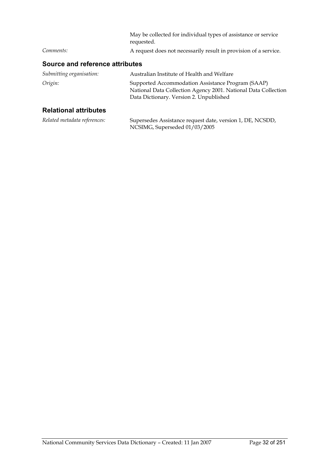|           | May be collected for individual types of assistance or service<br>requested. |
|-----------|------------------------------------------------------------------------------|
| Comments: | A request does not necessarily result in provision of a service.             |

| Submitting organisation:     | Australian Institute of Health and Welfare                                                                                                                     |
|------------------------------|----------------------------------------------------------------------------------------------------------------------------------------------------------------|
| Origin:                      | Supported Accommodation Assistance Program (SAAP)<br>National Data Collection Agency 2001. National Data Collection<br>Data Dictionary. Version 2. Unpublished |
| <b>Relational attributes</b> |                                                                                                                                                                |

| Related metadata references: | Supersedes Assistance request date, version 1, DE, NCSDD,<br>NCSIMG, Superseded 01/03/2005 |
|------------------------------|--------------------------------------------------------------------------------------------|
|------------------------------|--------------------------------------------------------------------------------------------|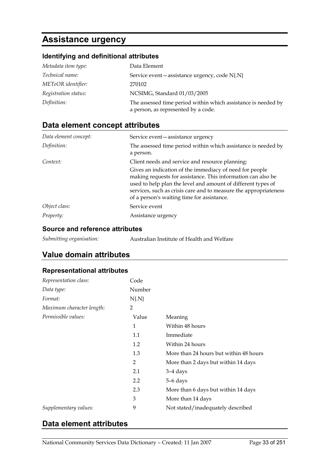# **Assistance urgency**

# **Identifying and definitional attributes**

| Metadata item type:  | Data Element                                                                                         |
|----------------------|------------------------------------------------------------------------------------------------------|
| Technical name:      | Service event - assistance urgency, code N{.N}                                                       |
| METeOR identifier:   | 270102                                                                                               |
| Registration status: | NCSIMG, Standard 01/03/2005                                                                          |
| Definition:          | The assessed time period within which assistance is needed by<br>a person, as represented by a code. |

### **Data element concept attributes**

| Data element concept: | Service event – assistance urgency                                                                                                                                                                                                                                                                        |
|-----------------------|-----------------------------------------------------------------------------------------------------------------------------------------------------------------------------------------------------------------------------------------------------------------------------------------------------------|
| Definition:           | The assessed time period within which assistance is needed by<br>a person.                                                                                                                                                                                                                                |
| Context:              | Client needs and service and resource planning:                                                                                                                                                                                                                                                           |
|                       | Gives an indication of the immediacy of need for people<br>making requests for assistance. This information can also be<br>used to help plan the level and amount of different types of<br>services, such as crisis care and to measure the appropriateness<br>of a person's waiting time for assistance. |
| Object class:         | Service event                                                                                                                                                                                                                                                                                             |
| <i>Property:</i>      | Assistance urgency                                                                                                                                                                                                                                                                                        |

#### **Source and reference attributes**

### **Value domain attributes**

#### **Representational attributes**

| Representation class:     | Code     |                                        |
|---------------------------|----------|----------------------------------------|
| Data type:                | Number   |                                        |
| Format:                   | $N\{N\}$ |                                        |
| Maximum character length: | 2        |                                        |
| Permissible values:       | Value    | Meaning                                |
|                           | 1        | Within 48 hours                        |
|                           | 1.1      | Immediate                              |
|                           | 1.2      | Within 24 hours                        |
|                           | 1.3      | More than 24 hours but within 48 hours |
|                           | 2        | More than 2 days but within 14 days    |
|                           | 2.1      | $3-4$ days                             |
|                           | 2.2      | 5–6 days                               |
|                           | 2.3      | More than 6 days but within 14 days    |
|                           | 3        | More than 14 days                      |
| Supplementary values:     | 9        | Not stated/inadequately described      |

### **Data element attributes**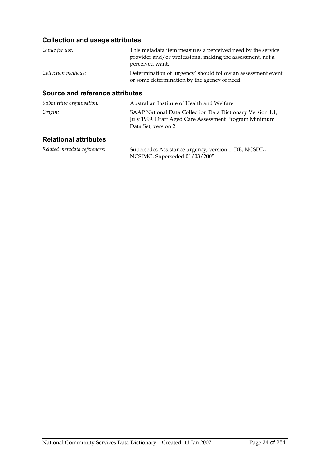### **Collection and usage attributes**

| Guide for use:      | This metadata item measures a perceived need by the service<br>provider and/or professional making the assessment, not a |
|---------------------|--------------------------------------------------------------------------------------------------------------------------|
|                     | perceived want.                                                                                                          |
| Collection methods: | Determination of 'urgency' should follow an assessment event<br>or some determination by the agency of need.             |

#### **Source and reference attributes**

| Submitting organisation: | Australian Institute of Health and Welfare                                                                                                  |
|--------------------------|---------------------------------------------------------------------------------------------------------------------------------------------|
| Origin:                  | SAAP National Data Collection Data Dictionary Version 1.1,<br>July 1999. Draft Aged Care Assessment Program Minimum<br>Data Set, version 2. |

### **Relational attributes**

| Related metadata references: | Supersedes Assistance urgency, version 1, DE, NCSDD, |
|------------------------------|------------------------------------------------------|
|                              | NCSIMG, Superseded 01/03/2005                        |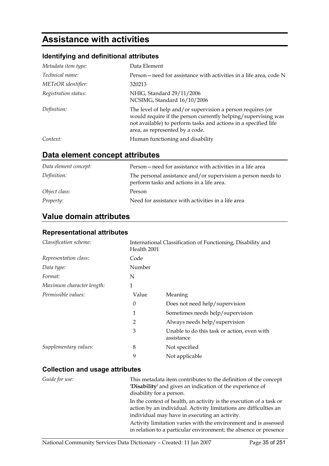# **Assistance with activities**

### **Identifying and definitional attributes**

| Metadata item type:  | Data Element                                                                                                                                                                                                                      |
|----------------------|-----------------------------------------------------------------------------------------------------------------------------------------------------------------------------------------------------------------------------------|
| Technical name:      | Person – need for assistance with activities in a life area, code N                                                                                                                                                               |
| METeOR identifier:   | 320213                                                                                                                                                                                                                            |
| Registration status: | NHIG, Standard 29/11/2006<br>NCSIMG, Standard 16/10/2006                                                                                                                                                                          |
| Definition:          | The level of help and/or supervision a person requires (or<br>would require if the person currently helping/supervising was<br>not available) to perform tasks and actions in a specified life<br>area, as represented by a code. |
| Context:             | Human functioning and disability                                                                                                                                                                                                  |

### **Data element concept attributes**

| Data element concept: | Person – need for assistance with activities in a life area                                               |
|-----------------------|-----------------------------------------------------------------------------------------------------------|
| Definition:           | The personal assistance and/or supervision a person needs to<br>perform tasks and actions in a life area. |
| Object class:         | Person                                                                                                    |
| <i>Property:</i>      | Need for assistance with activities in a life area                                                        |

### **Value domain attributes**

#### **Representational attributes**

| Classification scheme:    | Health 2001 | International Classification of Functioning, Disability and |
|---------------------------|-------------|-------------------------------------------------------------|
| Representation class:     | Code        |                                                             |
| Data type:                | Number      |                                                             |
| Format:                   | N           |                                                             |
| Maximum character length: | 1           |                                                             |
| Permissible values:       | Value       | Meaning                                                     |
|                           | $\theta$    | Does not need help/supervision                              |
|                           | 1           | Sometimes needs help/supervision                            |
|                           | 2           | Always needs help/supervision                               |
|                           | 3           | Unable to do this task or action, even with<br>assistance   |
| Supplementary values:     | 8           | Not specified                                               |
|                           | 9           | Not applicable                                              |

### **Collection and usage attributes**

| Guide for use: | This metadata item contributes to the definition of the concept<br>'Disability' and gives an indication of the experience of<br>disability for a person.                                  |
|----------------|-------------------------------------------------------------------------------------------------------------------------------------------------------------------------------------------|
|                | In the context of health, an activity is the execution of a task or<br>action by an individual. Activity limitations are difficulties an<br>individual may have in executing an activity. |
|                | Activity limitation varies with the environment and is assessed<br>in relation to a particular environment; the absence or presence                                                       |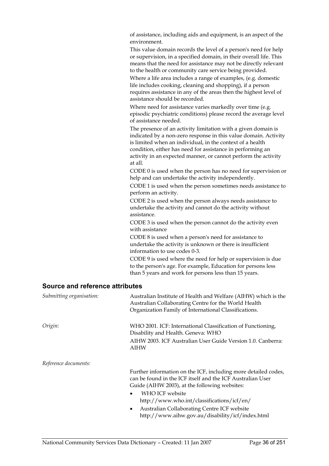of assistance, including aids and equipment, is an aspect of the environment.

This value domain records the level of a person's need for help or supervision, in a specified domain, in their overall life. This means that the need for assistance may not be directly relevant to the health or community care service being provided.

Where a life area includes a range of examples, (e.g. domestic life includes cooking, cleaning and shopping), if a person requires assistance in any of the areas then the highest level of assistance should be recorded.

Where need for assistance varies markedly over time (e.g. episodic psychiatric conditions) please record the average level of assistance needed.

The presence of an activity limitation with a given domain is indicated by a non-zero response in this value domain. Activity is limited when an individual, in the context of a health condition, either has need for assistance in performing an activity in an expected manner, or cannot perform the activity at all.

CODE 0 is used when the person has no need for supervision or help and can undertake the activity independently.

CODE 1 is used when the person sometimes needs assistance to perform an activity.

CODE 2 is used when the person always needs assistance to undertake the activity and cannot do the activity without assistance.

CODE 3 is used when the person cannot do the activity even with assistance

CODE 8 is used when a person's need for assistance to undertake the activity is unknown or there is insufficient information to use codes 0-3.

CODE 9 is used where the need for help or supervision is due to the person's age. For example, Education for persons less than 5 years and work for persons less than 15 years.

| Submitting organisation: | Australian Institute of Health and Welfare (AIHW) which is the<br>Australian Collaborating Centre for the World Health<br>Organization Family of International Classifications. |
|--------------------------|---------------------------------------------------------------------------------------------------------------------------------------------------------------------------------|
| Origin:                  | WHO 2001. ICF: International Classification of Functioning,<br>Disability and Health. Geneva: WHO                                                                               |
|                          | AIHW 2003. ICF Australian User Guide Version 1.0. Canberra:<br><b>AIHW</b>                                                                                                      |
| Reference documents:     |                                                                                                                                                                                 |
|                          | Further information on the ICF, including more detailed codes,<br>can be found in the ICF itself and the ICF Australian User<br>Guide (AIHW 2003), at the following websites:   |
|                          | WHO ICF website<br>$\bullet$<br>http://www.who.int/classifications/icf/en/                                                                                                      |
|                          | Australian Collaborating Centre ICF website<br>$\bullet$<br>http://www.aihw.gov.au/disability/icf/index.html                                                                    |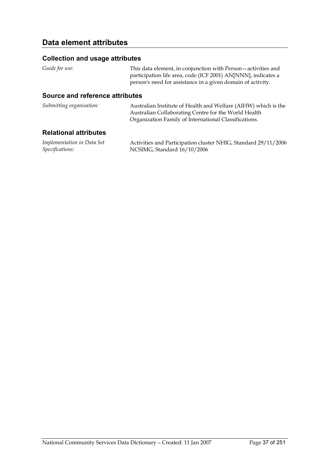### **Collection and usage attributes**

*Guide for use:* This data element, in conjunction with Person—activities and

participation life area, code (ICF 2001) AN[NNN], indicates a person's need for assistance in a given domain of activity.

### **Source and reference attributes**

| Submitting organisation: | Australian Institute of Health and Welfare (AIHW) which is the |
|--------------------------|----------------------------------------------------------------|
|                          | Australian Collaborating Centre for the World Health           |
|                          | Organization Family of International Classifications.          |

### **Relational attributes**

| Implementation in Data Set | Activities and Participation cluster NHIG, Standard 29/11/2006 |
|----------------------------|----------------------------------------------------------------|
| Specifications:            | NCSIMG, Standard 16/10/2006                                    |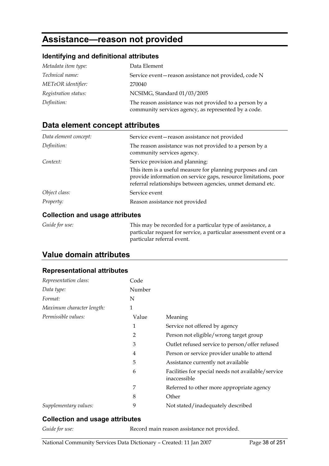# **Assistance—reason not provided**

### **Identifying and definitional attributes**

| Metadata item type:  | Data Element                                                                                                    |
|----------------------|-----------------------------------------------------------------------------------------------------------------|
| Technical name:      | Service event-reason assistance not provided, code N                                                            |
| METeOR identifier:   | 270040                                                                                                          |
| Registration status: | NCSIMG, Standard 01/03/2005                                                                                     |
| Definition:          | The reason assistance was not provided to a person by a<br>community services agency, as represented by a code. |

## **Data element concept attributes**

| Data element concept: | Service event-reason assistance not provided                                                                                                                                                 |
|-----------------------|----------------------------------------------------------------------------------------------------------------------------------------------------------------------------------------------|
| Definition:           | The reason assistance was not provided to a person by a<br>community services agency.                                                                                                        |
| Context:              | Service provision and planning:                                                                                                                                                              |
|                       | This item is a useful measure for planning purposes and can<br>provide information on service gaps, resource limitations, poor<br>referral relationships between agencies, unmet demand etc. |
| Object class:         | Service event                                                                                                                                                                                |
| Property:             | Reason assistance not provided                                                                                                                                                               |

### **Collection and usage attributes**

| Guide for use: | This may be recorded for a particular type of assistance, a        |
|----------------|--------------------------------------------------------------------|
|                | particular request for service, a particular assessment event or a |
|                | particular referral event.                                         |

## **Value domain attributes**

### **Representational attributes**

| Code           |                                                                    |
|----------------|--------------------------------------------------------------------|
| Number         |                                                                    |
| N              |                                                                    |
| 1              |                                                                    |
| Value          | Meaning                                                            |
| 1              | Service not offered by agency                                      |
| $\overline{2}$ | Person not eligible/wrong target group                             |
| 3              | Outlet refused service to person/offer refused                     |
| 4              | Person or service provider unable to attend                        |
| 5              | Assistance currently not available                                 |
| 6              | Facilities for special needs not available/service<br>inaccessible |
| 7              | Referred to other more appropriate agency                          |
| 8              | Other                                                              |
| 9              | Not stated/inadequately described                                  |
|                |                                                                    |

### **Collection and usage attributes**

Guide for use: Record main reason assistance not provided.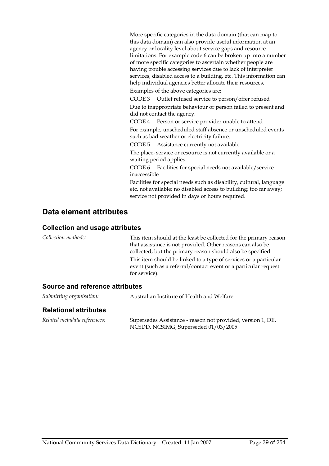More specific categories in the data domain (that can map to this data domain) can also provide useful information at an agency or locality level about service gaps and resource limitations. For example code 6 can be broken up into a number of more specific categories to ascertain whether people are having trouble accessing services due to lack of interpreter services, disabled access to a building, etc. This information can help individual agencies better allocate their resources.

Examples of the above categories are:

CODE 3 Outlet refused service to person/offer refused Due to inappropriate behaviour or person failed to present and did not contact the agency.

CODE 4 Person or service provider unable to attend For example, unscheduled staff absence or unscheduled events such as bad weather or electricity failure.

CODE 5 Assistance currently not available

The place, service or resource is not currently available or a waiting period applies.

CODE 6 Facilities for special needs not available/service inaccessible

Facilities for special needs such as disability, cultural, language etc, not available; no disabled access to building; too far away; service not provided in days or hours required.

### **Data element attributes**

### **Collection and usage attributes**

*Collection methods:* This item should at the least be collected for the primary reason that assistance is not provided. Other reasons can also be collected, but the primary reason should also be specified. This item should be linked to a type of services or a particular event (such as a referral/contact event or a particular request for service).

### **Source and reference attributes**

| Submitting organisation:     | Australian Institute of Health and Welfare                                                          |  |
|------------------------------|-----------------------------------------------------------------------------------------------------|--|
| <b>Relational attributes</b> |                                                                                                     |  |
| Related metadata references: | Supersedes Assistance - reason not provided, version 1, DE,<br>NCSDD, NCSIMG, Superseded 01/03/2005 |  |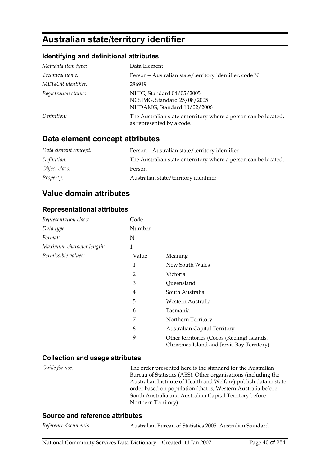# **Australian state/territory identifier**

### **Identifying and definitional attributes**

| Metadata item type:  | Data Element                                                                                  |
|----------------------|-----------------------------------------------------------------------------------------------|
| Technical name:      | Person - Australian state/territory identifier, code N                                        |
| METeOR identifier:   | 286919                                                                                        |
| Registration status: | NHIG, Standard 04/05/2005<br>NCSIMG, Standard 25/08/2005<br>NHDAMG, Standard 10/02/2006       |
| Definition:          | The Australian state or territory where a person can be located,<br>as represented by a code. |

### **Data element concept attributes**

| Data element concept: | Person - Australian state/territory identifier                   |
|-----------------------|------------------------------------------------------------------|
| Definition:           | The Australian state or territory where a person can be located. |
| Object class:         | Person                                                           |
| <i>Property:</i>      | Australian state/territory identifier                            |

### **Value domain attributes**

### **Representational attributes**

| Representation class:     | Code   |                                                                                           |
|---------------------------|--------|-------------------------------------------------------------------------------------------|
| Data type:                | Number |                                                                                           |
| Format:                   | N      |                                                                                           |
| Maximum character length: | 1      |                                                                                           |
| Permissible values:       | Value  | Meaning                                                                                   |
|                           | 1      | New South Wales                                                                           |
|                           | 2      | Victoria                                                                                  |
|                           | 3      | Queensland                                                                                |
|                           | 4      | South Australia                                                                           |
|                           | 5      | Western Australia                                                                         |
|                           | 6      | Tasmania                                                                                  |
|                           | 7      | Northern Territory                                                                        |
|                           | 8      | <b>Australian Capital Territory</b>                                                       |
|                           | 9      | Other territories (Cocos (Keeling) Islands,<br>Christmas Island and Jervis Bay Territory) |

### **Collection and usage attributes**

*Guide for use:* The order presented here is the standard for the Australian Bureau of Statistics (ABS). Other organisations (including the Australian Institute of Health and Welfare) publish data in state order based on population (that is, Western Australia before South Australia and Australian Capital Territory before Northern Territory).

### **Source and reference attributes**

| Reference documents: |  |
|----------------------|--|
|----------------------|--|

*Reference documents:* Australian Bureau of Statistics 2005. Australian Standard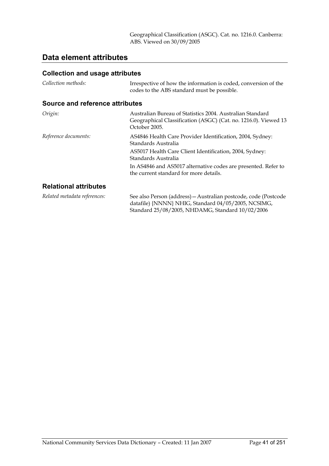Geographical Classification (ASGC). Cat. no. 1216.0. Canberra: ABS. Viewed on 30/09/2005

## **Data element attributes**

| Collection methods:             | Irrespective of how the information is coded, conversion of the<br>codes to the ABS standard must be possible.                                                             |
|---------------------------------|----------------------------------------------------------------------------------------------------------------------------------------------------------------------------|
| Source and reference attributes |                                                                                                                                                                            |
| Origin:                         | Australian Bureau of Statistics 2004. Australian Standard<br>Geographical Classification (ASGC) (Cat. no. 1216.0). Viewed 13<br>October 2005.                              |
| Reference documents:            | AS4846 Health Care Provider Identification, 2004, Sydney:<br>Standards Australia<br>AS5017 Health Care Client Identification, 2004, Sydney:<br>Standards Australia         |
|                                 | In AS4846 and AS5017 alternative codes are presented. Refer to<br>the current standard for more details.                                                                   |
| <b>Relational attributes</b>    |                                                                                                                                                                            |
| Related metadata references:    | See also Person (address) - Australian postcode, code (Postcode<br>datafile) {NNNN} NHIG, Standard 04/05/2005, NCSIMG,<br>Standard 25/08/2005, NHDAMG, Standard 10/02/2006 |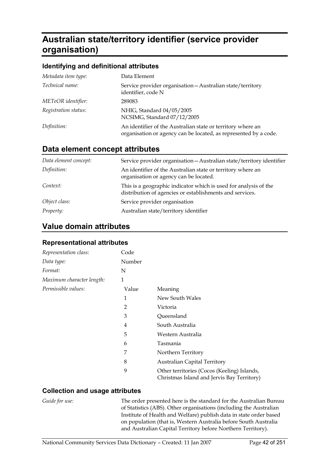# **Australian state/territory identifier (service provider organisation)**

### **Identifying and definitional attributes**

| Metadata item type:  | Data Element                                                                                                                    |
|----------------------|---------------------------------------------------------------------------------------------------------------------------------|
| Technical name:      | Service provider organisation - Australian state/territory<br>identifier, code N                                                |
| METeOR identifier:   | 289083                                                                                                                          |
| Registration status: | NHIG, Standard 04/05/2005<br>NCSIMG, Standard 07/12/2005                                                                        |
| Definition:          | An identifier of the Australian state or territory where an<br>organisation or agency can be located, as represented by a code. |

## **Data element concept attributes**

| Data element concept: | Service provider organisation - Australian state/territory identifier                                                        |
|-----------------------|------------------------------------------------------------------------------------------------------------------------------|
| Definition:           | An identifier of the Australian state or territory where an<br>organisation or agency can be located.                        |
| Context:              | This is a geographic indicator which is used for analysis of the<br>distribution of agencies or establishments and services. |
| Object class:         | Service provider organisation                                                                                                |
| <i>Property:</i>      | Australian state/territory identifier                                                                                        |

### **Value domain attributes**

### **Representational attributes**

| Representation class:     | Code           |                                                                                           |
|---------------------------|----------------|-------------------------------------------------------------------------------------------|
| Data type:                | Number         |                                                                                           |
| Format:                   | N              |                                                                                           |
| Maximum character length: | 1              |                                                                                           |
| Permissible values:       | Value          | Meaning                                                                                   |
|                           | 1              | New South Wales                                                                           |
|                           | $\overline{2}$ | Victoria                                                                                  |
|                           | 3              | Queensland                                                                                |
|                           | 4              | South Australia                                                                           |
|                           | 5              | Western Australia                                                                         |
|                           | 6              | Tasmania                                                                                  |
|                           | 7              | Northern Territory                                                                        |
|                           | 8              | <b>Australian Capital Territory</b>                                                       |
|                           | 9              | Other territories (Cocos (Keeling) Islands,<br>Christmas Island and Jervis Bay Territory) |

### **Collection and usage attributes**

*Guide for use:* The order presented here is the standard for the Australian Bureau of Statistics (ABS). Other organisations (including the Australian Institute of Health and Welfare) publish data in state order based on population (that is, Western Australia before South Australia and Australian Capital Territory before Northern Territory).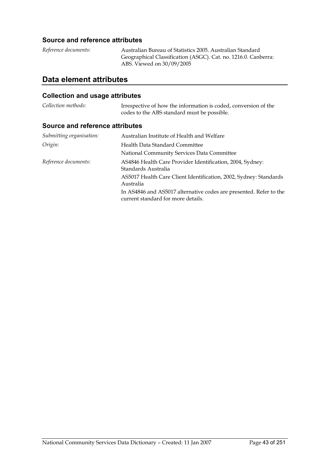### **Source and reference attributes**

| Reference documents: | Australian Bureau of Statistics 2005. Australian Standard      |
|----------------------|----------------------------------------------------------------|
|                      | Geographical Classification (ASGC). Cat. no. 1216.0. Canberra: |
|                      | ABS. Viewed on 30/09/2005                                      |

## **Data element attributes**

## **Collection and usage attributes**

| Collection methods: | Irrespective of how the information is coded, conversion of the |
|---------------------|-----------------------------------------------------------------|
|                     | codes to the ABS standard must be possible.                     |

### **Source and reference attributes**

| Submitting organisation: | Australian Institute of Health and Welfare                                                               |
|--------------------------|----------------------------------------------------------------------------------------------------------|
| Origin:                  | Health Data Standard Committee<br>National Community Services Data Committee                             |
| Reference documents:     | AS4846 Health Care Provider Identification, 2004, Sydney:<br>Standards Australia                         |
|                          | AS5017 Health Care Client Identification, 2002, Sydney: Standards<br>Australia                           |
|                          | In AS4846 and AS5017 alternative codes are presented. Refer to the<br>current standard for more details. |
|                          |                                                                                                          |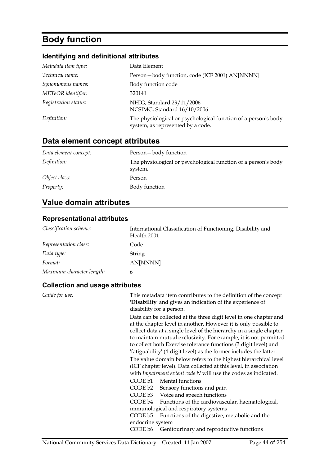# **Body function**

## **Identifying and definitional attributes**

| Metadata item type:  | Data Element                                                                                        |
|----------------------|-----------------------------------------------------------------------------------------------------|
| Technical name:      | Person-body function, code (ICF 2001) AN[NNNN]                                                      |
| Synonymous names:    | Body function code                                                                                  |
| METeOR identifier:   | 320141                                                                                              |
| Registration status: | NHIG, Standard 29/11/2006<br>NCSIMG, Standard 16/10/2006                                            |
| Definition:          | The physiological or psychological function of a person's body<br>system, as represented by a code. |

## **Data element concept attributes**

| Data element concept: | Person-body function                                                      |
|-----------------------|---------------------------------------------------------------------------|
| Definition:           | The physiological or psychological function of a person's body<br>system. |
| Object class:         | Person                                                                    |
| <i>Property:</i>      | Body function                                                             |

## **Value domain attributes**

### **Representational attributes**

| Classification scheme:    | International Classification of Functioning, Disability and<br>Health 2001 |
|---------------------------|----------------------------------------------------------------------------|
| Representation class:     | Code                                                                       |
| Data type:                | String                                                                     |
| Format:                   | AN[NNNN]                                                                   |
| Maximum character length: | 6                                                                          |

| Guide for use: | This metadata item contributes to the definition of the concept<br>'Disability' and gives an indication of the experience of<br>disability for a person.                                                                                                                                                                                                                                                                  |
|----------------|---------------------------------------------------------------------------------------------------------------------------------------------------------------------------------------------------------------------------------------------------------------------------------------------------------------------------------------------------------------------------------------------------------------------------|
|                | Data can be collected at the three digit level in one chapter and<br>at the chapter level in another. However it is only possible to<br>collect data at a single level of the hierarchy in a single chapter<br>to maintain mutual exclusivity. For example, it is not permitted<br>to collect both Exercise tolerance functions (3 digit level) and<br>'fatiguability' (4-digit level) as the former includes the latter. |
|                | The value domain below refers to the highest hierarchical level<br>(ICF chapter level). Data collected at this level, in association<br>with Impairment extent code N will use the codes as indicated.                                                                                                                                                                                                                    |
|                | CODE b1 Mental functions<br>CODE b2 Sensory functions and pain<br>CODE b3 Voice and speech functions<br>CODE b4 Functions of the cardiovascular, haematological,<br>immunological and respiratory systems<br>CODE b5<br>Functions of the digestive, metabolic and the<br>endocrine system                                                                                                                                 |
|                | CODE b6<br>Genitourinary and reproductive functions                                                                                                                                                                                                                                                                                                                                                                       |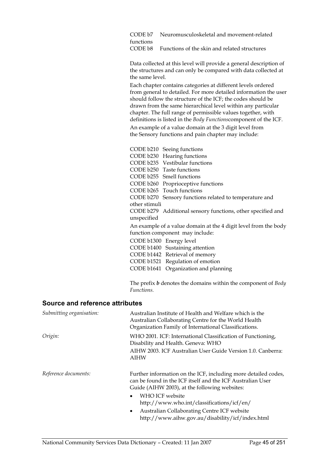CODE b7 Neuromusculoskeletal and movement-related functions CODE b8 Functions of the skin and related structures

Data collected at this level will provide a general description of the structures and can only be compared with data collected at the same level.

Each chapter contains categories at different levels ordered from general to detailed. For more detailed information the user should follow the structure of the ICF; the codes should be drawn from the same hierarchical level within any particular chapter. The full range of permissible values together, with definitions is listed in the *Body Functions*component of the ICF. An example of a value domain at the 3 digit level from the Sensory functions and pain chapter may include:

CODE b210 Seeing functions CODE b230 Hearing functions CODE b235 Vestibular functions CODE b250 Taste functions CODE b255 Smell functions CODE b260 Proprioceptive functions CODE b265 Touch functions CODE b270 Sensory functions related to temperature and other stimuli CODE b279 Additional sensory functions, other specified and unspecified An example of a value domain at the 4 digit level from the body function component may include: CODE b1300 Energy level CODE b1400 Sustaining attention CODE b1442 Retrieval of memory CODE b1521 Regulation of emotion CODE b1641 Organization and planning

The prefix *b* denotes the domains within the component of *Body Functions.* 

#### **Source and reference attributes**

| Submitting organisation: | Australian Institute of Health and Welfare which is the<br>Australian Collaborating Centre for the World Health<br>Organization Family of International Classifications.      |
|--------------------------|-------------------------------------------------------------------------------------------------------------------------------------------------------------------------------|
| Origin:                  | WHO 2001. ICF: International Classification of Functioning,<br>Disability and Health. Geneva: WHO                                                                             |
|                          | AIHW 2003. ICF Australian User Guide Version 1.0. Canberra:<br>AIHW                                                                                                           |
| Reference documents:     | Further information on the ICF, including more detailed codes,<br>can be found in the ICF itself and the ICF Australian User<br>Guide (AIHW 2003), at the following websites: |
|                          | WHO ICF website<br>$\bullet$<br>http://www.who.int/classifications/icf/en/                                                                                                    |
|                          | Australian Collaborating Centre ICF website<br>$\bullet$<br>http://www.aihw.gov.au/disability/icf/index.html                                                                  |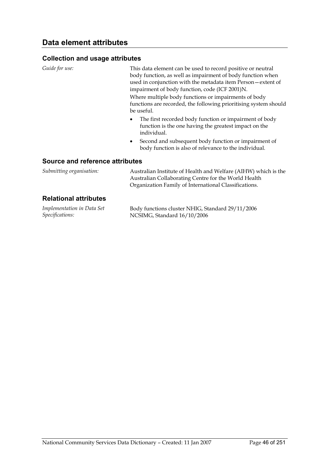| Guide for use:                  | This data element can be used to record positive or neutral<br>body function, as well as impairment of body function when<br>used in conjunction with the metadata item Person-extent of<br>impairment of body function, code (ICF 2001)N.<br>Where multiple body functions or impairments of body<br>functions are recorded, the following prioritising system should<br>be useful. |
|---------------------------------|--------------------------------------------------------------------------------------------------------------------------------------------------------------------------------------------------------------------------------------------------------------------------------------------------------------------------------------------------------------------------------------|
|                                 | The first recorded body function or impairment of body<br>$\bullet$<br>function is the one having the greatest impact on the<br>individual.<br>Second and subsequent body function or impairment of<br>$\bullet$                                                                                                                                                                     |
| Source and reference attributes | body function is also of relevance to the individual.                                                                                                                                                                                                                                                                                                                                |

| Submitting organisation:     | Australian Institute of Health and Welfare (AIHW) which is the<br>Australian Collaborating Centre for the World Health<br>Organization Family of International Classifications. |  |
|------------------------------|---------------------------------------------------------------------------------------------------------------------------------------------------------------------------------|--|
| <b>Relational attributes</b> |                                                                                                                                                                                 |  |
| Implementation in Data Set   | Body functions cluster NHIG, Standard 29/11/2006                                                                                                                                |  |

| Implementation in Data Set | Body functions cluster NHIG, Standard 29/1 |
|----------------------------|--------------------------------------------|
| <i>Specifications:</i>     | NCSIMG, Standard 16/10/2006                |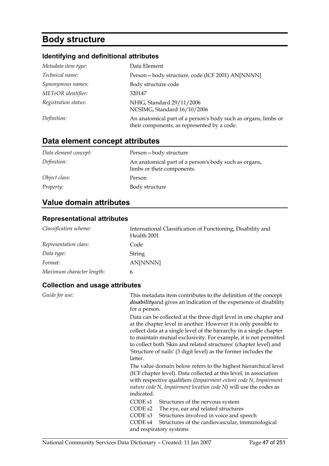# **Body structure**

## **Identifying and definitional attributes**

| Metadata item type:  | Data Element                                                                                                  |
|----------------------|---------------------------------------------------------------------------------------------------------------|
| Technical name:      | Person-body structure, code (ICF 2001) AN[NNNN]                                                               |
| Synonymous names:    | Body structure code                                                                                           |
| METeOR identifier:   | 320147                                                                                                        |
| Registration status: | NHIG, Standard 29/11/2006<br>NCSIMG, Standard 16/10/2006                                                      |
| Definition:          | An anatomical part of a person's body such as organs, limbs or<br>their components, as represented by a code. |

## **Data element concept attributes**

| Data element concept: | Person-body structure                                                               |
|-----------------------|-------------------------------------------------------------------------------------|
| Definition:           | An anatomical part of a person's body such as organs,<br>limbs or their components. |
| Object class:         | Person                                                                              |
| <i>Property:</i>      | Body structure                                                                      |

## **Value domain attributes**

### **Representational attributes**

| Classification scheme:    | International Classification of Functioning, Disability and<br>Health 2001 |
|---------------------------|----------------------------------------------------------------------------|
| Representation class:     | Code                                                                       |
| Data type:                | String                                                                     |
| Format:                   | AN[NNNN]                                                                   |
| Maximum character length: | 6                                                                          |

| Guide for use: | This metadata item contributes to the definition of the concept<br>disability and gives an indication of the experience of disability<br>for a person.                                                                                                                                                                                                                                                                             |
|----------------|------------------------------------------------------------------------------------------------------------------------------------------------------------------------------------------------------------------------------------------------------------------------------------------------------------------------------------------------------------------------------------------------------------------------------------|
|                | Data can be collected at the three digit level in one chapter and<br>at the chapter level in another. However it is only possible to<br>collect data at a single level of the hierarchy in a single chapter<br>to maintain mutual exclusivity. For example, it is not permitted<br>to collect both 'Skin and related structures' (chapter level) and<br>'Structure of nails' (3 digit level) as the former includes the<br>latter. |
|                | The value domain below refers to the highest hierarchical level<br>(ICF chapter level). Data collected at this level, in association<br>with respective qualifiers (Impairment extent code N, Impairment<br>nature code $N$ , Impairment location code $N$ ) will use the codes as<br>indicated.                                                                                                                                   |
|                | CODE s1<br>Structures of the nervous system<br>CODE <sub>s2</sub><br>The eye, ear and related structures<br>CODE s3<br>Structures involved in voice and speech<br>CODE s4<br>Structures of the cardiovascular, immunological<br>and respiratory systems                                                                                                                                                                            |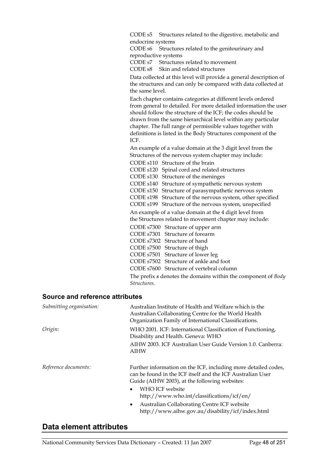CODE s5 Structures related to the digestive, metabolic and endocrine systems

CODE s6 Structures related to the genitourinary and reproductive systems

CODE s7 Structures related to movement

CODE s8 Skin and related structures

Data collected at this level will provide a general description of the structures and can only be compared with data collected at the same level.

Each chapter contains categories at different levels ordered from general to detailed. For more detailed information the user should follow the structure of the ICF; the codes should be drawn from the same hierarchical level within any particular chapter. The full range of permissible values together with definitions is listed in the Body Structures component of the ICF.

An example of a value domain at the 3 digit level from the Structures of the nervous system chapter may include:

CODE s110 Structure of the brain CODE s120 Spinal cord and related structures CODE s130 Structure of the meninges CODE s140 Structure of sympathetic nervous system CODE s150 Structure of parasympathetic nervous system CODE s198 Structure of the nervous system, other specified CODE s199 Structure of the nervous system, unspecified An example of a value domain at the 4 digit level from the Structures related to movement chapter may include: CODE s7300 Structure of upper arm CODE s7301 Structure of forearm CODE s7302 Structure of hand CODE s7500 Structure of thigh CODE s7501 Structure of lower leg CODE s7502 Structure of ankle and foot CODE s7600 Structure of vertebral column

The prefix *s* denotes the domains within the component of *Body Structures*.

#### **Source and reference attributes**

| Submitting organisation: | Australian Institute of Health and Welfare which is the<br>Australian Collaborating Centre for the World Health<br>Organization Family of International Classifications.      |
|--------------------------|-------------------------------------------------------------------------------------------------------------------------------------------------------------------------------|
| Origin:                  | WHO 2001. ICF: International Classification of Functioning,<br>Disability and Health. Geneva: WHO                                                                             |
|                          | AIHW 2003. ICF Australian User Guide Version 1.0. Canberra:<br><b>AIHW</b>                                                                                                    |
| Reference documents:     | Further information on the ICF, including more detailed codes,<br>can be found in the ICF itself and the ICF Australian User<br>Guide (AIHW 2003), at the following websites: |
|                          | WHO ICF website<br>$\bullet$<br>http://www.who.int/classifications/icf/en/                                                                                                    |
|                          | Australian Collaborating Centre ICF website<br>$\bullet$<br>http://www.aihw.gov.au/disability/icf/index.html                                                                  |

## **Data element attributes**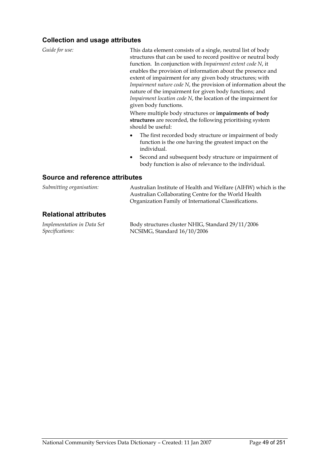### **Collection and usage attributes**

| Guide for use:                         | This data element consists of a single, neutral list of body                                                                                    |
|----------------------------------------|-------------------------------------------------------------------------------------------------------------------------------------------------|
|                                        | structures that can be used to record positive or neutral body                                                                                  |
|                                        | function. In conjunction with Impairment extent code N, it                                                                                      |
|                                        | enables the provision of information about the presence and                                                                                     |
|                                        | extent of impairment for any given body structures; with                                                                                        |
|                                        | Impairment nature code N, the provision of information about the                                                                                |
|                                        | nature of the impairment for given body functions; and                                                                                          |
|                                        | Impairment location code N, the location of the impairment for                                                                                  |
|                                        | given body functions.                                                                                                                           |
|                                        | Where multiple body structures or <b>impairments of body</b><br>structures are recorded, the following prioritising system<br>should be useful: |
|                                        | The first recorded body structure or impairment of body<br>function is the one having the greatest impact on the<br>individual.                 |
|                                        | Second and subsequent body structure or impairment of<br>body function is also of relevance to the individual.                                  |
| <b>Source and reference attributes</b> |                                                                                                                                                 |

| Submitting organisation:     | Australian Institute of Health and Welfare (AIHW) which is the<br>Australian Collaborating Centre for the World Health<br>Organization Family of International Classifications. |
|------------------------------|---------------------------------------------------------------------------------------------------------------------------------------------------------------------------------|
| <b>Relational attributes</b> |                                                                                                                                                                                 |
| Luce Cat                     | $D_2$ decodes the proton NHIC Ctander 1.00 (11.1000)                                                                                                                            |

*Implementation in Data Set Specifications:*

Body structures cluster NHIG, Standard 29/11/2006 NCSIMG, Standard 16/10/2006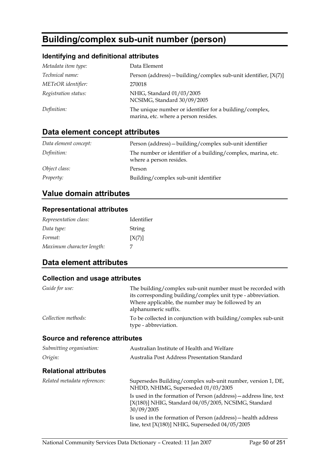# **Building/complex sub-unit number (person)**

### **Identifying and definitional attributes**

| Metadata item type:  | Data Element                                                                                    |
|----------------------|-------------------------------------------------------------------------------------------------|
| Technical name:      | Person (address) – building/complex sub-unit identifier, $[X(7)]$                               |
| METeOR identifier:   | 270018                                                                                          |
| Registration status: | NHIG, Standard 01/03/2005<br>NCSIMG, Standard 30/09/2005                                        |
| Definition:          | The unique number or identifier for a building/complex,<br>marina, etc. where a person resides. |

## **Data element concept attributes**

| Data element concept: | Person (address) - building/complex sub-unit identifier                                 |
|-----------------------|-----------------------------------------------------------------------------------------|
| Definition:           | The number or identifier of a building/complex, marina, etc.<br>where a person resides. |
| Object class:         | Person                                                                                  |
| <i>Property:</i>      | Building/complex sub-unit identifier                                                    |

## **Value domain attributes**

### **Representational attributes**

| Representation class:     | Identifier |
|---------------------------|------------|
| Data type:                | String     |
| Format:                   | [X(7)]     |
| Maximum character length: |            |

## **Data element attributes**

| Guide for use:                  | The building/complex sub-unit number must be recorded with<br>its corresponding building/complex unit type - abbreviation.<br>Where applicable, the number may be followed by an<br>alphanumeric suffix. |
|---------------------------------|----------------------------------------------------------------------------------------------------------------------------------------------------------------------------------------------------------|
| Collection methods:             | To be collected in conjunction with building/complex sub-unit<br>type - abbreviation.                                                                                                                    |
| Source and reference attributes |                                                                                                                                                                                                          |
| Submitting organisation:        | Australian Institute of Health and Welfare                                                                                                                                                               |
| Origin:                         | Australia Post Address Presentation Standard                                                                                                                                                             |
| <b>Relational attributes</b>    |                                                                                                                                                                                                          |
| Related metadata references:    | Supersedes Building/complex sub-unit number, version 1, DE,<br>NHDD, NHIMG, Superseded 01/03/2005                                                                                                        |
|                                 | Is used in the formation of Person (address) — address line, text<br>[X(180)] NHIG, Standard 04/05/2005, NCSIMG, Standard<br>30/09/2005                                                                  |
|                                 | Is used in the formation of Person (address) — health address<br>line, text $[X(180)]$ NHIG, Superseded $04/05/2005$                                                                                     |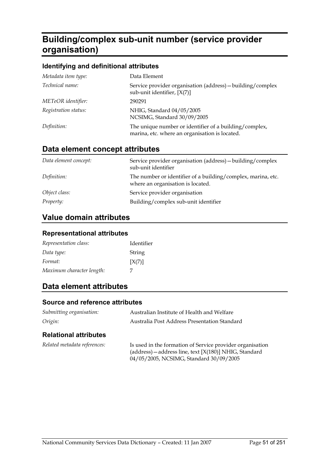# **Building/complex sub-unit number (service provider organisation)**

### **Identifying and definitional attributes**

| Metadata item type:  | Data Element                                                                                             |
|----------------------|----------------------------------------------------------------------------------------------------------|
| Technical name:      | Service provider organisation (address) - building/complex<br>sub-unit identifier, $[X(7)]$              |
| METeOR identifier:   | 290291                                                                                                   |
| Registration status: | NHIG, Standard 04/05/2005<br>NCSIMG, Standard 30/09/2005                                                 |
| Definition:          | The unique number or identifier of a building/complex,<br>marina, etc. where an organisation is located. |

### **Data element concept attributes**

| Data element concept: | Service provider organisation (address) - building/complex<br>sub-unit identifier                 |
|-----------------------|---------------------------------------------------------------------------------------------------|
| Definition:           | The number or identifier of a building/complex, marina, etc.<br>where an organisation is located. |
| Object class:         | Service provider organisation                                                                     |
| <i>Property:</i>      | Building/complex sub-unit identifier                                                              |

## **Value domain attributes**

#### **Representational attributes**

| Representation class:     | Identifier |
|---------------------------|------------|
| Data type:                | String     |
| Format:                   | [X(7)]     |
| Maximum character length: |            |

## **Data element attributes**

#### **Source and reference attributes**

| Submitting organisation:     | Australian Institute of Health and Welfare                |  |
|------------------------------|-----------------------------------------------------------|--|
| Origin:                      | Australia Post Address Presentation Standard              |  |
| <b>Relational attributes</b> |                                                           |  |
| Related metadata references: | Is used in the formation of Service provider organisation |  |

04/05/2005, NCSIMG, Standard 30/09/2005

(address)—address line, text [X(180)] NHIG, Standard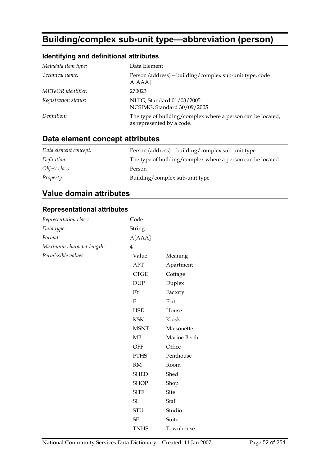# **Building/complex sub-unit type—abbreviation (person)**

## **Identifying and definitional attributes**

| Metadata item type:  | Data Element                                                                             |
|----------------------|------------------------------------------------------------------------------------------|
| Technical name:      | Person (address) – building/complex sub-unit type, code<br>A[AAA]                        |
| METeOR identifier:   | 270023                                                                                   |
| Registration status: | NHIG, Standard 01/03/2005<br>NCSIMG, Standard 30/09/2005                                 |
| Definition:          | The type of building/complex where a person can be located,<br>as represented by a code. |
|                      |                                                                                          |

## **Data element concept attributes**

| Data element concept: | Person (address) - building/complex sub-unit type           |
|-----------------------|-------------------------------------------------------------|
| Definition:           | The type of building/complex where a person can be located. |
| Object class:         | Person                                                      |
| <i>Property:</i>      | Building/complex sub-unit type                              |

## **Value domain attributes**

### **Representational attributes**

| Representation class:     | Code                         |              |
|---------------------------|------------------------------|--------------|
| Data type:                | String                       |              |
| Format:                   | A[AAA]                       |              |
| Maximum character length: | $\overline{4}$               |              |
| Permissible values:       | Value                        | Meaning      |
|                           | <b>APT</b>                   | Apartment    |
|                           | $\ensuremath{\mathsf{CTGE}}$ | Cottage      |
|                           | <b>DUP</b>                   | Duplex       |
|                           | FY                           | Factory      |
|                           | ${\bf F}$                    | Flat         |
|                           | <b>HSE</b>                   | House        |
|                           | <b>KSK</b>                   | Kiosk        |
|                           | <b>MSNT</b>                  | Maisonette   |
|                           | MB                           | Marine Berth |
|                           | OFF                          | Office       |
|                           | <b>PTHS</b>                  | Penthouse    |
|                           | $\mathbf{RM}$                | Room         |
|                           | <b>SHED</b>                  | Shed         |
|                           | <b>SHOP</b>                  | Shop         |
|                           | <b>SITE</b>                  | <b>Site</b>  |
|                           | $\operatorname{SL}$          | <b>Stall</b> |
|                           | <b>STU</b>                   | Studio       |
|                           | $\ensuremath{\mathsf{SE}}$   | Suite        |
|                           | <b>TNHS</b>                  | Townhouse    |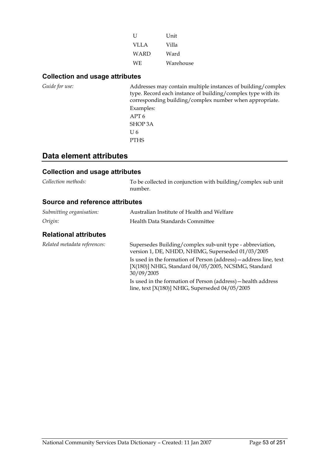| Η    | Unit      |
|------|-----------|
| VLLA | Villa     |
| WARD | Ward      |
| WE.  | Warehouse |

### **Collection and usage attributes**

| Guide for use: | Addresses may contain multiple instances of building/complex<br>type. Record each instance of building/complex type with its<br>corresponding building/complex number when appropriate.<br>Examples:<br>APT 6 |
|----------------|---------------------------------------------------------------------------------------------------------------------------------------------------------------------------------------------------------------|
|                | SHOP 3A                                                                                                                                                                                                       |
|                | U 6                                                                                                                                                                                                           |
|                | <b>PTHS</b>                                                                                                                                                                                                   |

## **Data element attributes**

### **Collection and usage attributes**

*Collection methods:* To be collected in conjunction with building/complex sub unit number.

### **Source and reference attributes**

| Submitting organisation: | Australian Institute of Health and Welfare |
|--------------------------|--------------------------------------------|
| Origin:                  | Health Data Standards Committee            |

### **Relational attributes**

| Related metadata references: | Supersedes Building/complex sub-unit type - abbreviation,<br>version 1, DE, NHDD, NHIMG, Superseded 01/03/2005                          |
|------------------------------|-----------------------------------------------------------------------------------------------------------------------------------------|
|                              | Is used in the formation of Person (address) — address line, text<br>[X(180)] NHIG, Standard 04/05/2005, NCSIMG, Standard<br>30/09/2005 |
|                              | Is used in the formation of Person (address) — health address<br>line, text $[X(180)]$ NHIG, Superseded $04/05/2005$                    |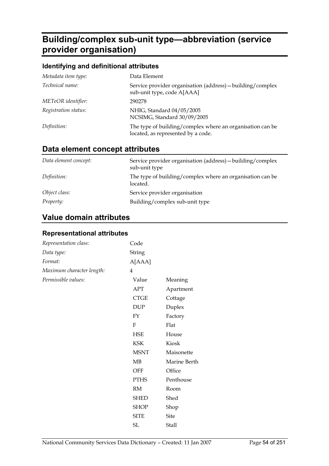# **Building/complex sub-unit type—abbreviation (service provider organisation)**

### **Identifying and definitional attributes**

| Metadata item type:  | Data Element                                                                                    |
|----------------------|-------------------------------------------------------------------------------------------------|
| Technical name:      | Service provider organisation (address) - building/complex<br>sub-unit type, code A[AAA]        |
| METeOR identifier:   | 290278                                                                                          |
| Registration status: | NHIG, Standard 04/05/2005<br>NCSIMG, Standard 30/09/2005                                        |
| Definition:          | The type of building/complex where an organisation can be<br>located, as represented by a code. |

## **Data element concept attributes**

| Data element concept: | Service provider organisation (address) - building/complex<br>sub-unit type |
|-----------------------|-----------------------------------------------------------------------------|
| Definition:           | The type of building/complex where an organisation can be<br>located.       |
| Object class:         | Service provider organisation                                               |
| <i>Property:</i>      | Building/complex sub-unit type                                              |

## **Value domain attributes**

### **Representational attributes**

| Representation class:     | Code                        |              |
|---------------------------|-----------------------------|--------------|
| Data type:                | String                      |              |
| Format:                   | A[AAA]                      |              |
| Maximum character length: | 4                           |              |
| Permissible values:       | Value                       | Meaning      |
|                           | <b>APT</b>                  | Apartment    |
|                           | <b>CTGE</b>                 | Cottage      |
|                           | $\ensuremath{\mathrm{DUP}}$ | Duplex       |
|                           | ${\rm FY}$                  | Factory      |
|                           | F                           | Flat         |
|                           | <b>HSE</b>                  | House        |
|                           | <b>KSK</b>                  | Kiosk        |
|                           | <b>MSNT</b>                 | Maisonette   |
|                           | MB                          | Marine Berth |
|                           | OFF                         | Office       |
|                           | <b>PTHS</b>                 | Penthouse    |
|                           | RM                          | Room         |
|                           | <b>SHED</b>                 | Shed         |
|                           | <b>SHOP</b>                 | Shop         |
|                           | <b>SITE</b>                 | <b>Site</b>  |
|                           | SL                          | Stall        |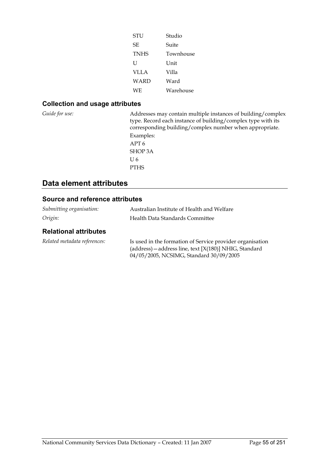| STU         | Studio    |
|-------------|-----------|
| SF.         | Suite     |
| <b>TNHS</b> | Townhouse |
| U           | I Init    |
| VLLA        | Villa     |
| WARD        | Ward      |
| WF.         | Warehouse |

### **Collection and usage attributes**

*Guide for use:* Addresses may contain multiple instances of building/complex type. Record each instance of building/complex type with its corresponding building/complex number when appropriate. Examples: APT 6 SHOP 3A U 6 PTHS

## **Data element attributes**

### **Source and reference attributes**

| Submitting organisation:     | Australian Institute of Health and Welfare                                                                                                                     |
|------------------------------|----------------------------------------------------------------------------------------------------------------------------------------------------------------|
| Origin:                      | Health Data Standards Committee                                                                                                                                |
| <b>Relational attributes</b> |                                                                                                                                                                |
| Related metadata references: | Is used in the formation of Service provider organisation<br>(address) - address line, text [X(180)] NHIG, Standard<br>04/05/2005, NCSIMG, Standard 30/09/2005 |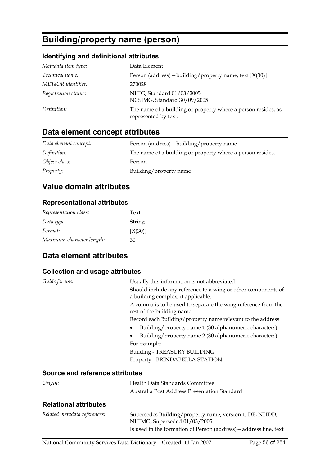# **Building/property name (person)**

### **Identifying and definitional attributes**

| Metadata item type:  | Data Element                                                                          |
|----------------------|---------------------------------------------------------------------------------------|
| Technical name:      | Person (address) – building/property name, text $[X(30)]$                             |
| METeOR identifier:   | 270028                                                                                |
| Registration status: | NHIG, Standard 01/03/2005<br>NCSIMG, Standard 30/09/2005                              |
| Definition:          | The name of a building or property where a person resides, as<br>represented by text. |

## **Data element concept attributes**

| Data element concept: | Person (address) - building/property name                  |
|-----------------------|------------------------------------------------------------|
| Definition:           | The name of a building or property where a person resides. |
| Object class:         | Person                                                     |
| <i>Property:</i>      | Building/property name                                     |

## **Value domain attributes**

### **Representational attributes**

| Representation class:     | Text    |
|---------------------------|---------|
| Data type:                | String  |
| Format:                   | [X(30)] |
| Maximum character length: | 30      |

## **Data element attributes**

### **Collection and usage attributes**

| Guide for use:                         | Usually this information is not abbreviated.                                                        |
|----------------------------------------|-----------------------------------------------------------------------------------------------------|
|                                        | Should include any reference to a wing or other components of<br>a building complex, if applicable. |
|                                        | A comma is to be used to separate the wing reference from the<br>rest of the building name.         |
|                                        | Record each Building/property name relevant to the address:                                         |
|                                        | Building/property name 1 (30 alphanumeric characters)                                               |
|                                        | Building/property name 2 (30 alphanumeric characters)                                               |
|                                        | For example:                                                                                        |
|                                        | Building - TREASURY BUILDING                                                                        |
|                                        | Property - BRINDABELLA STATION                                                                      |
| <b>Source and reference attributes</b> |                                                                                                     |
| Origin:                                | Health Data Standards Committee                                                                     |
|                                        | Australia Post Address Presentation Standard                                                        |

### **Relational attributes**

| Related metadata references: | Supersedes Building/property name, version 1, DE, NHDD,<br>NHIMG, Superseded 01/03/2005<br>Is used in the formation of Person (address) – address line, text |
|------------------------------|--------------------------------------------------------------------------------------------------------------------------------------------------------------|
|                              |                                                                                                                                                              |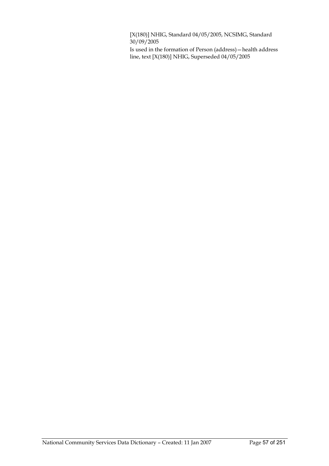[X(180)] NHIG, Standard 04/05/2005, NCSIMG, Standard  $30/09/2005$ 

Is used in the formation of Person (address)—health address line, text [X(180)] NHIG, Superseded 04/05/2005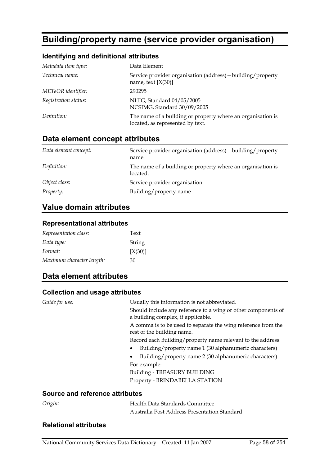# **Building/property name (service provider organisation)**

### **Identifying and definitional attributes**

| Metadata item type:  | Data Element                                                                                    |
|----------------------|-------------------------------------------------------------------------------------------------|
| Technical name:      | Service provider organisation (address) - building/property<br>name, text $[X(30)]$             |
| METeOR identifier:   | 290295                                                                                          |
| Registration status: | NHIG, Standard 04/05/2005<br>NCSIMG, Standard 30/09/2005                                        |
| Definition:          | The name of a building or property where an organisation is<br>located, as represented by text. |

## **Data element concept attributes**

| Data element concept: | Service provider organisation (address) - building/property<br>name     |
|-----------------------|-------------------------------------------------------------------------|
| Definition:           | The name of a building or property where an organisation is<br>located. |
| Object class:         | Service provider organisation                                           |
| <i>Property:</i>      | Building/property name                                                  |

### **Value domain attributes**

### **Representational attributes**

| Representation class:     | Text    |
|---------------------------|---------|
| Data type:                | String  |
| Format:                   | [X(30)] |
| Maximum character length: | 30      |

### **Data element attributes**

#### **Collection and usage attributes**

| Guide for use:                         | Usually this information is not abbreviated.                                                |
|----------------------------------------|---------------------------------------------------------------------------------------------|
|                                        | Should include any reference to a wing or other components of                               |
|                                        | a building complex, if applicable.                                                          |
|                                        | A comma is to be used to separate the wing reference from the<br>rest of the building name. |
|                                        | Record each Building/property name relevant to the address:                                 |
|                                        |                                                                                             |
|                                        | Building/property name 1 (30 alphanumeric characters)                                       |
|                                        | Building/property name 2 (30 alphanumeric characters)                                       |
|                                        | For example:                                                                                |
|                                        | Building - TREASURY BUILDING                                                                |
|                                        | Property - BRINDABELLA STATION                                                              |
| <b>Source and reference attributes</b> |                                                                                             |

| Origin: | Health Data Standards Committee              |  |
|---------|----------------------------------------------|--|
|         | Australia Post Address Presentation Standard |  |

### **Relational attributes**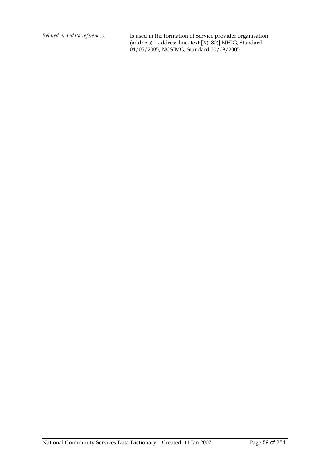*Related metadata references:* Is used in the formation of Service provider organisation (address)—address line, text [X(180)] NHIG, Standard 04/05/2005, NCSIMG, Standard 30/09/2005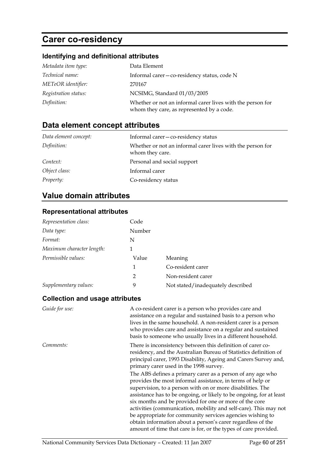# **Carer co-residency**

## **Identifying and definitional attributes**

| Metadata item type:  | Data Element                                                                                            |
|----------------------|---------------------------------------------------------------------------------------------------------|
| Technical name:      | Informal carer-co-residency status, code N                                                              |
| METeOR identifier:   | 270167                                                                                                  |
| Registration status: | NCSIMG, Standard 01/03/2005                                                                             |
| Definition:          | Whether or not an informal carer lives with the person for<br>whom they care, as represented by a code. |

## **Data element concept attributes**

| Data element concept: | Informal carer-co-residency status                                            |
|-----------------------|-------------------------------------------------------------------------------|
| Definition:           | Whether or not an informal carer lives with the person for<br>whom they care. |
| Context:              | Personal and social support                                                   |
| Object class:         | Informal carer                                                                |
| <i>Property:</i>      | Co-residency status                                                           |

## **Value domain attributes**

### **Representational attributes**

| Representation class:     | Code   |                                   |
|---------------------------|--------|-----------------------------------|
| Data type:                | Number |                                   |
| Format:                   | N      |                                   |
| Maximum character length: |        |                                   |
| Permissible values:       | Value  | Meaning                           |
|                           | 1      | Co-resident carer                 |
|                           | 2      | Non-resident carer                |
| Supplementary values:     | 9      | Not stated/inadequately described |

| Guide for use: | A co-resident carer is a person who provides care and<br>assistance on a regular and sustained basis to a person who<br>lives in the same household. A non-resident carer is a person<br>who provides care and assistance on a regular and sustained<br>basis to someone who usually lives in a different household.                                                                                                                                                                                                                                                                       |
|----------------|--------------------------------------------------------------------------------------------------------------------------------------------------------------------------------------------------------------------------------------------------------------------------------------------------------------------------------------------------------------------------------------------------------------------------------------------------------------------------------------------------------------------------------------------------------------------------------------------|
| Comments:      | There is inconsistency between this definition of carer co-<br>residency, and the Australian Bureau of Statistics definition of<br>principal carer, 1993 Disability, Ageing and Carers Survey and,<br>primary carer used in the 1998 survey.                                                                                                                                                                                                                                                                                                                                               |
|                | The ABS defines a primary carer as a person of any age who<br>provides the most informal assistance, in terms of help or<br>supervision, to a person with on or more disabilities. The<br>assistance has to be ongoing, or likely to be ongoing, for at least<br>six months and be provided for one or more of the core<br>activities (communication, mobility and self-care). This may not<br>be appropriate for community services agencies wishing to<br>obtain information about a person's carer regardless of the<br>amount of time that care is for, or the types of care provided. |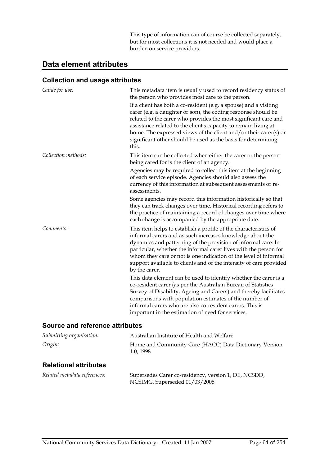This type of information can of course be collected separately, but for most collections it is not needed and would place a burden on service providers.

### **Data element attributes**

### **Collection and usage attributes**

| Guide for use:      | This metadata item is usually used to record residency status of<br>the person who provides most care to the person.                                                                                                                                                                                                                                                                                                          |
|---------------------|-------------------------------------------------------------------------------------------------------------------------------------------------------------------------------------------------------------------------------------------------------------------------------------------------------------------------------------------------------------------------------------------------------------------------------|
|                     | If a client has both a co-resident (e.g. a spouse) and a visiting<br>carer (e.g. a daughter or son), the coding response should be<br>related to the carer who provides the most significant care and<br>assistance related to the client's capacity to remain living at<br>home. The expressed views of the client and/or their carer(s) or<br>significant other should be used as the basis for determining<br>this.        |
| Collection methods: | This item can be collected when either the carer or the person<br>being cared for is the client of an agency.                                                                                                                                                                                                                                                                                                                 |
|                     | Agencies may be required to collect this item at the beginning<br>of each service episode. Agencies should also assess the<br>currency of this information at subsequent assessments or re-<br>assessments.                                                                                                                                                                                                                   |
|                     | Some agencies may record this information historically so that<br>they can track changes over time. Historical recording refers to<br>the practice of maintaining a record of changes over time where<br>each change is accompanied by the appropriate date.                                                                                                                                                                  |
| Comments:           | This item helps to establish a profile of the characteristics of<br>informal carers and as such increases knowledge about the<br>dynamics and patterning of the provision of informal care. In<br>particular, whether the informal carer lives with the person for<br>whom they care or not is one indication of the level of informal<br>support available to clients and of the intensity of care provided<br>by the carer. |
|                     | This data element can be used to identify whether the carer is a<br>co-resident carer (as per the Australian Bureau of Statistics<br>Survey of Disability, Ageing and Carers) and thereby facilitates<br>comparisons with population estimates of the number of<br>informal carers who are also co-resident carers. This is<br>important in the estimation of need for services.                                              |

### **Source and reference attributes**

| Submitting organisation:     | Australian Institute of Health and Welfare                                            |  |
|------------------------------|---------------------------------------------------------------------------------------|--|
| Origin:                      | Home and Community Care (HACC) Data Dictionary Version<br>1.0, 1998                   |  |
| <b>Relational attributes</b> |                                                                                       |  |
| Related metadata references: | Supersedes Carer co-residency, version 1, DE, NCSDD,<br>NCSIMG, Superseded 01/03/2005 |  |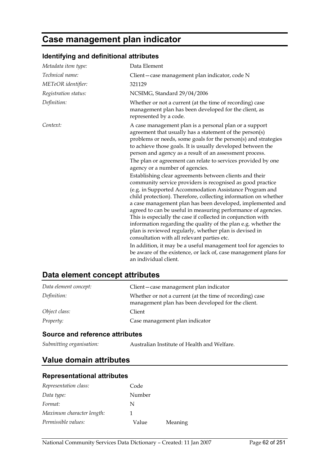# **Case management plan indicator**

## **Identifying and definitional attributes**

| Metadata item type:  | Data Element                                                                                                                                                                                                                                                                                                                                                                                                                                                                                                                                                                                                                                                                                                                                                                                                                                                                                                                                                                                                                                                                                                                                                                                                      |
|----------------------|-------------------------------------------------------------------------------------------------------------------------------------------------------------------------------------------------------------------------------------------------------------------------------------------------------------------------------------------------------------------------------------------------------------------------------------------------------------------------------------------------------------------------------------------------------------------------------------------------------------------------------------------------------------------------------------------------------------------------------------------------------------------------------------------------------------------------------------------------------------------------------------------------------------------------------------------------------------------------------------------------------------------------------------------------------------------------------------------------------------------------------------------------------------------------------------------------------------------|
| Technical name:      | Client-case management plan indicator, code N                                                                                                                                                                                                                                                                                                                                                                                                                                                                                                                                                                                                                                                                                                                                                                                                                                                                                                                                                                                                                                                                                                                                                                     |
| METeOR identifier:   | 321129                                                                                                                                                                                                                                                                                                                                                                                                                                                                                                                                                                                                                                                                                                                                                                                                                                                                                                                                                                                                                                                                                                                                                                                                            |
| Registration status: | NCSIMG, Standard 29/04/2006                                                                                                                                                                                                                                                                                                                                                                                                                                                                                                                                                                                                                                                                                                                                                                                                                                                                                                                                                                                                                                                                                                                                                                                       |
| Definition:          | Whether or not a current (at the time of recording) case<br>management plan has been developed for the client, as<br>represented by a code.                                                                                                                                                                                                                                                                                                                                                                                                                                                                                                                                                                                                                                                                                                                                                                                                                                                                                                                                                                                                                                                                       |
| Context:             | A case management plan is a personal plan or a support<br>agreement that usually has a statement of the person(s)<br>problems or needs, some goals for the person(s) and strategies<br>to achieve those goals. It is usually developed between the<br>person and agency as a result of an assessment process.<br>The plan or agreement can relate to services provided by one<br>agency or a number of agencies.<br>Establishing clear agreements between clients and their<br>community service providers is recognised as good practice<br>(e.g. in Supported Accommodation Assistance Program and<br>child protection). Therefore, collecting information on whether<br>a case management plan has been developed, implemented and<br>agreed to can be useful in measuring performance of agencies.<br>This is especially the case if collected in conjunction with<br>information regarding the quality of the plan e.g. whether the<br>plan is reviewed regularly, whether plan is devised in<br>consultation with all relevant parties etc.<br>In addition, it may be a useful management tool for agencies to<br>be aware of the existence, or lack of, case management plans for<br>an individual client. |

## **Data element concept attributes**

| Data element concept: | Client-case management plan indicator                                                                          |
|-----------------------|----------------------------------------------------------------------------------------------------------------|
| Definition:           | Whether or not a current (at the time of recording) case<br>management plan has been developed for the client. |
| Object class:         | Client                                                                                                         |
| <i>Property:</i>      | Case management plan indicator                                                                                 |

### **Source and reference attributes**

*Submitting organisation:* Australian Institute of Health and Welfare.

## **Value domain attributes**

### **Representational attributes**

| Representation class:     | Code   |         |
|---------------------------|--------|---------|
| Data type:                | Number |         |
| Format:                   | N      |         |
| Maximum character length: |        |         |
| Permissible values:       | Value  | Meaning |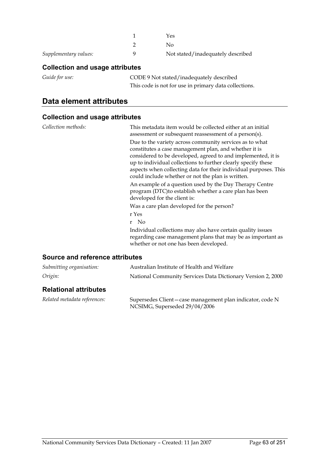|                       | Yes                               |
|-----------------------|-----------------------------------|
|                       | Nο                                |
| Supplementary values: | Not stated/inadequately described |

### **Collection and usage attributes**

| Guide for use: | CODE 9 Not stated/inadequately described              |
|----------------|-------------------------------------------------------|
|                | This code is not for use in primary data collections. |

## **Data element attributes**

### **Collection and usage attributes**

| Collection methods: | This metadata item would be collected either at an initial<br>assessment or subsequent reassessment of a person(s).                                                                                                                                                                                                                                                        |
|---------------------|----------------------------------------------------------------------------------------------------------------------------------------------------------------------------------------------------------------------------------------------------------------------------------------------------------------------------------------------------------------------------|
|                     | Due to the variety across community services as to what<br>constitutes a case management plan, and whether it is<br>considered to be developed, agreed to and implemented, it is<br>up to individual collections to further clearly specify these<br>aspects when collecting data for their individual purposes. This<br>could include whether or not the plan is written. |
|                     | An example of a question used by the Day Therapy Centre<br>program (DTC) to establish whether a care plan has been<br>developed for the client is:                                                                                                                                                                                                                         |
|                     | Was a care plan developed for the person?                                                                                                                                                                                                                                                                                                                                  |
|                     | r Yes                                                                                                                                                                                                                                                                                                                                                                      |
|                     | r No                                                                                                                                                                                                                                                                                                                                                                       |
|                     | Individual collections may also have certain quality issues<br>regarding case management plans that may be as important as<br>whether or not one has been developed.                                                                                                                                                                                                       |

### **Source and reference attributes**

| Submitting organisation:     | Australian Institute of Health and Welfare                                                  |
|------------------------------|---------------------------------------------------------------------------------------------|
| Origin:                      | National Community Services Data Dictionary Version 2, 2000                                 |
| <b>Relational attributes</b> |                                                                                             |
| Related metadata references: | Supersedes Client – case management plan indicator, code N<br>NCSIMG, Superseded 29/04/2006 |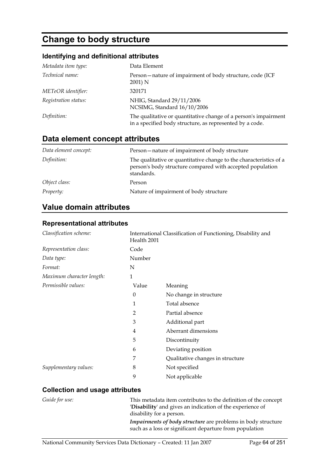# **Change to body structure**

## **Identifying and definitional attributes**

| Metadata item type:  | Data Element                                                                                                                |
|----------------------|-----------------------------------------------------------------------------------------------------------------------------|
| Technical name:      | Person – nature of impairment of body structure, code (ICF)<br>2001) N                                                      |
| METeOR identifier:   | 320171                                                                                                                      |
| Registration status: | NHIG, Standard 29/11/2006<br>NCSIMG, Standard 16/10/2006                                                                    |
| Definition:          | The qualitative or quantitative change of a person's impairment<br>in a specified body structure, as represented by a code. |

## **Data element concept attributes**

| Data element concept: | Person-nature of impairment of body structure                                                                                                 |
|-----------------------|-----------------------------------------------------------------------------------------------------------------------------------------------|
| Definition:           | The qualitative or quantitative change to the characteristics of a<br>person's body structure compared with accepted population<br>standards. |
| Object class:         | Person                                                                                                                                        |
| <i>Property:</i>      | Nature of impairment of body structure                                                                                                        |

## **Value domain attributes**

### **Representational attributes**

| Classification scheme:    | Health 2001 | International Classification of Functioning, Disability and |
|---------------------------|-------------|-------------------------------------------------------------|
| Representation class:     | Code        |                                                             |
| Data type:                | Number      |                                                             |
| Format:                   | N           |                                                             |
| Maximum character length: | 1           |                                                             |
| Permissible values:       | Value       | Meaning                                                     |
|                           | $\theta$    | No change in structure                                      |
|                           | 1           | Total absence                                               |
|                           | 2           | Partial absence                                             |
|                           | 3           | Additional part                                             |
|                           | 4           | Aberrant dimensions                                         |
|                           | 5           | Discontinuity                                               |
|                           | 6           | Deviating position                                          |
|                           | 7           | Qualitative changes in structure                            |
| Supplementary values:     | 8           | Not specified                                               |
|                           | 9           | Not applicable                                              |

| Guide for use: | This metadata item contributes to the definition of the concept<br>'Disability' and gives an indication of the experience of<br>disability for a person. |
|----------------|----------------------------------------------------------------------------------------------------------------------------------------------------------|
|                | <i>Impairments of body structure</i> are problems in body structure<br>such as a loss or significant departure from population                           |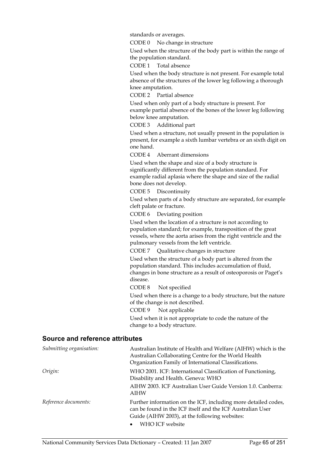standards or averages.

CODE 0 No change in structure

Used when the structure of the body part is within the range of the population standard.

CODE 1 Total absence

Used when the body structure is not present. For example total absence of the structures of the lower leg following a thorough knee amputation.

CODE 2 Partial absence

Used when only part of a body structure is present. For example partial absence of the bones of the lower leg following below knee amputation.

CODE 3 Additional part

Used when a structure, not usually present in the population is present, for example a sixth lumbar vertebra or an sixth digit on one hand.

CODE 4 Aberrant dimensions

Used when the shape and size of a body structure is significantly different from the population standard. For example radial aplasia where the shape and size of the radial bone does not develop.

CODE 5 Discontinuity

Used when parts of a body structure are separated, for example cleft palate or fracture.

CODE 6 Deviating position

Used when the location of a structure is not according to population standard; for example, transposition of the great vessels, where the aorta arises from the right ventricle and the pulmonary vessels from the left ventricle.

CODE 7 Qualitative changes in structure

Used when the structure of a body part is altered from the population standard. This includes accumulation of fluid, changes in bone structure as a result of osteoporosis or Paget's disease.

CODE 8 Not specified

Used when there is a change to a body structure, but the nature of the change is not described.

CODE 9 Not applicable

Used when it is not appropriate to code the nature of the change to a body structure.

#### **Source and reference attributes**

| Submitting organisation: | Australian Institute of Health and Welfare (AIHW) which is the<br>Australian Collaborating Centre for the World Health<br>Organization Family of International Classifications.                  |
|--------------------------|--------------------------------------------------------------------------------------------------------------------------------------------------------------------------------------------------|
| Origin:                  | WHO 2001. ICF: International Classification of Functioning,<br>Disability and Health. Geneva: WHO                                                                                                |
|                          | AIHW 2003. ICF Australian User Guide Version 1.0. Canberra:<br><b>AIHW</b>                                                                                                                       |
| Reference documents:     | Further information on the ICF, including more detailed codes,<br>can be found in the ICF itself and the ICF Australian User<br>Guide (AIHW 2003), at the following websites:<br>WHO ICF website |
|                          |                                                                                                                                                                                                  |

National Community Services Data Dictionary – Created: 11 Jan 2007 Page 65 of 251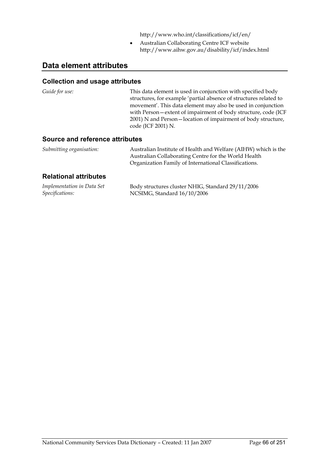http://www.who.int/classifications/icf/en/

• Australian Collaborating Centre ICF website http://www.aihw.gov.au/disability/icf/index.html

## **Data element attributes**

### **Collection and usage attributes**

| Guide for use:                  | This data element is used in conjunction with specified body<br>structures, for example 'partial absence of structures related to<br>movement'. This data element may also be used in conjunction<br>with Person-extent of impairment of body structure, code (ICF<br>2001) N and Person-location of impairment of body structure,<br>code (ICF 2001) N. |
|---------------------------------|----------------------------------------------------------------------------------------------------------------------------------------------------------------------------------------------------------------------------------------------------------------------------------------------------------------------------------------------------------|
| Source and reference attributes |                                                                                                                                                                                                                                                                                                                                                          |

| Submitting organisation: | Australian Institute of Health and Welfare (AIHW) which is the |
|--------------------------|----------------------------------------------------------------|
|                          | Australian Collaborating Centre for the World Health           |
|                          | Organization Family of International Classifications.          |

### **Relational attributes**

| Implementation in Data Set | Body structures cluster NHIG, Standard 29/11/2006 |
|----------------------------|---------------------------------------------------|
| Specifications:            | NCSIMG, Standard 16/10/2006                       |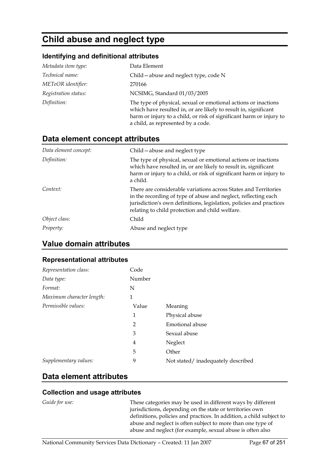# **Child abuse and neglect type**

### **Identifying and definitional attributes**

| Metadata item type:  | Data Element                                                                                                                                                                                                                                   |
|----------------------|------------------------------------------------------------------------------------------------------------------------------------------------------------------------------------------------------------------------------------------------|
| Technical name:      | Child – abuse and neglect type, code N                                                                                                                                                                                                         |
| METeOR identifier:   | 270166                                                                                                                                                                                                                                         |
| Registration status: | NCSIMG, Standard 01/03/2005                                                                                                                                                                                                                    |
| Definition:          | The type of physical, sexual or emotional actions or inactions<br>which have resulted in, or are likely to result in, significant<br>harm or injury to a child, or risk of significant harm or injury to<br>a child, as represented by a code. |

## **Data element concept attributes**

| Data element concept: | Child - abuse and neglect type                                                                                                                                                                                                                              |
|-----------------------|-------------------------------------------------------------------------------------------------------------------------------------------------------------------------------------------------------------------------------------------------------------|
| Definition:           | The type of physical, sexual or emotional actions or inactions<br>which have resulted in, or are likely to result in, significant<br>harm or injury to a child, or risk of significant harm or injury to<br>a child.                                        |
| Context:              | There are considerable variations across States and Territories<br>in the recording of type of abuse and neglect, reflecting each<br>jurisdiction's own definitions, legislation, policies and practices<br>relating to child protection and child welfare. |
| Object class:         | Child                                                                                                                                                                                                                                                       |
| Property:             | Abuse and neglect type                                                                                                                                                                                                                                      |

### **Value domain attributes**

### **Representational attributes**

| Representation class:     | Code   |                                   |
|---------------------------|--------|-----------------------------------|
| Data type:                | Number |                                   |
| Format:                   | N      |                                   |
| Maximum character length: | 1      |                                   |
| Permissible values:       | Value  | Meaning                           |
|                           | 1      | Physical abuse                    |
|                           | 2      | Emotional abuse                   |
|                           | 3      | Sexual abuse                      |
|                           | 4      | Neglect                           |
|                           | 5      | Other                             |
| Supplementary values:     | 9      | Not stated/inadequately described |

## **Data element attributes**

### **Collection and usage attributes**

*Guide for use:* These categories may be used in different ways by different jurisdictions, depending on the state or territories own definitions, policies and practices. In addition, a child subject to abuse and neglect is often subject to more than one type of abuse and neglect (for example, sexual abuse is often also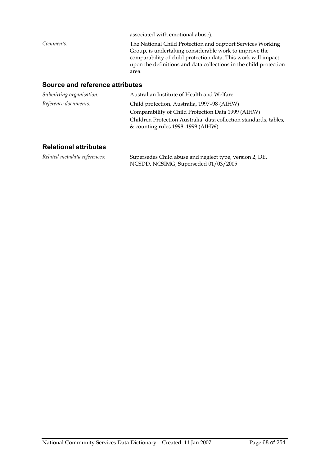| The National Child Protection and Support Services Working<br>Group, is undertaking considerable work to improve the<br>comparability of child protection data. This work will impact<br>upon the definitions and data collections in the child protection<br>area. |
|---------------------------------------------------------------------------------------------------------------------------------------------------------------------------------------------------------------------------------------------------------------------|
|                                                                                                                                                                                                                                                                     |

### **Source and reference attributes**

| Submitting organisation: | Australian Institute of Health and Welfare                                                             |
|--------------------------|--------------------------------------------------------------------------------------------------------|
| Reference documents:     | Child protection, Australia, 1997-98 (AIHW)                                                            |
|                          | Comparability of Child Protection Data 1999 (AIHW)                                                     |
|                          | Children Protection Australia: data collection standards, tables,<br>& counting rules 1998–1999 (AIHW) |

### **Relational attributes**

*Related metadata references:* Supersedes Child abuse and neglect type, version 2, DE, NCSDD, NCSIMG, Superseded 01/03/2005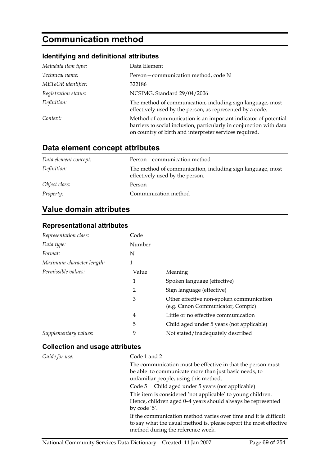# **Communication method**

### **Identifying and definitional attributes**

| Metadata item type:  | Data Element                                                                                                                                                                                    |
|----------------------|-------------------------------------------------------------------------------------------------------------------------------------------------------------------------------------------------|
| Technical name:      | Person-communication method, code N                                                                                                                                                             |
| METeOR identifier:   | 322186                                                                                                                                                                                          |
| Registration status: | NCSIMG, Standard 29/04/2006                                                                                                                                                                     |
| Definition:          | The method of communication, including sign language, most<br>effectively used by the person, as represented by a code.                                                                         |
| Context:             | Method of communication is an important indicator of potential<br>barriers to social inclusion, particularly in conjunction with data<br>on country of birth and interpreter services required. |

## **Data element concept attributes**

| Data element concept: | Person-communication method                                                                   |
|-----------------------|-----------------------------------------------------------------------------------------------|
| Definition:           | The method of communication, including sign language, most<br>effectively used by the person. |
| Object class:         | Person                                                                                        |
| <i>Property:</i>      | Communication method                                                                          |

## **Value domain attributes**

### **Representational attributes**

| Representation class:     | Code   |                                                                               |
|---------------------------|--------|-------------------------------------------------------------------------------|
| Data type:                | Number |                                                                               |
| Format:                   | N      |                                                                               |
| Maximum character length: | 1      |                                                                               |
| Permissible values:       | Value  | Meaning                                                                       |
|                           | 1      | Spoken language (effective)                                                   |
|                           | 2      | Sign language (effective)                                                     |
|                           | 3      | Other effective non-spoken communication<br>(e.g. Canon Communicator, Compic) |
|                           | 4      | Little or no effective communication                                          |
|                           | 5      | Child aged under 5 years (not applicable)                                     |
| Supplementary values:     | 9      | Not stated/inadequately described                                             |

| Guide for use: | Code 1 and 2                                                                                                                                                               |
|----------------|----------------------------------------------------------------------------------------------------------------------------------------------------------------------------|
|                | The communication must be effective in that the person must                                                                                                                |
|                | be able to communicate more than just basic needs, to<br>unfamiliar people, using this method.                                                                             |
|                | Code 5 Child aged under 5 years (not applicable)                                                                                                                           |
|                | This item is considered 'not applicable' to young children.<br>Hence, children aged 0-4 years should always be represented<br>by code '5'.                                 |
|                | If the communication method varies over time and it is difficult<br>to say what the usual method is, please report the most effective<br>method during the reference week. |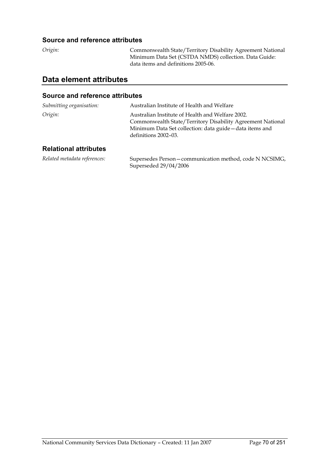### **Source and reference attributes**

*Origin:* Commonwealth State/Territory Disability Agreement National Minimum Data Set (CSTDA NMDS) collection. Data Guide: data items and definitions 2005-06.

## **Data element attributes**

#### **Source and reference attributes**

| Submitting organisation:     | Australian Institute of Health and Welfare                                                                                                                                                         |
|------------------------------|----------------------------------------------------------------------------------------------------------------------------------------------------------------------------------------------------|
| Origin:                      | Australian Institute of Health and Welfare 2002.<br>Commonwealth State/Territory Disability Agreement National<br>Minimum Data Set collection: data guide - data items and<br>definitions 2002–03. |
| <b>Relational attributes</b> |                                                                                                                                                                                                    |

*Related metadata references:* Supersedes Person—communication method, code N NCSIMG, Superseded 29/04/2006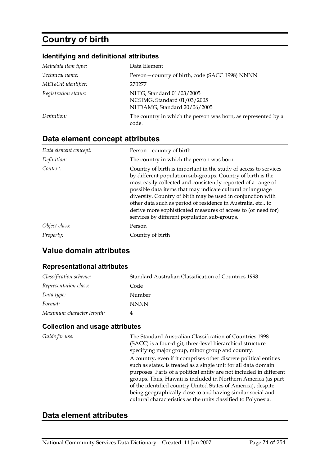# **Country of birth**

### **Identifying and definitional attributes**

| Metadata item type:  | Data Element                                                                            |
|----------------------|-----------------------------------------------------------------------------------------|
| Technical name:      | Person-country of birth, code (SACC 1998) NNNN                                          |
| METeOR identifier:   | 270277                                                                                  |
| Registration status: | NHIG, Standard 01/03/2005<br>NCSIMG, Standard 01/03/2005<br>NHDAMG, Standard 20/06/2005 |
| Definition:          | The country in which the person was born, as represented by a<br>code.                  |

## **Data element concept attributes**

| Data element concept: | Person-country of birth                                                                                                                                                                                                                                                                                                                                                                                                                                                                                         |
|-----------------------|-----------------------------------------------------------------------------------------------------------------------------------------------------------------------------------------------------------------------------------------------------------------------------------------------------------------------------------------------------------------------------------------------------------------------------------------------------------------------------------------------------------------|
| Definition:           | The country in which the person was born.                                                                                                                                                                                                                                                                                                                                                                                                                                                                       |
| Context:              | Country of birth is important in the study of access to services<br>by different population sub-groups. Country of birth is the<br>most easily collected and consistently reported of a range of<br>possible data items that may indicate cultural or language<br>diversity. Country of birth may be used in conjunction with<br>other data such as period of residence in Australia, etc., to<br>derive more sophisticated measures of access to (or need for)<br>services by different population sub-groups. |
| Object class:         | Person                                                                                                                                                                                                                                                                                                                                                                                                                                                                                                          |
| <i>Property:</i>      | Country of birth                                                                                                                                                                                                                                                                                                                                                                                                                                                                                                |

## **Value domain attributes**

### **Representational attributes**

| Classification scheme:    | Standard Australian Classification of Countries 1998 |
|---------------------------|------------------------------------------------------|
| Representation class:     | Code                                                 |
| Data type:                | Number                                               |
| Format:                   | <b>NNNN</b>                                          |
| Maximum character length: | 4                                                    |

### **Collection and usage attributes**

| Guide for use: | The Standard Australian Classification of Countries 1998<br>(SACC) is a four-digit, three-level hierarchical structure<br>specifying major group, minor group and country.                                                                                                                                                                                                                                                                                                    |
|----------------|-------------------------------------------------------------------------------------------------------------------------------------------------------------------------------------------------------------------------------------------------------------------------------------------------------------------------------------------------------------------------------------------------------------------------------------------------------------------------------|
|                | A country, even if it comprises other discrete political entities<br>such as states, is treated as a single unit for all data domain<br>purposes. Parts of a political entity are not included in different<br>groups. Thus, Hawaii is included in Northern America (as part<br>of the identified country United States of America), despite<br>being geographically close to and having similar social and<br>cultural characteristics as the units classified to Polynesia. |

### **Data element attributes**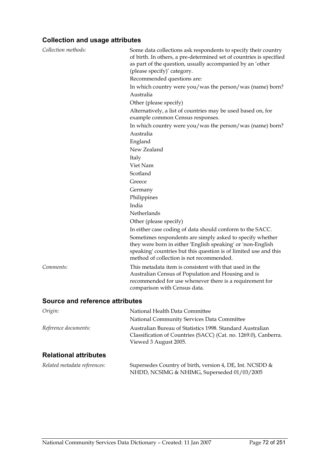| Collection methods:             | Some data collections ask respondents to specify their country<br>of birth. In others, a pre-determined set of countries is specified<br>as part of the question, usually accompanied by an 'other<br>(please specify)' category.<br>Recommended questions are:<br>In which country were you/was the person/was (name) born?<br>Australia<br>Other (please specify)<br>Alternatively, a list of countries may be used based on, for<br>example common Census responses.<br>In which country were you/was the person/was (name) born?<br>Australia<br>England<br>New Zealand<br>Italy<br>Viet Nam<br>Scotland<br>Greece<br>Germany<br>Philippines<br>India<br>Netherlands |
|---------------------------------|--------------------------------------------------------------------------------------------------------------------------------------------------------------------------------------------------------------------------------------------------------------------------------------------------------------------------------------------------------------------------------------------------------------------------------------------------------------------------------------------------------------------------------------------------------------------------------------------------------------------------------------------------------------------------|
|                                 | Other (please specify)<br>In either case coding of data should conform to the SACC.<br>Sometimes respondents are simply asked to specify whether<br>they were born in either 'English speaking' or 'non-English<br>speaking' countries but this question is of limited use and this<br>method of collection is not recommended.                                                                                                                                                                                                                                                                                                                                          |
| Comments:                       | This metadata item is consistent with that used in the<br>Australian Census of Population and Housing and is<br>recommended for use whenever there is a requirement for<br>comparison with Census data.                                                                                                                                                                                                                                                                                                                                                                                                                                                                  |
| Source and reference attributes |                                                                                                                                                                                                                                                                                                                                                                                                                                                                                                                                                                                                                                                                          |
| Origin:                         | National Health Data Committee                                                                                                                                                                                                                                                                                                                                                                                                                                                                                                                                                                                                                                           |
|                                 | National Community Services Data Committee                                                                                                                                                                                                                                                                                                                                                                                                                                                                                                                                                                                                                               |
| Reference documents:            | Australian Bureau of Statistics 1998. Standard Australian<br>Classification of Countries (SACC) (Cat. no. 1269.0), Canberra.<br>Viewed 3 August 2005.                                                                                                                                                                                                                                                                                                                                                                                                                                                                                                                    |
| <b>Relational attributes</b>    |                                                                                                                                                                                                                                                                                                                                                                                                                                                                                                                                                                                                                                                                          |

| Related metadata references: | Supersedes Country of birth, version 4, DE, Int. NCSDD & |
|------------------------------|----------------------------------------------------------|
|                              | NHDD, NCSIMG & NHIMG, Superseded 01/03/2005              |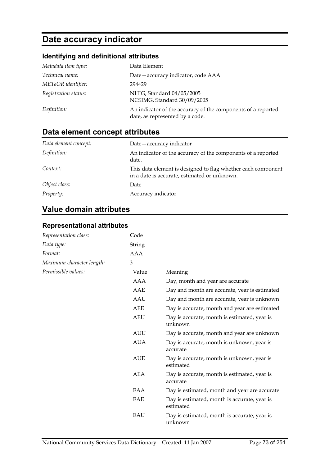# **Date accuracy indicator**

## **Identifying and definitional attributes**

| Metadata item type:  | Data Element                                                                                    |
|----------------------|-------------------------------------------------------------------------------------------------|
| Technical name:      | Date-accuracy indicator, code AAA                                                               |
| METeOR identifier:   | 294429                                                                                          |
| Registration status: | NHIG, Standard 04/05/2005<br>NCSIMG, Standard 30/09/2005                                        |
| Definition:          | An indicator of the accuracy of the components of a reported<br>date, as represented by a code. |

## **Data element concept attributes**

| Data element concept: | Date - accuracy indicator                                                                                    |
|-----------------------|--------------------------------------------------------------------------------------------------------------|
| Definition:           | An indicator of the accuracy of the components of a reported<br>date.                                        |
| Context:              | This data element is designed to flag whether each component<br>in a date is accurate, estimated or unknown. |
| Object class:         | Date                                                                                                         |
| <i>Property:</i>      | Accuracy indicator                                                                                           |

## **Value domain attributes**

### **Representational attributes**

| Representation class:     | Code          |                                                           |
|---------------------------|---------------|-----------------------------------------------------------|
| Data type:                | <b>String</b> |                                                           |
| Format:                   | AAA           |                                                           |
| Maximum character length: | 3             |                                                           |
| Permissible values:       | Value         | Meaning                                                   |
|                           | AAA           | Day, month and year are accurate                          |
|                           | AAE           | Day and month are accurate, year is estimated             |
|                           | <b>AAU</b>    | Day and month are accurate, year is unknown               |
|                           | AEE           | Day is accurate, month and year are estimated             |
|                           | <b>AEU</b>    | Day is accurate, month is estimated, year is<br>unknown   |
|                           | <b>AUU</b>    | Day is accurate, month and year are unknown               |
|                           | <b>AUA</b>    | Day is accurate, month is unknown, year is<br>accurate    |
|                           | <b>AUE</b>    | Day is accurate, month is unknown, year is<br>estimated   |
|                           | AEA           | Day is accurate, month is estimated, year is<br>accurate  |
|                           | EAA           | Day is estimated, month and year are accurate             |
|                           | EAE           | Day is estimated, month is accurate, year is<br>estimated |
|                           | EAU           | Day is estimated, month is accurate, year is<br>unknown   |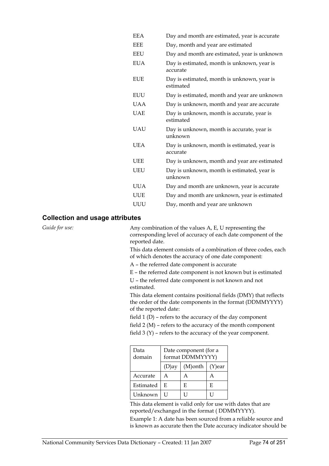| <b>EEA</b> | Day and month are estimated, year is accurate            |
|------------|----------------------------------------------------------|
| <b>EEE</b> | Day, month and year are estimated                        |
| <b>EEU</b> | Day and month are estimated, year is unknown             |
| <b>EUA</b> | Day is estimated, month is unknown, year is<br>accurate  |
| <b>EUE</b> | Day is estimated, month is unknown, year is<br>estimated |
| EUU        | Day is estimated, month and year are unknown             |
| <b>UAA</b> | Day is unknown, month and year are accurate              |
| <b>UAE</b> | Day is unknown, month is accurate, year is<br>estimated  |
| <b>UAU</b> | Day is unknown, month is accurate, year is<br>unknown    |
| <b>UEA</b> | Day is unknown, month is estimated, year is<br>accurate  |
| <b>UEE</b> | Day is unknown, month and year are estimated             |
| <b>UEU</b> | Day is unknown, month is estimated, year is<br>unknown   |
| <b>UUA</b> | Day and month are unknown, year is accurate              |
| <b>UUE</b> | Day and month are unknown, year is estimated             |
| UUU        | Day, month and year are unknown                          |
|            |                                                          |

#### **Collection and usage attributes**

*Guide for use:* Any combination of the values A, E, U representing the corresponding level of accuracy of each date component of the reported date.

> This data element consists of a combination of three codes, each of which denotes the accuracy of one date component:

A – the referred date component is accurate

E – the referred date component is not known but is estimated

U – the referred date component is not known and not estimated.

This data element contains positional fields (DMY) that reflects the order of the date components in the format (DDMMYYYY) of the reported date:

field 1 (D) – refers to the accuracy of the day component

field 2 (M) – refers to the accuracy of the month component

field 3 (Y) – refers to the accuracy of the year component.

| Data<br>domain | Date component (for a<br>format DDMMYYYY) |                      |   |
|----------------|-------------------------------------------|----------------------|---|
|                | $(D)$ ay                                  | $(M)$ onth $(Y)$ ear |   |
| Accurate       | А                                         | А                    | А |
| Estimated      | E                                         | E                    | E |
| Unknown        |                                           |                      |   |

This data element is valid only for use with dates that are reported/exchanged in the format ( DDMMYYYY).

Example 1: A date has been sourced from a reliable source and is known as accurate then the Date accuracy indicator should be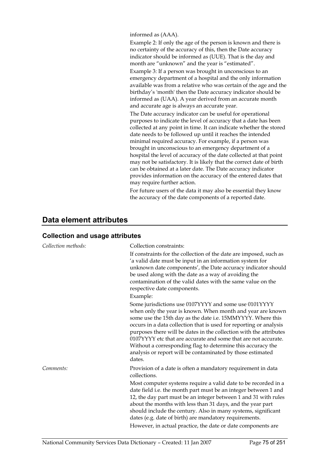informed as (AAA).

Example 2: If only the age of the person is known and there is no certainty of the accuracy of this, then the Date accuracy indicator should be informed as (UUE). That is the day and month are "unknown" and the year is "estimated".

Example 3: If a person was brought in unconscious to an emergency department of a hospital and the only information available was from a relative who was certain of the age and the birthday's 'month' then the Date accuracy indicator should be informed as (UAA). A year derived from an accurate month and accurate age is always an accurate year.

The Date accuracy indicator can be useful for operational purposes to indicate the level of accuracy that a date has been collected at any point in time. It can indicate whether the stored date needs to be followed up until it reaches the intended minimal required accuracy. For example, if a person was brought in unconscious to an emergency department of a hospital the level of accuracy of the date collected at that point may not be satisfactory. It is likely that the correct date of birth can be obtained at a later date. The Date accuracy indicator provides information on the accuracy of the entered dates that may require further action.

For future users of the data it may also be essential they know the accuracy of the date components of a reported date.

## **Data element attributes**

| Collection methods: | Collection constraints:                                                                                                                                                                                                                                                                                                                                                                                                                                                                                                                 |
|---------------------|-----------------------------------------------------------------------------------------------------------------------------------------------------------------------------------------------------------------------------------------------------------------------------------------------------------------------------------------------------------------------------------------------------------------------------------------------------------------------------------------------------------------------------------------|
|                     | If constraints for the collection of the date are imposed, such as<br>'a valid date must be input in an information system for<br>unknown date components', the Date accuracy indicator should<br>be used along with the date as a way of avoiding the<br>contamination of the valid dates with the same value on the<br>respective date components.<br>Example:                                                                                                                                                                        |
|                     | Some jurisdictions use 0107YYYY and some use 0101YYYY<br>when only the year is known. When month and year are known<br>some use the 15th day as the date i.e. 15MMYYYY. Where this<br>occurs in a data collection that is used for reporting or analysis<br>purposes there will be dates in the collection with the attributes<br>0107YYYY etc that are accurate and some that are not accurate.<br>Without a corresponding flag to determine this accuracy the<br>analysis or report will be contaminated by those estimated<br>dates. |
| Comments:           | Provision of a date is often a mandatory requirement in data<br>collections.                                                                                                                                                                                                                                                                                                                                                                                                                                                            |
|                     | Most computer systems require a valid date to be recorded in a<br>date field i.e. the month part must be an integer between 1 and<br>12, the day part must be an integer between 1 and 31 with rules<br>about the months with less than 31 days, and the year part<br>should include the century. Also in many systems, significant<br>dates (e.g. date of birth) are mandatory requirements.<br>However, in actual practice, the date or date components are                                                                           |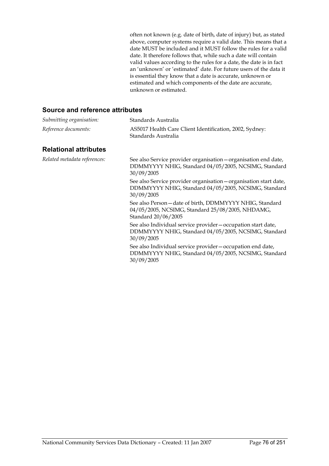often not known (e.g. date of birth, date of injury) but, as stated above, computer systems require a valid date. This means that a date MUST be included and it MUST follow the rules for a valid date. It therefore follows that, while such a date will contain valid values according to the rules for a date, the date is in fact an 'unknown' or 'estimated' date. For future users of the data it is essential they know that a date is accurate, unknown or estimated and which components of the date are accurate, unknown or estimated.

| Submitting organisation:     | Standards Australia                                                                                                                     |
|------------------------------|-----------------------------------------------------------------------------------------------------------------------------------------|
| Reference documents:         | AS5017 Health Care Client Identification, 2002, Sydney:<br>Standards Australia                                                          |
| <b>Relational attributes</b> |                                                                                                                                         |
| Related metadata references: | See also Service provider organisation – organisation end date,<br>DDMMYYYY NHIG, Standard 04/05/2005, NCSIMG, Standard<br>30/09/2005   |
|                              | See also Service provider organisation - organisation start date,<br>DDMMYYYY NHIG, Standard 04/05/2005, NCSIMG, Standard<br>30/09/2005 |
|                              | See also Person - date of birth, DDMMYYYY NHIG, Standard<br>04/05/2005, NCSIMG, Standard 25/08/2005, NHDAMG,<br>Standard 20/06/2005     |
|                              | See also Individual service provider - occupation start date,<br>DDMMYYYY NHIG, Standard 04/05/2005, NCSIMG, Standard<br>30/09/2005     |
|                              | See also Individual service provider – occupation end date,<br>DDMMYYYY NHIG, Standard 04/05/2005, NCSIMG, Standard<br>30/09/2005       |
|                              |                                                                                                                                         |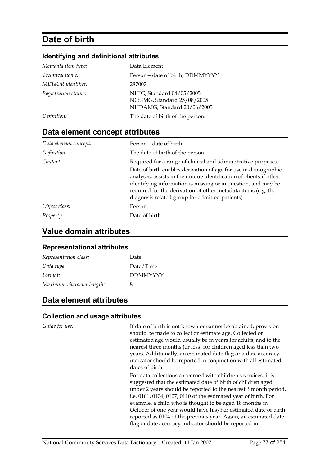# **Date of birth**

### **Identifying and definitional attributes**

| Metadata item type:  | Data Element                                                                            |
|----------------------|-----------------------------------------------------------------------------------------|
| Technical name:      | Person-date of birth, DDMMYYYY                                                          |
| METeOR identifier:   | 287007                                                                                  |
| Registration status: | NHIG, Standard 04/05/2005<br>NCSIMG, Standard 25/08/2005<br>NHDAMG, Standard 20/06/2005 |
| Definition:          | The date of birth of the person.                                                        |

## **Data element concept attributes**

| Data element concept: | Person-date of birth                                                                                                                                                                                                                                                                                                                                                                       |
|-----------------------|--------------------------------------------------------------------------------------------------------------------------------------------------------------------------------------------------------------------------------------------------------------------------------------------------------------------------------------------------------------------------------------------|
| Definition:           | The date of birth of the person.                                                                                                                                                                                                                                                                                                                                                           |
| Context:              | Required for a range of clinical and administrative purposes.<br>Date of birth enables derivation of age for use in demographic<br>analyses, assists in the unique identification of clients if other<br>identifying information is missing or in question, and may be<br>required for the derivation of other metadata items (e.g. the<br>diagnosis related group for admitted patients). |
| Object class:         | Person                                                                                                                                                                                                                                                                                                                                                                                     |
| Property:             | Date of birth                                                                                                                                                                                                                                                                                                                                                                              |

## **Value domain attributes**

#### **Representational attributes**

| Representation class:     | Date            |
|---------------------------|-----------------|
| Data type:                | Date/Time       |
| Format:                   | <b>DDMMYYYY</b> |
| Maximum character length: | x               |

## **Data element attributes**

#### **Collection and usage attributes**

*Guide for use:* If date of birth is not known or cannot be obtained, provision should be made to collect or estimate age. Collected or estimated age would usually be in years for adults, and to the nearest three months (or less) for children aged less than two years. Additionally, an estimated date flag or a date accuracy indicator should be reported in conjunction with all estimated dates of birth.

> For data collections concerned with children's services, it is suggested that the estimated date of birth of children aged under 2 years should be reported to the nearest 3 month period, i.e. 0101, 0104, 0107, 0110 of the estimated year of birth. For example, a child who is thought to be aged 18 months in October of one year would have his/her estimated date of birth reported as 0104 of the previous year. Again, an estimated date flag or date accuracy indicator should be reported in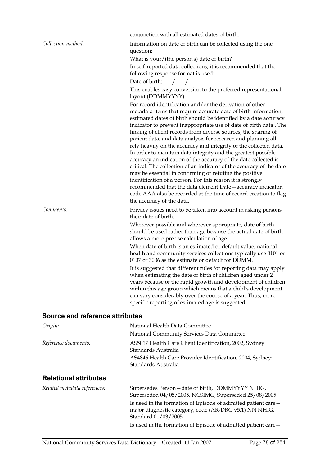|                                 | conjunction with all estimated dates of birth.                                                                                                                                                                                                                                                                                                                                                                                                                                                                                                                                                                                                                                                                                                                                                                                                                                                                                                                                     |
|---------------------------------|------------------------------------------------------------------------------------------------------------------------------------------------------------------------------------------------------------------------------------------------------------------------------------------------------------------------------------------------------------------------------------------------------------------------------------------------------------------------------------------------------------------------------------------------------------------------------------------------------------------------------------------------------------------------------------------------------------------------------------------------------------------------------------------------------------------------------------------------------------------------------------------------------------------------------------------------------------------------------------|
| Collection methods:             | Information on date of birth can be collected using the one<br>question:<br>What is your/(the person's) date of birth?                                                                                                                                                                                                                                                                                                                                                                                                                                                                                                                                                                                                                                                                                                                                                                                                                                                             |
|                                 | In self-reported data collections, it is recommended that the<br>following response format is used:                                                                                                                                                                                                                                                                                                                                                                                                                                                                                                                                                                                                                                                                                                                                                                                                                                                                                |
|                                 | Date of birth: _ _ / _ _ / _ _ _ _                                                                                                                                                                                                                                                                                                                                                                                                                                                                                                                                                                                                                                                                                                                                                                                                                                                                                                                                                 |
|                                 | This enables easy conversion to the preferred representational<br>layout (DDMMYYYY).                                                                                                                                                                                                                                                                                                                                                                                                                                                                                                                                                                                                                                                                                                                                                                                                                                                                                               |
|                                 | For record identification and/or the derivation of other<br>metadata items that require accurate date of birth information,<br>estimated dates of birth should be identified by a date accuracy<br>indicator to prevent inappropriate use of date of birth data. The<br>linking of client records from diverse sources, the sharing of<br>patient data, and data analysis for research and planning all<br>rely heavily on the accuracy and integrity of the collected data.<br>In order to maintain data integrity and the greatest possible<br>accuracy an indication of the accuracy of the date collected is<br>critical. The collection of an indicator of the accuracy of the date<br>may be essential in confirming or refuting the positive<br>identification of a person. For this reason it is strongly<br>recommended that the data element Date - accuracy indicator,<br>code AAA also be recorded at the time of record creation to flag<br>the accuracy of the data. |
| Comments:                       | Privacy issues need to be taken into account in asking persons<br>their date of birth.                                                                                                                                                                                                                                                                                                                                                                                                                                                                                                                                                                                                                                                                                                                                                                                                                                                                                             |
|                                 | Wherever possible and wherever appropriate, date of birth<br>should be used rather than age because the actual date of birth<br>allows a more precise calculation of age.                                                                                                                                                                                                                                                                                                                                                                                                                                                                                                                                                                                                                                                                                                                                                                                                          |
|                                 | When date of birth is an estimated or default value, national<br>health and community services collections typically use 0101 or<br>0107 or 3006 as the estimate or default for DDMM.                                                                                                                                                                                                                                                                                                                                                                                                                                                                                                                                                                                                                                                                                                                                                                                              |
|                                 | It is suggested that different rules for reporting data may apply<br>when estimating the date of birth of children aged under 2<br>years because of the rapid growth and development of children<br>within this age group which means that a child's development<br>can vary considerably over the course of a year. Thus, more<br>specific reporting of estimated age is suggested.                                                                                                                                                                                                                                                                                                                                                                                                                                                                                                                                                                                               |
| Source and reference attributes |                                                                                                                                                                                                                                                                                                                                                                                                                                                                                                                                                                                                                                                                                                                                                                                                                                                                                                                                                                                    |
| $O$ vicin $\cdot$               | National Hoalth Data Committoo                                                                                                                                                                                                                                                                                                                                                                                                                                                                                                                                                                                                                                                                                                                                                                                                                                                                                                                                                     |

| <i>origin:</i>               | National Health Data Committee                                                                                          |
|------------------------------|-------------------------------------------------------------------------------------------------------------------------|
|                              | National Community Services Data Committee                                                                              |
| Reference documents:         | AS5017 Health Care Client Identification, 2002, Sydney:<br>Standards Australia                                          |
|                              | AS4846 Health Care Provider Identification, 2004, Sydney:<br>Standards Australia                                        |
| <b>Relational attributes</b> |                                                                                                                         |
| Related metadata references: | Supersedes Person - date of birth, DDMMYYYY NHIG,<br>Superseded 04/05/2005, NCSIMG, Superseded 25/08/2005               |
|                              | Is used in the formation of Episode of admitted patient care—<br>major diagnostic category, code (AR-DRG v5.1) NN NHIG, |

Standard 01/03/2005

Is used in the formation of Episode of admitted patient care—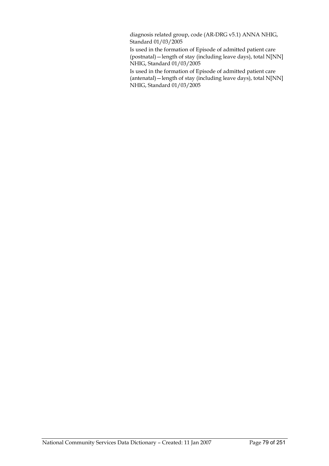diagnosis related group, code (AR-DRG v5.1) ANNA NHIG, Standard 01/03/2005

Is used in the formation of Episode of admitted patient care (postnatal)—length of stay (including leave days), total N[NN] NHIG, Standard 01/03/2005

Is used in the formation of Episode of admitted patient care (antenatal)—length of stay (including leave days), total N[NN] NHIG, Standard 01/03/2005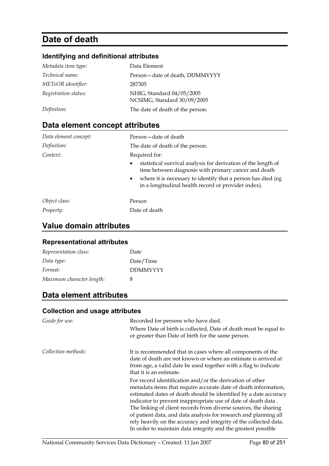# **Date of death**

## **Identifying and definitional attributes**

| Metadata item type:  | Data Element                                             |
|----------------------|----------------------------------------------------------|
| Technical name:      | Person-date of death, DDMMYYYY                           |
| METeOR identifier:   | 287305                                                   |
| Registration status: | NHIG, Standard 04/05/2005<br>NCSIMG, Standard 30/09/2005 |
| Definition:          | The date of death of the person.                         |

## **Data element concept attributes**

| Data element concept: | Person-date of death                                                                                                                                                                                                                                                                    |
|-----------------------|-----------------------------------------------------------------------------------------------------------------------------------------------------------------------------------------------------------------------------------------------------------------------------------------|
| Definition:           | The date of death of the person.                                                                                                                                                                                                                                                        |
| Context:              | Required for:<br>statistical survival analysis for derivation of the length of<br>$\bullet$<br>time between diagnosis with primary cancer and death<br>where it is necessary to identify that a person has died (eg<br>$\bullet$<br>in a longitudinal health record or provider index). |
| Object class:         | Person                                                                                                                                                                                                                                                                                  |
| Property:             | Date of death                                                                                                                                                                                                                                                                           |

## **Value domain attributes**

### **Representational attributes**

| Representation class:     | Date            |
|---------------------------|-----------------|
| Data type:                | Date/Time       |
| Format:                   | <b>DDMMYYYY</b> |
| Maximum character length: | 8               |

## **Data element attributes**

| Guide for use:      | Recorded for persons who have died.                                                                                                                                                                                                                                                                                                                                                                                                                                                                                                           |
|---------------------|-----------------------------------------------------------------------------------------------------------------------------------------------------------------------------------------------------------------------------------------------------------------------------------------------------------------------------------------------------------------------------------------------------------------------------------------------------------------------------------------------------------------------------------------------|
|                     | Where Date of birth is collected, Date of death must be equal to                                                                                                                                                                                                                                                                                                                                                                                                                                                                              |
|                     | or greater than Date of birth for the same person.                                                                                                                                                                                                                                                                                                                                                                                                                                                                                            |
| Collection methods: | It is recommended that in cases where all components of the<br>date of death are not known or where an estimate is arrived at<br>from age, a valid date be used together with a flag to indicate<br>that it is an estimate.                                                                                                                                                                                                                                                                                                                   |
|                     | For record identification and/or the derivation of other<br>metadata items that require accurate date of death information,<br>estimated dates of death should be identified by a date accuracy<br>indicator to prevent inappropriate use of date of death data.<br>The linking of client records from diverse sources, the sharing<br>of patient data, and data analysis for research and planning all<br>rely heavily on the accuracy and integrity of the collected data.<br>In order to maintain data integrity and the greatest possible |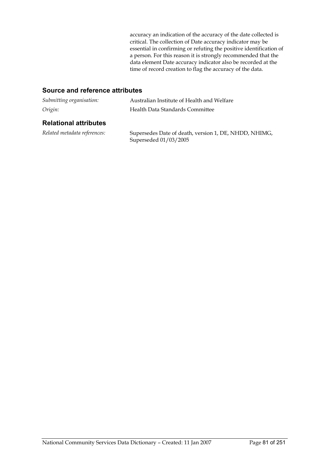accuracy an indication of the accuracy of the date collected is critical. The collection of Date accuracy indicator may be essential in confirming or refuting the positive identification of a person. For this reason it is strongly recommended that the data element Date accuracy indicator also be recorded at the time of record creation to flag the accuracy of the data.

| Submitting organisation:     | Australian Institute of Health and Welfare                                     |  |
|------------------------------|--------------------------------------------------------------------------------|--|
| Origin:                      | Health Data Standards Committee                                                |  |
| <b>Relational attributes</b> |                                                                                |  |
| Related metadata references: | Supersedes Date of death, version 1, DE, NHDD, NHIMG,<br>Superseded 01/03/2005 |  |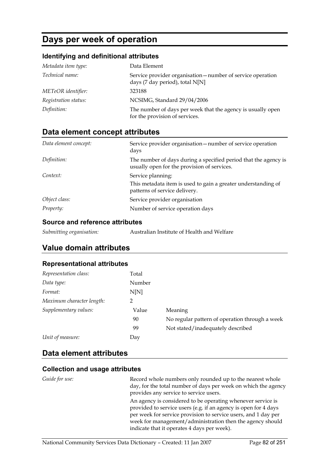# **Days per week of operation**

### **Identifying and definitional attributes**

| Metadata item type:  | Data Element                                                                                   |
|----------------------|------------------------------------------------------------------------------------------------|
| Technical name:      | Service provider organisation — number of service operation<br>days (7 day period), total N[N] |
| METeOR identifier:   | 323188                                                                                         |
| Registration status: | NCSIMG, Standard 29/04/2006                                                                    |
| Definition:          | The number of days per week that the agency is usually open<br>for the provision of services.  |

## **Data element concept attributes**

| Data element concept: | Service provider organisation - number of service operation<br>days                                                 |
|-----------------------|---------------------------------------------------------------------------------------------------------------------|
| Definition:           | The number of days during a specified period that the agency is<br>usually open for the provision of services.      |
| Context:              | Service planning:<br>This metadata item is used to gain a greater understanding of<br>patterns of service delivery. |
| Object class:         | Service provider organisation                                                                                       |
| Property:             | Number of service operation days                                                                                    |

#### **Source and reference attributes**

| Submitting organisation: | Australian Institute of Health and Welfare |
|--------------------------|--------------------------------------------|
|--------------------------|--------------------------------------------|

## **Value domain attributes**

#### **Representational attributes**

| Representation class:     | Total  |                                                |
|---------------------------|--------|------------------------------------------------|
| Data type:                | Number |                                                |
| Format:                   | N[N]   |                                                |
| Maximum character length: | າ      |                                                |
| Supplementary values:     | Value  | Meaning                                        |
|                           | 90     | No regular pattern of operation through a week |
|                           | 99     | Not stated/inadequately described              |
| Unit of measure:          | Day    |                                                |

## **Data element attributes**

|                       | <u> sanaan ana aaaaa amnama</u>                                                                                                                                                                                                                                                                              |  |
|-----------------------|--------------------------------------------------------------------------------------------------------------------------------------------------------------------------------------------------------------------------------------------------------------------------------------------------------------|--|
| <i>Guide for use:</i> | Record whole numbers only rounded up to the nearest whole<br>day, for the total number of days per week on which the agency<br>provides any service to service users.                                                                                                                                        |  |
|                       | An agency is considered to be operating whenever service is<br>provided to service users (e.g. if an agency is open for 4 days<br>per week for service provision to service users, and 1 day per<br>week for management/administration then the agency should<br>indicate that it operates 4 days per week). |  |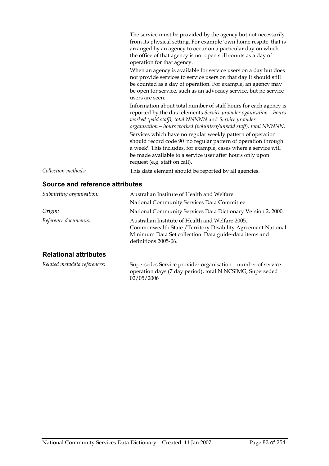|                     | The service must be provided by the agency but not necessarily<br>from its physical setting. For example 'own home respite' that is<br>arranged by an agency to occur on a particular day on which<br>the office of that agency is not open still counts as a day of<br>operation for that agency. |
|---------------------|----------------------------------------------------------------------------------------------------------------------------------------------------------------------------------------------------------------------------------------------------------------------------------------------------|
|                     | When an agency is available for service users on a day but does<br>not provide services to service users on that day it should still<br>be counted as a day of operation. For example, an agency may<br>be open for service, such as an advocacy service, but no service<br>users are seen.        |
|                     | Information about total number of staff hours for each agency is<br>reported by the data elements Service provider oganisation - hours<br>worked (paid staff), total NNNNN and Service provider<br>organisation – hours worked (volunteer/unpaid staff), total NNNNN.                              |
|                     | Services which have no regular weekly pattern of operation<br>should record code 90 'no regular pattern of operation through<br>a week'. This includes, for example, cases where a service will<br>be made available to a service user after hours only upon<br>request (e.g. staff on call).      |
| Collection methods: | This data element should be reported by all agencies.                                                                                                                                                                                                                                              |

### **Source and reference attributes**

| Submitting organisation:     | Australian Institute of Health and Welfare                                                                                                                                                         |  |
|------------------------------|----------------------------------------------------------------------------------------------------------------------------------------------------------------------------------------------------|--|
|                              | National Community Services Data Committee                                                                                                                                                         |  |
| Origin:                      | National Community Services Data Dictionary Version 2, 2000.                                                                                                                                       |  |
| Reference documents:         | Australian Institute of Health and Welfare 2005.<br>Commonwealth State / Territory Disability Agreement National<br>Minimum Data Set collection: Data guide-data items and<br>definitions 2005-06. |  |
| <b>Dolotional attributos</b> |                                                                                                                                                                                                    |  |

#### **Relational attributes**

*Related metadata references:* Supersedes Service provider organisation—number of service operation days (7 day period), total N NCSIMG, Superseded 02/05/2006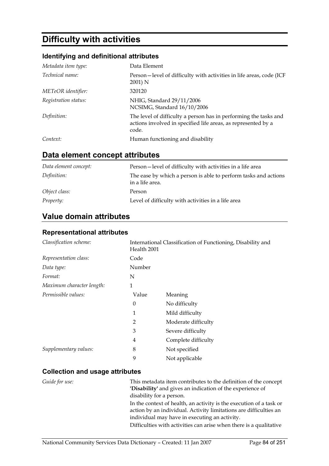# **Difficulty with activities**

### **Identifying and definitional attributes**

| Metadata item type:  | Data Element                                                                                                                               |
|----------------------|--------------------------------------------------------------------------------------------------------------------------------------------|
| Technical name:      | Person-level of difficulty with activities in life areas, code (ICF<br>2001) N                                                             |
| METeOR identifier:   | 320120                                                                                                                                     |
| Registration status: | NHIG, Standard 29/11/2006<br>NCSIMG, Standard 16/10/2006                                                                                   |
| Definition:          | The level of difficulty a person has in performing the tasks and<br>actions involved in specified life areas, as represented by a<br>code. |
| Context:             | Human functioning and disability                                                                                                           |

## **Data element concept attributes**

| Data element concept: | Person-level of difficulty with activities in a life area                          |
|-----------------------|------------------------------------------------------------------------------------|
| Definition:           | The ease by which a person is able to perform tasks and actions<br>in a life area. |
| Object class:         | Person                                                                             |
| Property:             | Level of difficulty with activities in a life area                                 |

## **Value domain attributes**

### **Representational attributes**

| Classification scheme:    | International Classification of Functioning, Disability and<br>Health 2001 |                     |
|---------------------------|----------------------------------------------------------------------------|---------------------|
| Representation class:     | Code                                                                       |                     |
| Data type:                | Number                                                                     |                     |
| Format:                   | N                                                                          |                     |
| Maximum character length: | 1                                                                          |                     |
| Permissible values:       | Value                                                                      | Meaning             |
|                           | 0                                                                          | No difficulty       |
|                           | 1                                                                          | Mild difficulty     |
|                           | 2                                                                          | Moderate difficulty |
|                           | 3                                                                          | Severe difficulty   |
|                           | 4                                                                          | Complete difficulty |
| Supplementary values:     | 8                                                                          | Not specified       |
|                           | 9                                                                          | Not applicable      |

| <i>Guide for use:</i> | This metadata item contributes to the definition of the concept<br>'Disability' and gives an indication of the experience of             |
|-----------------------|------------------------------------------------------------------------------------------------------------------------------------------|
|                       | disability for a person.                                                                                                                 |
|                       | In the context of health, an activity is the execution of a task or<br>action by an individual. Activity limitations are difficulties an |
|                       | individual may have in executing an activity.                                                                                            |
|                       | Difficulties with activities can arise when there is a qualitative                                                                       |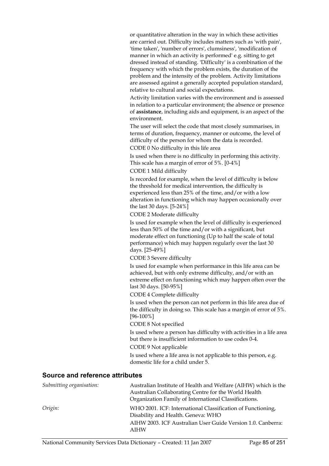or quantitative alteration in the way in which these activities are carried out. Difficulty includes matters such as 'with pain', 'time taken', 'number of errors', clumsiness', 'modification of manner in which an activity is performed' e.g. sitting to get dressed instead of standing. 'Difficulty' is a combination of the frequency with which the problem exists, the duration of the problem and the intensity of the problem. Activity limitations are assessed against a generally accepted population standard, relative to cultural and social expectations.

Activity limitation varies with the environment and is assessed in relation to a particular environment; the absence or presence of **assistance**, including aids and equipment, is an aspect of the environment.

The user will select the code that most closely summarises, in terms of duration, frequency, manner or outcome, the level of difficulty of the person for whom the data is recorded. CODE 0 No difficulty in this life area

Is used when there is no difficulty in performing this activity. This scale has a margin of error of 5%. [0-4%]

CODE 1 Mild difficulty

Is recorded for example, when the level of difficulty is below the threshold for medical intervention, the difficulty is experienced less than 25% of the time, and/or with a low alteration in functioning which may happen occasionally over the last 30 days. [5-24%]

#### CODE 2 Moderate difficulty

Is used for example when the level of difficulty is experienced less than 50% of the time and/or with a significant, but moderate effect on functioning (Up to half the scale of total performance) which may happen regularly over the last 30 days. [25-49%]

CODE 3 Severe difficulty

Is used for example when performance in this life area can be achieved, but with only extreme difficulty, and/or with an extreme effect on functioning which may happen often over the last 30 days. [50-95%]

CODE 4 Complete difficulty

Is used when the person can not perform in this life area due of the difficulty in doing so. This scale has a margin of error of 5%. [96-100%]

CODE 8 Not specified

Is used where a person has difficulty with activities in a life area but there is insufficient information to use codes 0-4.

CODE 9 Not applicable

Is used where a life area is not applicable to this person, e.g. domestic life for a child under 5.

| Submitting organisation: | Australian Institute of Health and Welfare (AIHW) which is the |
|--------------------------|----------------------------------------------------------------|
|                          | Australian Collaborating Centre for the World Health           |
|                          | Organization Family of International Classifications.          |
| Origin:                  | WHO 2001. ICF: International Classification of Functioning,    |
|                          | Disability and Health. Geneva: WHO                             |
|                          | AIHW 2003. ICF Australian User Guide Version 1.0. Canberra:    |
|                          | <b>AIHW</b>                                                    |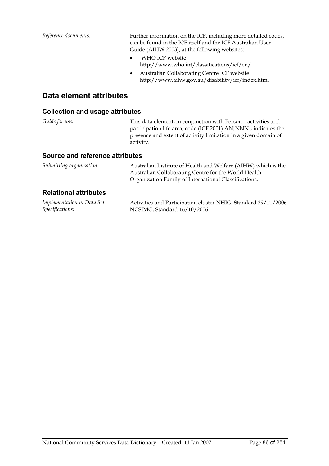*Reference documents:* Further information on the ICF, including more detailed codes, can be found in the ICF itself and the ICF Australian User Guide (AIHW 2003), at the following websites:

- WHO ICF website http://www.who.int/classifications/icf/en/
- Australian Collaborating Centre ICF website http://www.aihw.gov.au/disability/icf/index.html

### **Data element attributes**

| Guide for use:                         | This data element, in conjunction with Person-activities and<br>participation life area, code (ICF 2001) AN[NNN], indicates the<br>presence and extent of activity limitation in a given domain of<br>activity. |
|----------------------------------------|-----------------------------------------------------------------------------------------------------------------------------------------------------------------------------------------------------------------|
| <b>Source and reference attributes</b> |                                                                                                                                                                                                                 |
| Submitting organisation:               | Australian Institute of Health and Welfare (AIHW) which is the<br>Australian Collaborating Centre for the World Health<br>Organization Family of International Classifications.                                 |
| <b>Relational attributes</b>           |                                                                                                                                                                                                                 |
| .                                      |                                                                                                                                                                                                                 |

| Implementation in Data Set | Activities and Participation cluster NHIG, Standard 29/11/2006 |
|----------------------------|----------------------------------------------------------------|
| Specifications:            | NCSIMG, Standard 16/10/2006                                    |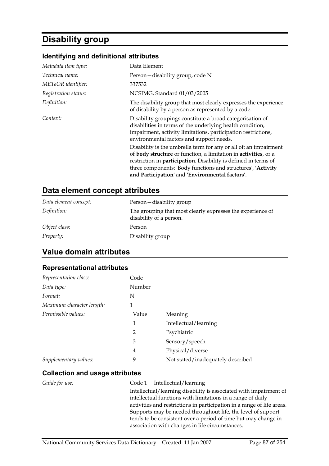# **Disability group**

#### **Identifying and definitional attributes**

| Metadata item type:    | Data Element                                                                                                                                                                                                                                                                                                                      |
|------------------------|-----------------------------------------------------------------------------------------------------------------------------------------------------------------------------------------------------------------------------------------------------------------------------------------------------------------------------------|
| <i>Technical name:</i> | Person-disability group, code N                                                                                                                                                                                                                                                                                                   |
| METeOR identifier:     | 337532                                                                                                                                                                                                                                                                                                                            |
| Registration status:   | NCSIMG, Standard 01/03/2005                                                                                                                                                                                                                                                                                                       |
| Definition:            | The disability group that most clearly expresses the experience<br>of disability by a person as represented by a code.                                                                                                                                                                                                            |
| Context:               | Disability groupings constitute a broad categorisation of<br>disabilities in terms of the underlying health condition,<br>impairment, activity limitations, participation restrictions,<br>environmental factors and support needs.                                                                                               |
|                        | Disability is the umbrella term for any or all of: an impairment<br>of body structure or function, a limitation in activities, or a<br>restriction in <b>participation</b> . Disability is defined in terms of<br>three components: 'Body functions and structures', 'Activity<br>and Participation' and 'Environmental factors'. |

## **Data element concept attributes**

| Data element concept: | Person-disability group                                                               |
|-----------------------|---------------------------------------------------------------------------------------|
| Definition:           | The grouping that most clearly expresses the experience of<br>disability of a person. |
| Object class:         | Person                                                                                |
| <i>Property:</i>      | Disability group                                                                      |

## **Value domain attributes**

#### **Representational attributes**

| Representation class:     | Code   |                                   |
|---------------------------|--------|-----------------------------------|
| Data type:                | Number |                                   |
| Format:                   | N      |                                   |
| Maximum character length: | 1      |                                   |
| Permissible values:       | Value  | Meaning                           |
|                           | 1      | Intellectual/learning             |
|                           | 2      | Psychiatric                       |
|                           | 3      | Sensory/speech                    |
|                           | 4      | Physical/diverse                  |
| Supplementary values:     | 9      | Not stated/inadequately described |

#### **Collection and usage attributes**

*Guide for use:* Code 1 Intellectual/learning Intellectual/learning disability is associated with impairment of intellectual functions with limitations in a range of daily activities and restrictions in participation in a range of life areas. Supports may be needed throughout life, the level of support tends to be consistent over a period of time but may change in association with changes in life circumstances.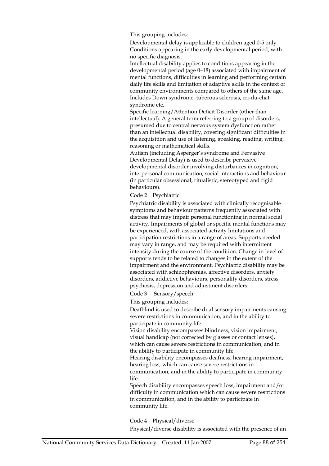This grouping includes:

Developmental delay is applicable to children aged 0-5 only. Conditions appearing in the early developmental period, with no specific diagnosis.

Intellectual disability applies to conditions appearing in the developmental period (age 0–18) associated with impairment of mental functions, difficulties in learning and performing certain daily life skills and limitation of adaptive skills in the context of community environments compared to others of the same age. Includes Down syndrome, tuberous sclerosis, cri-du-chat syndrome etc.

Specific learning/Attention Deficit Disorder (other than intellectual). A general term referring to a group of disorders, presumed due to central nervous system dysfunction rather than an intellectual disability, covering significant difficulties in the acquisition and use of listening, speaking, reading, writing, reasoning or mathematical skills.

Autism (including Asperger's syndrome and Pervasive Developmental Delay) is used to describe pervasive developmental disorder involving disturbances in cognition, interpersonal communication, social interactions and behaviour (in particular obsessional, ritualistic, stereotyped and rigid behaviours).

Code 2 Psychiatric

Psychiatric disability is associated with clinically recognisable symptoms and behaviour patterns frequently associated with distress that may impair personal functioning in normal social activity. Impairments of global or specific mental functions may be experienced, with associated activity limitations and participation restrictions in a range of areas. Supports needed may vary in range, and may be required with intermittent intensity during the course of the condition. Change in level of supports tends to be related to changes in the extent of the impairment and the environment. Psychiatric disability may be associated with schizophrenias, affective disorders, anxiety disorders, addictive behaviours, personality disorders, stress, psychosis, depression and adjustment disorders.

Code 3 Sensory/speech

This grouping includes:

Deafblind is used to describe dual sensory impairments causing severe restrictions in communication, and in the ability to participate in community life.

Vision disability encompasses blindness, vision impairment, visual handicap (not corrected by glasses or contact lenses), which can cause severe restrictions in communication, and in the ability to participate in community life.

Hearing disability encompasses deafness, hearing impairment, hearing loss, which can cause severe restrictions in

communication, and in the ability to participate in community life.

Speech disability encompasses speech loss, impairment and/or difficulty in communication which can cause severe restrictions in communication, and in the ability to participate in community life.

Code 4 Physical/diverse

Physical/diverse disability is associated with the presence of an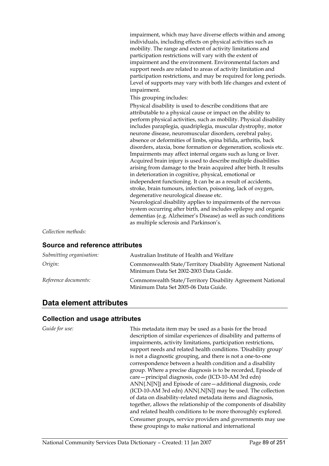impairment, which may have diverse effects within and among individuals, including effects on physical activities such as mobility. The range and extent of activity limitations and participation restrictions will vary with the extent of impairment and the environment. Environmental factors and support needs are related to areas of activity limitation and participation restrictions, and may be required for long periods. Level of supports may vary with both life changes and extent of impairment.

This grouping includes:

Physical disability is used to describe conditions that are attributable to a physical cause or impact on the ability to perform physical activities, such as mobility. Physical disability includes paraplegia, quadriplegia, muscular dystrophy, motor neurone disease, neuromuscular disorders, cerebral palsy, absence or deformities of limbs, spina bifida, arthritis, back disorders, ataxia, bone formation or degeneration, scoliosis etc. Impairments may affect internal organs such as lung or liver. Acquired brain injury is used to describe multiple disabilities arising from damage to the brain acquired after birth. It results in deterioration in cognitive, physical, emotional or independent functioning. It can be as a result of accidents, stroke, brain tumours, infection, poisoning, lack of oxygen, degenerative neurological disease etc.

Neurological disability applies to impairments of the nervous system occurring after birth, and includes epilepsy and organic dementias (e.g. Alzheimer's Disease) as well as such conditions as multiple sclerosis and Parkinson's.

*Collection methods:*

#### **Source and reference attributes**

| Submitting organisation: | Australian Institute of Health and Welfare                                                           |
|--------------------------|------------------------------------------------------------------------------------------------------|
| Origin:                  | Commonwealth State/Territory Disability Agreement National<br>Minimum Data Set 2002-2003 Data Guide. |
| Reference documents:     | Commonwealth State/Territory Disability Agreement National<br>Minimum Data Set 2005-06 Data Guide.   |

## **Data element attributes**

#### **Collection and usage attributes**

*Guide for use:* This metadata item may be used as a basis for the broad description of similar experiences of disability and patterns of impairments, activity limitations, participation restrictions, support needs and related health conditions. 'Disability group' is not a diagnostic grouping, and there is not a one-to-one correspondence between a health condition and a disability group. Where a precise diagnosis is to be recorded, Episode of care—principal diagnosis, code (ICD-10-AM 3rd edn) ANN{.N[N]} and Episode of care—additional diagnosis, code (ICD-10-AM 3rd edn) ANN{.N[N]} may be used. The collection of data on disability-related metadata items and diagnosis, together, allows the relationship of the components of disability and related health conditions to be more thoroughly explored. Consumer groups, service providers and governments may use these groupings to make national and international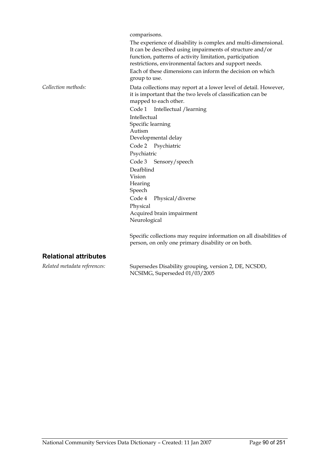comparisons.

The experience of disability is complex and multi-dimensional. It can be described using impairments of structure and/or function, patterns of activity limitation, participation restrictions, environmental factors and support needs. Each of these dimensions can inform the decision on which group to use. *Collection methods:* Data collections may report at a lower level of detail. However, it is important that the two levels of classification can be mapped to each other. Code 1 Intellectual /learning Intellectual Specific learning Autism Developmental delay Code 2 Psychiatric Psychiatric Code 3 Sensory/speech Deafblind Vision **Hearing** Speech Code 4 Physical/diverse Physical Acquired brain impairment Neurological

Specific collections may require information on all disabilities of person, on only one primary disability or on both.

#### **Relational attributes**

*Related metadata references:* Supersedes Disability grouping, version 2, DE, NCSDD, NCSIMG, Superseded 01/03/2005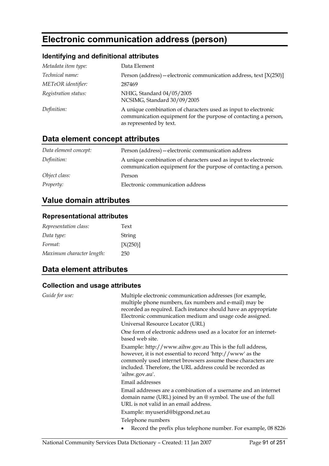# **Electronic communication address (person)**

## **Identifying and definitional attributes**

| Metadata item type:  | Data Element                                                                                                                                                 |
|----------------------|--------------------------------------------------------------------------------------------------------------------------------------------------------------|
| Technical name:      | Person (address) – electronic communication address, text [X(250)]                                                                                           |
| METeOR identifier:   | 287469                                                                                                                                                       |
| Registration status: | NHIG, Standard 04/05/2005<br>NCSIMG, Standard 30/09/2005                                                                                                     |
| Definition:          | A unique combination of characters used as input to electronic<br>communication equipment for the purpose of contacting a person,<br>as represented by text. |

## **Data element concept attributes**

| Data element concept: | Person (address) - electronic communication address                                                                               |
|-----------------------|-----------------------------------------------------------------------------------------------------------------------------------|
| Definition:           | A unique combination of characters used as input to electronic<br>communication equipment for the purpose of contacting a person. |
| Object class:         | Person                                                                                                                            |
| <i>Property:</i>      | Electronic communication address                                                                                                  |

## **Value domain attributes**

### **Representational attributes**

| Representation class:     | Text          |
|---------------------------|---------------|
| Data type:                | <b>String</b> |
| Format:                   | [X(250)]      |
| Maximum character length: | 250           |

## **Data element attributes**

| Guide for use: | Multiple electronic communication addresses (for example,<br>multiple phone numbers, fax numbers and e-mail) may be<br>recorded as required. Each instance should have an appropriate<br>Electronic communication medium and usage code assigned.                     |
|----------------|-----------------------------------------------------------------------------------------------------------------------------------------------------------------------------------------------------------------------------------------------------------------------|
|                | Universal Resource Locator (URL)                                                                                                                                                                                                                                      |
|                | One form of electronic address used as a locator for an internet-<br>based web site.                                                                                                                                                                                  |
|                | Example: http://www.aihw.gov.au This is the full address,<br>however, it is not essential to record 'http://www' as the<br>commonly used internet browsers assume these characters are<br>included. Therefore, the URL address could be recorded as<br>'aihw.gov.au'. |
|                | Email addresses                                                                                                                                                                                                                                                       |
|                | Email addresses are a combination of a username and an internet<br>domain name (URL) joined by an $@$ symbol. The use of the full<br>URL is not valid in an email address.<br>Example: myuserid@bigpond.net.au                                                        |
|                | Telephone numbers                                                                                                                                                                                                                                                     |
|                | Record the prefix plus telephone number. For example, 08 8226                                                                                                                                                                                                         |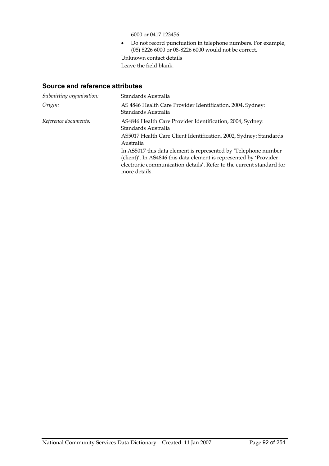6000 or 0417 123456.

• Do not record punctuation in telephone numbers. For example, (08) 8226 6000 or 08-8226 6000 would not be correct.

Unknown contact details Leave the field blank.

| Submitting organisation: | Standards Australia                                                                                                                                                                                                            |  |
|--------------------------|--------------------------------------------------------------------------------------------------------------------------------------------------------------------------------------------------------------------------------|--|
| Origin:                  | AS 4846 Health Care Provider Identification, 2004, Sydney:<br>Standards Australia                                                                                                                                              |  |
| Reference documents:     | AS4846 Health Care Provider Identification, 2004, Sydney:<br>Standards Australia                                                                                                                                               |  |
|                          | AS5017 Health Care Client Identification, 2002, Sydney: Standards<br>Australia                                                                                                                                                 |  |
|                          | In AS5017 this data element is represented by 'Telephone number<br>(client)'. In AS4846 this data element is represented by 'Provider<br>electronic communication details'. Refer to the current standard for<br>more details. |  |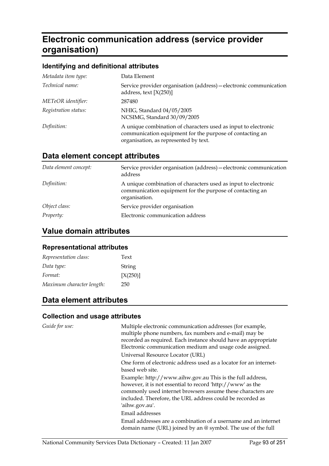# **Electronic communication address (service provider organisation)**

### **Identifying and definitional attributes**

| Metadata item type:  | Data Element                                                                                                                                                        |
|----------------------|---------------------------------------------------------------------------------------------------------------------------------------------------------------------|
| Technical name:      | Service provider organisation (address) - electronic communication<br>address, text $[X(250)]$                                                                      |
| METeOR identifier:   | 287480                                                                                                                                                              |
| Registration status: | NHIG, Standard 04/05/2005<br>NCSIMG, Standard 30/09/2005                                                                                                            |
| Definition:          | A unique combination of characters used as input to electronic<br>communication equipment for the purpose of contacting an<br>organisation, as represented by text. |

## **Data element concept attributes**

| Data element concept: | Service provider organisation (address) – electronic communication<br>address                                                               |
|-----------------------|---------------------------------------------------------------------------------------------------------------------------------------------|
| Definition:           | A unique combination of characters used as input to electronic<br>communication equipment for the purpose of contacting an<br>organisation. |
| Object class:         | Service provider organisation                                                                                                               |
| <i>Property:</i>      | Electronic communication address                                                                                                            |

## **Value domain attributes**

### **Representational attributes**

| Representation class:     | Text     |
|---------------------------|----------|
| Data type:                | String   |
| Format:                   | [X(250)] |
| Maximum character length: | 250      |

## **Data element attributes**

| Guide for use: | Multiple electronic communication addresses (for example,<br>multiple phone numbers, fax numbers and e-mail) may be<br>recorded as required. Each instance should have an appropriate<br>Electronic communication medium and usage code assigned.                     |
|----------------|-----------------------------------------------------------------------------------------------------------------------------------------------------------------------------------------------------------------------------------------------------------------------|
|                | Universal Resource Locator (URL)                                                                                                                                                                                                                                      |
|                | One form of electronic address used as a locator for an internet-<br>based web site.                                                                                                                                                                                  |
|                | Example: http://www.aihw.gov.au This is the full address,<br>however, it is not essential to record 'http://www' as the<br>commonly used internet browsers assume these characters are<br>included. Therefore, the URL address could be recorded as<br>'aihw.gov.au'. |
|                | Email addresses                                                                                                                                                                                                                                                       |
|                | Email addresses are a combination of a username and an internet<br>domain name (URL) joined by an $@$ symbol. The use of the full                                                                                                                                     |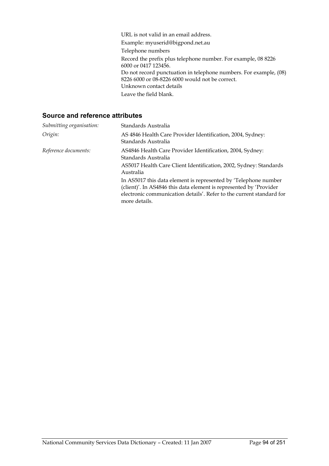URL is not valid in an email address. Example: myuserid@bigpond.net.au Telephone numbers Record the prefix plus telephone number. For example, 08 8226 6000 or 0417 123456. Do not record punctuation in telephone numbers. For example, (08) 8226 6000 or 08-8226 6000 would not be correct. Unknown contact details Leave the field blank.

| Submitting organisation: | Standards Australia                                                                                                                                                                                                            |  |
|--------------------------|--------------------------------------------------------------------------------------------------------------------------------------------------------------------------------------------------------------------------------|--|
| Origin:                  | AS 4846 Health Care Provider Identification, 2004, Sydney:<br>Standards Australia                                                                                                                                              |  |
| Reference documents:     | AS4846 Health Care Provider Identification, 2004, Sydney:<br>Standards Australia                                                                                                                                               |  |
|                          | AS5017 Health Care Client Identification, 2002, Sydney: Standards<br>Australia                                                                                                                                                 |  |
|                          | In AS5017 this data element is represented by 'Telephone number<br>(client)'. In AS4846 this data element is represented by 'Provider<br>electronic communication details'. Refer to the current standard for<br>more details. |  |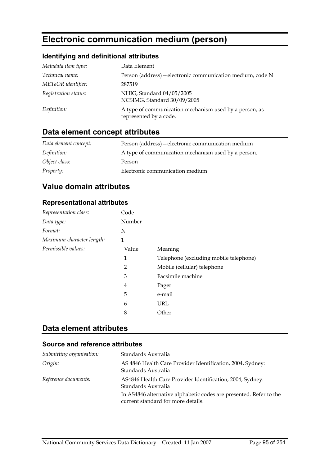# **Electronic communication medium (person)**

## **Identifying and definitional attributes**

| Metadata item type:  | Data Element                                                                     |
|----------------------|----------------------------------------------------------------------------------|
| Technical name:      | Person (address) - electronic communication medium, code N                       |
| METeOR identifier:   | 287519                                                                           |
| Registration status: | NHIG, Standard 04/05/2005<br>NCSIMG, Standard 30/09/2005                         |
| Definition:          | A type of communication mechanism used by a person, as<br>represented by a code. |

## **Data element concept attributes**

| Data element concept: | Person (address) — electronic communication medium  |
|-----------------------|-----------------------------------------------------|
| Definition:           | A type of communication mechanism used by a person. |
| Object class:         | Person                                              |
| <i>Property:</i>      | Electronic communication medium                     |

## **Value domain attributes**

### **Representational attributes**

| Representation class:     | Code   |                                        |
|---------------------------|--------|----------------------------------------|
| Data type:                | Number |                                        |
| Format:                   | N      |                                        |
| Maximum character length: | 1      |                                        |
| Permissible values:       | Value  | Meaning                                |
|                           | 1      | Telephone (excluding mobile telephone) |
|                           | 2      | Mobile (cellular) telephone            |
|                           | 3      | Facsimile machine                      |
|                           | 4      | Pager                                  |
|                           | 5      | e-mail                                 |
|                           | 6      | URL                                    |
|                           | 8      | Other                                  |

## **Data element attributes**

| Submitting organisation: | Standards Australia                                                                                      |
|--------------------------|----------------------------------------------------------------------------------------------------------|
| Origin:                  | AS 4846 Health Care Provider Identification, 2004, Sydney:<br>Standards Australia                        |
| Reference documents:     | AS4846 Health Care Provider Identification, 2004, Sydney:<br>Standards Australia                         |
|                          | In AS4846 alternative alphabetic codes are presented. Refer to the<br>current standard for more details. |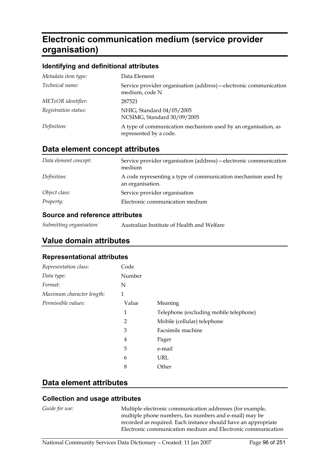# **Electronic communication medium (service provider organisation)**

#### **Identifying and definitional attributes**

| Metadata item type:  | Data Element                                                                            |
|----------------------|-----------------------------------------------------------------------------------------|
| Technical name:      | Service provider organisation (address) - electronic communication<br>medium, code N    |
| METeOR identifier:   | 287521                                                                                  |
| Registration status: | NHIG, Standard 04/05/2005<br>NCSIMG, Standard 30/09/2005                                |
| Definition:          | A type of communication mechanism used by an organisation, as<br>represented by a code. |

### **Data element concept attributes**

| Data element concept: | Service provider organisation (address) - electronic communication<br>medium      |
|-----------------------|-----------------------------------------------------------------------------------|
| Definition:           | A code representing a type of communication mechanism used by<br>an organisation. |
| Object class:         | Service provider organisation                                                     |
| <i>Property:</i>      | Electronic communication medium                                                   |

### **Source and reference attributes**

| Submitting organisation: | Australian Institute of Health and Welfare |
|--------------------------|--------------------------------------------|
|--------------------------|--------------------------------------------|

## **Value domain attributes**

#### **Representational attributes**

| Representation class:     | Code           |                                        |
|---------------------------|----------------|----------------------------------------|
| Data type:                | Number         |                                        |
| Format:                   | N              |                                        |
| Maximum character length: | 1              |                                        |
| Permissible values:       | Value          | Meaning                                |
|                           | 1              | Telephone (excluding mobile telephone) |
|                           | $\overline{2}$ | Mobile (cellular) telephone            |
|                           | 3              | Facsimile machine                      |
|                           | 4              | Pager                                  |
|                           | 5              | e-mail                                 |
|                           | 6              | URL                                    |
|                           | 8              | Other                                  |

### **Data element attributes**

#### **Collection and usage attributes**

*Guide for use:* Multiple electronic communication addresses (for example, multiple phone numbers, fax numbers and e-mail) may be recorded as required. Each instance should have an appropriate Electronic communication medium and Electronic communication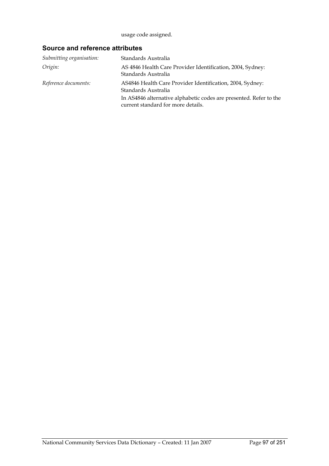usage code assigned.

| Submitting organisation: | Standards Australia                                                                                      |
|--------------------------|----------------------------------------------------------------------------------------------------------|
| Origin:                  | AS 4846 Health Care Provider Identification, 2004, Sydney:<br>Standards Australia                        |
| Reference documents:     | AS4846 Health Care Provider Identification, 2004, Sydney:<br>Standards Australia                         |
|                          | In AS4846 alternative alphabetic codes are presented. Refer to the<br>current standard for more details. |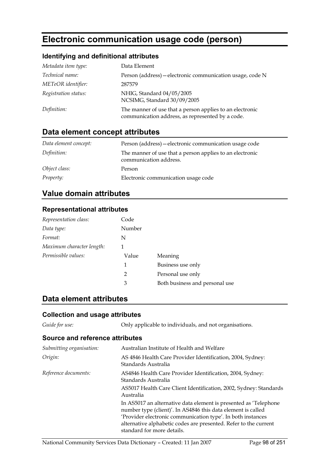# **Electronic communication usage code (person)**

### **Identifying and definitional attributes**

| Metadata item type:  | Data Element                                                                                                 |
|----------------------|--------------------------------------------------------------------------------------------------------------|
| Technical name:      | Person (address) – electronic communication usage, code N                                                    |
| METeOR identifier:   | 287579                                                                                                       |
| Registration status: | NHIG, Standard 04/05/2005<br>NCSIMG, Standard 30/09/2005                                                     |
| Definition:          | The manner of use that a person applies to an electronic<br>communication address, as represented by a code. |

## **Data element concept attributes**

| Data element concept: | Person (address) – electronic communication usage code                             |
|-----------------------|------------------------------------------------------------------------------------|
| Definition:           | The manner of use that a person applies to an electronic<br>communication address. |
| Object class:         | Person                                                                             |
| <i>Property:</i>      | Electronic communication usage code                                                |

## **Value domain attributes**

#### **Representational attributes**

| Representation class:     | Code   |                                |
|---------------------------|--------|--------------------------------|
| Data type:                | Number |                                |
| Format:                   | N      |                                |
| Maximum character length: | 1      |                                |
| Permissible values:       | Value  | Meaning                        |
|                           | 1      | Business use only              |
|                           | 2      | Personal use only              |
|                           | 3      | Both business and personal use |

## **Data element attributes**

### **Collection and usage attributes**

*Guide for use:* Only applicable to individuals, and not organisations.

| Submitting organisation: | Australian Institute of Health and Welfare                                                                                                                                                                                                                                                        |
|--------------------------|---------------------------------------------------------------------------------------------------------------------------------------------------------------------------------------------------------------------------------------------------------------------------------------------------|
| Origin:                  | AS 4846 Health Care Provider Identification, 2004, Sydney:<br>Standards Australia                                                                                                                                                                                                                 |
| Reference documents:     | AS4846 Health Care Provider Identification, 2004, Sydney:<br>Standards Australia                                                                                                                                                                                                                  |
|                          | AS5017 Health Care Client Identification, 2002, Sydney: Standards<br>Australia                                                                                                                                                                                                                    |
|                          | In AS5017 an alternative data element is presented as 'Telephone<br>number type (client)'. In AS4846 this data element is called<br>'Provider electronic communication type'. In both instances<br>alternative alphabetic codes are presented. Refer to the current<br>standard for more details. |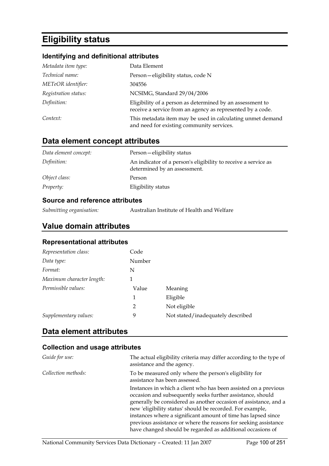# **Eligibility status**

### **Identifying and definitional attributes**

| Metadata item type:  | Data Element                                                                                                            |
|----------------------|-------------------------------------------------------------------------------------------------------------------------|
| Technical name:      | Person-eligibility status, code N                                                                                       |
| METeOR identifier:   | 304556                                                                                                                  |
| Registration status: | NCSIMG, Standard 29/04/2006                                                                                             |
| Definition:          | Eligibility of a person as determined by an assessment to<br>receive a service from an agency as represented by a code. |
| Context:             | This metadata item may be used in calculating unmet demand<br>and need for existing community services.                 |

## **Data element concept attributes**

| Data element concept: | Person-eligibility status                                                                      |
|-----------------------|------------------------------------------------------------------------------------------------|
| Definition:           | An indicator of a person's eligibility to receive a service as<br>determined by an assessment. |
| Object class:         | Person                                                                                         |
| <i>Property:</i>      | Eligibility status                                                                             |

### **Source and reference attributes**

## **Value domain attributes**

### **Representational attributes**

| Representation class:     | Code   |                                   |
|---------------------------|--------|-----------------------------------|
| Data type:                | Number |                                   |
| Format:                   | N      |                                   |
| Maximum character length: |        |                                   |
| Permissible values:       | Value  | Meaning                           |
|                           | 1      | Eligible                          |
|                           | 2      | Not eligible                      |
| Supplementary values:     | 9      | Not stated/inadequately described |

## **Data element attributes**

| Guide for use:      | The actual eligibility criteria may differ according to the type of<br>assistance and the agency.                                                                                                                                                                                                                                                                                                                                                                |
|---------------------|------------------------------------------------------------------------------------------------------------------------------------------------------------------------------------------------------------------------------------------------------------------------------------------------------------------------------------------------------------------------------------------------------------------------------------------------------------------|
| Collection methods: | To be measured only where the person's eligibility for<br>assistance has been assessed.                                                                                                                                                                                                                                                                                                                                                                          |
|                     | Instances in which a client who has been assisted on a previous<br>occasion and subsequently seeks further assistance, should<br>generally be considered as another occasion of assistance, and a<br>new 'eligibility status' should be recorded. For example,<br>instances where a significant amount of time has lapsed since<br>previous assistance or where the reasons for seeking assistance<br>have changed should be regarded as additional occasions of |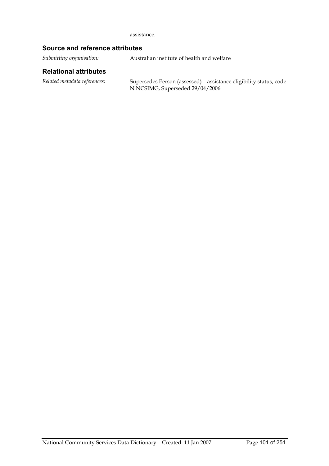assistance.

### **Source and reference attributes**

*Submitting organisation:* Australian institute of health and welfare

#### **Relational attributes**

*Related metadata references:* Supersedes Person (assessed)—assistance eligibility status, code N NCSIMG, Superseded 29/04/2006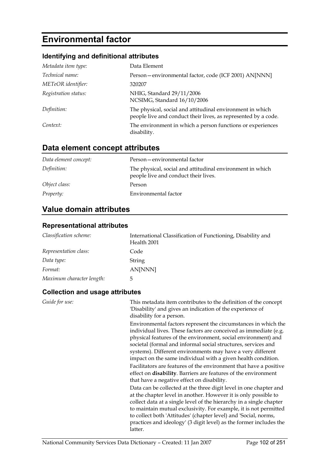# **Environmental factor**

## **Identifying and definitional attributes**

| Metadata item type:  | Data Element                                                                                                                |
|----------------------|-----------------------------------------------------------------------------------------------------------------------------|
| Technical name:      | Person-environmental factor, code (ICF 2001) AN[NNN]                                                                        |
| METeOR identifier:   | 320207                                                                                                                      |
| Registration status: | NHIG, Standard 29/11/2006<br>NCSIMG, Standard 16/10/2006                                                                    |
| Definition:          | The physical, social and attitudinal environment in which<br>people live and conduct their lives, as represented by a code. |
| Context:             | The environment in which a person functions or experiences<br>disability.                                                   |

## **Data element concept attributes**

| Data element concept: | Person-environmental factor                                                                       |
|-----------------------|---------------------------------------------------------------------------------------------------|
| Definition:           | The physical, social and attitudinal environment in which<br>people live and conduct their lives. |
| Object class:         | Person                                                                                            |
| <i>Property:</i>      | Environmental factor                                                                              |

## **Value domain attributes**

### **Representational attributes**

| Classification scheme:    | International Classification of Functioning, Disability and<br>Health 2001 |
|---------------------------|----------------------------------------------------------------------------|
| Representation class:     | Code                                                                       |
| Data type:                | String                                                                     |
| Format:                   | AN[NNN]                                                                    |
| Maximum character length: | ხ                                                                          |

| Guide for use: | This metadata item contributes to the definition of the concept<br>'Disability' and gives an indication of the experience of<br>disability for a person.                                                                                                                                                                                                                                                                                                                |
|----------------|-------------------------------------------------------------------------------------------------------------------------------------------------------------------------------------------------------------------------------------------------------------------------------------------------------------------------------------------------------------------------------------------------------------------------------------------------------------------------|
|                | Environmental factors represent the circumstances in which the<br>individual lives. These factors are conceived as immediate (e.g.<br>physical features of the environment, social environment) and<br>societal (formal and informal social structures, services and<br>systems). Different environments may have a very different<br>impact on the same individual with a given health condition.<br>Facilitators are features of the environment that have a positive |
|                | effect on <b>disability</b> . Barriers are features of the environment<br>that have a negative effect on disability.                                                                                                                                                                                                                                                                                                                                                    |
|                | Data can be collected at the three digit level in one chapter and<br>at the chapter level in another. However it is only possible to<br>collect data at a single level of the hierarchy in a single chapter<br>to maintain mutual exclusivity. For example, it is not permitted<br>to collect both 'Attitudes' (chapter level) and 'Social, norms,<br>practices and ideology' (3 digit level) as the former includes the<br>latter.                                     |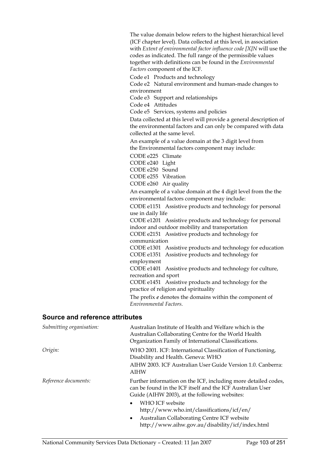The value domain below refers to the highest hierarchical level (ICF chapter level). Data collected at this level, in association with *Extent of environmental factor influence code [X]N* will use the codes as indicated. The full range of the permissible values together with definitions can be found in the *Environmental Factors* component of the ICF.

Code e1 Products and technology

Code e2 Natural environment and human-made changes to environment

Code e3 Support and relationships

Code e4 Attitudes

Code e5 Services, systems and policies

Data collected at this level will provide a general description of the environmental factors and can only be compared with data collected at the same level.

An example of a value domain at the 3 digit level from the Environmental factors component may include:

CODE e225 Climate

CODE e240 Light

CODE e250 Sound

CODE e255 Vibration

CODE e260 Air quality

An example of a value domain at the 4 digit level from the the environmental factors component may include:

CODE e1151 Assistive products and technology for personal use in daily life

CODE e1201 Assistive products and technology for personal indoor and outdoor mobility and transportation

CODE e2151 Assistive products and technology for communication

CODE e1301 Assistive products and technology for education CODE e1351 Assistive products and technology for employment

CODE e1401 Assistive products and technology for culture, recreation and sport

CODE e1451 Assistive products and technology for the practice of religion and spirituality

The prefix *e* denotes the domains within the component of *Environmental Factors*.

http://www.aihw.gov.au/disability/icf/index.html

| Submitting organisation: | Australian Institute of Health and Welfare which is the<br>Australian Collaborating Centre for the World Health<br>Organization Family of International Classifications.      |
|--------------------------|-------------------------------------------------------------------------------------------------------------------------------------------------------------------------------|
| Origin:                  | WHO 2001. ICF: International Classification of Functioning,<br>Disability and Health. Geneva: WHO                                                                             |
|                          | AIHW 2003. ICF Australian User Guide Version 1.0. Canberra:<br><b>AIHW</b>                                                                                                    |
| Reference documents:     | Further information on the ICF, including more detailed codes,<br>can be found in the ICF itself and the ICF Australian User<br>Guide (AIHW 2003), at the following websites: |
|                          | WHO ICF website<br>$\bullet$<br>http://www.who.int/classifications/icf/en/                                                                                                    |
|                          | Australian Collaborating Centre ICF website<br>$\bullet$                                                                                                                      |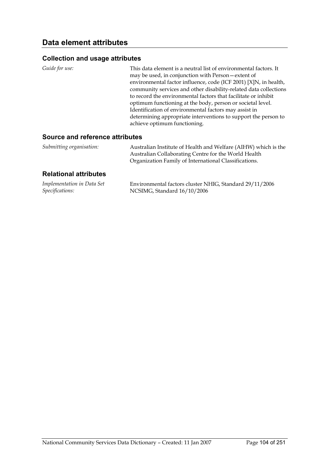### **Collection and usage attributes**

| <i>Guide for use:</i> | This data element is a neutral list of environmental factors. It<br>may be used, in conjunction with Person-extent of<br>environmental factor influence, code (ICF 2001) [X]N, in health,<br>community services and other disability-related data collections<br>to record the environmental factors that facilitate or inhibit |
|-----------------------|---------------------------------------------------------------------------------------------------------------------------------------------------------------------------------------------------------------------------------------------------------------------------------------------------------------------------------|
|                       | optimum functioning at the body, person or societal level.<br>Identification of environmental factors may assist in<br>determining appropriate interventions to support the person to<br>achieve optimum functioning.                                                                                                           |

#### **Source and reference attributes**

| Submitting organisation: | Australian Institute of Health and Welfare (AIHW) which is the |
|--------------------------|----------------------------------------------------------------|
|                          | Australian Collaborating Centre for the World Health           |
|                          | Organization Family of International Classifications.          |

### **Relational attributes**

| Implementation in Data Set | Environmental factors cluster NHIG, Standard 29/11/2006 |
|----------------------------|---------------------------------------------------------|
| Specifications:            | NCSIMG, Standard 16/10/2006                             |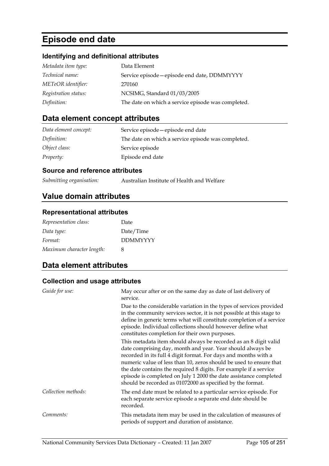# **Episode end date**

### **Identifying and definitional attributes**

| Metadata item type:  | Data Element                                       |
|----------------------|----------------------------------------------------|
| Technical name:      | Service episode - episode end date, DDMMYYYY       |
| METeOR identifier:   | 270160                                             |
| Registration status: | NCSIMG, Standard 01/03/2005                        |
| Definition:          | The date on which a service episode was completed. |

## **Data element concept attributes**

| Data element concept: | Service episode – episode end date                 |
|-----------------------|----------------------------------------------------|
| Definition:           | The date on which a service episode was completed. |
| Object class:         | Service episode                                    |
| Property:             | Episode end date                                   |

### **Source and reference attributes**

## **Value domain attributes**

### **Representational attributes**

| Representation class:     | Date            |
|---------------------------|-----------------|
| Data type:                | Date/Time       |
| Format:                   | <b>DDMMYYYY</b> |
| Maximum character length: | x               |

## **Data element attributes**

| Guide for use:      | May occur after or on the same day as date of last delivery of<br>service.                                                                                                                                                                                                                                                                                                                                                                                                      |
|---------------------|---------------------------------------------------------------------------------------------------------------------------------------------------------------------------------------------------------------------------------------------------------------------------------------------------------------------------------------------------------------------------------------------------------------------------------------------------------------------------------|
|                     | Due to the considerable variation in the types of services provided<br>in the community services sector, it is not possible at this stage to<br>define in generic terms what will constitute completion of a service<br>episode. Individual collections should however define what<br>constitutes completion for their own purposes.                                                                                                                                            |
|                     | This metadata item should always be recorded as an 8 digit valid<br>date comprising day, month and year. Year should always be<br>recorded in its full 4 digit format. For days and months with a<br>numeric value of less than 10, zeros should be used to ensure that<br>the date contains the required 8 digits. For example if a service<br>episode is completed on July 1 2000 the date assistance completed<br>should be recorded as 01072000 as specified by the format. |
| Collection methods: | The end date must be related to a particular service episode. For<br>each separate service episode a separate end date should be<br>recorded.                                                                                                                                                                                                                                                                                                                                   |
| Comments:           | This metadata item may be used in the calculation of measures of<br>periods of support and duration of assistance.                                                                                                                                                                                                                                                                                                                                                              |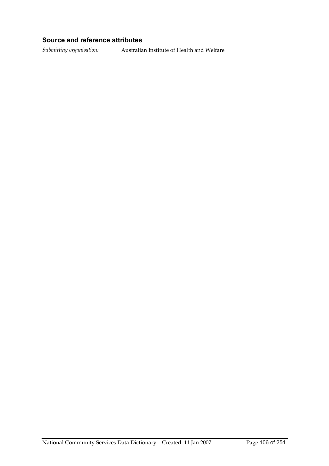### **Source and reference attributes**

*Submitting organisation:* Australian Institute of Health and Welfare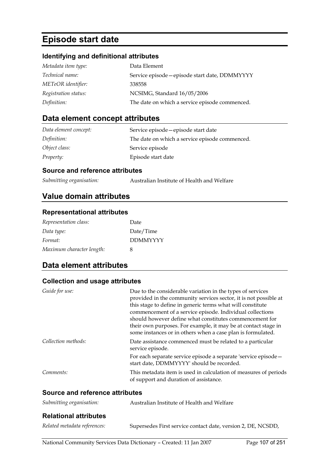# **Episode start date**

### **Identifying and definitional attributes**

| Metadata item type:  | Data Element                                   |
|----------------------|------------------------------------------------|
| Technical name:      | Service episode - episode start date, DDMMYYYY |
| METeOR identifier:   | 338558                                         |
| Registration status: | NCSIMG, Standard 16/05/2006                    |
| Definition:          | The date on which a service episode commenced. |

## **Data element concept attributes**

| Data element concept: | Service episode - episode start date           |
|-----------------------|------------------------------------------------|
| Definition:           | The date on which a service episode commenced. |
| Object class:         | Service episode                                |
| <i>Property:</i>      | Episode start date                             |

### **Source and reference attributes**

| Submitting organisation: | Australian Institute of Health and Welfare |
|--------------------------|--------------------------------------------|
|--------------------------|--------------------------------------------|

## **Value domain attributes**

### **Representational attributes**

| Representation class:     | Date            |
|---------------------------|-----------------|
| Data type:                | Date/Time       |
| Format:                   | <b>DDMMYYYY</b> |
| Maximum character length: | 8               |

## **Data element attributes**

### **Collection and usage attributes**

| Guide for use:                  | Due to the considerable variation in the types of services<br>provided in the community services sector, it is not possible at<br>this stage to define in generic terms what will constitute<br>commencement of a service episode. Individual collections<br>should however define what constitutes commencement for<br>their own purposes. For example, it may be at contact stage in<br>some instances or in others when a case plan is formulated. |
|---------------------------------|-------------------------------------------------------------------------------------------------------------------------------------------------------------------------------------------------------------------------------------------------------------------------------------------------------------------------------------------------------------------------------------------------------------------------------------------------------|
| Collection methods:             | Date assistance commenced must be related to a particular<br>service episode.                                                                                                                                                                                                                                                                                                                                                                         |
|                                 | For each separate service episode a separate 'service episode-<br>start date, DDMMYYYY' should be recorded.                                                                                                                                                                                                                                                                                                                                           |
| Comments:                       | This metadata item is used in calculation of measures of periods<br>of support and duration of assistance.                                                                                                                                                                                                                                                                                                                                            |
| Source and reference attributes |                                                                                                                                                                                                                                                                                                                                                                                                                                                       |
| Submitting organisation:        | Australian Institute of Health and Welfare                                                                                                                                                                                                                                                                                                                                                                                                            |

#### **Relational attributes**

| Related metadata references: | Supersedes First service contact date, version 2, DE, NCSDD, |
|------------------------------|--------------------------------------------------------------|
|------------------------------|--------------------------------------------------------------|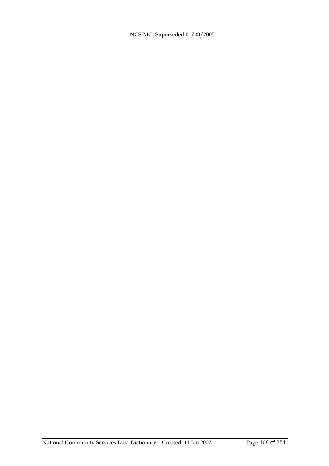NCSIMG, Superseded 01/03/2005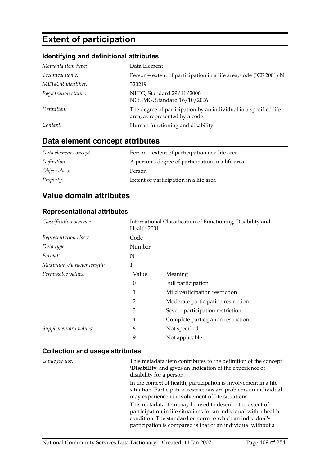# **Extent of participation**

# **Identifying and definitional attributes**

| Metadata item type:  | Data Element                                                                                        |
|----------------------|-----------------------------------------------------------------------------------------------------|
| Technical name:      | Person-extent of participation in a life area, code (ICF 2001) N                                    |
| METeOR identifier:   | 320219                                                                                              |
| Registration status: | NHIG, Standard 29/11/2006<br>NCSIMG, Standard 16/10/2006                                            |
| Definition:          | The degree of participation by an individual in a specified life<br>area, as represented by a code. |
| Context:             | Human functioning and disability                                                                    |

# **Data element concept attributes**

| Data element concept: | Person—extent of participation in a life area      |
|-----------------------|----------------------------------------------------|
| Definition:           | A person's degree of participation in a life area. |
| Object class:         | Person                                             |
| Property:             | Extent of participation in a life area             |

# **Value domain attributes**

#### **Representational attributes**

| Classification scheme:    | Health 2001    | International Classification of Functioning, Disability and |
|---------------------------|----------------|-------------------------------------------------------------|
| Representation class:     | Code           |                                                             |
| Data type:                | Number         |                                                             |
| Format:                   | N              |                                                             |
| Maximum character length: | 1              |                                                             |
| Permissible values:       | Value          | Meaning                                                     |
|                           | $\theta$       | Full participation                                          |
|                           | 1              | Mild participation restriction                              |
|                           | $\overline{2}$ | Moderate participation restriction                          |
|                           | 3              | Severe participation restriction                            |
|                           | 4              | Complete participation restriction                          |
| Supplementary values:     | 8              | Not specified                                               |
|                           | 9              | Not applicable                                              |

| Guide for use: | This metadata item contributes to the definition of the concept<br>'Disability' and gives an indication of the experience of<br>disability for a person.                                                                                                 |
|----------------|----------------------------------------------------------------------------------------------------------------------------------------------------------------------------------------------------------------------------------------------------------|
|                | In the context of health, participation is involvement in a life<br>situation. Participation restrictions are problems an individual<br>may experience in involvement of life situations.                                                                |
|                | This metadata item may be used to describe the extent of<br>participation in life situations for an individual with a health<br>condition. The standard or norm to which an individual's<br>participation is compared is that of an individual without a |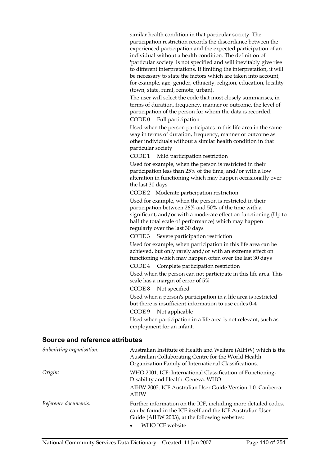similar health condition in that particular society. The participation restriction records the discordance between the experienced participation and the expected participation of an individual without a health condition. The definition of 'particular society' is not specified and will inevitably give rise to different interpretations. If limiting the interpretation, it will be necessary to state the factors which are taken into account, for example, age, gender, ethnicity, religion, education, locality (town, state, rural, remote, urban).

The user will select the code that most closely summarises, in terms of duration, frequency, manner or outcome, the level of participation of the person for whom the data is recorded.

CODE 0 Full participation

Used when the person participates in this life area in the same way in terms of duration, frequency, manner or outcome as other individuals without a similar health condition in that particular society

CODE 1 Mild participation restriction

Used for example, when the person is restricted in their participation less than 25% of the time, and/or with a low alteration in functioning which may happen occasionally over the last 30 days

CODE 2 Moderate participation restriction

Used for example, when the person is restricted in their participation between 26% and 50% of the time with a significant, and/or with a moderate effect on functioning (Up to half the total scale of performance) which may happen regularly over the last 30 days

CODE 3 Severe participation restriction

Used for example, when participation in this life area can be achieved, but only rarely and/or with an extreme effect on functioning which may happen often over the last 30 days

CODE 4 Complete participation restriction

Used when the person can not participate in this life area. This scale has a margin of error of 5%

CODE 8 Not specified

Used when a person's participation in a life area is restricted but there is insufficient information to use codes 0-4

CODE 9 Not applicable

Used when participation in a life area is not relevant, such as employment for an infant.

#### **Source and reference attributes**

| Submitting organisation: | Australian Institute of Health and Welfare (AIHW) which is the<br>Australian Collaborating Centre for the World Health<br>Organization Family of International Classifications.                  |
|--------------------------|--------------------------------------------------------------------------------------------------------------------------------------------------------------------------------------------------|
| Origin:                  | WHO 2001. ICF: International Classification of Functioning,<br>Disability and Health. Geneva: WHO<br>AIHW 2003. ICF Australian User Guide Version 1.0. Canberra:<br><b>AIHW</b>                  |
| Reference documents:     | Further information on the ICF, including more detailed codes,<br>can be found in the ICF itself and the ICF Australian User<br>Guide (AIHW 2003), at the following websites:<br>WHO ICF website |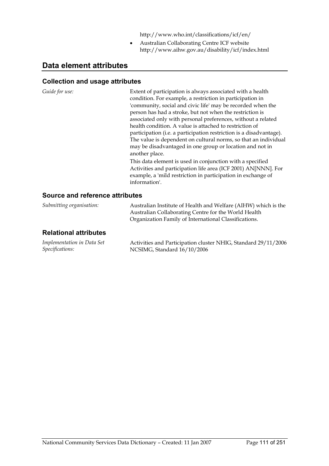http://www.who.int/classifications/icf/en/

• Australian Collaborating Centre ICF website http://www.aihw.gov.au/disability/icf/index.html

# **Data element attributes**

| Guide for use:                  | Extent of participation is always associated with a health<br>condition. For example, a restriction in participation in<br>'community, social and civic life' may be recorded when the<br>person has had a stroke, but not when the restriction is<br>associated only with personal preferences, without a related<br>health condition. A value is attached to restriction of<br>participation (i.e. a participation restriction is a disadvantage).<br>The value is dependent on cultural norms, so that an individual<br>may be disadvantaged in one group or location and not in<br>another place.<br>This data element is used in conjunction with a specified<br>Activities and participation life area (ICF 2001) AN[NNN]. For<br>example, a 'mild restriction in participation in exchange of<br>information'. |
|---------------------------------|-----------------------------------------------------------------------------------------------------------------------------------------------------------------------------------------------------------------------------------------------------------------------------------------------------------------------------------------------------------------------------------------------------------------------------------------------------------------------------------------------------------------------------------------------------------------------------------------------------------------------------------------------------------------------------------------------------------------------------------------------------------------------------------------------------------------------|
| Source and reference attributes |                                                                                                                                                                                                                                                                                                                                                                                                                                                                                                                                                                                                                                                                                                                                                                                                                       |
| Submitting organisation:        | Australian Institute of Health and Welfare (AIHW) which is the                                                                                                                                                                                                                                                                                                                                                                                                                                                                                                                                                                                                                                                                                                                                                        |

| $\sim$ and the central $\sim$ $\sim$ $\sim$ $\sim$   | t idditional motivale of Ficalification Wellard (Tim FW) which is the<br>Australian Collaborating Centre for the World Health<br>Organization Family of International Classifications. |
|------------------------------------------------------|----------------------------------------------------------------------------------------------------------------------------------------------------------------------------------------|
| <b>Relational attributes</b>                         |                                                                                                                                                                                        |
| Implementation in Data Set<br><i>Specifications:</i> | Activities and Participation cluster NHIG, Standard 29/11/2006<br>NCSIMG, Standard 16/10/2006                                                                                          |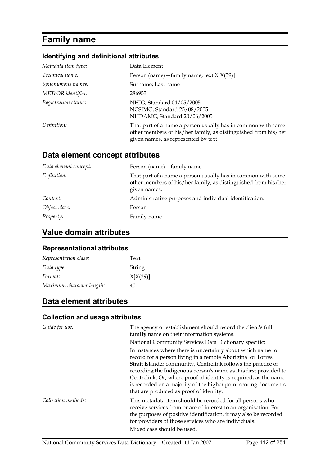# **Family name**

## **Identifying and definitional attributes**

| Metadata item type:  | Data Element                                                                                                                                                           |
|----------------------|------------------------------------------------------------------------------------------------------------------------------------------------------------------------|
| Technical name:      | Person (name) - family name, text $X[X(39)]$                                                                                                                           |
| Synonymous names:    | Surname; Last name                                                                                                                                                     |
| METeOR identifier:   | 286953                                                                                                                                                                 |
| Registration status: | NHIG, Standard 04/05/2005<br>NCSIMG, Standard 25/08/2005<br>NHDAMG, Standard 20/06/2005                                                                                |
| Definition:          | That part of a name a person usually has in common with some<br>other members of his/her family, as distinguished from his/her<br>given names, as represented by text. |

# **Data element concept attributes**

| Data element concept: | Person (name) - family name                                                                                                                    |
|-----------------------|------------------------------------------------------------------------------------------------------------------------------------------------|
| Definition:           | That part of a name a person usually has in common with some<br>other members of his/her family, as distinguished from his/her<br>given names. |
| Context:              | Administrative purposes and individual identification.                                                                                         |
| Object class:         | Person                                                                                                                                         |
| Property:             | Family name                                                                                                                                    |

# **Value domain attributes**

#### **Representational attributes**

| Representation class:     | Text     |
|---------------------------|----------|
| Data type:                | String   |
| Format:                   | X[X(39)] |
| Maximum character length: | 40       |

# **Data element attributes**

| Guide for use:      | The agency or establishment should record the client's full<br>family name on their information systems.                                                                                                                                                                                                                                                                                                                                           |
|---------------------|----------------------------------------------------------------------------------------------------------------------------------------------------------------------------------------------------------------------------------------------------------------------------------------------------------------------------------------------------------------------------------------------------------------------------------------------------|
|                     | National Community Services Data Dictionary specific:                                                                                                                                                                                                                                                                                                                                                                                              |
|                     | In instances where there is uncertainty about which name to<br>record for a person living in a remote Aboriginal or Torres<br>Strait Islander community, Centrelink follows the practice of<br>recording the Indigenous person's name as it is first provided to<br>Centrelink. Or, where proof of identity is required, as the name<br>is recorded on a majority of the higher point scoring documents<br>that are produced as proof of identity. |
| Collection methods: | This metadata item should be recorded for all persons who<br>receive services from or are of interest to an organisation. For<br>the purposes of positive identification, it may also be recorded<br>for providers of those services who are individuals.<br>Mixed case should be used.                                                                                                                                                            |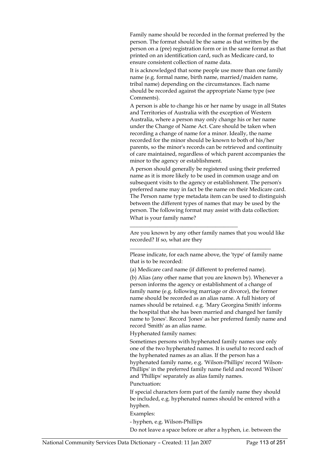Family name should be recorded in the format preferred by the person. The format should be the same as that written by the person on a (pre) registration form or in the same format as that printed on an identification card, such as Medicare card, to ensure consistent collection of name data.

It is acknowledged that some people use more than one family name (e.g. formal name, birth name, married/maiden name, tribal name) depending on the circumstances. Each name should be recorded against the appropriate Name type (see Comments).

A person is able to change his or her name by usage in all States and Territories of Australia with the exception of Western Australia, where a person may only change his or her name under the Change of Name Act. Care should be taken when recording a change of name for a minor. Ideally, the name recorded for the minor should be known to both of his/her parents, so the minor's records can be retrieved and continuity of care maintained, regardless of which parent accompanies the minor to the agency or establishment.

A person should generally be registered using their preferred name as it is more likely to be used in common usage and on subsequent visits to the agency or establishment. The person's preferred name may in fact be the name on their Medicare card. The Person name type metadata item can be used to distinguish between the different types of names that may be used by the person. The following format may assist with data collection: What is your family name?

Are you known by any other family names that you would like recorded? If so, what are they

Please indicate, for each name above, the 'type' of family name that is to be recorded:

\_\_\_\_\_\_\_\_\_\_\_\_\_\_\_\_\_\_\_\_\_\_\_\_\_\_\_\_\_\_\_\_\_\_\_\_\_\_\_\_\_\_\_\_\_\_\_\_\_\_\_

(a) Medicare card name (if different to preferred name).

\_\_\_\_\_\_\_\_\_\_\_\_\_\_\_\_\_\_\_\_\_\_\_\_\_\_\_\_\_\_\_\_\_\_\_\_\_\_\_

(b) Alias (any other name that you are known by). Whenever a person informs the agency or establishment of a change of family name (e.g. following marriage or divorce), the former name should be recorded as an alias name. A full history of names should be retained. e.g. 'Mary Georgina Smith' informs the hospital that she has been married and changed her family name to 'Jones'. Record 'Jones' as her preferred family name and record 'Smith' as an alias name.

Hyphenated family names:

Sometimes persons with hyphenated family names use only one of the two hyphenated names. It is useful to record each of the hyphenated names as an alias. If the person has a hyphenated family name, e.g. 'Wilson-Phillips' record 'Wilson-Phillips' in the preferred family name field and record 'Wilson' and 'Phillips' separately as alias family names.

Punctuation:

If special characters form part of the family name they should be included, e.g. hyphenated names should be entered with a hyphen.

#### Examples:

- hyphen, e.g. Wilson-Phillips

Do not leave a space before or after a hyphen, i.e. between the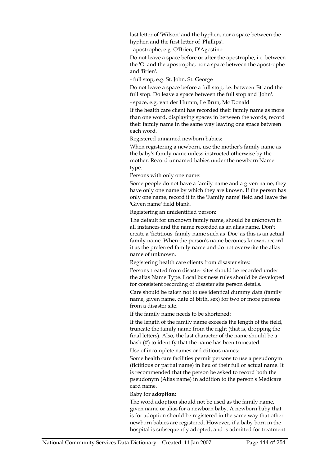last letter of 'Wilson' and the hyphen, nor a space between the hyphen and the first letter of 'Phillips'.

- apostrophe, e.g. O'Brien, D'Agostino

Do not leave a space before or after the apostrophe, i.e. between the 'O' and the apostrophe, nor a space between the apostrophe and 'Brien'.

- full stop, e.g. St. John, St. George

Do not leave a space before a full stop, i.e. between 'St' and the full stop. Do leave a space between the full stop and 'John'.

- space, e.g. van der Humm, Le Brun, Mc Donald

If the health care client has recorded their family name as more than one word, displaying spaces in between the words, record their family name in the same way leaving one space between each word.

Registered unnamed newborn babies:

When registering a newborn, use the mother's family name as the baby's family name unless instructed otherwise by the mother. Record unnamed babies under the newborn Name type.

Persons with only one name:

Some people do not have a family name and a given name, they have only one name by which they are known. If the person has only one name, record it in the 'Family name' field and leave the 'Given name' field blank.

Registering an unidentified person:

The default for unknown family name, should be unknown in all instances and the name recorded as an alias name. Don't create a 'fictitious' family name such as 'Doe' as this is an actual family name. When the person's name becomes known, record it as the preferred family name and do not overwrite the alias name of unknown.

Registering health care clients from disaster sites:

Persons treated from disaster sites should be recorded under the alias Name Type. Local business rules should be developed for consistent recording of disaster site person details.

Care should be taken not to use identical dummy data (family name, given name, date of birth, sex) for two or more persons from a disaster site.

If the family name needs to be shortened:

If the length of the family name exceeds the length of the field, truncate the family name from the right (that is, dropping the final letters). Also, the last character of the name should be a hash (#) to identify that the name has been truncated.

Use of incomplete names or fictitious names:

Some health care facilities permit persons to use a pseudonym (fictitious or partial name) in lieu of their full or actual name. It is recommended that the person be asked to record both the pseudonym (Alias name) in addition to the person's Medicare card name.

#### Baby for **adoption**:

The word adoption should not be used as the family name, given name or alias for a newborn baby. A newborn baby that is for adoption should be registered in the same way that other newborn babies are registered. However, if a baby born in the hospital is subsequently adopted, and is admitted for treatment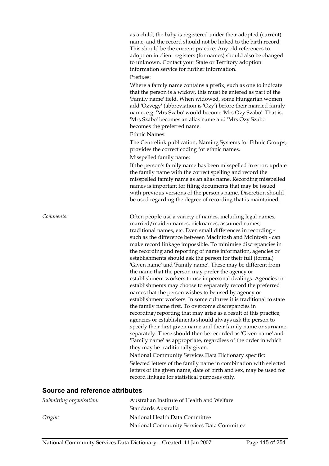as a child, the baby is registered under their adopted (current) name, and the record should not be linked to the birth record. This should be the current practice. Any old references to adoption in client registers (for names) should also be changed to unknown. Contact your State or Territory adoption information service for further information.

#### Prefixes:

Where a family name contains a prefix, such as one to indicate that the person is a widow, this must be entered as part of the 'Family name' field. When widowed, some Hungarian women add 'Ozvegy' (abbreviation is 'Ozy') before their married family name, e.g. 'Mrs Szabo' would become 'Mrs Ozy Szabo'. That is, 'Mrs Szabo' becomes an alias name and 'Mrs Ozy Szabo' becomes the preferred name.

#### Ethnic Names:

The Centrelink publication, Naming Systems for Ethnic Groups, provides the correct coding for ethnic names. Misspelled family name:

If the person's family name has been misspelled in error, update the family name with the correct spelling and record the misspelled family name as an alias name. Recording misspelled names is important for filing documents that may be issued with previous versions of the person's name. Discretion should be used regarding the degree of recording that is maintained.

*Comments:* Often people use a variety of names, including legal names, married/maiden names, nicknames, assumed names, traditional names, etc. Even small differences in recording such as the difference between MacIntosh and McIntosh - can make record linkage impossible. To minimise discrepancies in the recording and reporting of name information, agencies or establishments should ask the person for their full (formal) 'Given name' and 'Family name'. These may be different from the name that the person may prefer the agency or establishment workers to use in personal dealings. Agencies or establishments may choose to separately record the preferred names that the person wishes to be used by agency or establishment workers. In some cultures it is traditional to state the family name first. To overcome discrepancies in recording/reporting that may arise as a result of this practice, agencies or establishments should always ask the person to specify their first given name and their family name or surname separately. These should then be recorded as 'Given name' and 'Family name' as appropriate, regardless of the order in which they may be traditionally given. National Community Services Data Dictionary specific:

Selected letters of the family name in combination with selected letters of the given name, date of birth and sex, may be used for record linkage for statistical purposes only.

#### **Source and reference attributes**

| Submitting organisation: | Australian Institute of Health and Welfare |
|--------------------------|--------------------------------------------|
|                          | Standards Australia                        |
| Origin:                  | National Health Data Committee             |
|                          | National Community Services Data Committee |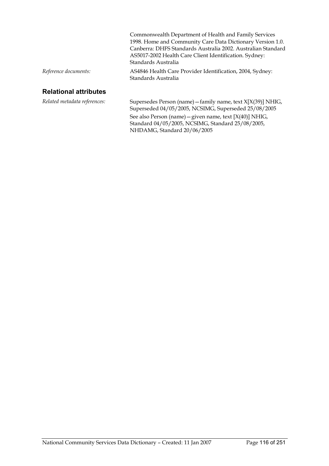|                      | Commonwealth Department of Health and Family Services                            |
|----------------------|----------------------------------------------------------------------------------|
|                      | 1998. Home and Community Care Data Dictionary Version 1.0.                       |
|                      | Canberra: DHFS Standards Australia 2002. Australian Standard                     |
|                      | AS5017-2002 Health Care Client Identification. Sydney:                           |
|                      | Standards Australia                                                              |
| Reference documents: | AS4846 Health Care Provider Identification, 2004, Sydney:<br>Standards Australia |
|                      |                                                                                  |

# **Relational attributes**

| Related metadata references: | Supersedes Person (name) $-$ family name, text $X[X(39)]$ NHIG,<br>Superseded 04/05/2005, NCSIMG, Superseded 25/08/2005 |
|------------------------------|-------------------------------------------------------------------------------------------------------------------------|
|                              | See also Person (name) – given name, text $[X(40)]$ NHIG,                                                               |
|                              | Standard 04/05/2005, NCSIMG, Standard 25/08/2005,<br>NHDAMG, Standard 20/06/2005                                        |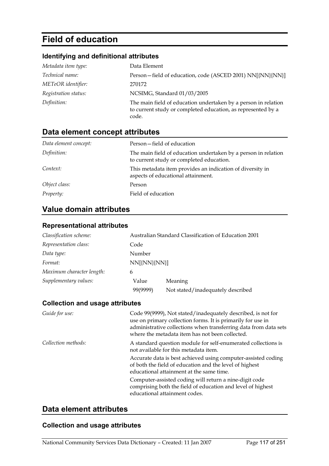# **Field of education**

### **Identifying and definitional attributes**

| Metadata item type:    | Data Element                                                                                                                            |
|------------------------|-----------------------------------------------------------------------------------------------------------------------------------------|
| <i>Technical name:</i> | Person-field of education, code (ASCED 2001) NN[{NN}{NN}]                                                                               |
| METeOR identifier:     | 270172                                                                                                                                  |
| Registration status:   | NCSIMG, Standard 01/03/2005                                                                                                             |
| Definition:            | The main field of education undertaken by a person in relation<br>to current study or completed education, as represented by a<br>code. |

# **Data element concept attributes**

| Data element concept: | Person-field of education                                                                                  |
|-----------------------|------------------------------------------------------------------------------------------------------------|
| Definition:           | The main field of education undertaken by a person in relation<br>to current study or completed education. |
| Context:              | This metadata item provides an indication of diversity in<br>aspects of educational attainment.            |
| Object class:         | Person                                                                                                     |
| Property:             | Field of education                                                                                         |

# **Value domain attributes**

# **Representational attributes**

| Classification scheme:    |              | Australian Standard Classification of Education 2001 |
|---------------------------|--------------|------------------------------------------------------|
| Representation class:     | Code         |                                                      |
| Data type:                | Number       |                                                      |
| Format:                   | NN[{NN}{NN}] |                                                      |
| Maximum character length: | 6            |                                                      |
| Supplementary values:     | Value        | Meaning                                              |
|                           | 99(9999)     | Not stated/inadequately described                    |

#### **Collection and usage attributes**

| Guide for use:      | Code 99(9999), Not stated/inadequately described, is not for<br>use on primary collection forms. It is primarily for use in<br>administrative collections when transferring data from data sets<br>where the metadata item has not been collected. |
|---------------------|----------------------------------------------------------------------------------------------------------------------------------------------------------------------------------------------------------------------------------------------------|
| Collection methods: | A standard question module for self-enumerated collections is<br>not available for this metadata item.                                                                                                                                             |
|                     | Accurate data is best achieved using computer-assisted coding<br>of both the field of education and the level of highest<br>educational attainment at the same time.                                                                               |
|                     | Computer-assisted coding will return a nine-digit code<br>comprising both the field of education and level of highest<br>educational attainment codes.                                                                                             |

### **Data element attributes**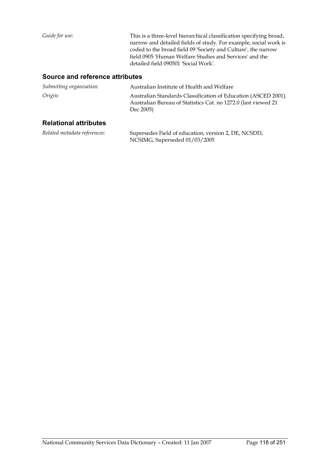*Guide for use:* This is a three-level hierarchical classification specifying broad, narrow and detailed fields of study. For example, social work is coded to the broad field 09 'Society and Culture', the narrow field 0905 'Human Welfare Studies and Services' and the detailed field 090501 'Social Work'.

#### **Source and reference attributes**

| Submitting organisation:     | Australian Institute of Health and Welfare                                                                                                    |
|------------------------------|-----------------------------------------------------------------------------------------------------------------------------------------------|
| Origin:                      | Australian Standards Classification of Education (ASCED 2001).<br>Australian Bureau of Statistics Cat. no 1272.0 (last viewed 21<br>Dec 2005) |
| <b>Relational attributes</b> |                                                                                                                                               |

#### *Related metadata references:* Supersedes Field of education, version 2, DE, NCSDD, NCSIMG, Superseded 01/03/2005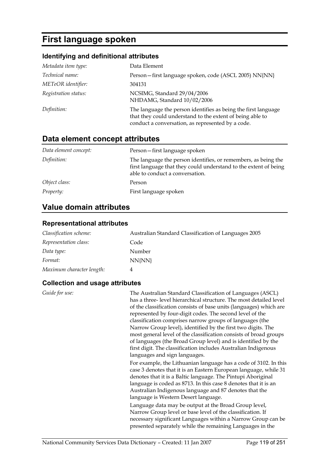# **First language spoken**

# **Identifying and definitional attributes**

| Metadata item type:  | Data Element                                                                                                                                                                     |
|----------------------|----------------------------------------------------------------------------------------------------------------------------------------------------------------------------------|
| Technical name:      | Person-first language spoken, code (ASCL 2005) NN{NN}                                                                                                                            |
| METeOR identifier:   | 304131                                                                                                                                                                           |
| Registration status: | NCSIMG, Standard 29/04/2006<br>NHDAMG, Standard 10/02/2006                                                                                                                       |
| Definition:          | The language the person identifies as being the first language<br>that they could understand to the extent of being able to<br>conduct a conversation, as represented by a code. |

# **Data element concept attributes**

| Data element concept: | Person-first language spoken                                                                                                                                          |
|-----------------------|-----------------------------------------------------------------------------------------------------------------------------------------------------------------------|
| Definition:           | The language the person identifies, or remembers, as being the<br>first language that they could understand to the extent of being<br>able to conduct a conversation. |
| Object class:         | Person                                                                                                                                                                |
| <i>Property:</i>      | First language spoken                                                                                                                                                 |

# **Value domain attributes**

#### **Representational attributes**

| Classification scheme:    | Australian Standard Classification of Languages 2005 |
|---------------------------|------------------------------------------------------|
| Representation class:     | Code                                                 |
| Data type:                | Number                                               |
| Format:                   | NN{NN}                                               |
| Maximum character length: |                                                      |

| Guide for use: | The Australian Standard Classification of Languages (ASCL)<br>has a three-level hierarchical structure. The most detailed level<br>of the classification consists of base units (languages) which are<br>represented by four-digit codes. The second level of the<br>classification comprises narrow groups of languages (the<br>Narrow Group level), identified by the first two digits. The<br>most general level of the classification consists of broad groups<br>of languages (the Broad Group level) and is identified by the<br>first digit. The classification includes Australian Indigenous<br>languages and sign languages. |
|----------------|----------------------------------------------------------------------------------------------------------------------------------------------------------------------------------------------------------------------------------------------------------------------------------------------------------------------------------------------------------------------------------------------------------------------------------------------------------------------------------------------------------------------------------------------------------------------------------------------------------------------------------------|
|                | For example, the Lithuanian language has a code of 3102. In this<br>case 3 denotes that it is an Eastern European language, while 31<br>denotes that it is a Baltic language. The Pintupi Aboriginal<br>language is coded as 8713. In this case 8 denotes that it is an<br>Australian Indigenous language and 87 denotes that the<br>language is Western Desert language.                                                                                                                                                                                                                                                              |
|                | Language data may be output at the Broad Group level,<br>Narrow Group level or base level of the classification. If<br>necessary significant Languages within a Narrow Group can be<br>presented separately while the remaining Languages in the                                                                                                                                                                                                                                                                                                                                                                                       |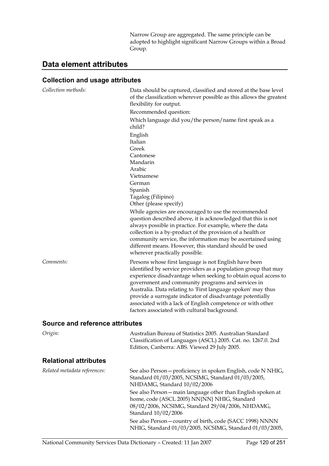Narrow Group are aggregated. The same principle can be adopted to highlight significant Narrow Groups within a Broad Group.

# **Data element attributes**

| Collection methods:             | Data should be captured, classified and stored at the base level<br>of the classification wherever possible as this allows the greatest<br>flexibility for output.                                                                                                                                                                                                                                                               |
|---------------------------------|----------------------------------------------------------------------------------------------------------------------------------------------------------------------------------------------------------------------------------------------------------------------------------------------------------------------------------------------------------------------------------------------------------------------------------|
|                                 | Recommended question:                                                                                                                                                                                                                                                                                                                                                                                                            |
|                                 | Which language did you/the person/name first speak as a                                                                                                                                                                                                                                                                                                                                                                          |
|                                 | child?                                                                                                                                                                                                                                                                                                                                                                                                                           |
|                                 | English                                                                                                                                                                                                                                                                                                                                                                                                                          |
|                                 | Italian                                                                                                                                                                                                                                                                                                                                                                                                                          |
|                                 | Greek                                                                                                                                                                                                                                                                                                                                                                                                                            |
|                                 | Cantonese                                                                                                                                                                                                                                                                                                                                                                                                                        |
|                                 | Mandarin                                                                                                                                                                                                                                                                                                                                                                                                                         |
|                                 | Arabic                                                                                                                                                                                                                                                                                                                                                                                                                           |
|                                 | Vietnamese                                                                                                                                                                                                                                                                                                                                                                                                                       |
|                                 | German                                                                                                                                                                                                                                                                                                                                                                                                                           |
|                                 | Spanish                                                                                                                                                                                                                                                                                                                                                                                                                          |
|                                 | Tagalog (Filipino)                                                                                                                                                                                                                                                                                                                                                                                                               |
|                                 | Other (please specify)                                                                                                                                                                                                                                                                                                                                                                                                           |
|                                 | While agencies are encouraged to use the recommended<br>question described above, it is acknowledged that this is not<br>always possible in practice. For example, where the data<br>collection is a by-product of the provision of a health or<br>community service, the information may be ascertained using<br>different means. However, this standard should be used<br>wherever practically possible.                       |
| Comments:                       | Persons whose first language is not English have been                                                                                                                                                                                                                                                                                                                                                                            |
|                                 | identified by service providers as a population group that may<br>experience disadvantage when seeking to obtain equal access to<br>government and community programs and services in<br>Australia. Data relating to 'First language spoken' may thus<br>provide a surrogate indicator of disadvantage potentially<br>associated with a lack of English competence or with other<br>factors associated with cultural background. |
| Source and reference attributes |                                                                                                                                                                                                                                                                                                                                                                                                                                  |
|                                 |                                                                                                                                                                                                                                                                                                                                                                                                                                  |
| Origin:                         | Australian Bureau of Statistics 2005. Australian Standard<br>Classification of Languages (ASCL) 2005. Cat. no. 1267.0. 2nd<br>Edition, Canberra: ABS. Viewed 29 July 2005.                                                                                                                                                                                                                                                       |
| <b>Relational attributes</b>    |                                                                                                                                                                                                                                                                                                                                                                                                                                  |
| Related metadata references:    | See also Person - proficiency in spoken English, code N NHIG,<br>Standard 01/03/2005, NCSIMG, Standard 01/03/2005,<br>NHDAMG, Standard 10/02/2006                                                                                                                                                                                                                                                                                |
|                                 | See also Person - main language other than English spoken at<br>home, code (ASCL 2005) NN{NN} NHIG, Standard<br>08/02/2006, NCSIMG, Standard 29/04/2006, NHDAMG,<br>Standard 10/02/2006                                                                                                                                                                                                                                          |
|                                 | See also Person - country of birth, code (SACC 1998) NNNN<br>NHIG, Standard 01/03/2005, NCSIMG, Standard 01/03/2005,                                                                                                                                                                                                                                                                                                             |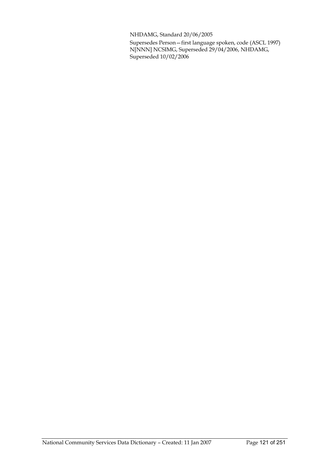NHDAMG, Standard 20/06/2005

Supersedes Person—first language spoken, code (ASCL 1997) N[NNN] NCSIMG, Superseded 29/04/2006, NHDAMG, Superseded 10/02/2006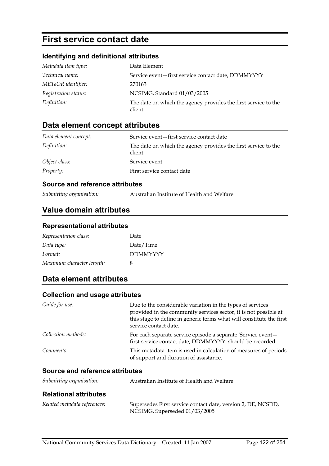# **First service contact date**

### **Identifying and definitional attributes**

| Metadata item type:  | Data Element                                                              |
|----------------------|---------------------------------------------------------------------------|
| Technical name:      | Service event-first service contact date, DDMMYYYY                        |
| METeOR identifier:   | 270163                                                                    |
| Registration status: | NCSIMG, Standard 01/03/2005                                               |
| Definition:          | The date on which the agency provides the first service to the<br>client. |

### **Data element concept attributes**

| Data element concept: | Service event-first service contact date                                  |
|-----------------------|---------------------------------------------------------------------------|
| Definition:           | The date on which the agency provides the first service to the<br>client. |
| Object class:         | Service event                                                             |
| <i>Property:</i>      | First service contact date                                                |

#### **Source and reference attributes**

*Submitting organisation:* Australian Institute of Health and Welfare

### **Value domain attributes**

#### **Representational attributes**

| Representation class:     | Date            |
|---------------------------|-----------------|
| Data type:                | Date/Time       |
| Format:                   | <b>DDMMYYYY</b> |
| Maximum character length: | 8               |

# **Data element attributes**

#### **Collection and usage attributes**

| Guide for use:                   | Due to the considerable variation in the types of services<br>provided in the community services sector, it is not possible at<br>this stage to define in generic terms what will constitute the first<br>service contact date. |
|----------------------------------|---------------------------------------------------------------------------------------------------------------------------------------------------------------------------------------------------------------------------------|
| Collection methods:              | For each separate service episode a separate 'Service event-<br>first service contact date, DDMMYYYY' should be recorded.                                                                                                       |
| Comments:                        | This metadata item is used in calculation of measures of periods<br>of support and duration of assistance.                                                                                                                      |
| Ostare and neference attallectes |                                                                                                                                                                                                                                 |

#### **Source and reference attributes**

| Submitting organisation:     | Australian Institute of Health and Welfare                                                    |
|------------------------------|-----------------------------------------------------------------------------------------------|
| <b>Relational attributes</b> |                                                                                               |
| Related metadata references: | Supersedes First service contact date, version 2, DE, NCSDD,<br>NCSIMG, Superseded 01/03/2005 |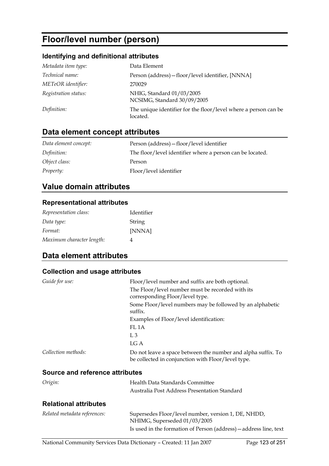# **Floor/level number (person)**

### **Identifying and definitional attributes**

| Metadata item type:  | Data Element                                                                |
|----------------------|-----------------------------------------------------------------------------|
| Technical name:      | Person (address) - floor/level identifier, [NNNA]                           |
| METeOR identifier:   | 270029                                                                      |
| Registration status: | NHIG, Standard 01/03/2005<br>NCSIMG, Standard 30/09/2005                    |
| Definition:          | The unique identifier for the floor/level where a person can be<br>located. |

# **Data element concept attributes**

| Data element concept: | Person (address) – floor/level identifier                 |
|-----------------------|-----------------------------------------------------------|
| Definition:           | The floor/level identifier where a person can be located. |
| Object class:         | Person                                                    |
| <i>Property:</i>      | Floor/level identifier                                    |

# **Value domain attributes**

#### **Representational attributes**

| Representation class:     | Identifier |
|---------------------------|------------|
| Data type:                | String     |
| Format:                   | [NNNA]     |
| Maximum character length: | Λ          |

# **Data element attributes**

| Guide for use:                  | Floor/level number and suffix are both optional.                                                                   |
|---------------------------------|--------------------------------------------------------------------------------------------------------------------|
|                                 | The Floor/level number must be recorded with its<br>corresponding Floor/level type.                                |
|                                 | Some Floor/level numbers may be followed by an alphabetic<br>suffix.                                               |
|                                 | Examples of Floor/level identification:                                                                            |
|                                 | FL 1A                                                                                                              |
|                                 | L <sub>3</sub>                                                                                                     |
|                                 | LG A                                                                                                               |
| Collection methods:             | Do not leave a space between the number and alpha suffix. To<br>be collected in conjunction with Floor/level type. |
| Source and reference attributes |                                                                                                                    |
| Origin:                         | Health Data Standards Committee                                                                                    |
|                                 | Australia Post Address Presentation Standard                                                                       |
| <b>Relational attributes</b>    |                                                                                                                    |

| Related metadata references: | Supersedes Floor/level number, version 1, DE, NHDD,               |
|------------------------------|-------------------------------------------------------------------|
|                              | NHIMG, Superseded 01/03/2005                                      |
|                              | Is used in the formation of Person (address) — address line, text |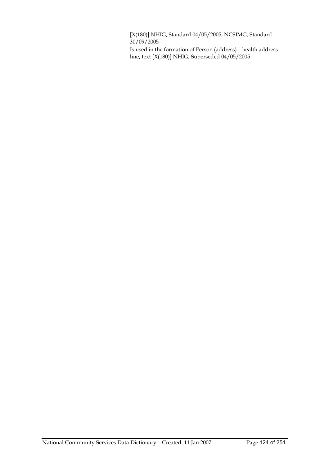[X(180)] NHIG, Standard 04/05/2005, NCSIMG, Standard  $30/09/2005$ 

Is used in the formation of Person (address)—health address line, text [X(180)] NHIG, Superseded 04/05/2005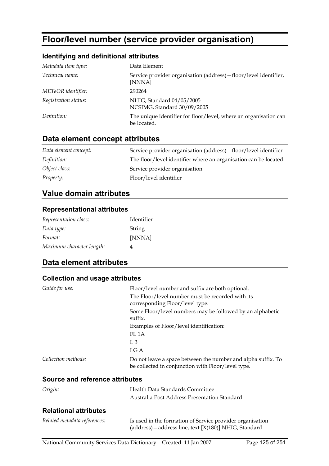# **Floor/level number (service provider organisation)**

#### **Identifying and definitional attributes**

| Metadata item type:  | Data Element                                                                    |
|----------------------|---------------------------------------------------------------------------------|
| Technical name:      | Service provider organisation (address) – floor/level identifier,<br>[NNNA]     |
| METeOR identifier:   | 290264                                                                          |
| Registration status: | NHIG, Standard 04/05/2005<br>NCSIMG, Standard 30/09/2005                        |
| Definition:          | The unique identifier for floor/level, where an organisation can<br>be located. |

# **Data element concept attributes**

| Data element concept: | Service provider organisation (address) – floor/level identifier |
|-----------------------|------------------------------------------------------------------|
| Definition:           | The floor/level identifier where an organisation can be located. |
| Object class:         | Service provider organisation                                    |
| Property:             | Floor/level identifier                                           |

## **Value domain attributes**

#### **Representational attributes**

| Representation class:     | Identifier |
|---------------------------|------------|
| Data type:                | String     |
| Format:                   | [NNNA]     |
| Maximum character length: | 4          |

# **Data element attributes**

#### **Collection and usage attributes**

| Guide for use:                  | Floor/level number and suffix are both optional.                                                                   |
|---------------------------------|--------------------------------------------------------------------------------------------------------------------|
|                                 | The Floor/level number must be recorded with its<br>corresponding Floor/level type.                                |
|                                 | Some Floor/level numbers may be followed by an alphabetic<br>suffix.                                               |
|                                 | Examples of Floor/level identification:                                                                            |
|                                 | FL <sub>1</sub> A                                                                                                  |
|                                 | $L_{\rm{3}}$                                                                                                       |
|                                 | LG A                                                                                                               |
| Collection methods:             | Do not leave a space between the number and alpha suffix. To<br>be collected in conjunction with Floor/level type. |
| Source and reference attributes |                                                                                                                    |
| Origin:                         | Health Data Standards Committee                                                                                    |
|                                 | Australia Post Address Presentation Standard                                                                       |

#### **Relational attributes**

| Related metadata references: | Is used in the formation of Service provider organisation  |
|------------------------------|------------------------------------------------------------|
|                              | $(address)$ – address line, text $[X(180)]$ NHIG, Standard |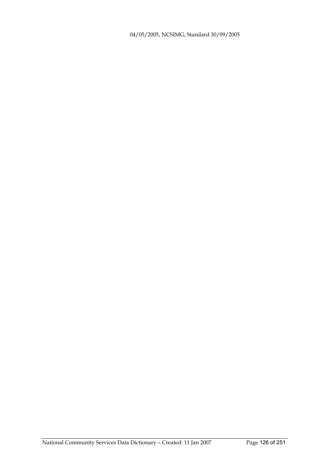04/05/2005, NCSIMG, Standard 30/09/2005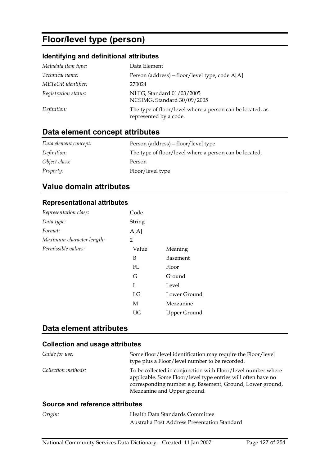# **Floor/level type (person)**

### **Identifying and definitional attributes**

| Metadata item type:  | Data Element                                                                        |
|----------------------|-------------------------------------------------------------------------------------|
| Technical name:      | Person (address) - floor/level type, code A[A]                                      |
| METeOR identifier:   | 270024                                                                              |
| Registration status: | NHIG, Standard 01/03/2005<br>NCSIMG, Standard 30/09/2005                            |
| Definition:          | The type of floor/level where a person can be located, as<br>represented by a code. |

# **Data element concept attributes**

| Data element concept: | Person (address) – floor/level type                    |
|-----------------------|--------------------------------------------------------|
| Definition:           | The type of floor/level where a person can be located. |
| Object class:         | Person                                                 |
| <i>Property:</i>      | Floor/level type                                       |

# **Value domain attributes**

#### **Representational attributes**

| Code   |                     |
|--------|---------------------|
| String |                     |
| A[A]   |                     |
| 2      |                     |
| Value  | Meaning             |
| B      | Basement            |
| FL.    | Floor               |
| G      | Ground              |
| L      | Level               |
| LG     | Lower Ground        |
| М      | Mezzanine           |
| UG     | <b>Upper Ground</b> |
|        |                     |

### **Data element attributes**

#### **Collection and usage attributes**

| Guide for use:      | Some floor/level identification may require the Floor/level<br>type plus a Floor/level number to be recorded.                                                                                                            |
|---------------------|--------------------------------------------------------------------------------------------------------------------------------------------------------------------------------------------------------------------------|
| Collection methods: | To be collected in conjunction with Floor/level number where<br>applicable. Some Floor/level type entries will often have no<br>corresponding number e.g. Basement, Ground, Lower ground,<br>Mezzanine and Upper ground. |

#### **Source and reference attributes**

| Origin: | Health Data Standards Committee              |
|---------|----------------------------------------------|
|         | Australia Post Address Presentation Standard |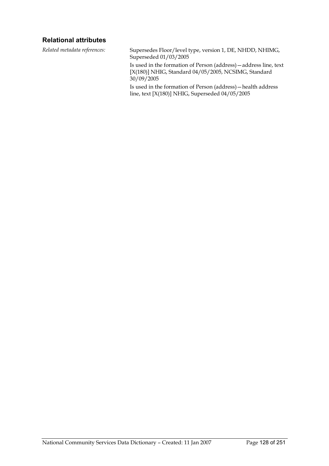#### **Relational attributes**

*Related metadata references:* Supersedes Floor/level type, version 1, DE, NHDD, NHIMG, Superseded 01/03/2005

> Is used in the formation of Person (address)—address line, text [X(180)] NHIG, Standard 04/05/2005, NCSIMG, Standard  $30/09/2005$

Is used in the formation of Person (address)—health address line, text [X(180)] NHIG, Superseded 04/05/2005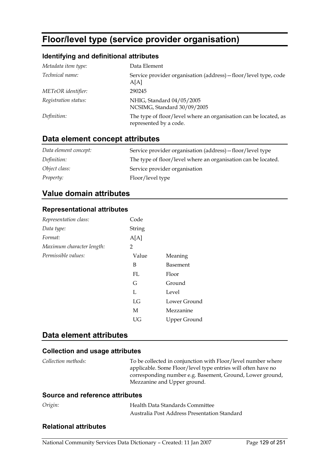# **Floor/level type (service provider organisation)**

#### **Identifying and definitional attributes**

| Metadata item type:  | Data Element                                                                               |
|----------------------|--------------------------------------------------------------------------------------------|
| Technical name:      | Service provider organisation (address) – floor/level type, code<br>A[A]                   |
| METeOR identifier:   | 290245                                                                                     |
| Registration status: | NHIG, Standard 04/05/2005<br>NCSIMG, Standard 30/09/2005                                   |
| Definition:          | The type of floor/level where an organisation can be located, as<br>represented by a code. |
|                      |                                                                                            |

# **Data element concept attributes**

| Data element concept: | Service provider organisation (address) – floor/level type    |
|-----------------------|---------------------------------------------------------------|
| Definition:           | The type of floor/level where an organisation can be located. |
| Object class:         | Service provider organisation                                 |
| <i>Property:</i>      | Floor/level type                                              |

### **Value domain attributes**

#### **Representational attributes**

| Representation class:     | Code   |              |
|---------------------------|--------|--------------|
| Data type:                | String |              |
| Format:                   | A[A]   |              |
| Maximum character length: | 2      |              |
| Permissible values:       | Value  | Meaning      |
|                           | B      | Basement     |
|                           | FI.    | Floor        |
|                           | G      | Ground       |
|                           | L      | Level        |
|                           | LG     | Lower Ground |
|                           | M      | Mezzanine    |
|                           | UG     | Upper Ground |

### **Data element attributes**

#### **Collection and usage attributes**

| Collection methods: | To be collected in conjunction with Floor/level number where |
|---------------------|--------------------------------------------------------------|
|                     | applicable. Some Floor/level type entries will often have no |
|                     | corresponding number e.g. Basement, Ground, Lower ground,    |
|                     | Mezzanine and Upper ground.                                  |

#### **Source and reference attributes**

| Origin: | Health Data Standards Committee              |
|---------|----------------------------------------------|
|         | Australia Post Address Presentation Standard |

#### **Relational attributes**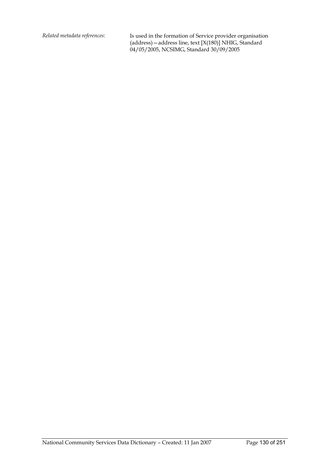*Related metadata references:* Is used in the formation of Service provider organisation (address)—address line, text [X(180)] NHIG, Standard 04/05/2005, NCSIMG, Standard 30/09/2005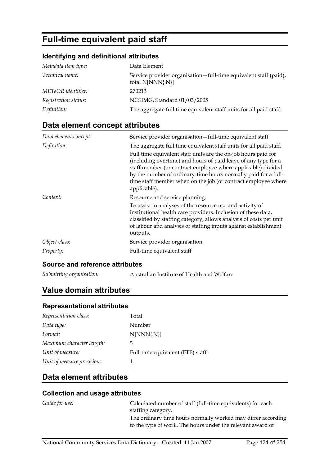# **Full-time equivalent paid staff**

#### **Identifying and definitional attributes**

| Metadata item type:  | Data Element                                                                           |
|----------------------|----------------------------------------------------------------------------------------|
| Technical name:      | Service provider organisation - full-time equivalent staff (paid),<br>total N[NNN{.N}] |
| METeOR identifier:   | 270213                                                                                 |
| Registration status: | NCSIMG, Standard 01/03/2005                                                            |
| Definition:          | The aggregate full time equivalent staff units for all paid staff.                     |

# **Data element concept attributes**

| Data element concept: | Service provider organisation-full-time equivalent staff                                                                                                                                                                                                                                                                                                                                                                  |
|-----------------------|---------------------------------------------------------------------------------------------------------------------------------------------------------------------------------------------------------------------------------------------------------------------------------------------------------------------------------------------------------------------------------------------------------------------------|
| Definition:           | The aggregate full time equivalent staff units for all paid staff.<br>Full time equivalent staff units are the on-job hours paid for<br>(including overtime) and hours of paid leave of any type for a<br>staff member (or contract employee where applicable) divided<br>by the number of ordinary-time hours normally paid for a full-<br>time staff member when on the job (or contract employee where<br>applicable). |
| Context:              | Resource and service planning:<br>To assist in analyses of the resource use and activity of<br>institutional health care providers. Inclusion of these data,<br>classified by staffing category, allows analysis of costs per unit<br>of labour and analysis of staffing inputs against establishment<br>outputs.                                                                                                         |
| Object class:         | Service provider organisation                                                                                                                                                                                                                                                                                                                                                                                             |
| Property:             | Full-time equivalent staff                                                                                                                                                                                                                                                                                                                                                                                                |

#### **Source and reference attributes**

*Submitting organisation:* Australian Institute of Health and Welfare

# **Value domain attributes**

#### **Representational attributes**

| Representation class:      | Total                            |
|----------------------------|----------------------------------|
| Data type:                 | Number                           |
| Format:                    | $N[NNN\{N\}]$                    |
| Maximum character length:  | 5                                |
| Unit of measure:           | Full-time equivalent (FTE) staff |
| Unit of measure precision: | 1                                |

# **Data element attributes**

| Guide for use: | Calculated number of staff (full-time equivalents) for each  |
|----------------|--------------------------------------------------------------|
|                | staffing category.                                           |
|                | The ordinary time hours normally worked may differ according |
|                | to the type of work. The hours under the relevant award or   |
|                |                                                              |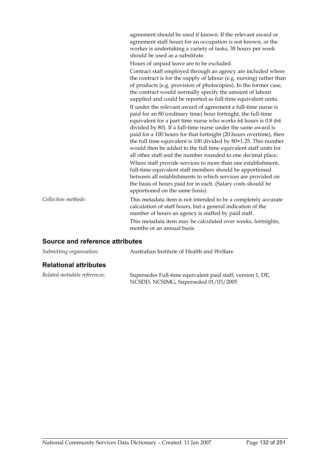agreement should be used if known. If the relevant award or agreement staff hours for an occupation is not known, or the worker is undertaking a variety of tasks, 38 hours per week should be used as a substitute.

Hours of unpaid leave are to be excluded.

Contract staff employed through an agency are included where the contract is for the supply of labour (e.g. nursing) rather than of products (e.g. provision of photocopies). In the former case, the contract would normally specify the amount of labour supplied and could be reported as full-time equivalent units. If under the relevant award of agreement a full-time nurse is paid for an 80 (ordinary time) hour fortnight, the full-time equivalent for a part time nurse who works 64 hours is 0.8 (64 divided by 80). If a full-time nurse under the same award is paid for a 100 hours for that fortnight (20 hours overtime), then the full time equivalent is 100 divided by 80=1.25. This number would then be added to the full time equivalent staff units for all other staff and the number rounded to one decimal place. Where staff provide services to more than one establishment, full-time equivalent staff members should be apportioned between all establishments to which services are provided on the basis of hours paid for in each. (Salary costs should be apportioned on the same basis).

*Collection methods:* This metadata item is not intended to be a completely accurate calculation of staff hours, but a general indication of the number of hours an agency is staffed by paid staff. This metadata item may be calculated over weeks, fortnights, months or an annual basis.

#### **Source and reference attributes**

| Submitting organisation: | Australian Institute of Health and Welfare |
|--------------------------|--------------------------------------------|
| - - -                    |                                            |

#### **Relational attributes**

| Related metadata references: | Supersedes Full-time equivalent paid staff, version 1, DE, |
|------------------------------|------------------------------------------------------------|
|                              | NCSDD, NCSIMG, Superseded 01/03/2005                       |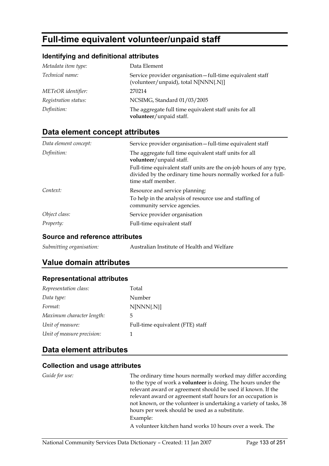# **Full-time equivalent volunteer/unpaid staff**

#### **Identifying and definitional attributes**

| Metadata item type:  | Data Element                                                                                     |
|----------------------|--------------------------------------------------------------------------------------------------|
| Technical name:      | Service provider organisation-full-time equivalent staff<br>(volunteer/unpaid), total N[NNN{.N}] |
| METeOR identifier:   | 270214                                                                                           |
| Registration status: | NCSIMG, Standard 01/03/2005                                                                      |
| Definition:          | The aggregate full time equivalent staff units for all<br>volunteer/unpaid staff.                |

# **Data element concept attributes**

| Data element concept: | Service provider organisation-full-time equivalent staff                                                                                                   |
|-----------------------|------------------------------------------------------------------------------------------------------------------------------------------------------------|
| Definition:           | The aggregate full time equivalent staff units for all<br>volunteer/unpaid staff.                                                                          |
|                       | Full-time equivalent staff units are the on-job hours of any type,<br>divided by the ordinary time hours normally worked for a full-<br>time staff member. |
| Context:              | Resource and service planning:                                                                                                                             |
|                       | To help in the analysis of resource use and staffing of<br>community service agencies.                                                                     |
| Object class:         | Service provider organisation                                                                                                                              |
| <i>Property:</i>      | Full-time equivalent staff                                                                                                                                 |

#### **Source and reference attributes**

| Submitting organisation:<br>Australian Institute of Health and Welfare |
|------------------------------------------------------------------------|
|------------------------------------------------------------------------|

# **Value domain attributes**

#### **Representational attributes**

| Representation class:      | Total                            |
|----------------------------|----------------------------------|
| Data type:                 | Number                           |
| Format:                    | $N[NNN\{N\}]$                    |
| Maximum character length:  | 5                                |
| Unit of measure:           | Full-time equivalent (FTE) staff |
| Unit of measure precision: |                                  |

# **Data element attributes**

#### **Collection and usage attributes**

*Guide for use:* The ordinary time hours normally worked may differ according to the type of work a **volunteer** is doing. The hours under the relevant award or agreement should be used if known. If the relevant award or agreement staff hours for an occupation is not known, or the volunteer is undertaking a variety of tasks, 38 hours per week should be used as a substitute. Example: A volunteer kitchen hand works 10 hours over a week. The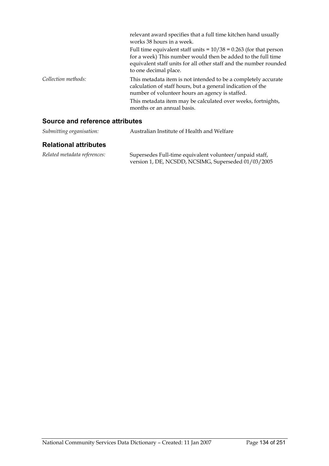|                     | relevant award specifies that a full time kitchen hand usually<br>works 38 hours in a week.                                                                                                                                                                                    |
|---------------------|--------------------------------------------------------------------------------------------------------------------------------------------------------------------------------------------------------------------------------------------------------------------------------|
|                     | Full time equivalent staff units = $10/38 = 0.263$ (for that person<br>for a week) This number would then be added to the full time<br>equivalent staff units for all other staff and the number rounded<br>to one decimal place.                                              |
| Collection methods: | This metadata item is not intended to be a completely accurate<br>calculation of staff hours, but a general indication of the<br>number of volunteer hours an agency is staffed.<br>This metadata item may be calculated over weeks, fortnights,<br>months or an annual basis. |

# **Source and reference attributes**

| Submitting organisation:     | Australian Institute of Health and Welfare                                                                     |
|------------------------------|----------------------------------------------------------------------------------------------------------------|
| <b>Relational attributes</b> |                                                                                                                |
| Related metadata references: | Supersedes Full-time equivalent volunteer/unpaid staff,<br>version 1, DE, NCSDD, NCSIMG, Superseded 01/03/2005 |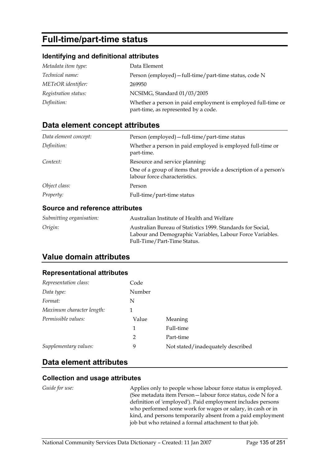# **Full-time/part-time status**

#### **Identifying and definitional attributes**

| Metadata item type:  | Data Element                                                                                         |
|----------------------|------------------------------------------------------------------------------------------------------|
| Technical name:      | Person (employed) - full-time/part-time status, code N                                               |
| METeOR identifier:   | 269950                                                                                               |
| Registration status: | NCSIMG, Standard 01/03/2005                                                                          |
| Definition:          | Whether a person in paid employment is employed full-time or<br>part-time, as represented by a code. |

# **Data element concept attributes**

| Data element concept: | Person (employed) - full-time/part-time status                                                    |
|-----------------------|---------------------------------------------------------------------------------------------------|
| Definition:           | Whether a person in paid employed is employed full-time or<br>part-time.                          |
| Context:              | Resource and service planning:                                                                    |
|                       | One of a group of items that provide a description of a person's<br>labour force characteristics. |
| Object class:         | Person                                                                                            |
| <i>Property:</i>      | Full-time/part-time status                                                                        |

#### **Source and reference attributes**

| Submitting organisation: | Australian Institute of Health and Welfare                                                                                                              |
|--------------------------|---------------------------------------------------------------------------------------------------------------------------------------------------------|
| Origin:                  | Australian Bureau of Statistics 1999. Standards for Social.<br>Labour and Demographic Variables, Labour Force Variables.<br>Full-Time/Part-Time Status. |

# **Value domain attributes**

#### **Representational attributes**

| Representation class:     | Code   |                                   |
|---------------------------|--------|-----------------------------------|
| Data type:                | Number |                                   |
| Format:                   | N      |                                   |
| Maximum character length: | 1      |                                   |
| Permissible values:       | Value  | Meaning                           |
|                           | 1      | Full-time                         |
|                           | 2      | Part-time                         |
| Supplementary values:     | 9      | Not stated/inadequately described |

### **Data element attributes**

#### **Collection and usage attributes**

*Guide for use:* Applies only to people whose labour force status is employed. (See metadata item Person—labour force status, code N for a definition of 'employed'). Paid employment includes persons who performed some work for wages or salary, in cash or in kind, and persons temporarily absent from a paid employment job but who retained a formal attachment to that job.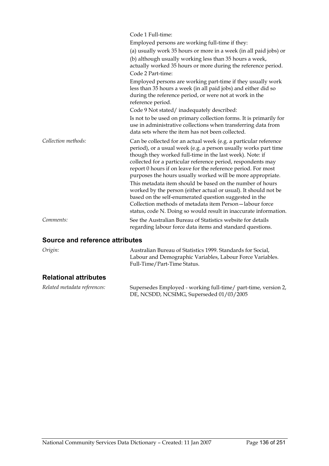|                                 | Code 1 Full-time:                                                                                                                                                                                                                                                                                                                                                                               |
|---------------------------------|-------------------------------------------------------------------------------------------------------------------------------------------------------------------------------------------------------------------------------------------------------------------------------------------------------------------------------------------------------------------------------------------------|
|                                 | Employed persons are working full-time if they:                                                                                                                                                                                                                                                                                                                                                 |
|                                 | (a) usually work 35 hours or more in a week (in all paid jobs) or                                                                                                                                                                                                                                                                                                                               |
|                                 | (b) although usually working less than 35 hours a week,<br>actually worked 35 hours or more during the reference period.                                                                                                                                                                                                                                                                        |
|                                 | Code 2 Part-time:                                                                                                                                                                                                                                                                                                                                                                               |
|                                 | Employed persons are working part-time if they usually work<br>less than 35 hours a week (in all paid jobs) and either did so<br>during the reference period, or were not at work in the<br>reference period.                                                                                                                                                                                   |
|                                 | Code 9 Not stated/inadequately described:                                                                                                                                                                                                                                                                                                                                                       |
|                                 | Is not to be used on primary collection forms. It is primarily for<br>use in administrative collections when transferring data from<br>data sets where the item has not been collected.                                                                                                                                                                                                         |
| Collection methods:             | Can be collected for an actual week (e.g. a particular reference<br>period), or a usual week (e.g. a person usually works part time<br>though they worked full-time in the last week). Note: if<br>collected for a particular reference period, respondents may<br>report 0 hours if on leave for the reference period. For most<br>purposes the hours usually worked will be more appropriate. |
|                                 | This metadata item should be based on the number of hours<br>worked by the person (either actual or usual). It should not be<br>based on the self-enumerated question suggested in the<br>Collection methods of metadata item Person-labour force<br>status, code N. Doing so would result in inaccurate information.                                                                           |
| Comments:                       | See the Australian Bureau of Statistics website for details<br>regarding labour force data items and standard questions.                                                                                                                                                                                                                                                                        |
| Source and reference attributes |                                                                                                                                                                                                                                                                                                                                                                                                 |

| Origin: | Australian Bureau of Statistics 1999. Standards for Social, |
|---------|-------------------------------------------------------------|
|         | Labour and Demographic Variables, Labour Force Variables.   |
|         | Full-Time/Part-Time Status.                                 |
|         |                                                             |

# **Relational attributes**

| Related metadata references: | Supersedes Employed - working full-time/ part-time, version 2,<br>DE, NCSDD, NCSIMG, Superseded 01/03/2005 |
|------------------------------|------------------------------------------------------------------------------------------------------------|
|                              |                                                                                                            |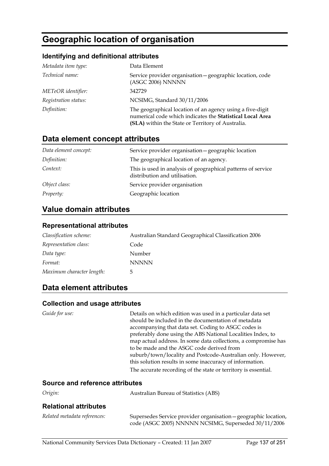# **Geographic location of organisation**

#### **Identifying and definitional attributes**

| Metadata item type:  | Data Element                                                                                                                                                                |
|----------------------|-----------------------------------------------------------------------------------------------------------------------------------------------------------------------------|
| Technical name:      | Service provider organisation - geographic location, code<br>(ASGC 2006) NNNNN                                                                                              |
| METeOR identifier:   | 342729                                                                                                                                                                      |
| Registration status: | NCSIMG, Standard 30/11/2006                                                                                                                                                 |
| Definition:          | The geographical location of an agency using a five-digit<br>numerical code which indicates the Statistical Local Area<br>(SLA) within the State or Territory of Australia. |

# **Data element concept attributes**

| Data element concept: | Service provider organisation - geographic location                                           |
|-----------------------|-----------------------------------------------------------------------------------------------|
| Definition:           | The geographical location of an agency.                                                       |
| Context:              | This is used in analysis of geographical patterns of service<br>distribution and utilisation. |
| Object class:         | Service provider organisation                                                                 |
| <i>Property:</i>      | Geographic location                                                                           |

# **Value domain attributes**

#### **Representational attributes**

| Classification scheme:    | Australian Standard Geographical Classification 2006 |
|---------------------------|------------------------------------------------------|
| Representation class:     | Code                                                 |
| Data type:                | Number                                               |
| Format:                   | <b>NNNNN</b>                                         |
| Maximum character length: | 5.                                                   |

# **Data element attributes**

| Guide for use:                         | Details on which edition was used in a particular data set     |
|----------------------------------------|----------------------------------------------------------------|
|                                        |                                                                |
|                                        | should be included in the documentation of metadata            |
|                                        | accompanying that data set. Coding to ASGC codes is            |
|                                        | preferably done using the ABS National Localities Index, to    |
|                                        | map actual address. In some data collections, a compromise has |
|                                        | to be made and the ASGC code derived from                      |
|                                        | suburb/town/locality and Postcode-Australian only. However,    |
|                                        | this solution results in some inaccuracy of information.       |
|                                        | The accurate recording of the state or territory is essential. |
|                                        |                                                                |
| <b>Source and reference attributes</b> |                                                                |

| Origin:                      | <b>Australian Bureau of Statistics (ABS)</b>                                                                            |
|------------------------------|-------------------------------------------------------------------------------------------------------------------------|
| <b>Relational attributes</b> |                                                                                                                         |
| Related metadata references: | Supersedes Service provider organisation - geographic location,<br>code (ASGC 2005) NNNNN NCSIMG, Superseded 30/11/2006 |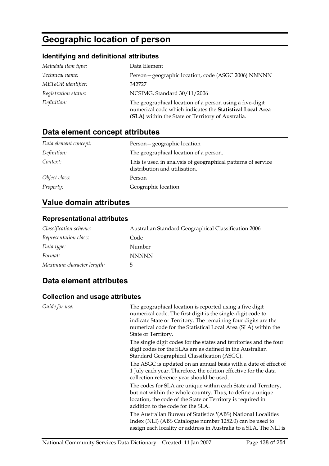# **Geographic location of person**

#### **Identifying and definitional attributes**

| Metadata item type:  | Data Element                                                                                                                                                               |
|----------------------|----------------------------------------------------------------------------------------------------------------------------------------------------------------------------|
| Technical name:      | Person-geographic location, code (ASGC 2006) NNNNN                                                                                                                         |
| METeOR identifier:   | 342727                                                                                                                                                                     |
| Registration status: | NCSIMG, Standard 30/11/2006                                                                                                                                                |
| Definition:          | The geographical location of a person using a five-digit<br>numerical code which indicates the Statistical Local Area<br>(SLA) within the State or Territory of Australia. |

# **Data element concept attributes**

| Data element concept: | Person-geographic location                                                                    |
|-----------------------|-----------------------------------------------------------------------------------------------|
| Definition:           | The geographical location of a person.                                                        |
| Context:              | This is used in analysis of geographical patterns of service<br>distribution and utilisation. |
| Object class:         | Person                                                                                        |
| <i>Property:</i>      | Geographic location                                                                           |

# **Value domain attributes**

#### **Representational attributes**

| Classification scheme:    | Australian Standard Geographical Classification 2006 |
|---------------------------|------------------------------------------------------|
| Representation class:     | Code                                                 |
| Data type:                | Number                                               |
| Format:                   | <b>NNNNN</b>                                         |
| Maximum character length: | 5                                                    |

# **Data element attributes**

| Guide for use: | The geographical location is reported using a five digit<br>numerical code. The first digit is the single-digit code to<br>indicate State or Territory. The remaining four digits are the<br>numerical code for the Statistical Local Area (SLA) within the<br>State or Territory. |
|----------------|------------------------------------------------------------------------------------------------------------------------------------------------------------------------------------------------------------------------------------------------------------------------------------|
|                | The single digit codes for the states and territories and the four<br>digit codes for the SLAs are as defined in the Australian<br>Standard Geographical Classification (ASGC).                                                                                                    |
|                | The ASGC is updated on an annual basis with a date of effect of<br>1 July each year. Therefore, the edition effective for the data<br>collection reference year should be used.                                                                                                    |
|                | The codes for SLA are unique within each State and Territory,<br>but not within the whole country. Thus, to define a unique<br>location, the code of the State or Territory is required in<br>addition to the code for the SLA.                                                    |
|                | The Australian Bureau of Statistics '(ABS) National Localities<br>Index (NLI) (ABS Catalogue number 1252.0) can be used to<br>assign each locality or address in Australia to a SLA. The NLI is                                                                                    |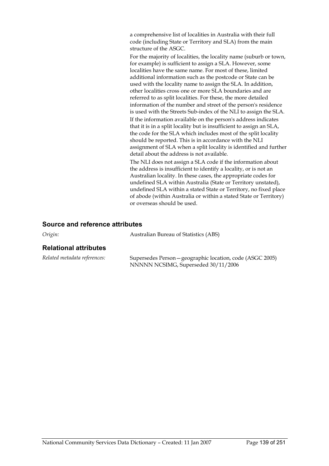a comprehensive list of localities in Australia with their full code (including State or Territory and SLA) from the main structure of the ASGC.

For the majority of localities, the locality name (suburb or town, for example) is sufficient to assign a SLA. However, some localities have the same name. For most of these, limited additional information such as the postcode or State can be used with the locality name to assign the SLA. In addition, other localities cross one or more SLA boundaries and are referred to as split localities. For these, the more detailed information of the number and street of the person's residence is used with the Streets Sub-index of the NLI to assign the SLA.

If the information available on the person's address indicates that it is in a split locality but is insufficient to assign an SLA, the code for the SLA which includes most of the split locality should be reported. This is in accordance with the NLI assignment of SLA when a split locality is identified and further detail about the address is not available.

The NLI does not assign a SLA code if the information about the address is insufficient to identify a locality, or is not an Australian locality. In these cases, the appropriate codes for undefined SLA within Australia (State or Territory unstated), undefined SLA within a stated State or Territory, no fixed place of abode (within Australia or within a stated State or Territory) or overseas should be used.

#### **Source and reference attributes**

| Origin:                      | Australian Bureau of Statistics (ABS) |
|------------------------------|---------------------------------------|
| <b>Relational attributes</b> |                                       |

| Related metadata references: | Supersedes Person – geographic location, code (ASGC 2005) |
|------------------------------|-----------------------------------------------------------|
|                              | NNNNN NCSIMG, Superseded 30/11/2006                       |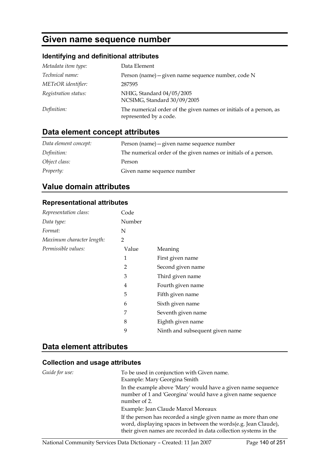# **Given name sequence number**

### **Identifying and definitional attributes**

| Metadata item type:  | Data Element                                                                                 |
|----------------------|----------------------------------------------------------------------------------------------|
| Technical name:      | Person (name) - given name sequence number, code N                                           |
| METeOR identifier:   | 287595                                                                                       |
| Registration status: | NHIG, Standard 04/05/2005<br>NCSIMG, Standard 30/09/2005                                     |
| Definition:          | The numerical order of the given names or initials of a person, as<br>represented by a code. |

# **Data element concept attributes**

| Data element concept: | Person (name) – given name sequence number                      |
|-----------------------|-----------------------------------------------------------------|
| Definition:           | The numerical order of the given names or initials of a person. |
| Object class:         | Person                                                          |
| Property:             | Given name sequence number                                      |

# **Value domain attributes**

#### **Representational attributes**

| Representation class:     | Code   |                                 |
|---------------------------|--------|---------------------------------|
| Data type:                | Number |                                 |
| Format:                   | N      |                                 |
| Maximum character length: | 2      |                                 |
| Permissible values:       | Value  | Meaning                         |
|                           | 1      | First given name                |
|                           | 2      | Second given name               |
|                           | 3      | Third given name                |
|                           | 4      | Fourth given name               |
|                           | 5      | Fifth given name                |
|                           | 6      | Sixth given name                |
|                           | 7      | Seventh given name              |
|                           | 8      | Eighth given name               |
|                           | 9      | Ninth and subsequent given name |

### **Data element attributes**

| Guide for use: | To be used in conjunction with Given name.<br>Example: Mary Georgina Smith                                                                                                                             |
|----------------|--------------------------------------------------------------------------------------------------------------------------------------------------------------------------------------------------------|
|                | In the example above 'Mary' would have a given name sequence<br>number of 1 and 'Georgina' would have a given name sequence<br>number of 2.                                                            |
|                | Example: Jean Claude Marcel Moreaux                                                                                                                                                                    |
|                | If the person has recorded a single given name as more than one<br>word, displaying spaces in between the words(e.g. Jean Claude),<br>their given names are recorded in data collection systems in the |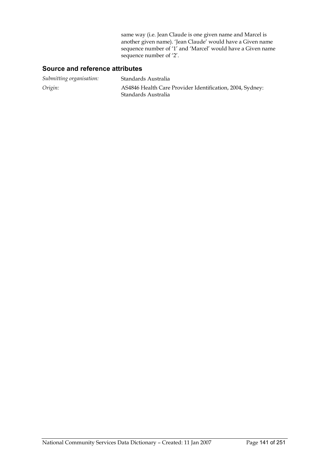same way (i.e. Jean Claude is one given name and Marcel is another given name). 'Jean Claude' would have a Given name sequence number of '1' and 'Marcel' would have a Given name sequence number of '2'.

#### **Source and reference attributes**

| Submitting organisation: | Standards Australia                                                              |
|--------------------------|----------------------------------------------------------------------------------|
| Origin:                  | AS4846 Health Care Provider Identification, 2004, Sydney:<br>Standards Australia |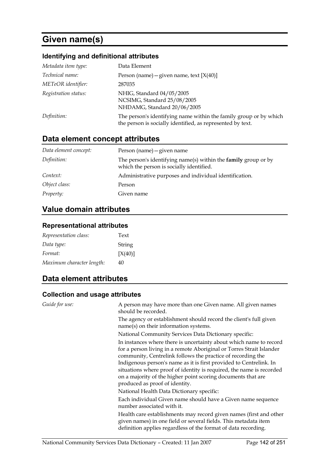# **Given name(s)**

# **Identifying and definitional attributes**

| Metadata item type:  | Data Element                                                                                                                    |
|----------------------|---------------------------------------------------------------------------------------------------------------------------------|
| Technical name:      | Person (name) – given name, text $[X(40)]$                                                                                      |
| METeOR identifier:   | 287035                                                                                                                          |
| Registration status: | NHIG, Standard 04/05/2005<br>NCSIMG, Standard 25/08/2005<br>NHDAMG, Standard 20/06/2005                                         |
| Definition:          | The person's identifying name within the family group or by which<br>the person is socially identified, as represented by text. |

# **Data element concept attributes**

| Data element concept: | Person (name) - given name                                                                                        |
|-----------------------|-------------------------------------------------------------------------------------------------------------------|
| Definition:           | The person's identifying name(s) within the <b>family</b> group or by<br>which the person is socially identified. |
| Context:              | Administrative purposes and individual identification.                                                            |
| Object class:         | Person                                                                                                            |
| <i>Property:</i>      | Given name                                                                                                        |

# **Value domain attributes**

#### **Representational attributes**

| Representation class:     | Text    |
|---------------------------|---------|
| Data type:                | String  |
| Format:                   | [X(40)] |
| Maximum character length: | 40      |

# **Data element attributes**

| Guide for use: | A person may have more than one Given name. All given names<br>should be recorded.                                                                                                                                                                                                                                                                                                                                                                        |
|----------------|-----------------------------------------------------------------------------------------------------------------------------------------------------------------------------------------------------------------------------------------------------------------------------------------------------------------------------------------------------------------------------------------------------------------------------------------------------------|
|                | The agency or establishment should record the client's full given<br>name(s) on their information systems.                                                                                                                                                                                                                                                                                                                                                |
|                | National Community Services Data Dictionary specific:                                                                                                                                                                                                                                                                                                                                                                                                     |
|                | In instances where there is uncertainty about which name to record<br>for a person living in a remote Aboriginal or Torres Strait Islander<br>community, Centrelink follows the practice of recording the<br>Indigenous person's name as it is first provided to Centrelink. In<br>situations where proof of identity is required, the name is recorded<br>on a majority of the higher point scoring documents that are<br>produced as proof of identity. |
|                | National Health Data Dictionary specific:                                                                                                                                                                                                                                                                                                                                                                                                                 |
|                | Each individual Given name should have a Given name sequence<br>number associated with it.                                                                                                                                                                                                                                                                                                                                                                |
|                | Health care establishments may record given names (first and other<br>given names) in one field or several fields. This metadata item<br>definition applies regardless of the format of data recording.                                                                                                                                                                                                                                                   |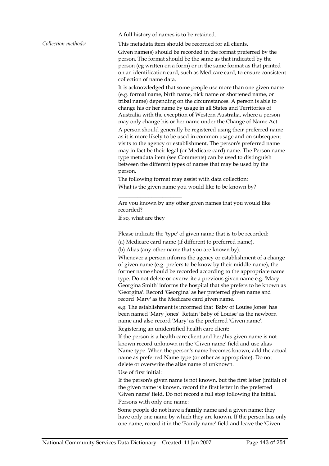A full history of names is to be retained.

*Collection methods:* This metadata item should be recorded for all clients.

Given name(s) should be recorded in the format preferred by the person. The format should be the same as that indicated by the person (eg written on a form) or in the same format as that printed on an identification card, such as Medicare card, to ensure consistent collection of name data.

It is acknowledged that some people use more than one given name (e.g. formal name, birth name, nick name or shortened name, or tribal name) depending on the circumstances. A person is able to change his or her name by usage in all States and Territories of Australia with the exception of Western Australia, where a person may only change his or her name under the Change of Name Act. A person should generally be registered using their preferred name as it is more likely to be used in common usage and on subsequent visits to the agency or establishment. The person's preferred name may in fact be their legal (or Medicare card) name. The Person name type metadata item (see Comments) can be used to distinguish between the different types of names that may be used by the person.

The following format may assist with data collection: What is the given name you would like to be known by?

Are you known by any other given names that you would like recorded?

If so, what are they

 $\overline{\phantom{a}}$  , where  $\overline{\phantom{a}}$  , where  $\overline{\phantom{a}}$  , where  $\overline{\phantom{a}}$ 

Please indicate the 'type' of given name that is to be recorded:

\_\_\_\_\_\_\_\_\_\_\_\_\_\_\_\_\_\_\_\_\_\_\_\_\_\_\_\_\_\_\_\_\_\_\_\_\_\_\_\_\_\_\_\_\_\_\_\_\_\_\_\_\_\_\_\_\_\_\_\_\_

(a) Medicare card name (if different to preferred name).

(b) Alias (any other name that you are known by).

Whenever a person informs the agency or establishment of a change of given name (e.g. prefers to be know by their middle name), the former name should be recorded according to the appropriate name type. Do not delete or overwrite a previous given name e.g. 'Mary Georgina Smith' informs the hospital that she prefers to be known as 'Georgina'. Record 'Georgina' as her preferred given name and record 'Mary' as the Medicare card given name.

e.g. The establishment is informed that 'Baby of Louise Jones' has been named 'Mary Jones'. Retain 'Baby of Louise' as the newborn name and also record 'Mary' as the preferred 'Given name'.

Registering an unidentified health care client:

If the person is a health care client and her/his given name is not known record unknown in the 'Given name' field and use alias Name type. When the person's name becomes known, add the actual name as preferred Name type (or other as appropriate). Do not delete or overwrite the alias name of unknown.

Use of first initial:

If the person's given name is not known, but the first letter (initial) of the given name is known, record the first letter in the preferred 'Given name' field. Do not record a full stop following the initial. Persons with only one name:

Some people do not have a **family** name and a given name: they have only one name by which they are known. If the person has only one name, record it in the 'Family name' field and leave the 'Given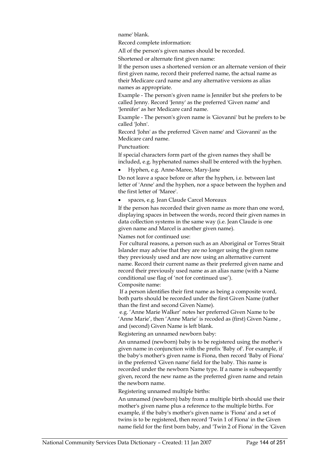name' blank.

Record complete information:

All of the person's given names should be recorded.

Shortened or alternate first given name:

If the person uses a shortened version or an alternate version of their first given name, record their preferred name, the actual name as their Medicare card name and any alternative versions as alias names as appropriate.

Example - The person's given name is Jennifer but she prefers to be called Jenny. Record 'Jenny' as the preferred 'Given name' and 'Jennifer' as her Medicare card name.

Example - The person's given name is 'Giovanni' but he prefers to be called 'John'.

Record 'John' as the preferred 'Given name' and 'Giovanni' as the Medicare card name.

Punctuation:

If special characters form part of the given names they shall be included, e.g. hyphenated names shall be entered with the hyphen.

• Hyphen, e.g. Anne-Maree, Mary-Jane

Do not leave a space before or after the hyphen, i.e. between last letter of 'Anne' and the hyphen, nor a space between the hyphen and the first letter of 'Maree'.

• spaces, e.g. Jean Claude Carcel Moreaux

If the person has recorded their given name as more than one word, displaying spaces in between the words, record their given names in data collection systems in the same way (i.e. Jean Claude is one given name and Marcel is another given name).

Names not for continued use:

 For cultural reasons, a person such as an Aboriginal or Torres Strait Islander may advise that they are no longer using the given name they previously used and are now using an alternative current name. Record their current name as their preferred given name and record their previously used name as an alias name (with a Name conditional use flag of 'not for continued use'). Composite name:

 If a person identifies their first name as being a composite word, both parts should be recorded under the first Given Name (rather than the first and second Given Name).

 e.g. 'Anne Marie Walker' notes her preferred Given Name to be 'Anne Marie', then 'Anne Marie' is recoded as (first) Given Name , and (second) Given Name is left blank.

Registering an unnamed newborn baby:

An unnamed (newborn) baby is to be registered using the mother's given name in conjunction with the prefix 'Baby of'. For example, if the baby's mother's given name is Fiona, then record 'Baby of Fiona' in the preferred 'Given name' field for the baby. This name is recorded under the newborn Name type. If a name is subsequently given, record the new name as the preferred given name and retain the newborn name.

Registering unnamed multiple births:

An unnamed (newborn) baby from a multiple birth should use their mother's given name plus a reference to the multiple births. For example, if the baby's mother's given name is 'Fiona' and a set of twins is to be registered, then record 'Twin 1 of Fiona' in the Given name field for the first born baby, and 'Twin 2 of Fiona' in the 'Given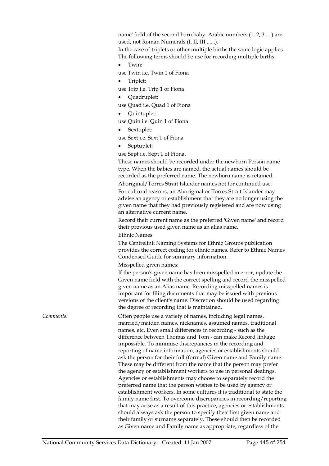name' field of the second born baby. Arabic numbers (1, 2, 3 ... ) are used, not Roman Numerals (I, II, III ......).

In the case of triplets or other multiple births the same logic applies. The following terms should be use for recording multiple births:

Twin<sup>.</sup>

use Twin i.e. Twin 1 of Fiona

• Triplet:

use Trip i.e. Trip 1 of Fiona

- Quadruplet:
- use Quad i.e. Quad 1 of Fiona
- Quintuplet:

use Quin i.e. Quin 1 of Fiona

• Sextuplet:

use Sext i.e. Sext 1 of Fiona

• Septuplet:

use Sept i.e. Sept 1 of Fiona.

These names should be recorded under the newborn Person name type. When the babies are named, the actual names should be recorded as the preferred name. The newborn name is retained. Aboriginal/Torres Strait Islander names not for continued use:

For cultural reasons, an Aboriginal or Torres Strait Islander may advise an agency or establishment that they are no longer using the given name that they had previously registered and are now using an alternative current name.

Record their current name as the preferred 'Given name' and record their previous used given name as an alias name.

Ethnic Names:

The Centrelink Naming Systems for Ethnic Groups publication provides the correct coding for ethnic names. Refer to Ethnic Names Condensed Guide for summary information.

Misspelled given names:

If the person's given name has been misspelled in error, update the Given name field with the correct spelling and record the misspelled given name as an Alias name. Recording misspelled names is important for filing documents that may be issued with previous versions of the client's name. Discretion should be used regarding the degree of recording that is maintained.

*Comments:* **Comments: Often people use a variety of names, including legal names,** married/maiden names, nicknames, assumed names, traditional names, etc. Even small differences in recording - such as the difference between Thomas and Tom - can make Record linkage impossible. To minimise discrepancies in the recording and reporting of name information, agencies or establishments should ask the person for their full (formal) Given name and Family name. These may be different from the name that the person may prefer the agency or establishment workers to use in personal dealings. Agencies or establishments may choose to separately record the preferred name that the person wishes to be used by agency or establishment workers. In some cultures it is traditional to state the family name first. To overcome discrepancies in recording/reporting that may arise as a result of this practice, agencies or establishments should always ask the person to specify their first given name and their family or surname separately. These should then be recorded as Given name and Family name as appropriate, regardless of the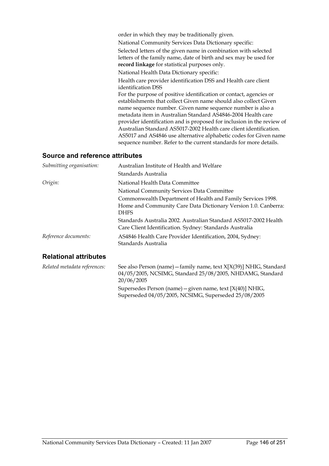| order in which they may be traditionally given.                                                                                                                                                                                                                                                                                                                                                                                                                                                                                                                |
|----------------------------------------------------------------------------------------------------------------------------------------------------------------------------------------------------------------------------------------------------------------------------------------------------------------------------------------------------------------------------------------------------------------------------------------------------------------------------------------------------------------------------------------------------------------|
| National Community Services Data Dictionary specific:                                                                                                                                                                                                                                                                                                                                                                                                                                                                                                          |
| Selected letters of the given name in combination with selected<br>letters of the family name, date of birth and sex may be used for<br>record linkage for statistical purposes only.                                                                                                                                                                                                                                                                                                                                                                          |
| National Health Data Dictionary specific:                                                                                                                                                                                                                                                                                                                                                                                                                                                                                                                      |
| Health care provider identification DSS and Health care client<br>identification DSS                                                                                                                                                                                                                                                                                                                                                                                                                                                                           |
| For the purpose of positive identification or contact, agencies or<br>establishments that collect Given name should also collect Given<br>name sequence number. Given name sequence number is also a<br>metadata item in Australian Standard AS4846-2004 Health care<br>provider identification and is proposed for inclusion in the review of<br>Australian Standard AS5017-2002 Health care client identification.<br>AS5017 and AS4846 use alternative alphabetic codes for Given name<br>sequence number. Refer to the current standards for more details. |
|                                                                                                                                                                                                                                                                                                                                                                                                                                                                                                                                                                |

### **Source and reference attributes**

| Submitting organisation:     | Australian Institute of Health and Welfare                                                                                  |  |
|------------------------------|-----------------------------------------------------------------------------------------------------------------------------|--|
|                              | Standards Australia                                                                                                         |  |
| Origin:                      | National Health Data Committee                                                                                              |  |
|                              | National Community Services Data Committee                                                                                  |  |
|                              | Commonwealth Department of Health and Family Services 1998.                                                                 |  |
|                              | Home and Community Care Data Dictionary Version 1.0. Canberra:<br><b>DHFS</b>                                               |  |
|                              | Standards Australia 2002. Australian Standard AS5017-2002 Health<br>Care Client Identification. Sydney: Standards Australia |  |
| Reference documents:         | AS4846 Health Care Provider Identification, 2004, Sydney:<br>Standards Australia                                            |  |
| <b>Relational attributes</b> |                                                                                                                             |  |
| Related metadata references: | See also Person (name) - family name, text X[X(39)] NHIG, Standard                                                          |  |

04/05/2005, NCSIMG, Standard 25/08/2005, NHDAMG, Standard 20/06/2005 Supersedes Person (name)—given name, text [X(40)] NHIG,

Superseded 04/05/2005, NCSIMG, Superseded 25/08/2005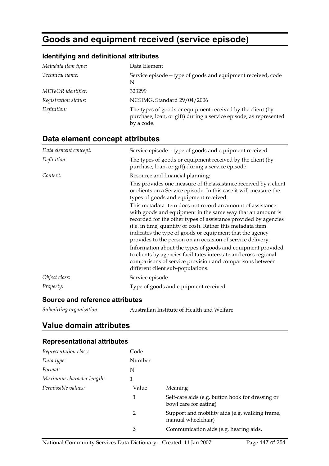# **Goods and equipment received (service episode)**

### **Identifying and definitional attributes**

| Metadata item type:  | Data Element                                                                                                                                  |
|----------------------|-----------------------------------------------------------------------------------------------------------------------------------------------|
| Technical name:      | Service episode-type of goods and equipment received, code<br>N                                                                               |
| METeOR identifier:   | 323299                                                                                                                                        |
| Registration status: | NCSIMG, Standard 29/04/2006                                                                                                                   |
| Definition:          | The types of goods or equipment received by the client (by<br>purchase, loan, or gift) during a service episode, as represented<br>by a code. |

## **Data element concept attributes**

| Data element concept: | Service episode-type of goods and equipment received                                                                                                                                                                                                                                                                                                                                                                                                                                                                                                                                                                                                                                                                                                                                                                                            |
|-----------------------|-------------------------------------------------------------------------------------------------------------------------------------------------------------------------------------------------------------------------------------------------------------------------------------------------------------------------------------------------------------------------------------------------------------------------------------------------------------------------------------------------------------------------------------------------------------------------------------------------------------------------------------------------------------------------------------------------------------------------------------------------------------------------------------------------------------------------------------------------|
| Definition:           | The types of goods or equipment received by the client (by<br>purchase, loan, or gift) during a service episode.                                                                                                                                                                                                                                                                                                                                                                                                                                                                                                                                                                                                                                                                                                                                |
| Context:              | Resource and financial planning:<br>This provides one measure of the assistance received by a client<br>or clients on a Service episode. In this case it will measure the<br>types of goods and equipment received.<br>This metadata item does not record an amount of assistance<br>with goods and equipment in the same way that an amount is<br>recorded for the other types of assistance provided by agencies<br>(i.e. in time, quantity or cost). Rather this metadata item<br>indicates the type of goods or equipment that the agency<br>provides to the person on an occasion of service delivery.<br>Information about the types of goods and equipment provided<br>to clients by agencies facilitates interstate and cross regional<br>comparisons of service provision and comparisons between<br>different client sub-populations. |
| Object class:         | Service episode                                                                                                                                                                                                                                                                                                                                                                                                                                                                                                                                                                                                                                                                                                                                                                                                                                 |
| Property:             | Type of goods and equipment received                                                                                                                                                                                                                                                                                                                                                                                                                                                                                                                                                                                                                                                                                                                                                                                                            |

### **Source and reference attributes**

| Submitting organisation: | Australian Institute of Health and Welfare |
|--------------------------|--------------------------------------------|

### **Value domain attributes**

### **Representational attributes**

| Representation class:     | Code   |                                                                           |
|---------------------------|--------|---------------------------------------------------------------------------|
| Data type:                | Number |                                                                           |
| Format:                   | N      |                                                                           |
| Maximum character length: |        |                                                                           |
| Permissible values:       | Value  | Meaning                                                                   |
|                           | 1      | Self-care aids (e.g. button hook for dressing or<br>bowl care for eating) |
|                           | 2      | Support and mobility aids (e.g. walking frame,<br>manual wheelchair)      |
|                           | 3      | Communication aids (e.g. hearing aids,                                    |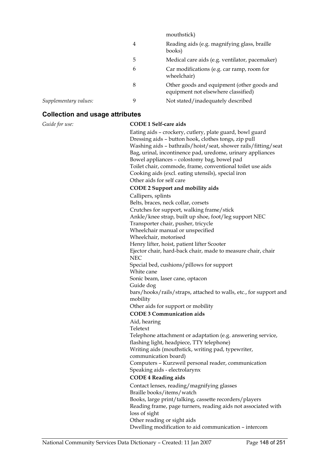|                       |   | mouthstick)                                                                       |
|-----------------------|---|-----------------------------------------------------------------------------------|
|                       | 4 | Reading aids (e.g. magnifying glass, braille<br>books)                            |
|                       | 5 | Medical care aids (e.g. ventilator, pacemaker)                                    |
|                       | 6 | Car modifications (e.g. car ramp, room for<br>wheelchair)                         |
|                       | 8 | Other goods and equipment (other goods and<br>equipment not elsewhere classified) |
| Supplementary values: | 9 | Not stated/inadequately described                                                 |

#### **Collection and usage attributes**

#### *Guide for use:* **CODE 1 Self-care aids**

Eating aids – crockery, cutlery, plate guard, bowl guard Dressing aids – button hook, clothes tongs, zip pull Washing aids – bathrails/hoist/seat, shower rails/fitting/seat Bag, urinal, incontinence pad, uredome, urinary appliances Bowel appliances – colostomy bag, bowel pad Toilet chair, commode, frame, conventional toilet use aids Cooking aids (excl. eating utensils), special iron Other aids for self care **CODE 2 Support and mobility aids** Callipers, splints Belts, braces, neck collar, corsets Crutches for support, walking frame/stick Ankle/knee strap, built up shoe, foot/leg support NEC Transporter chair, pusher, tricycle Wheelchair manual or unspecified Wheelchair, motorised Henry lifter, hoist, patient lifter Scooter Ejector chair, hard-back chair, made to measure chair, chair NEC Special bed, cushions/pillows for support White cane Sonic beam, laser cane, optacon Guide dog bars/hooks/rails/straps, attached to walls, etc., for support and mobility Other aids for support or mobility **CODE 3 Communication aids** Aid, hearing Teletext Telephone attachment or adaptation (e.g. answering service, flashing light, headpiece, TTY telephone) Writing aids (mouthstick, writing pad, typewriter, communication board) Computers – Kurzweil personal reader, communication Speaking aids - electrolarynx **CODE 4 Reading aids** Contact lenses, reading/magnifying glasses Braille books/items/watch Books, large print/talking, cassette recorders/players Reading frame, page turners, reading aids not associated with loss of sight Other reading or sight aids Dwelling modification to aid communication – intercom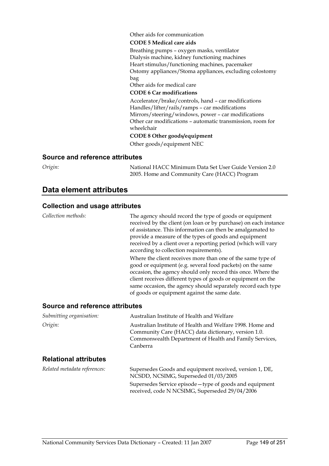Other aids for communication

#### **CODE 5 Medical care aids**

Breathing pumps – oxygen masks, ventilator Dialysis machine, kidney functioning machines Heart stimulus/functioning machines, pacemaker Ostomy appliances/Stoma appliances, excluding colostomy bag

Other aids for medical care

#### **CODE 6 Car modifications**

Accelerator/brake/controls, hand – car modifications Handles/lifter/rails/ramps – car modifications Mirrors/steering/windows, power – car modifications Other car modifications – automatic transmission, room for wheelchair

#### **CODE 8 Other goods/equipment**

Other goods/equipment NEC

#### **Source and reference attributes**

*Origin:* National HACC Minimum Data Set User Guide Version 2.0 2005. Home and Community Care (HACC) Program

Supersedes Service episode—type of goods and equipment

received, code N NCSIMG, Superseded 29/04/2006

### **Data element attributes**

#### **Collection and usage attributes**

*Collection methods:* The agency should record the type of goods or equipment received by the client (on loan or by purchase) on each instance of assistance. This information can then be amalgamated to provide a measure of the types of goods and equipment received by a client over a reporting period (which will vary according to collection requirements). Where the client receives more than one of the same type of good or equipment (e.g. several food packets) on the same occasion, the agency should only record this once. Where the client receives different types of goods or equipment on the same occasion, the agency should separately record each type of goods or equipment against the same date. **Source and reference attributes** 

| Submitting organisation:     | Australian Institute of Health and Welfare                                                                                                                                             |
|------------------------------|----------------------------------------------------------------------------------------------------------------------------------------------------------------------------------------|
| Origin:                      | Australian Institute of Health and Welfare 1998. Home and<br>Community Care (HACC) data dictionary, version 1.0.<br>Commonwealth Department of Health and Family Services,<br>Canberra |
| <b>Relational attributes</b> |                                                                                                                                                                                        |
| Related metadata references: | Supersedes Goods and equipment received, version 1, DE,<br>NCSDD, NCSIMG, Superseded 01/03/2005                                                                                        |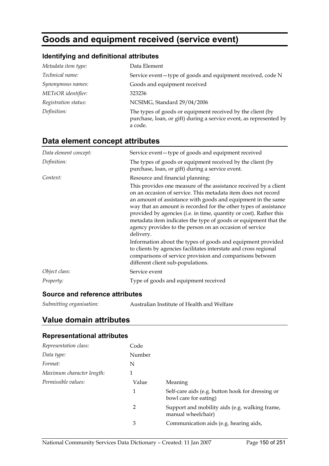# **Goods and equipment received (service event)**

### **Identifying and definitional attributes**

| Metadata item type:  | Data Element                                                                                                                                |
|----------------------|---------------------------------------------------------------------------------------------------------------------------------------------|
| Technical name:      | Service event-type of goods and equipment received, code N                                                                                  |
| Synonymous names:    | Goods and equipment received                                                                                                                |
| METeOR identifier:   | 323236                                                                                                                                      |
| Registration status: | NCSIMG, Standard 29/04/2006                                                                                                                 |
| Definition:          | The types of goods or equipment received by the client (by<br>purchase, loan, or gift) during a service event, as represented by<br>a code. |

## **Data element concept attributes**

| Data element concept: | Service event-type of goods and equipment received                                                                                                                                                                                                                                                                                                                                                                                                                                     |
|-----------------------|----------------------------------------------------------------------------------------------------------------------------------------------------------------------------------------------------------------------------------------------------------------------------------------------------------------------------------------------------------------------------------------------------------------------------------------------------------------------------------------|
| Definition:           | The types of goods or equipment received by the client (by<br>purchase, loan, or gift) during a service event.                                                                                                                                                                                                                                                                                                                                                                         |
| Context:              | Resource and financial planning:                                                                                                                                                                                                                                                                                                                                                                                                                                                       |
|                       | This provides one measure of the assistance received by a client<br>on an occasion of service. This metadata item does not record<br>an amount of assistance with goods and equipment in the same<br>way that an amount is recorded for the other types of assistance<br>provided by agencies (i.e. in time, quantity or cost). Rather this<br>metadata item indicates the type of goods or equipment that the<br>agency provides to the person on an occasion of service<br>delivery. |
|                       | Information about the types of goods and equipment provided<br>to clients by agencies facilitates interstate and cross regional<br>comparisons of service provision and comparisons between<br>different client sub-populations.                                                                                                                                                                                                                                                       |
| Object class:         | Service event                                                                                                                                                                                                                                                                                                                                                                                                                                                                          |
| Property:             | Type of goods and equipment received                                                                                                                                                                                                                                                                                                                                                                                                                                                   |

### **Source and reference attributes**

| Submitting organisation: | Australian Institute of Health and Welfare |
|--------------------------|--------------------------------------------|
|--------------------------|--------------------------------------------|

### **Value domain attributes**

### **Representational attributes**

| Representation class:     | Code   |                                                                           |
|---------------------------|--------|---------------------------------------------------------------------------|
| Data type:                | Number |                                                                           |
| Format:                   | N      |                                                                           |
| Maximum character length: | 1      |                                                                           |
| Permissible values:       | Value  | Meaning                                                                   |
|                           | 1      | Self-care aids (e.g. button hook for dressing or<br>bowl care for eating) |
|                           | 2      | Support and mobility aids (e.g. walking frame,<br>manual wheelchair)      |
|                           | 3      | Communication aids (e.g. hearing aids,                                    |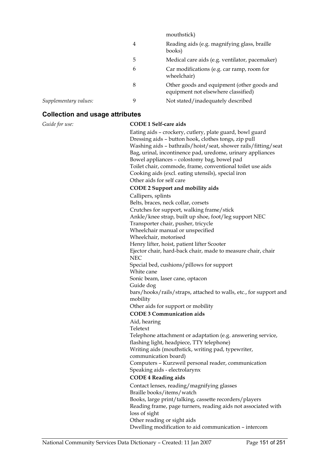|                       |   | mouthstick)                                                                       |
|-----------------------|---|-----------------------------------------------------------------------------------|
|                       | 4 | Reading aids (e.g. magnifying glass, braille<br>books)                            |
|                       | 5 | Medical care aids (e.g. ventilator, pacemaker)                                    |
|                       | 6 | Car modifications (e.g. car ramp, room for<br>wheelchair)                         |
|                       | 8 | Other goods and equipment (other goods and<br>equipment not elsewhere classified) |
| Supplementary values: | 9 | Not stated/inadequately described                                                 |

#### **Collection and usage attributes**

#### *Guide for use:* **CODE 1 Self-care aids**

Eating aids – crockery, cutlery, plate guard, bowl guard Dressing aids – button hook, clothes tongs, zip pull Washing aids – bathrails/hoist/seat, shower rails/fitting/seat Bag, urinal, incontinence pad, uredome, urinary appliances Bowel appliances – colostomy bag, bowel pad Toilet chair, commode, frame, conventional toilet use aids Cooking aids (excl. eating utensils), special iron Other aids for self care **CODE 2 Support and mobility aids** Callipers, splints Belts, braces, neck collar, corsets Crutches for support, walking frame/stick Ankle/knee strap, built up shoe, foot/leg support NEC Transporter chair, pusher, tricycle Wheelchair manual or unspecified Wheelchair, motorised Henry lifter, hoist, patient lifter Scooter Ejector chair, hard-back chair, made to measure chair, chair NEC Special bed, cushions/pillows for support White cane Sonic beam, laser cane, optacon Guide dog bars/hooks/rails/straps, attached to walls, etc., for support and mobility Other aids for support or mobility **CODE 3 Communication aids** Aid, hearing Teletext Telephone attachment or adaptation (e.g. answering service, flashing light, headpiece, TTY telephone) Writing aids (mouthstick, writing pad, typewriter, communication board) Computers – Kurzweil personal reader, communication Speaking aids - electrolarynx **CODE 4 Reading aids** Contact lenses, reading/magnifying glasses Braille books/items/watch Books, large print/talking, cassette recorders/players Reading frame, page turners, reading aids not associated with loss of sight Other reading or sight aids Dwelling modification to aid communication – intercom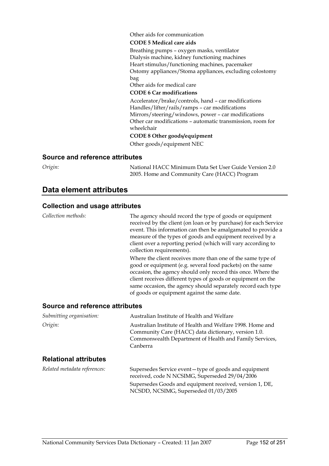Other aids for communication

#### **CODE 5 Medical care aids**

Breathing pumps – oxygen masks, ventilator Dialysis machine, kidney functioning machines Heart stimulus/functioning machines, pacemaker Ostomy appliances/Stoma appliances, excluding colostomy bag

Other aids for medical care

#### **CODE 6 Car modifications**

Accelerator/brake/controls, hand – car modifications Handles/lifter/rails/ramps – car modifications Mirrors/steering/windows, power – car modifications Other car modifications – automatic transmission, room for wheelchair

#### **CODE 8 Other goods/equipment**

Other goods/equipment NEC

#### **Source and reference attributes**

*Origin:* National HACC Minimum Data Set User Guide Version 2.0 2005. Home and Community Care (HACC) Program

### **Data element attributes**

#### **Collection and usage attributes**

*Collection methods:* The agency should record the type of goods or equipment received by the client (on loan or by purchase) for each Service event. This information can then be amalgamated to provide a measure of the types of goods and equipment received by a client over a reporting period (which will vary according to collection requirements). Where the client receives more than one of the same type of good or equipment (e.g. several food packets) on the same occasion, the agency should only record this once. Where the client receives different types of goods or equipment on the same occasion, the agency should separately record each type of goods or equipment against the same date. **Source and reference attributes** 

| Submitting organisation:     | Australian Institute of Health and Welfare                                                                                                                                             |  |
|------------------------------|----------------------------------------------------------------------------------------------------------------------------------------------------------------------------------------|--|
| Origin:                      | Australian Institute of Health and Welfare 1998. Home and<br>Community Care (HACC) data dictionary, version 1.0.<br>Commonwealth Department of Health and Family Services,<br>Canberra |  |
| <b>Relational attributes</b> |                                                                                                                                                                                        |  |
|                              |                                                                                                                                                                                        |  |

| Related metadata references: | Supersedes Service event-type of goods and equipment<br>received, code N NCSIMG, Superseded 29/04/2006 |
|------------------------------|--------------------------------------------------------------------------------------------------------|
|                              | Supersedes Goods and equipment received, version 1, DE,<br>NCSDD, NCSIMG, Superseded 01/03/2005        |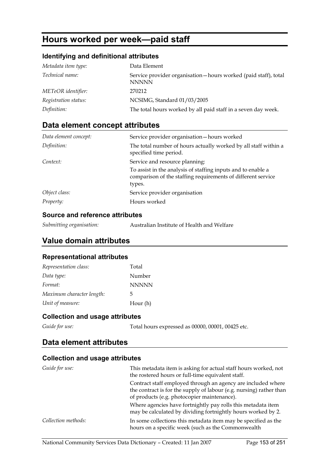# **Hours worked per week—paid staff**

### **Identifying and definitional attributes**

| Metadata item type:  | Data Element                                                                   |
|----------------------|--------------------------------------------------------------------------------|
| Technical name:      | Service provider organisation-hours worked (paid staff), total<br><b>NNNNN</b> |
| METeOR identifier:   | 270212                                                                         |
| Registration status: | NCSIMG, Standard 01/03/2005                                                    |
| Definition:          | The total hours worked by all paid staff in a seven day week.                  |

### **Data element concept attributes**

| Data element concept: | Service provider organisation-hours worked                                                                                             |
|-----------------------|----------------------------------------------------------------------------------------------------------------------------------------|
| Definition:           | The total number of hours actually worked by all staff within a<br>specified time period.                                              |
| Context:              | Service and resource planning:                                                                                                         |
|                       | To assist in the analysis of staffing inputs and to enable a<br>comparison of the staffing requirements of different service<br>types. |
| Object class:         | Service provider organisation                                                                                                          |
| Property:             | Hours worked                                                                                                                           |

### **Source and reference attributes**

| Submitting organisation: | Australian Institute of Health and Welfare |
|--------------------------|--------------------------------------------|
|--------------------------|--------------------------------------------|

### **Value domain attributes**

### **Representational attributes**

| Representation class:     | Total        |
|---------------------------|--------------|
| Data type:                | Number       |
| Format:                   | <b>NNNNN</b> |
| Maximum character length: | 5            |
| Unit of measure:          | Hour (h)     |

### **Collection and usage attributes**

Guide for use: Total hours expressed as 00000, 00001, 00425 etc.

### **Data element attributes**

### **Collection and usage attributes**

| Guide for use:      | This metadata item is asking for actual staff hours worked, not<br>the rostered hours or full-time equivalent staff. |
|---------------------|----------------------------------------------------------------------------------------------------------------------|
|                     | Contract staff employed through an agency are included where                                                         |
|                     | the contract is for the supply of labour (e.g. nursing) rather than                                                  |
|                     | of products (e.g. photocopier maintenance).                                                                          |
|                     | Where agencies have fortnightly pay rolls this metadata item                                                         |
|                     | may be calculated by dividing fortnightly hours worked by 2.                                                         |
| Collection methods: | In some collections this metadata item may be specified as the<br>hours on a specific week (such as the Commonwealth |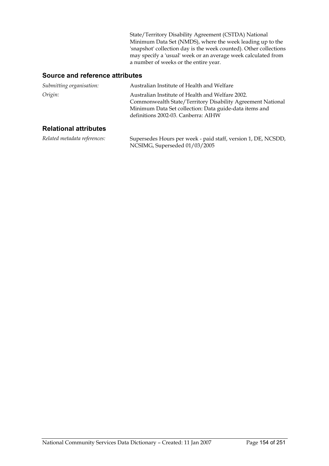State/Territory Disability Agreement (CSTDA) National Minimum Data Set (NMDS), where the week leading up to the 'snapshot' collection day is the week counted). Other collections may specify a 'usual' week or an average week calculated from a number of weeks or the entire year.

### **Source and reference attributes**

| Submitting organisation: | Australian Institute of Health and Welfare                                                                                                                                                                      |
|--------------------------|-----------------------------------------------------------------------------------------------------------------------------------------------------------------------------------------------------------------|
| Origin:                  | Australian Institute of Health and Welfare 2002.<br>Commonwealth State/Territory Disability Agreement National<br>Minimum Data Set collection: Data guide-data items and<br>definitions 2002-03. Canberra: AIHW |

### **Relational attributes**

*Related metadata references:* Supersedes Hours per week - paid staff, version 1, DE, NCSDD, NCSIMG, Superseded 01/03/2005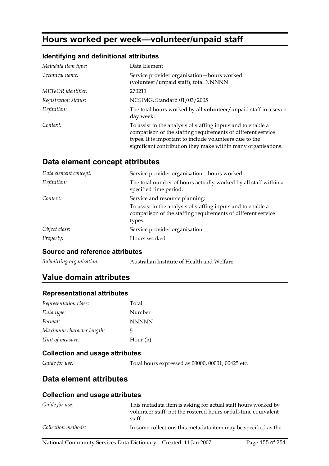# **Hours worked per week—volunteer/unpaid staff**

### **Identifying and definitional attributes**

| Metadata item type:    | Data Element                                                                                                                                                                                                                                             |
|------------------------|----------------------------------------------------------------------------------------------------------------------------------------------------------------------------------------------------------------------------------------------------------|
| <i>Technical name:</i> | Service provider organisation-hours worked<br>(volunteer/unpaid staff), total NNNNN                                                                                                                                                                      |
| METeOR identifier:     | 270211                                                                                                                                                                                                                                                   |
| Registration status:   | NCSIMG, Standard 01/03/2005                                                                                                                                                                                                                              |
| Definition:            | The total hours worked by all <b>volunteer</b> /unpaid staff in a seven<br>day week.                                                                                                                                                                     |
| Context:               | To assist in the analysis of staffing inputs and to enable a<br>comparison of the staffing requirements of different service<br>types. It is important to include volunteers due to the<br>significant contribution they make within many organisations. |

### **Data element concept attributes**

| Data element concept: | Service provider organisation-hours worked                                                                                             |
|-----------------------|----------------------------------------------------------------------------------------------------------------------------------------|
| Definition:           | The total number of hours actually worked by all staff within a<br>specified time period.                                              |
| Context:              | Service and resource planning:                                                                                                         |
|                       | To assist in the analysis of staffing inputs and to enable a<br>comparison of the staffing requirements of different service<br>types. |
| Object class:         | Service provider organisation                                                                                                          |
| Property:             | Hours worked                                                                                                                           |

### **Source and reference attributes**

*Submitting organisation:* Australian Institute of Health and Welfare

### **Value domain attributes**

#### **Representational attributes**

| Representation class:     | Total        |
|---------------------------|--------------|
| Data type:                | Number       |
| Format:                   | <b>NNNNN</b> |
| Maximum character length: | 5            |
| Unit of measure:          | Hour (h)     |

### **Collection and usage attributes**

*Guide for use:* Total hours expressed as 00000, 00001, 00425 etc.

### **Data element attributes**

### **Collection and usage attributes**

| Guide for use:      | This metadata item is asking for actual staff hours worked by             |  |
|---------------------|---------------------------------------------------------------------------|--|
|                     | volunteer staff, not the rostered hours or full-time equivalent<br>staff. |  |
| Collection methods: | In some collections this metadata item may be specified as the            |  |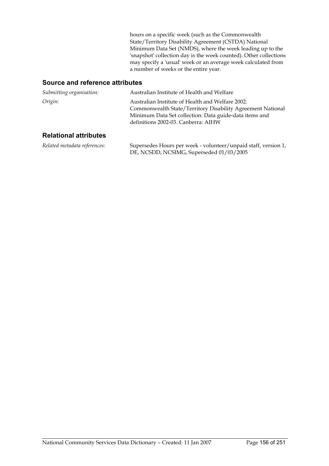hours on a specific week (such as the Commonwealth State/Territory Disability Agreement (CSTDA) National Minimum Data Set (NMDS), where the week leading up to the 'snapshot' collection day is the week counted). Other collections may specify a 'usual' week or an average week calculated from a number of weeks or the entire year.

### **Source and reference attributes**

| Submitting organisation:     | Australian Institute of Health and Welfare                                                                                                                                                                      |
|------------------------------|-----------------------------------------------------------------------------------------------------------------------------------------------------------------------------------------------------------------|
| Origin:                      | Australian Institute of Health and Welfare 2002.<br>Commonwealth State/Territory Disability Agreement National<br>Minimum Data Set collection: Data guide-data items and<br>definitions 2002-03. Canberra: AIHW |
| <b>Relational attributes</b> |                                                                                                                                                                                                                 |

| Related metadata references: | Supersedes Hours per week - volunteer/unpaid staff, version 1, |
|------------------------------|----------------------------------------------------------------|
|                              | DE, NCSDD, NCSIMG, Superseded 01/03/2005                       |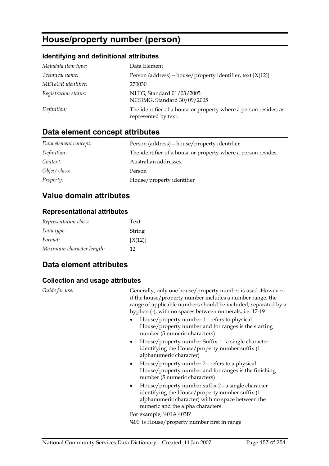# **House/property number (person)**

### **Identifying and definitional attributes**

| Metadata item type:  | Data Element                                                                             |
|----------------------|------------------------------------------------------------------------------------------|
| Technical name:      | Person (address) – house/property identifier, text $[X(12)]$                             |
| METeOR identifier:   | 270030                                                                                   |
| Registration status: | NHIG, Standard 01/03/2005<br>NCSIMG, Standard 30/09/2005                                 |
| Definition:          | The identifier of a house or property where a person resides, as<br>represented by text. |

# **Data element concept attributes**

| Data element concept: | Person (address) – house/property identifier                  |  |
|-----------------------|---------------------------------------------------------------|--|
| Definition:           | The identifier of a house or property where a person resides. |  |
| Context:              | Australian addresses.                                         |  |
| Object class:         | Person                                                        |  |
| <i>Property:</i>      | House/property identifier                                     |  |

## **Value domain attributes**

### **Representational attributes**

| Representation class:     | Text    |
|---------------------------|---------|
| Data type:                | String  |
| Format:                   | [X(12)] |
| Maximum character length: | 12      |

## **Data element attributes**

### **Collection and usage attributes**

| Guide for use: | Generally, only one house/property number is used. However,<br>if the house/property number includes a number range, the<br>range of applicable numbers should be included, separated by a<br>hyphen (-), with no spaces between numerals, i.e. 17-19<br>House/property number 1 - refers to physical<br>House/property number and for ranges is the starting<br>number (5 numeric characters) |
|----------------|------------------------------------------------------------------------------------------------------------------------------------------------------------------------------------------------------------------------------------------------------------------------------------------------------------------------------------------------------------------------------------------------|
|                | • House/property number Suffix 1 - a single character<br>identifying the House/property number suffix (1)<br>alphanumeric character)                                                                                                                                                                                                                                                           |
|                | House/property number 2 - refers to a physical<br>$\bullet$<br>House/property number and for ranges is the finishing<br>number (5 numeric characters)                                                                                                                                                                                                                                          |
|                | House/property number suffix 2 - a single character<br>identifying the House/property number suffix (1<br>alphanumeric character) with no space between the<br>numeric and the alpha characters.                                                                                                                                                                                               |
|                | For example; '401A 403B'                                                                                                                                                                                                                                                                                                                                                                       |
|                | '401' is House/property number first in range                                                                                                                                                                                                                                                                                                                                                  |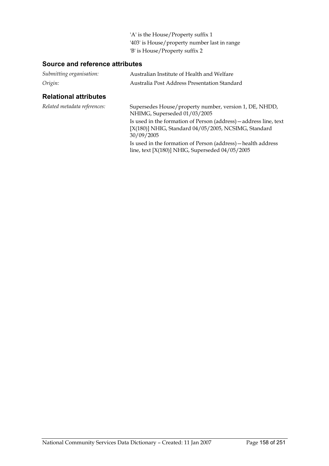'A' is the House/Property suffix 1 '403' is House/property number last in range 'B' is House/Property suffix 2

### **Source and reference attributes**

| Submitting organisation:     | Australian Institute of Health and Welfare<br>Australia Post Address Presentation Standard                                              |  |
|------------------------------|-----------------------------------------------------------------------------------------------------------------------------------------|--|
| Origin:                      |                                                                                                                                         |  |
| <b>Relational attributes</b> |                                                                                                                                         |  |
| Related metadata references: | Supersedes House/property number, version 1, DE, NHDD,<br>NHIMG, Superseded 01/03/2005                                                  |  |
|                              | Is used in the formation of Person (address) – address line, text<br>[X(180)] NHIG, Standard 04/05/2005, NCSIMG, Standard<br>30/09/2005 |  |
|                              | Is used in the formation of Person (address) - health address<br>line, text $[X(180)]$ NHIG, Superseded $04/05/2005$                    |  |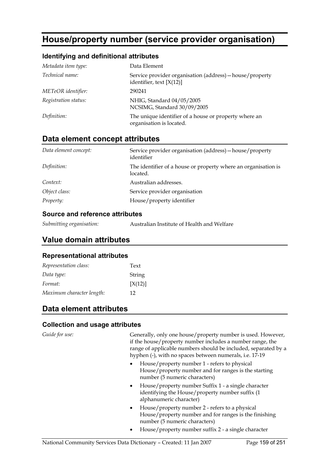# **House/property number (service provider organisation)**

### **Identifying and definitional attributes**

| Metadata item type:    | Data Element                                                                           |
|------------------------|----------------------------------------------------------------------------------------|
| <i>Technical name:</i> | Service provider organisation (address) – house/property<br>identifier, text $[X(12)]$ |
| METeOR identifier:     | 290241                                                                                 |
| Registration status:   | NHIG, Standard 04/05/2005<br>NCSIMG, Standard 30/09/2005                               |
| Definition:            | The unique identifier of a house or property where an<br>organisation is located.      |

### **Data element concept attributes**

| Data element concept: | Service provider organisation (address) – house/property<br>identifier     |
|-----------------------|----------------------------------------------------------------------------|
| Definition:           | The identifier of a house or property where an organisation is<br>located. |
| Context:              | Australian addresses.                                                      |
| Object class:         | Service provider organisation                                              |
| Property:             | House/property identifier                                                  |

### **Source and reference attributes**

| Submitting organisation: | Australian Institute of Health and Welfare |  |
|--------------------------|--------------------------------------------|--|
|                          |                                            |  |

### **Value domain attributes**

#### **Representational attributes**

| Representation class:     | Text    |
|---------------------------|---------|
| Data type:                | String  |
| Format:                   | [X(12)] |
| Maximum character length: | 12      |

### **Data element attributes**

### **Collection and usage attributes**

Guide for use: Generally, only one house/property number is used. However, if the house/property number includes a number range, the range of applicable numbers should be included, separated by a hyphen (-), with no spaces between numerals, i.e. 17-19

- House/property number 1 refers to physical House/property number and for ranges is the starting number (5 numeric characters)
- House/property number Suffix 1 a single character identifying the House/property number suffix (1 alphanumeric character)
- House/property number 2 refers to a physical House/property number and for ranges is the finishing number (5 numeric characters)
- House/property number suffix 2 a single character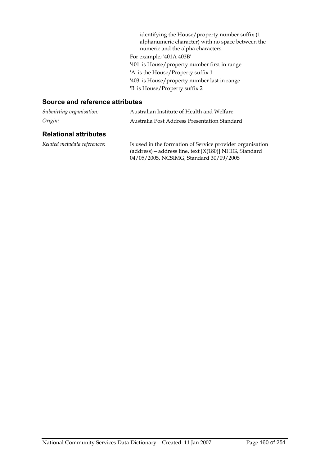identifying the House/property number suffix (1 alphanumeric character) with no space between the numeric and the alpha characters. For example; '401A 403B' '401' is House/property number first in range 'A' is the House/Property suffix 1 '403' is House/property number last in range 'B' is House/Property suffix 2

### **Source and reference attributes**

| Submitting organisation:     | Australian Institute of Health and Welfare<br>Australia Post Address Presentation Standard                                                                     |  |
|------------------------------|----------------------------------------------------------------------------------------------------------------------------------------------------------------|--|
| Origin:                      |                                                                                                                                                                |  |
| <b>Relational attributes</b> |                                                                                                                                                                |  |
| Related metadata references: | Is used in the formation of Service provider organisation<br>(address) – address line, text [X(180)] NHIG, Standard<br>04/05/2005, NCSIMG, Standard 30/09/2005 |  |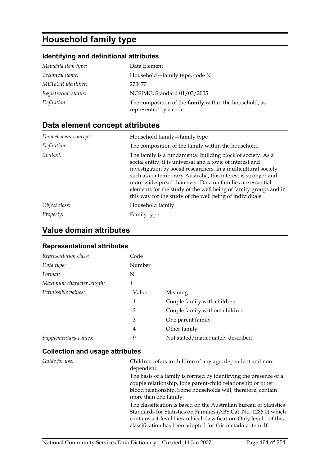# **Household family type**

### **Identifying and definitional attributes**

| Metadata item type:  | Data Element                                                                            |
|----------------------|-----------------------------------------------------------------------------------------|
| Technical name:      | Household – family type, code N                                                         |
| METeOR identifier:   | 270477                                                                                  |
| Registration status: | NCSIMG, Standard 01/03/2005                                                             |
| Definition:          | The composition of the <b>family</b> within the household, as<br>represented by a code. |

# **Data element concept attributes**

| Data element concept: | Household family - family type                                                                                                                                                                                                                                                                                                                                                                                                                             |
|-----------------------|------------------------------------------------------------------------------------------------------------------------------------------------------------------------------------------------------------------------------------------------------------------------------------------------------------------------------------------------------------------------------------------------------------------------------------------------------------|
| Definition:           | The composition of the family within the household.                                                                                                                                                                                                                                                                                                                                                                                                        |
| Context:              | The family is a fundamental building block of society. As a<br>social entity, it is universal and a topic of interest and<br>investigation by social researchers. In a multicultural society<br>such as contemporary Australia, this interest is stronger and<br>more widespread than ever. Data on families are essential<br>elements for the study of the well being of family groups and in<br>this way for the study of the well being of individuals. |
| Object class:         | Household family                                                                                                                                                                                                                                                                                                                                                                                                                                           |
| Property:             | Family type                                                                                                                                                                                                                                                                                                                                                                                                                                                |

## **Value domain attributes**

### **Representational attributes**

| Representation class:     | Code           |                                   |
|---------------------------|----------------|-----------------------------------|
| Data type:                | Number         |                                   |
| Format:                   | N              |                                   |
| Maximum character length: | 1              |                                   |
| Permissible values:       | Value          | Meaning                           |
|                           | 1              | Couple family with children       |
|                           | $\overline{2}$ | Couple family without children    |
|                           | 3              | One parent family                 |
|                           | 4              | Other family                      |
| Supplementary values:     | 9              | Not stated/inadequately described |

### **Collection and usage attributes**

| Guide for use: | Children refers to children of any age, dependent and non-<br>dependent.                                                                                                                                                                                                     |
|----------------|------------------------------------------------------------------------------------------------------------------------------------------------------------------------------------------------------------------------------------------------------------------------------|
|                | The basis of a family is formed by identifying the presence of a<br>couple relationship, lone parent-child relationship or other<br>blood relationship. Some households will, therefore, contain                                                                             |
|                | more than one family.                                                                                                                                                                                                                                                        |
|                | The classification is based on the Australian Bureau of Statistics<br>Standards for Statistics on Families (ABS Cat. No. 1286.0) which<br>contains a 4-level hierarchical classification. Only level 1 of this<br>classification has been adopted for this metadata item. If |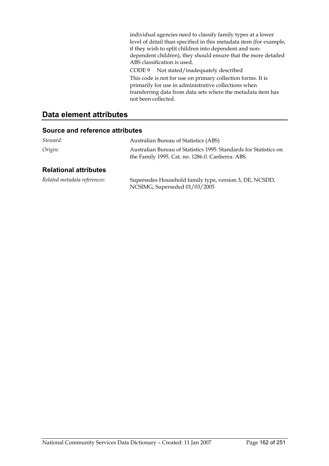individual agencies need to classify family types at a lower level of detail than specified in this metadata item (for example, if they wish to split children into dependent and nondependent children), they should ensure that the more detailed ABS classification is used. CODE 9 Not stated/inadequately described

This code is not for use on primary collection forms. It is primarily for use in administrative collections when transferring data from data sets where the metadata item has not been collected.

### **Data element attributes**

### **Source and reference attributes**

| Steward:                     | Australian Bureau of Statistics (ABS)                                                                                 |
|------------------------------|-----------------------------------------------------------------------------------------------------------------------|
| Origin:                      | Australian Bureau of Statistics 1995. Standards for Statistics on<br>the Family 1995. Cat. no. 1286.0. Canberra: ABS. |
| <b>Relational attributes</b> |                                                                                                                       |
| Related metadata references: | Supersedes Household family type, version 3, DE, NCSDD,                                                               |

NCSIMG, Superseded 01/03/2005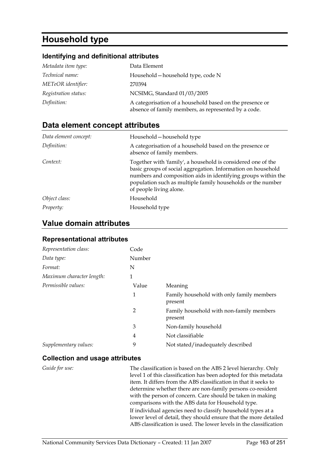# **Household type**

### **Identifying and definitional attributes**

| Metadata item type:    | Data Element                                                                                                     |
|------------------------|------------------------------------------------------------------------------------------------------------------|
| <i>Technical name:</i> | Household – household type, code N                                                                               |
| METeOR identifier:     | 270394                                                                                                           |
| Registration status:   | NCSIMG, Standard 01/03/2005                                                                                      |
| Definition:            | A categorisation of a household based on the presence or<br>absence of family members, as represented by a code. |

### **Data element concept attributes**

| Data element concept: | Household – household type                                                                                                                                                                                                                                                              |
|-----------------------|-----------------------------------------------------------------------------------------------------------------------------------------------------------------------------------------------------------------------------------------------------------------------------------------|
| Definition:           | A categorisation of a household based on the presence or<br>absence of family members.                                                                                                                                                                                                  |
| Context:              | Together with 'family', a household is considered one of the<br>basic groups of social aggregation. Information on household<br>numbers and composition aids in identifying groups within the<br>population such as multiple family households or the number<br>of people living alone. |
| Object class:         | Household                                                                                                                                                                                                                                                                               |
| Property:             | Household type                                                                                                                                                                                                                                                                          |

### **Value domain attributes**

### **Representational attributes**

| Representation class:     | Code   |                                                      |
|---------------------------|--------|------------------------------------------------------|
| Data type:                | Number |                                                      |
| Format:                   | N      |                                                      |
| Maximum character length: | 1      |                                                      |
| Permissible values:       | Value  | Meaning                                              |
|                           | 1      | Family household with only family members<br>present |
|                           | 2      | Family household with non-family members<br>present  |
|                           | 3      | Non-family household                                 |
|                           | 4      | Not classifiable                                     |
| Supplementary values:     | 9      | Not stated/inadequately described                    |

### **Collection and usage attributes**

*Guide for use:* The classification is based on the ABS 2 level hierarchy. Only level 1 of this classification has been adopted for this metadata item. It differs from the ABS classification in that it seeks to determine whether there are non-family persons co-resident with the person of concern. Care should be taken in making comparisons with the ABS data for Household type. If individual agencies need to classify household types at a lower level of detail, they should ensure that the more detailed ABS classification is used. The lower levels in the classification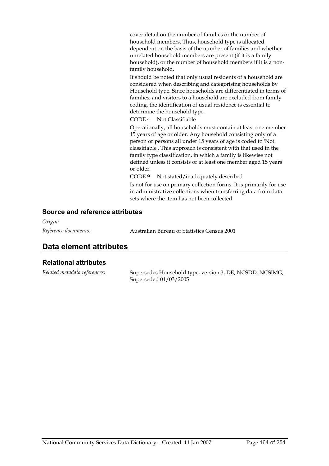cover detail on the number of families or the number of household members. Thus, household type is allocated dependent on the basis of the number of families and whether unrelated household members are present (if it is a family household), or the number of household members if it is a nonfamily household.

It should be noted that only usual residents of a household are considered when describing and categorising households by Household type. Since households are differentiated in terms of families, and visitors to a household are excluded from family coding, the identification of usual residence is essential to determine the household type.

CODE 4 Not Classifiable

Operationally, all households must contain at least one member 15 years of age or older. Any household consisting only of a person or persons all under 15 years of age is coded to 'Not classifiable'. This approach is consistent with that used in the family type classification, in which a family is likewise not defined unless it consists of at least one member aged 15 years or older.

CODE 9 Not stated/inadequately described

Is not for use on primary collection forms. It is primarily for use in administrative collections when transferring data from data sets where the item has not been collected.

### **Source and reference attributes**

*Origin:*

*Reference documents:* Australian Bureau of Statistics Census 2001

### **Data element attributes**

### **Relational attributes**

*Related metadata references:* Supersedes Household type, version 3, DE, NCSDD, NCSIMG, Superseded 01/03/2005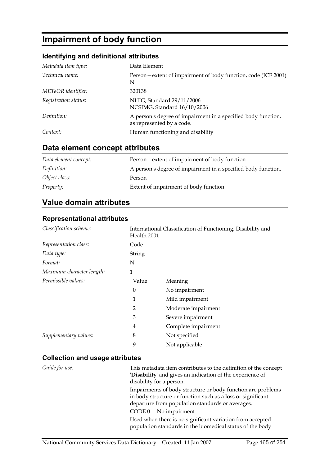# **Impairment of body function**

### **Identifying and definitional attributes**

| Metadata item type:  | Data Element                                                                               |
|----------------------|--------------------------------------------------------------------------------------------|
| Technical name:      | Person-extent of impairment of body function, code (ICF 2001)<br>N                         |
| METeOR identifier:   | 320138                                                                                     |
| Registration status: | NHIG, Standard 29/11/2006<br>NCSIMG, Standard 16/10/2006                                   |
| Definition:          | A person's degree of impairment in a specified body function,<br>as represented by a code. |
| Context:             | Human functioning and disability                                                           |

# **Data element concept attributes**

| Data element concept: | Person—extent of impairment of body function                  |
|-----------------------|---------------------------------------------------------------|
| Definition:           | A person's degree of impairment in a specified body function. |
| Object class:         | Person                                                        |
| <i>Property:</i>      | Extent of impairment of body function                         |

## **Value domain attributes**

### **Representational attributes**

| Classification scheme:    |               | International Classification of Functioning, Disability and<br>Health 2001 |  |  |
|---------------------------|---------------|----------------------------------------------------------------------------|--|--|
| Representation class:     | Code          |                                                                            |  |  |
| Data type:                | <b>String</b> |                                                                            |  |  |
| Format:                   | N             |                                                                            |  |  |
| Maximum character length: | 1             |                                                                            |  |  |
| Permissible values:       | Value         | Meaning                                                                    |  |  |
|                           | $\theta$      | No impairment                                                              |  |  |
|                           | 1             | Mild impairment                                                            |  |  |
|                           | 2             | Moderate impairment                                                        |  |  |
|                           | 3             | Severe impairment                                                          |  |  |
|                           | 4             | Complete impairment                                                        |  |  |
| Supplementary values:     | 8             | Not specified                                                              |  |  |
|                           | 9             | Not applicable                                                             |  |  |

### **Collection and usage attributes**

| Guide for use: | This metadata item contributes to the definition of the concept<br>'Disability' and gives an indication of the experience of<br>disability for a person.                       |
|----------------|--------------------------------------------------------------------------------------------------------------------------------------------------------------------------------|
|                | Impairments of body structure or body function are problems<br>in body structure or function such as a loss or significant<br>departure from population standards or averages. |
|                | No impairment<br>CODE 0                                                                                                                                                        |
|                | Used when there is no significant variation from accepted<br>population standards in the biomedical status of the body                                                         |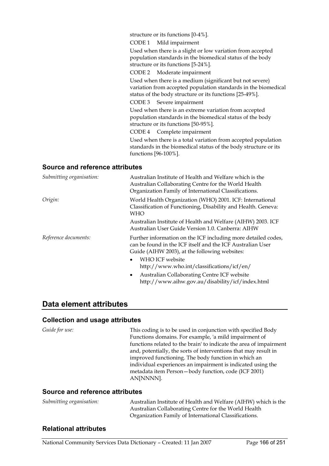structure or its functions [0-4%].

CODE 1 Mild impairment

Used when there is a slight or low variation from accepted population standards in the biomedical status of the body structure or its functions [5-24%].

CODE 2 Moderate impairment

Used when there is a medium (significant but not severe) variation from accepted population standards in the biomedical status of the body structure or its functions [25-49%].

CODE 3 Severe impairment

Used when there is an extreme variation from accepted population standards in the biomedical status of the body structure or its functions [50-95%].

CODE 4 Complete impairment

Used when there is a total variation from accepted population standards in the biomedical status of the body structure or its functions [96-100%].

#### **Source and reference attributes**

| Submitting organisation: | Australian Institute of Health and Welfare which is the<br>Australian Collaborating Centre for the World Health<br>Organization Family of International Classifications.                                     |
|--------------------------|--------------------------------------------------------------------------------------------------------------------------------------------------------------------------------------------------------------|
| Origin:                  | World Health Organization (WHO) 2001. ICF: International<br>Classification of Functioning, Disability and Health. Geneva:<br><b>WHO</b>                                                                      |
|                          | Australian Institute of Health and Welfare (AIHW) 2003. ICF<br>Australian User Guide Version 1.0. Canberra: AIHW                                                                                             |
| Reference documents:     | Further information on the ICF including more detailed codes,<br>can be found in the ICF itself and the ICF Australian User<br>Guide (AIHW 2003), at the following websites:<br>WHO ICF website<br>$\bullet$ |
|                          | http://www.who.int/classifications/icf/en/                                                                                                                                                                   |
|                          | Australian Collaborating Centre ICF website<br>$\bullet$<br>http://www.aihw.gov.au/disability/icf/index.html                                                                                                 |

### **Data element attributes**

#### **Collection and usage attributes**

*Guide for use:* This coding is to be used in conjunction with specified Body Functions domains. For example, 'a mild impairment of functions related to the brain' to indicate the area of impairment and, potentially, the sorts of interventions that may result in improved functioning. The body function in which an individual experiences an impairment is indicated using the metadata item Person—body function, code (ICF 2001) AN[NNNN].

#### **Source and reference attributes**

| Submitting organisation: | Australian Institute of Health and Welfare (AIHW) which is the |
|--------------------------|----------------------------------------------------------------|
|                          | Australian Collaborating Centre for the World Health           |
|                          | Organization Family of International Classifications.          |

### **Relational attributes**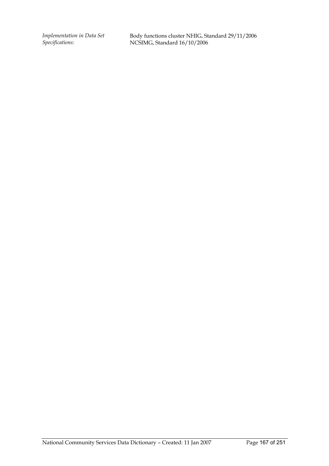*Implementation in Data Set Specifications:*

Body functions cluster NHIG, Standard 29/11/2006 NCSIMG, Standard 16/10/2006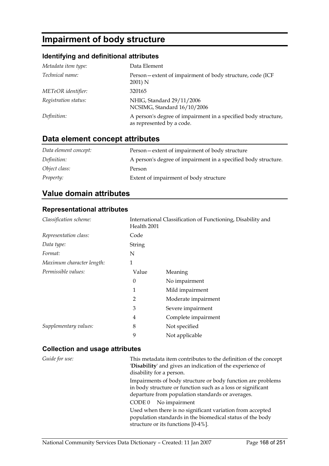# **Impairment of body structure**

### **Identifying and definitional attributes**

| Metadata item type:  | Data Element                                                                                |
|----------------------|---------------------------------------------------------------------------------------------|
| Technical name:      | Person – extent of impairment of body structure, code (ICF<br>2001) N                       |
| METeOR identifier:   | 320165                                                                                      |
| Registration status: | NHIG, Standard 29/11/2006<br>NCSIMG, Standard 16/10/2006                                    |
| Definition:          | A person's degree of impairment in a specified body structure,<br>as represented by a code. |

### **Data element concept attributes**

| Data element concept: | Person-extent of impairment of body structure                  |
|-----------------------|----------------------------------------------------------------|
| Definition:           | A person's degree of impairment in a specified body structure. |
| Object class:         | Person                                                         |
| <i>Property:</i>      | Extent of impairment of body structure                         |

### **Value domain attributes**

### **Representational attributes**

| Classification scheme:    | International Classification of Functioning, Disability and<br>Health 2001 |                     |  |
|---------------------------|----------------------------------------------------------------------------|---------------------|--|
| Representation class:     | Code                                                                       |                     |  |
| Data type:                | String                                                                     |                     |  |
| Format:                   | N                                                                          |                     |  |
| Maximum character length: | 1                                                                          |                     |  |
| Permissible values:       | Value                                                                      | Meaning             |  |
|                           | 0                                                                          | No impairment       |  |
|                           | 1                                                                          | Mild impairment     |  |
|                           | 2                                                                          | Moderate impairment |  |
|                           | 3                                                                          | Severe impairment   |  |
|                           | 4                                                                          | Complete impairment |  |
| Supplementary values:     | 8                                                                          | Not specified       |  |
|                           | 9                                                                          | Not applicable      |  |

### **Collection and usage attributes**

*Guide for use:* This metadata item contributes to the definition of the concept '**Disability**' and gives an indication of the experience of disability for a person. Impairments of body structure or body function are problems in body structure or function such as a loss or significant departure from population standards or averages. CODE 0 No impairment Used when there is no significant variation from accepted population standards in the biomedical status of the body structure or its functions [0-4%].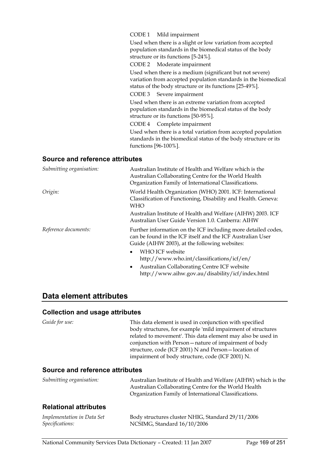#### CODE 1 Mild impairment

Used when there is a slight or low variation from accepted population standards in the biomedical status of the body structure or its functions [5-24%].

CODE 2 Moderate impairment

Used when there is a medium (significant but not severe) variation from accepted population standards in the biomedical status of the body structure or its functions [25-49%].

CODE 3 Severe impairment

Used when there is an extreme variation from accepted population standards in the biomedical status of the body structure or its functions [50-95%].

CODE 4 Complete impairment

Used when there is a total variation from accepted population standards in the biomedical status of the body structure or its functions [96-100%].

#### **Source and reference attributes**

| Submitting organisation: | Australian Institute of Health and Welfare which is the<br>Australian Collaborating Centre for the World Health<br>Organization Family of International Classifications.     |  |
|--------------------------|------------------------------------------------------------------------------------------------------------------------------------------------------------------------------|--|
| Origin:                  | World Health Organization (WHO) 2001. ICF: International<br>Classification of Functioning, Disability and Health. Geneva:<br>WHO                                             |  |
|                          | Australian Institute of Health and Welfare (AIHW) 2003. ICF<br>Australian User Guide Version 1.0. Canberra: AIHW                                                             |  |
| Reference documents:     | Further information on the ICF including more detailed codes,<br>can be found in the ICF itself and the ICF Australian User<br>Guide (AIHW 2003), at the following websites: |  |
|                          | WHO ICF website<br>$\bullet$<br>http://www.who.int/classifications/icf/en/                                                                                                   |  |
|                          | Australian Collaborating Centre ICF website<br>$\bullet$<br>http://www.aihw.gov.au/disability/icf/index.html                                                                 |  |

### **Data element attributes**

#### **Collection and usage attributes**

| Guide for use:                         | This data element is used in conjunction with specified<br>body structures, for example 'mild impairment of structures |  |  |
|----------------------------------------|------------------------------------------------------------------------------------------------------------------------|--|--|
|                                        | related to movement'. This data element may also be used in                                                            |  |  |
|                                        | conjunction with Person – nature of impairment of body<br>structure, code (ICF 2001) N and Person-location of          |  |  |
|                                        |                                                                                                                        |  |  |
|                                        | impairment of body structure, code (ICF 2001) N.                                                                       |  |  |
| <b>Source and reference attributes</b> |                                                                                                                        |  |  |
| Submitting organisation:               | Australian Institute of Health and Welfare (AIHW) which is the                                                         |  |  |
|                                        | Australian Collaborating Centre for the World Health                                                                   |  |  |
|                                        | Organization Family of International Classifications.                                                                  |  |  |

### **Relational attributes**

| Implementation in Data Set | Body structures cluster NHIG, Standard 29/11/2006 |
|----------------------------|---------------------------------------------------|
| <i>Specifications:</i>     | NCSIMG, Standard 16/10/2006                       |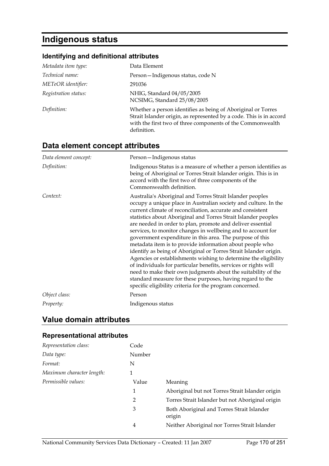# **Indigenous status**

### **Identifying and definitional attributes**

| Metadata item type:    | Data Element                                                                                                                                                                                                     |
|------------------------|------------------------------------------------------------------------------------------------------------------------------------------------------------------------------------------------------------------|
| <i>Technical name:</i> | Person-Indigenous status, code N                                                                                                                                                                                 |
| METeOR identifier:     | 291036                                                                                                                                                                                                           |
| Registration status:   | NHIG, Standard 04/05/2005<br>NCSIMG, Standard 25/08/2005                                                                                                                                                         |
| Definition:            | Whether a person identifies as being of Aboriginal or Torres<br>Strait Islander origin, as represented by a code. This is in accord<br>with the first two of three components of the Commonwealth<br>definition. |

# **Data element concept attributes**

| Data element concept: | Person-Indigenous status                                                                                                                                                                                                                                                                                                                                                                                                                                                                                                                                                                                                                                                                                                                                                                                                                                                                                                |
|-----------------------|-------------------------------------------------------------------------------------------------------------------------------------------------------------------------------------------------------------------------------------------------------------------------------------------------------------------------------------------------------------------------------------------------------------------------------------------------------------------------------------------------------------------------------------------------------------------------------------------------------------------------------------------------------------------------------------------------------------------------------------------------------------------------------------------------------------------------------------------------------------------------------------------------------------------------|
| Definition:           | Indigenous Status is a measure of whether a person identifies as<br>being of Aboriginal or Torres Strait Islander origin. This is in<br>accord with the first two of three components of the<br>Commonwealth definition.                                                                                                                                                                                                                                                                                                                                                                                                                                                                                                                                                                                                                                                                                                |
| Context:              | Australia's Aboriginal and Torres Strait Islander peoples<br>occupy a unique place in Australian society and culture. In the<br>current climate of reconciliation, accurate and consistent<br>statistics about Aboriginal and Torres Strait Islander peoples<br>are needed in order to plan, promote and deliver essential<br>services, to monitor changes in wellbeing and to account for<br>government expenditure in this area. The purpose of this<br>metadata item is to provide information about people who<br>identify as being of Aboriginal or Torres Strait Islander origin.<br>Agencies or establishments wishing to determine the eligibility<br>of individuals for particular benefits, services or rights will<br>need to make their own judgments about the suitability of the<br>standard measure for these purposes, having regard to the<br>specific eligibility criteria for the program concerned. |
| Object class:         | Person                                                                                                                                                                                                                                                                                                                                                                                                                                                                                                                                                                                                                                                                                                                                                                                                                                                                                                                  |
| Property:             | Indigenous status                                                                                                                                                                                                                                                                                                                                                                                                                                                                                                                                                                                                                                                                                                                                                                                                                                                                                                       |

## **Value domain attributes**

### **Representational attributes**

| Representation class:     | Code   |                                                      |
|---------------------------|--------|------------------------------------------------------|
| Data type:                | Number |                                                      |
| Format:                   | N      |                                                      |
| Maximum character length: |        |                                                      |
| Permissible values:       | Value  | Meaning                                              |
|                           | 1      | Aboriginal but not Torres Strait Islander origin     |
|                           | 2      | Torres Strait Islander but not Aboriginal origin     |
|                           | 3      | Both Aboriginal and Torres Strait Islander<br>origin |
|                           | 4      | Neither Aboriginal nor Torres Strait Islander        |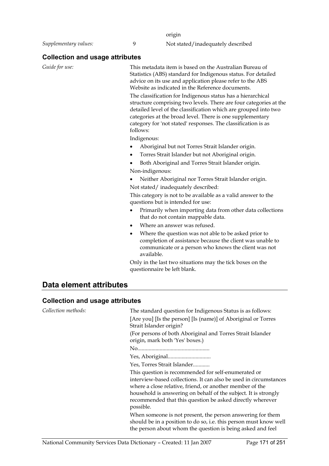origin

*Supplementary values:* 9 Not stated/inadequately described

### **Collection and usage attributes**

*Guide for use:* This metadata item is based on the Australian Bureau of Statistics (ABS) standard for Indigenous status. For detailed advice on its use and application please refer to the ABS Website as indicated in the Reference documents.

> The classification for Indigenous status has a hierarchical structure comprising two levels. There are four categories at the detailed level of the classification which are grouped into two categories at the broad level. There is one supplementary category for 'not stated' responses. The classification is as follows:

Indigenous:

- Aboriginal but not Torres Strait Islander origin.
- Torres Strait Islander but not Aboriginal origin.
- Both Aboriginal and Torres Strait Islander origin. Non-indigenous:
- Neither Aboriginal nor Torres Strait Islander origin. Not stated/ inadequately described:

This category is not to be available as a valid answer to the questions but is intended for use:

- Primarily when importing data from other data collections that do not contain mappable data.
- Where an answer was refused.
- Where the question was not able to be asked prior to completion of assistance because the client was unable to communicate or a person who knows the client was not available.

Only in the last two situations may the tick boxes on the questionnaire be left blank.

### **Data element attributes**

#### **Collection and usage attributes**

| Collection methods: | The standard question for Indigenous Status is as follows:                                                                                                                                                                                                                                                                        |
|---------------------|-----------------------------------------------------------------------------------------------------------------------------------------------------------------------------------------------------------------------------------------------------------------------------------------------------------------------------------|
|                     | [Are you] [Is the person] [Is (name)] of Aboriginal or Torres<br>Strait Islander origin?                                                                                                                                                                                                                                          |
|                     | (For persons of both Aboriginal and Torres Strait Islander)<br>origin, mark both 'Yes' boxes.)                                                                                                                                                                                                                                    |
|                     |                                                                                                                                                                                                                                                                                                                                   |
|                     |                                                                                                                                                                                                                                                                                                                                   |
|                     | Yes, Torres Strait Islander                                                                                                                                                                                                                                                                                                       |
|                     | This question is recommended for self-enumerated or<br>interview-based collections. It can also be used in circumstances<br>where a close relative, friend, or another member of the<br>household is answering on behalf of the subject. It is strongly<br>recommended that this question be asked directly wherever<br>possible. |
|                     | When someone is not present, the person answering for them<br>should be in a position to do so, i.e. this person must know well<br>the person about whom the question is being asked and feel                                                                                                                                     |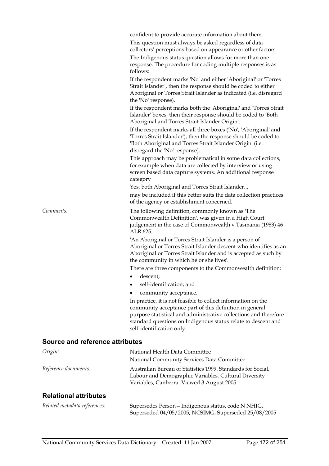| confident to provide accurate information about them. |  |  |
|-------------------------------------------------------|--|--|
|-------------------------------------------------------|--|--|

This question must always be asked regardless of data collectors' perceptions based on appearance or other factors.

The Indigenous status question allows for more than one response. The procedure for coding multiple responses is as follows:

If the respondent marks 'No' and either 'Aboriginal' or 'Torres Strait Islander', then the response should be coded to either Aboriginal or Torres Strait Islander as indicated (i.e. disregard the 'No' response).

If the respondent marks both the 'Aboriginal' and 'Torres Strait Islander' boxes, then their response should be coded to 'Both Aboriginal and Torres Strait Islander Origin'.

If the respondent marks all three boxes ('No', 'Aboriginal' and 'Torres Strait Islander'), then the response should be coded to 'Both Aboriginal and Torres Strait Islander Origin' (i.e. disregard the 'No' response).

This approach may be problematical in some data collections, for example when data are collected by interview or using screen based data capture systems. An additional response category

Yes, both Aboriginal and Torres Strait Islander...

may be included if this better suits the data collection practices of the agency or establishment concerned.

*Comments:* The following definition, commonly known as 'The Commonwealth Definition', was given in a High Court judgement in the case of Commonwealth v Tasmania (1983) 46 ALR 625.

> 'An Aboriginal or Torres Strait Islander is a person of Aboriginal or Torres Strait Islander descent who identifies as an Aboriginal or Torres Strait Islander and is accepted as such by the community in which he or she lives'.

There are three components to the Commonwealth definition:

- descent;
- self-identification; and
- community acceptance.

In practice, it is not feasible to collect information on the community acceptance part of this definition in general purpose statistical and administrative collections and therefore standard questions on Indigenous status relate to descent and self-identification only.

#### **Source and reference attributes**

| Origin:                      | National Health Data Committee                                                                                                                                    |
|------------------------------|-------------------------------------------------------------------------------------------------------------------------------------------------------------------|
|                              | National Community Services Data Committee                                                                                                                        |
| Reference documents:         | Australian Bureau of Statistics 1999. Standards for Social,<br>Labour and Demographic Variables. Cultural Diversity<br>Variables, Canberra. Viewed 3 August 2005. |
| <b>Relational attributes</b> |                                                                                                                                                                   |
|                              |                                                                                                                                                                   |

| Related metadata references: | Supersedes Person - Indigenous status, code N NHIG,  |
|------------------------------|------------------------------------------------------|
|                              | Superseded 04/05/2005, NCSIMG, Superseded 25/08/2005 |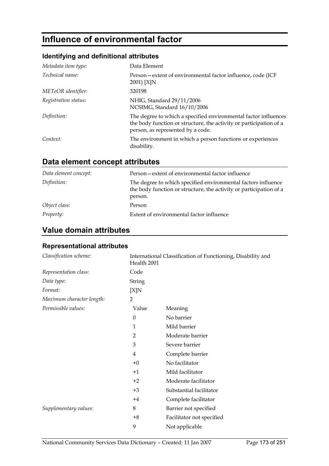# **Influence of environmental factor**

### **Identifying and definitional attributes**

| Metadata item type:  | Data Element                                                                                                                                                               |
|----------------------|----------------------------------------------------------------------------------------------------------------------------------------------------------------------------|
| Technical name:      | Person-extent of environmental factor influence, code (ICF<br>2001) [X]N                                                                                                   |
| METeOR identifier:   | 320198                                                                                                                                                                     |
| Registration status: | NHIG, Standard 29/11/2006<br>NCSIMG, Standard 16/10/2006                                                                                                                   |
| Definition:          | The degree to which a specified environmental factor influences<br>the body function or structure, the activity or participation of a<br>person, as represented by a code. |
| Context:             | The environment in which a person functions or experiences<br>disability.                                                                                                  |

# **Data element concept attributes**

| Data element concept: | Person – extent of environmental factor influence                                                                                              |
|-----------------------|------------------------------------------------------------------------------------------------------------------------------------------------|
| Definition:           | The degree to which specified environmental factors influence<br>the body function or structure, the activity or participation of a<br>person. |
| Object class:         | Person                                                                                                                                         |
| <i>Property:</i>      | Extent of environmental factor influence                                                                                                       |

## **Value domain attributes**

### **Representational attributes**

| Classification scheme:    | Health 2001    | International Classification of Functioning, Disability and |
|---------------------------|----------------|-------------------------------------------------------------|
| Representation class:     | Code           |                                                             |
| Data type:                | <b>String</b>  |                                                             |
| Format:                   | [X]N           |                                                             |
| Maximum character length: | 2              |                                                             |
| Permissible values:       | Value          | Meaning                                                     |
|                           | $\theta$       | No barrier                                                  |
|                           | 1              | Mild barrier                                                |
|                           | $\overline{2}$ | Moderate barrier                                            |
|                           | 3              | Severe barrier                                              |
|                           | 4              | Complete barrier                                            |
|                           | $+0$           | No facilitator                                              |
|                           | $+1$           | Mild facilitator                                            |
|                           | $+2$           | Moderate facilitator                                        |
|                           | $+3$           | Substantial facilitator                                     |
|                           | $+4$           | Complete facilitator                                        |
| Supplementary values:     | 8              | Barrier not specified                                       |
|                           | $+8$           | Facilitator not specified                                   |
|                           | 9              | Not applicable                                              |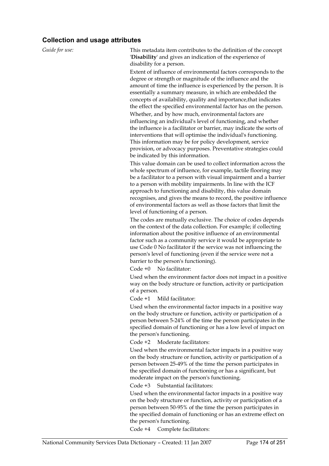#### **Collection and usage attributes**

*Guide for use:* This metadata item contributes to the definition of the concept '**Disability**' and gives an indication of the experience of disability for a person.

> Extent of influence of environmental factors corresponds to the degree or strength or magnitude of the influence and the amount of time the influence is experienced by the person. It is essentially a summary measure, in which are embedded the concepts of availability, quality and importance,that indicates the effect the specified environmental factor has on the person. Whether, and by how much, environmental factors are influencing an individual's level of functioning, and whether the influence is a facilitator or barrier, may indicate the sorts of interventions that will optimise the individual's functioning. This information may be for policy development, service provision, or advocacy purposes. Preventative strategies could be indicated by this information.

This value domain can be used to collect information across the whole spectrum of influence, for example, tactile flooring may be a facilitator to a person with visual impairment and a barrier to a person with mobility impairments. In line with the ICF approach to functioning and disability, this value domain recognises, and gives the means to record, the positive influence of environmental factors as well as those factors that limit the level of functioning of a person.

The codes are mutually exclusive. The choice of codes depends on the context of the data collection. For example; if collecting information about the positive influence of an environmental factor such as a community service it would be appropriate to use Code 0 No facilitator if the service was not influencing the person's level of functioning (even if the service were not a barrier to the person's functioning).

Code +0 No facilitator:

Used when the environment factor does not impact in a positive way on the body structure or function, activity or participation of a person.

Code +1 Mild facilitator:

Used when the environmental factor impacts in a positive way on the body structure or function, activity or participation of a person between 5-24% of the time the person participates in the specified domain of functioning or has a low level of impact on the person's functioning.

Code +2 Moderate facilitators:

Used when the environmental factor impacts in a positive way on the body structure or function, activity or participation of a person between 25-49% of the time the person participates in the specified domain of functioning or has a significant, but moderate impact on the person's functioning.

Code +3 Substantial facilitators:

Used when the environmental factor impacts in a positive way on the body structure or function, activity or participation of a person between 50-95% of the time the person participates in the specified domain of functioning or has an extreme effect on the person's functioning.

Code +4 Complete facilitators: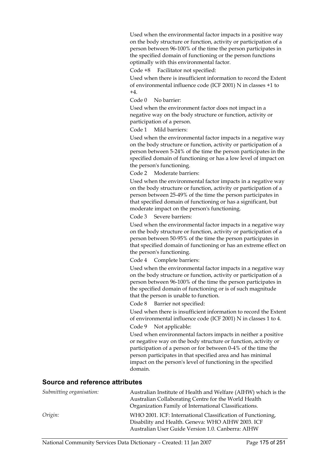Used when the environmental factor impacts in a positive way on the body structure or function, activity or participation of a person between 96-100% of the time the person participates in the specified domain of functioning or the person functions optimally with this environmental factor.

Code +8 Facilitator not specified:

Used when there is insufficient information to record the Extent of environmental influence code (ICF 2001) N in classes +1 to  $+4.$ 

Code 0 No barrier:

Used when the environment factor does not impact in a negative way on the body structure or function, activity or participation of a person.

Code 1 Mild barriers:

Used when the environmental factor impacts in a negative way on the body structure or function, activity or participation of a person between 5-24% of the time the person participates in the specified domain of functioning or has a low level of impact on the person's functioning.

Code 2 Moderate barriers:

Used when the environmental factor impacts in a negative way on the body structure or function, activity or participation of a person between 25-49% of the time the person participates in that specified domain of functioning or has a significant, but moderate impact on the person's functioning.

Code 3 Severe barriers:

Used when the environmental factor impacts in a negative way on the body structure or function, activity or participation of a person between 50-95% of the time the person participates in that specified domain of functioning or has an extreme effect on the person's functioning.

Code 4 Complete barriers:

Used when the environmental factor impacts in a negative way on the body structure or function, activity or participation of a person between 96-100% of the time the person participates in the specified domain of functioning or is of such magnitude that the person is unable to function.

Code 8 Barrier not specified:

Used when there is insufficient information to record the Extent of environmental influence code (ICF 2001) N in classes 1 to 4.

Code 9 Not applicable:

Used when environmental factors impacts in neither a positive or negative way on the body structure or function, activity or participation of a person or for between 0-4% of the time the person participates in that specified area and has minimal impact on the person's level of functioning in the specified domain.

#### **Source and reference attributes**

| Submitting organisation: | Australian Institute of Health and Welfare (AIHW) which is the<br>Australian Collaborating Centre for the World Health<br>Organization Family of International Classifications. |
|--------------------------|---------------------------------------------------------------------------------------------------------------------------------------------------------------------------------|
| Origin:                  | WHO 2001. ICF: International Classification of Functioning,<br>Disability and Health. Geneva: WHO AIHW 2003. ICF<br>Australian User Guide Version 1.0. Canberra: AIHW           |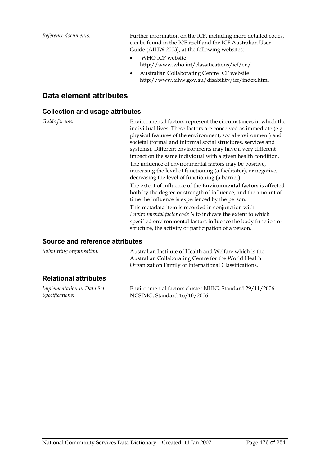*Reference documents:* Further information on the ICF, including more detailed codes, can be found in the ICF itself and the ICF Australian User Guide (AIHW 2003), at the following websites:

- WHO ICF website http://www.who.int/classifications/icf/en/
- Australian Collaborating Centre ICF website http://www.aihw.gov.au/disability/icf/index.html

### **Data element attributes**

#### **Collection and usage attributes**

*Guide for use:* Environmental factors represent the circumstances in which the individual lives. These factors are conceived as immediate (e.g. physical features of the environment, social environment) and societal (formal and informal social structures, services and systems). Different environments may have a very different impact on the same individual with a given health condition. The influence of environmental factors may be positive, increasing the level of functioning (a facilitator), or negative, decreasing the level of functioning (a barrier).

> The extent of influence of the **Environmental factors** is affected both by the degree or strength of influence, and the amount of time the influence is experienced by the person.

This metadata item is recorded in conjunction with *Environmental factor code N* to indicate the extent to which specified environmental factors influence the body function or structure, the activity or participation of a person.

### **Source and reference attributes**

| Submitting organisation:     | Australian Institute of Health and Welfare which is the<br>Australian Collaborating Centre for the World Health<br>Organization Family of International Classifications. |
|------------------------------|--------------------------------------------------------------------------------------------------------------------------------------------------------------------------|
| <b>Relational attributes</b> |                                                                                                                                                                          |

| Implementation in Data Set | Environmental factors cluster NHIG, Standard 29/11/2006 |
|----------------------------|---------------------------------------------------------|
| Specifications:            | NCSIMG, Standard 16/10/2006                             |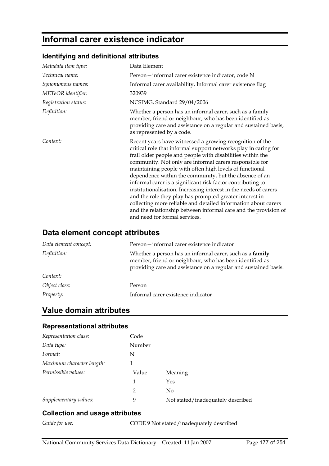# **Informal carer existence indicator**

### **Identifying and definitional attributes**

| Metadata item type:  | Data Element                                                                                                                                                                                                                                                                                                                                                                                                                                                                                                                                                                                                                                                                                                                                  |
|----------------------|-----------------------------------------------------------------------------------------------------------------------------------------------------------------------------------------------------------------------------------------------------------------------------------------------------------------------------------------------------------------------------------------------------------------------------------------------------------------------------------------------------------------------------------------------------------------------------------------------------------------------------------------------------------------------------------------------------------------------------------------------|
| Technical name:      | Person – informal carer existence indicator, code N                                                                                                                                                                                                                                                                                                                                                                                                                                                                                                                                                                                                                                                                                           |
| Synonymous names:    | Informal carer availability, Informal carer existence flag                                                                                                                                                                                                                                                                                                                                                                                                                                                                                                                                                                                                                                                                                    |
| METeOR identifier:   | 320939                                                                                                                                                                                                                                                                                                                                                                                                                                                                                                                                                                                                                                                                                                                                        |
| Registration status: | NCSIMG, Standard 29/04/2006                                                                                                                                                                                                                                                                                                                                                                                                                                                                                                                                                                                                                                                                                                                   |
| Definition:          | Whether a person has an informal carer, such as a family<br>member, friend or neighbour, who has been identified as<br>providing care and assistance on a regular and sustained basis,<br>as represented by a code.                                                                                                                                                                                                                                                                                                                                                                                                                                                                                                                           |
| Context:             | Recent years have witnessed a growing recognition of the<br>critical role that informal support networks play in caring for<br>frail older people and people with disabilities within the<br>community. Not only are informal carers responsible for<br>maintaining people with often high levels of functional<br>dependence within the community, but the absence of an<br>informal carer is a significant risk factor contributing to<br>institutionalisation. Increasing interest in the needs of carers<br>and the role they play has prompted greater interest in<br>collecting more reliable and detailed information about carers<br>and the relationship between informal care and the provision of<br>and need for formal services. |

### **Data element concept attributes**

| Data element concept: | Person-informal carer existence indicator                                                                                                                                              |
|-----------------------|----------------------------------------------------------------------------------------------------------------------------------------------------------------------------------------|
| Definition:           | Whether a person has an informal carer, such as a family<br>member, friend or neighbour, who has been identified as<br>providing care and assistance on a regular and sustained basis. |
| Context:              |                                                                                                                                                                                        |
| Object class:         | Person                                                                                                                                                                                 |
| Property:             | Informal carer existence indicator                                                                                                                                                     |

## **Value domain attributes**

### **Representational attributes**

| Representation class:     | Code           |                                   |
|---------------------------|----------------|-----------------------------------|
| Data type:                | Number         |                                   |
| Format:                   | N              |                                   |
| Maximum character length: |                |                                   |
| Permissible values:       | Value          | Meaning                           |
|                           | 1              | Yes                               |
|                           | $\mathfrak{D}$ | No                                |
| Supplementary values:     | 9              | Not stated/inadequately described |

### **Collection and usage attributes**

*Guide for use:* CODE 9 Not stated/inadequately described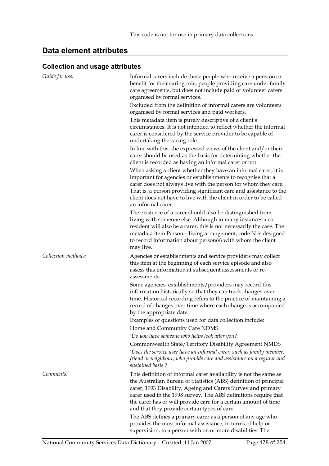## **Data element attributes**

### **Collection and usage attributes**

| Guide for use:      | Informal carers include those people who receive a pension or<br>benefit for their caring role, people providing care under family<br>care agreements, but does not include paid or volunteer carers<br>organised by formal services.                                                                                                                                                                                                                      |
|---------------------|------------------------------------------------------------------------------------------------------------------------------------------------------------------------------------------------------------------------------------------------------------------------------------------------------------------------------------------------------------------------------------------------------------------------------------------------------------|
|                     | Excluded from the definition of informal carers are volunteers<br>organised by formal services and paid workers.<br>This metadata item is purely descriptive of a client's<br>circumstances. It is not intended to reflect whether the informal<br>carer is considered by the service provider to be capable of<br>undertaking the caring role.                                                                                                            |
|                     | In line with this, the expressed views of the client and/or their<br>carer should be used as the basis for determining whether the<br>client is recorded as having an informal carer or not.                                                                                                                                                                                                                                                               |
|                     | When asking a client whether they have an informal carer, it is<br>important for agencies or establishments to recognise that a<br>carer does not always live with the person for whom they care.<br>That is, a person providing significant care and assistance to the<br>client does not have to live with the client in order to be called<br>an informal carer.                                                                                        |
|                     | The existence of a carer should also be distinguished from<br>living with someone else. Although in many instances a co-<br>resident will also be a carer, this is not necessarily the case. The<br>metadata item Person-living arrangement, code N is designed<br>to record information about person(s) with whom the client<br>may live.                                                                                                                 |
| Collection methods: | Agencies or establishments and service providers may collect                                                                                                                                                                                                                                                                                                                                                                                               |
|                     | this item at the beginning of each service episode and also<br>assess this information at subsequent assessments or re-<br>assessments.                                                                                                                                                                                                                                                                                                                    |
|                     | Some agencies, establishments/providers may record this<br>information historically so that they can track changes over<br>time. Historical recording refers to the practice of maintaining a<br>record of changes over time where each change is accompanied<br>by the appropriate date.                                                                                                                                                                  |
|                     | Examples of questions used for data collection include:                                                                                                                                                                                                                                                                                                                                                                                                    |
|                     | Home and Community Care NDMS                                                                                                                                                                                                                                                                                                                                                                                                                               |
|                     | 'Do you have someone who helps look after you?'                                                                                                                                                                                                                                                                                                                                                                                                            |
|                     | Commonwealth State/Territory Disability Agreement NMDS                                                                                                                                                                                                                                                                                                                                                                                                     |
|                     | 'Does the service user have an informal carer, such as family member,<br>friend or neighbour, who provide care and assistance on a regular and<br>sustained basis?                                                                                                                                                                                                                                                                                         |
| Comments:           | This definition of informal carer availability is not the same as<br>the Australian Bureau of Statistics (ABS) definition of principal<br>carer, 1993 Disability, Ageing and Carers Survey and primary<br>carer used in the 1998 survey. The ABS definitions require that<br>the carer has or will provide care for a certain amount of time<br>and that they provide certain types of care.<br>The ABS defines a primary carer as a person of any age who |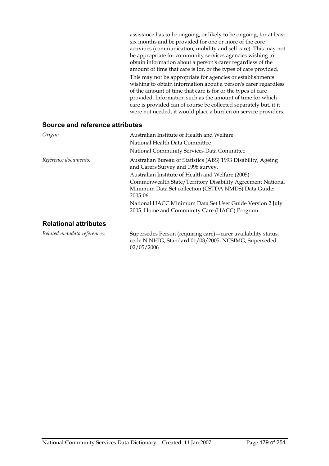| assistance has to be ongoing, or likely to be ongoing, for at least |
|---------------------------------------------------------------------|
| six months and be provided for one or more of the core              |
| activities (communication, mobility and self care). This may not    |
| be appropriate for community services agencies wishing to           |
| obtain information about a person's carer regardless of the         |
| amount of time that care is for, or the types of care provided.     |
| This may not be appropriate for agencies or establishments          |
|                                                                     |
| wishing to obtain information about a person's carer regardless     |
| of the amount of time that care is for or the types of care         |
| provided. Information such as the amount of time for which          |
| care is provided can of course be collected separately but, if it   |

| Origin:                      | Australian Institute of Health and Welfare                                                                                                                                          |
|------------------------------|-------------------------------------------------------------------------------------------------------------------------------------------------------------------------------------|
|                              | National Health Data Committee                                                                                                                                                      |
|                              | National Community Services Data Committee                                                                                                                                          |
| Reference documents:         | Australian Bureau of Statistics (ABS) 1993 Disability, Ageing<br>and Carers Survey and 1998 survey.                                                                                 |
|                              | Australian Institute of Health and Welfare (2005)<br>Commonwealth State/Territory Disability Agreement National<br>Minimum Data Set collection (CSTDA NMDS) Data Guide:<br>2005-06. |
|                              | National HACC Minimum Data Set User Guide Version 2 July<br>2005. Home and Community Care (HACC) Program.                                                                           |
| <b>Relational attributes</b> |                                                                                                                                                                                     |

*Related metadata references:* Supersedes Person (requiring care)—carer availability status, code N NHIG, Standard 01/03/2005, NCSIMG, Superseded 02/05/2006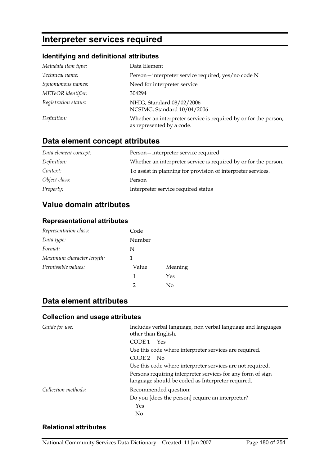# **Interpreter services required**

### **Identifying and definitional attributes**

| Metadata item type:  | Data Element                                                                                  |
|----------------------|-----------------------------------------------------------------------------------------------|
| Technical name:      | Person—interpreter service required, yes/no code N                                            |
| Synonymous names:    | Need for interpreter service                                                                  |
| METeOR identifier:   | 304294                                                                                        |
| Registration status: | NHIG, Standard 08/02/2006<br>NCSIMG, Standard 10/04/2006                                      |
| Definition:          | Whether an interpreter service is required by or for the person,<br>as represented by a code. |

## **Data element concept attributes**

| Data element concept: | Person-interpreter service required                              |
|-----------------------|------------------------------------------------------------------|
| Definition:           | Whether an interpreter service is required by or for the person. |
| Context:              | To assist in planning for provision of interpreter services.     |
| Object class:         | Person                                                           |
| <i>Property:</i>      | Interpreter service required status                              |

## **Value domain attributes**

### **Representational attributes**

| Representation class:     | Code   |         |
|---------------------------|--------|---------|
| Data type:                | Number |         |
| Format:                   | N      |         |
| Maximum character length: | 1      |         |
| Permissible values:       | Value  | Meaning |
|                           | 1      | Yes     |
|                           | 2      | No      |

## **Data element attributes**

### **Collection and usage attributes**

| Guide for use:      | Includes verbal language, non verbal language and languages<br>other than English.                               |
|---------------------|------------------------------------------------------------------------------------------------------------------|
|                     | CODE 1<br>Yes                                                                                                    |
|                     | Use this code where interpreter services are required.                                                           |
|                     | CODE <sub>2</sub><br>- No                                                                                        |
|                     | Use this code where interpreter services are not required.                                                       |
|                     | Persons requiring interpreter services for any form of sign<br>language should be coded as Interpreter required. |
| Collection methods: | Recommended question:                                                                                            |
|                     | Do you [does the person] require an interpreter?                                                                 |
|                     | Yes                                                                                                              |
|                     | No                                                                                                               |

### **Relational attributes**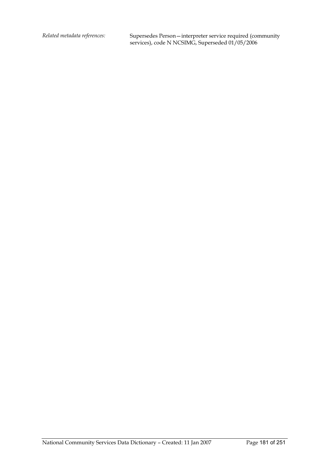*Related metadata references:* Supersedes Person—interpreter service required (community services), code N NCSIMG, Superseded 01/05/2006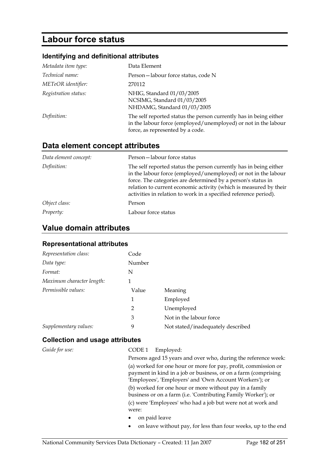# **Labour force status**

## **Identifying and definitional attributes**

| Metadata item type:  | Data Element                                                                                                                                                            |
|----------------------|-------------------------------------------------------------------------------------------------------------------------------------------------------------------------|
| Technical name:      | Person-labour force status, code N                                                                                                                                      |
| METeOR identifier:   | 270112                                                                                                                                                                  |
| Registration status: | NHIG, Standard 01/03/2005<br>NCSIMG, Standard 01/03/2005<br>NHDAMG, Standard 01/03/2005                                                                                 |
| Definition:          | The self reported status the person currently has in being either<br>in the labour force (employed/unemployed) or not in the labour<br>force, as represented by a code. |

# **Data element concept attributes**

| Data element concept: | Person-labour force status                                                                                                                                                                                                                                                                                                                   |
|-----------------------|----------------------------------------------------------------------------------------------------------------------------------------------------------------------------------------------------------------------------------------------------------------------------------------------------------------------------------------------|
| Definition:           | The self reported status the person currently has in being either<br>in the labour force (employed/unemployed) or not in the labour<br>force. The categories are determined by a person's status in<br>relation to current economic activity (which is measured by their<br>activities in relation to work in a specified reference period). |
| Object class:         | Person                                                                                                                                                                                                                                                                                                                                       |
| Property:             | Labour force status                                                                                                                                                                                                                                                                                                                          |

# **Value domain attributes**

#### **Representational attributes**

| Representation class:     | Code   |                                   |
|---------------------------|--------|-----------------------------------|
| Data type:                | Number |                                   |
| Format:                   | N      |                                   |
| Maximum character length: | 1      |                                   |
| Permissible values:       | Value  | Meaning                           |
|                           | 1      | Employed                          |
|                           | 2      | Unemployed                        |
|                           | 3      | Not in the labour force           |
| Supplementary values:     | 9      | Not stated/inadequately described |

#### **Collection and usage attributes**

| Guide for use: | CODE <sub>1</sub><br>Employed:                                                                                                                                                              |
|----------------|---------------------------------------------------------------------------------------------------------------------------------------------------------------------------------------------|
|                | Persons aged 15 years and over who, during the reference week:                                                                                                                              |
|                | (a) worked for one hour or more for pay, profit, commission or<br>payment in kind in a job or business, or on a farm (comprising<br>'Employees', 'Employers' and 'Own Account Workers'); or |
|                | (b) worked for one hour or more without pay in a family<br>business or on a farm (i.e. 'Contributing Family Worker'); or                                                                    |
|                | (c) were 'Employees' who had a job but were not at work and<br>were:                                                                                                                        |
|                | on paid leave<br>٠                                                                                                                                                                          |
|                | on leave without pay, for less than four weeks, up to the end<br>٠                                                                                                                          |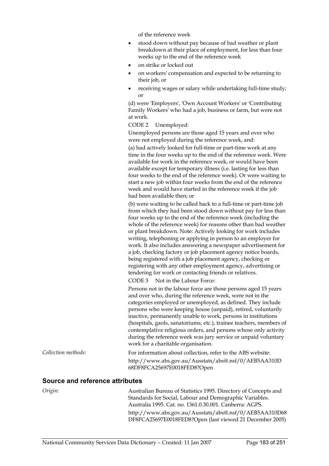of the reference week

- stood down without pay because of bad weather or plant breakdown at their place of employment, for less than four weeks up to the end of the reference week
- on strike or locked out
- on workers' compensation and expected to be returning to their job, or
- receiving wages or salary while undertaking full-time study; or

(d) were 'Employers', 'Own Account Workers' or 'Contributing Family Workers' who had a job, business or farm, but were not at work.

CODE 2 Unemployed:

Unemployed persons are those aged 15 years and over who were not employed during the reference week, and:

(a) had actively looked for full-time or part-time work at any time in the four weeks up to the end of the reference week. Were available for work in the reference week, or would have been available except for temporary illness (i.e. lasting for less than four weeks to the end of the reference week). Or were waiting to start a new job within four weeks from the end of the reference week and would have started in the reference week if the job had been available then; or

(b) were waiting to be called back to a full-time or part-time job from which they had been stood down without pay for less than four weeks up to the end of the reference week (including the whole of the reference week) for reasons other than bad weather or plant breakdown. Note: Actively looking for work includes writing, telephoning or applying in person to an employer for work. It also includes answering a newspaper advertisement for a job, checking factory or job placement agency notice boards, being registered with a job placement agency, checking or registering with any other employment agency, advertising or tendering for work or contacting friends or relatives.

CODE 3 Not in the Labour Force:

Persons not in the labour force are those persons aged 15 years and over who, during the reference week, were not in the categories employed or unemployed, as defined. They include persons who were keeping house (unpaid), retired, voluntarily inactive, permanently unable to work, persons in institutions (hospitals, gaols, sanatoriums, etc.), trainee teachers, members of contemplative religious orders, and persons whose only activity during the reference week was jury service or unpaid voluntary work for a charitable organisation.

*Collection methods:* For information about collection, refer to the ABS website: http://www.abs.gov.au/Ausstats/abs@.nsf/0/AEB5AA310D 68DF8FCA25697E0018FED8?Open

#### **Source and reference attributes**

*Origin:* Australian Bureau of Statistics 1995. Directory of Concepts and Standards for Social, Labour and Demographic Variables. Australia 1995. Cat. no. 1361.0.30.001. Canberra: AGPS. http://www.abs.gov.au/Ausstats/abs@.nsf/0/AEB5AA310D68 DF8FCA25697E0018FED8?Open (last viewed 21 December 2005)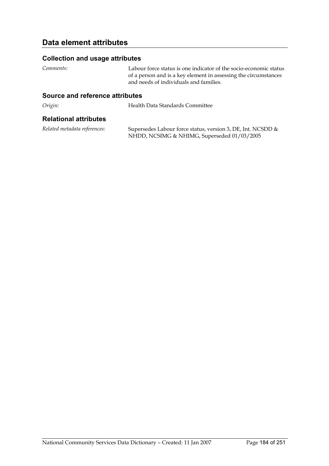## **Data element attributes**

#### **Collection and usage attributes**

*Comments:* Labour force status is one indicator of the socio-economic status of a person and is a key element in assessing the circumstances and needs of individuals and families.

#### **Source and reference attributes**

*Origin:* Health Data Standards Committee

#### **Relational attributes**

*Related metadata references:* Supersedes Labour force status, version 3, DE, Int. NCSDD & NHDD, NCSIMG & NHIMG, Superseded 01/03/2005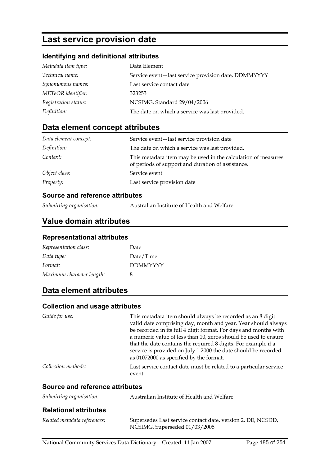# **Last service provision date**

#### **Identifying and definitional attributes**

| Metadata item type:  | Data Element                                        |
|----------------------|-----------------------------------------------------|
| Technical name:      | Service event-last service provision date, DDMMYYYY |
| Synonymous names:    | Last service contact date                           |
| METeOR identifier:   | 323253                                              |
| Registration status: | NCSIMG, Standard 29/04/2006                         |
| Definition:          | The date on which a service was last provided.      |

# **Data element concept attributes**

| Data element concept: | Service event-last service provision date                                                                          |
|-----------------------|--------------------------------------------------------------------------------------------------------------------|
| Definition:           | The date on which a service was last provided.                                                                     |
| Context:              | This metadata item may be used in the calculation of measures<br>of periods of support and duration of assistance. |
| Object class:         | Service event                                                                                                      |
| <i>Property:</i>      | Last service provision date                                                                                        |

#### **Source and reference attributes**

| Submitting organisation: | Australian Institute of Health and Welfare |
|--------------------------|--------------------------------------------|
|--------------------------|--------------------------------------------|

## **Value domain attributes**

#### **Representational attributes**

| Representation class:     | Date            |
|---------------------------|-----------------|
| Data type:                | Date/Time       |
| Format:                   | <b>DDMMYYYY</b> |
| Maximum character length: | 8               |

# **Data element attributes**

#### **Collection and usage attributes**

| Guide for use:      | This metadata item should always be recorded as an 8 digit<br>valid date comprising day, month and year. Year should always<br>be recorded in its full 4 digit format. For days and months with<br>a numeric value of less than 10, zeros should be used to ensure<br>that the date contains the required 8 digits. For example if a<br>service is provided on July 1 2000 the date should be recorded<br>as 01072000 as specified by the format. |
|---------------------|---------------------------------------------------------------------------------------------------------------------------------------------------------------------------------------------------------------------------------------------------------------------------------------------------------------------------------------------------------------------------------------------------------------------------------------------------|
| Collection methods: | Last service contact date must be related to a particular service                                                                                                                                                                                                                                                                                                                                                                                 |
|                     | event.                                                                                                                                                                                                                                                                                                                                                                                                                                            |

#### **Source and reference attributes**

| Submitting organisation:     | Australian Institute of Health and Welfare                                                   |
|------------------------------|----------------------------------------------------------------------------------------------|
| <b>Relational attributes</b> |                                                                                              |
| Related metadata references: | Supersedes Last service contact date, version 2, DE, NCSDD,<br>NCSIMG, Superseded 01/03/2005 |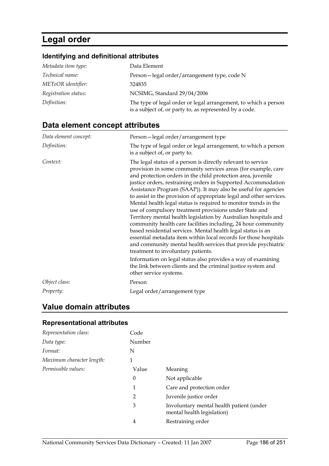# **Legal order**

# **Identifying and definitional attributes**

| Metadata item type:  | Data Element                                                                                                               |
|----------------------|----------------------------------------------------------------------------------------------------------------------------|
| Technical name:      | Person-legal order/arrangement type, code N                                                                                |
| METeOR identifier:   | 324835                                                                                                                     |
| Registration status: | NCSIMG, Standard 29/04/2006                                                                                                |
| Definition:          | The type of legal order or legal arrangement, to which a person<br>is a subject of, or party to, as represented by a code. |

# **Data element concept attributes**

| Data element concept: | Person-legal order/arrangement type                                                                                                                                                                                                                                                                                                                                                                                                                                                                                                                                                                                                                                                                                                                                                                                                                                                                                                                                                                                                                                           |
|-----------------------|-------------------------------------------------------------------------------------------------------------------------------------------------------------------------------------------------------------------------------------------------------------------------------------------------------------------------------------------------------------------------------------------------------------------------------------------------------------------------------------------------------------------------------------------------------------------------------------------------------------------------------------------------------------------------------------------------------------------------------------------------------------------------------------------------------------------------------------------------------------------------------------------------------------------------------------------------------------------------------------------------------------------------------------------------------------------------------|
| Definition:           | The type of legal order or legal arrangement, to which a person<br>is a subject of, or party to.                                                                                                                                                                                                                                                                                                                                                                                                                                                                                                                                                                                                                                                                                                                                                                                                                                                                                                                                                                              |
| Context:              | The legal status of a person is directly relevant to service<br>provision in some community services areas (for example, care<br>and protection orders in the child protection area, juvenile<br>justice orders, restraining orders in Supported Accommodation<br>Assistance Program (SAAP)). It may also be useful for agencies<br>to assist in the provision of appropriate legal and other services.<br>Mental health legal status is required to monitor trends in the<br>use of compulsory treatment provisions under State and<br>Territory mental health legislation by Australian hospitals and<br>community health care facilities including, 24 hour community<br>based residential services. Mental health legal status is an<br>essential metadata item within local records for those hospitals<br>and community mental health services that provide psychiatric<br>treatment to involuntary patients.<br>Information on legal status also provides a way of examining<br>the link between clients and the criminal justice system and<br>other service systems. |
| Object class:         | Person                                                                                                                                                                                                                                                                                                                                                                                                                                                                                                                                                                                                                                                                                                                                                                                                                                                                                                                                                                                                                                                                        |
| Property:             | Legal order/arrangement type                                                                                                                                                                                                                                                                                                                                                                                                                                                                                                                                                                                                                                                                                                                                                                                                                                                                                                                                                                                                                                                  |

# **Value domain attributes**

#### **Representational attributes**

| Representation class:     | Code   |                                                                        |
|---------------------------|--------|------------------------------------------------------------------------|
| Data type:                | Number |                                                                        |
| Format:                   | N      |                                                                        |
| Maximum character length: | 1      |                                                                        |
| Permissible values:       | Value  | Meaning                                                                |
|                           | 0      | Not applicable                                                         |
|                           | 1      | Care and protection order                                              |
|                           | 2      | Juvenile justice order                                                 |
|                           | 3      | Involuntary mental health patient (under<br>mental health legislation) |
|                           | 4      | Restraining order                                                      |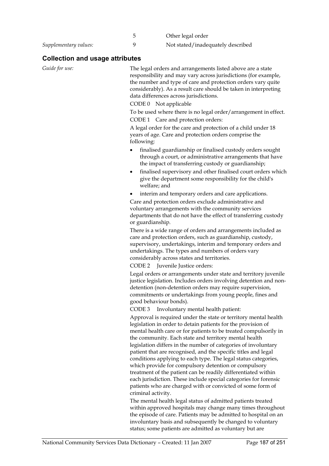|                       | Other legal order                 |
|-----------------------|-----------------------------------|
| Supplementary values: | Not stated/inadequately described |

# **Collection and usage attributes**

| Guide for use: | The legal orders and arrangements listed above are a state<br>responsibility and may vary across jurisdictions (for example,<br>the number and type of care and protection orders vary quite<br>considerably). As a result care should be taken in interpreting<br>data differences across jurisdictions.                                                                                                                                                                                                                  |
|----------------|----------------------------------------------------------------------------------------------------------------------------------------------------------------------------------------------------------------------------------------------------------------------------------------------------------------------------------------------------------------------------------------------------------------------------------------------------------------------------------------------------------------------------|
|                | CODE 0 Not applicable                                                                                                                                                                                                                                                                                                                                                                                                                                                                                                      |
|                | To be used where there is no legal order/arrangement in effect.                                                                                                                                                                                                                                                                                                                                                                                                                                                            |
|                | CODE 1 Care and protection orders:                                                                                                                                                                                                                                                                                                                                                                                                                                                                                         |
|                | A legal order for the care and protection of a child under 18<br>years of age. Care and protection orders comprise the<br>following:                                                                                                                                                                                                                                                                                                                                                                                       |
|                | finalised guardianship or finalised custody orders sought<br>٠<br>through a court, or administrative arrangements that have<br>the impact of transferring custody or guardianship;                                                                                                                                                                                                                                                                                                                                         |
|                | finalised supervisory and other finalised court orders which<br>$\bullet$<br>give the department some responsibility for the child's<br>welfare; and                                                                                                                                                                                                                                                                                                                                                                       |
|                | interim and temporary orders and care applications.                                                                                                                                                                                                                                                                                                                                                                                                                                                                        |
|                | Care and protection orders exclude administrative and                                                                                                                                                                                                                                                                                                                                                                                                                                                                      |
|                | voluntary arrangements with the community services<br>departments that do not have the effect of transferring custody<br>or guardianship.                                                                                                                                                                                                                                                                                                                                                                                  |
|                | There is a wide range of orders and arrangements included as<br>care and protection orders, such as guardianship, custody,<br>supervisory, undertakings, interim and temporary orders and<br>undertakings. The types and numbers of orders vary<br>considerably across states and territories.                                                                                                                                                                                                                             |
|                | CODE 2 Juvenile Justice orders:                                                                                                                                                                                                                                                                                                                                                                                                                                                                                            |
|                | Legal orders or arrangements under state and territory juvenile<br>justice legislation. Includes orders involving detention and non-<br>detention (non-detention orders may require supervision,<br>commitments or undertakings from young people, fines and<br>good behaviour bonds).                                                                                                                                                                                                                                     |
|                | CODE <sub>3</sub><br>Involuntary mental health patient:                                                                                                                                                                                                                                                                                                                                                                                                                                                                    |
|                | Approval is required under the state or territory mental health<br>legislation in order to detain patients for the provision of<br>mental health care or for patients to be treated compulsorily in<br>the community. Each state and territory mental health<br>legislation differs in the number of categories of involuntary<br>patient that are recognised, and the specific titles and legal<br>conditions applying to each type. The legal status categories,<br>which provide for compulsory detention or compulsory |
|                | treatment of the patient can be readily differentiated within<br>each jurisdiction. These include special categories for forensic<br>patients who are charged with or convicted of some form of<br>criminal activity.                                                                                                                                                                                                                                                                                                      |
|                | The mental health legal status of admitted patients treated<br>within approved hospitals may change many times throughout<br>the episode of care. Patients may be admitted to hospital on an<br>involuntary basis and subsequently be changed to voluntary<br>status; some patients are admitted as voluntary but are                                                                                                                                                                                                      |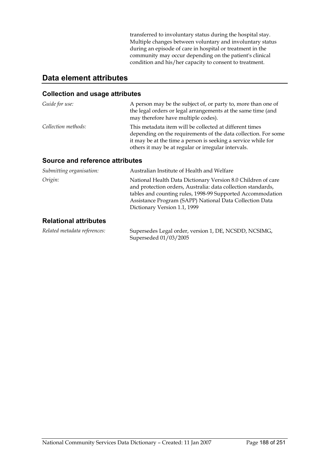transferred to involuntary status during the hospital stay. Multiple changes between voluntary and involuntary status during an episode of care in hospital or treatment in the community may occur depending on the patient's clinical condition and his/her capacity to consent to treatment.

# **Data element attributes**

#### **Collection and usage attributes**

| Guide for use:      | A person may be the subject of, or party to, more than one of<br>the legal orders or legal arrangements at the same time (and<br>may therefore have multiple codes).                                                                              |
|---------------------|---------------------------------------------------------------------------------------------------------------------------------------------------------------------------------------------------------------------------------------------------|
| Collection methods: | This metadata item will be collected at different times<br>depending on the requirements of the data collection. For some<br>it may be at the time a person is seeking a service while for<br>others it may be at regular or irregular intervals. |

#### **Source and reference attributes**

| Submitting organisation:     | Australian Institute of Health and Welfare                                                                                                                                                                                                                                            |
|------------------------------|---------------------------------------------------------------------------------------------------------------------------------------------------------------------------------------------------------------------------------------------------------------------------------------|
| Origin:                      | National Health Data Dictionary Version 8.0 Children of care<br>and protection orders, Australia: data collection standards,<br>tables and counting rules, 1998-99 Supported Accommodation<br>Assistance Program (SAPP) National Data Collection Data<br>Dictionary Version 1.1, 1999 |
| <b>Relational attributes</b> |                                                                                                                                                                                                                                                                                       |

#### **Relational attributes**

| Related metadata references: | Supersedes Legal order, version 1, DE, NCSDD, NCSIMG, |
|------------------------------|-------------------------------------------------------|
|                              | Superseded $01/03/2005$                               |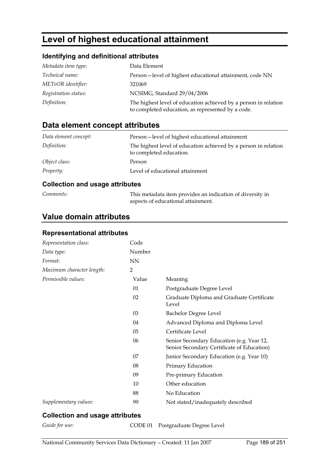# **Level of highest educational attainment**

#### **Identifying and definitional attributes**

| Metadata item type:  | Data Element                                                                                                         |
|----------------------|----------------------------------------------------------------------------------------------------------------------|
| Technical name:      | Person-level of highest educational attainment, code NN                                                              |
| METeOR identifier:   | 321069                                                                                                               |
| Registration status: | NCSIMG, Standard 29/04/2006                                                                                          |
| Definition:          | The highest level of education achieved by a person in relation<br>to completed education, as represented by a code. |

# **Data element concept attributes**

| Data element concept: | Person-level of highest educational attainment                                             |
|-----------------------|--------------------------------------------------------------------------------------------|
| Definition:           | The highest level of education achieved by a person in relation<br>to completed education. |
| Object class:         | Person                                                                                     |
| Property:             | Level of educational attainment                                                            |

#### **Collection and usage attributes**

| Comments: |
|-----------|
|           |

*Comments:* This metadata item provides an indication of diversity in aspects of educational attainment.

# **Value domain attributes**

## **Representational attributes**

| Representation class:     | Code           |                                                                                         |
|---------------------------|----------------|-----------------------------------------------------------------------------------------|
| Data type:                | Number         |                                                                                         |
| Format:                   | <b>NN</b>      |                                                                                         |
| Maximum character length: | $\overline{2}$ |                                                                                         |
| Permissible values:       | Value          | Meaning                                                                                 |
|                           | 01             | Postgraduate Degree Level                                                               |
|                           | 02             | Graduate Diploma and Graduate Certificate<br>Level                                      |
|                           | 03             | Bachelor Degree Level                                                                   |
|                           | 04             | Advanced Diploma and Diploma Level                                                      |
|                           | 05             | Certificate Level                                                                       |
|                           | 06             | Senior Secondary Education (e.g. Year 12,<br>Senior Secondary Certificate of Education) |
|                           | 07             | Junior Secondary Education (e.g. Year 10)                                               |
|                           | 08             | Primary Education                                                                       |
|                           | 09             | Pre-primary Education                                                                   |
|                           | 10             | Other education                                                                         |
|                           | 88             | No Education                                                                            |
| Supplementary values:     | 99             | Not stated/inadequately described                                                       |

#### **Collection and usage attributes**

*Guide for use:* CODE 01 Postgraduate Degree Level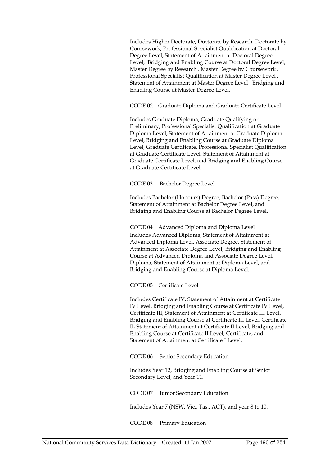Includes Higher Doctorate, Doctorate by Research, Doctorate by Coursework, Professional Specialist Qualification at Doctoral Degree Level, Statement of Attainment at Doctoral Degree Level, Bridging and Enabling Course at Doctoral Degree Level, Master Degree by Research , Master Degree by Coursework , Professional Specialist Qualification at Master Degree Level , Statement of Attainment at Master Degree Level , Bridging and Enabling Course at Master Degree Level.

CODE 02 Graduate Diploma and Graduate Certificate Level

Includes Graduate Diploma, Graduate Qualifying or Preliminary, Professional Specialist Qualification at Graduate Diploma Level, Statement of Attainment at Graduate Diploma Level, Bridging and Enabling Course at Graduate Diploma Level, Graduate Certificate, Professional Specialist Qualification at Graduate Certificate Level, Statement of Attainment at Graduate Certificate Level, and Bridging and Enabling Course at Graduate Certificate Level.

CODE 03 Bachelor Degree Level

Includes Bachelor (Honours) Degree, Bachelor (Pass) Degree, Statement of Attainment at Bachelor Degree Level, and Bridging and Enabling Course at Bachelor Degree Level.

CODE 04 Advanced Diploma and Diploma Level Includes Advanced Diploma, Statement of Attainment at Advanced Diploma Level, Associate Degree, Statement of Attainment at Associate Degree Level, Bridging and Enabling Course at Advanced Diploma and Associate Degree Level, Diploma, Statement of Attainment at Diploma Level, and Bridging and Enabling Course at Diploma Level.

CODE 05 Certificate Level

Includes Certificate IV, Statement of Attainment at Certificate IV Level, Bridging and Enabling Course at Certificate IV Level, Certificate III, Statement of Attainment at Certificate III Level, Bridging and Enabling Course at Certificate III Level, Certificate II, Statement of Attainment at Certificate II Level, Bridging and Enabling Course at Certificate II Level, Certificate, and Statement of Attainment at Certificate I Level.

CODE 06 Senior Secondary Education

Includes Year 12, Bridging and Enabling Course at Senior Secondary Level, and Year 11.

CODE 07 Junior Secondary Education

Includes Year 7 (NSW, Vic., Tas., ACT), and year 8 to 10.

CODE 08 Primary Education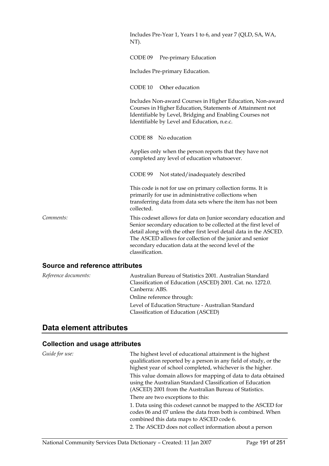|                                        | Includes Pre-Year 1, Years 1 to 6, and year 7 (QLD, SA, WA,<br>NT).                                                                                                                                                                                                                                                                           |
|----------------------------------------|-----------------------------------------------------------------------------------------------------------------------------------------------------------------------------------------------------------------------------------------------------------------------------------------------------------------------------------------------|
|                                        | CODE 09<br>Pre-primary Education                                                                                                                                                                                                                                                                                                              |
|                                        | Includes Pre-primary Education.                                                                                                                                                                                                                                                                                                               |
|                                        | CODE 10<br>Other education                                                                                                                                                                                                                                                                                                                    |
|                                        | Includes Non-award Courses in Higher Education, Non-award<br>Courses in Higher Education, Statements of Attainment not<br>Identifiable by Level, Bridging and Enabling Courses not<br>Identifiable by Level and Education, n.e.c.                                                                                                             |
|                                        | CODE 88 No education                                                                                                                                                                                                                                                                                                                          |
|                                        | Applies only when the person reports that they have not<br>completed any level of education whatsoever.                                                                                                                                                                                                                                       |
|                                        | CODE 99<br>Not stated/inadequately described                                                                                                                                                                                                                                                                                                  |
|                                        | This code is not for use on primary collection forms. It is<br>primarily for use in administrative collections when<br>transferring data from data sets where the item has not been<br>collected.                                                                                                                                             |
| Comments:                              | This codeset allows for data on Junior secondary education and<br>Senior secondary education to be collected at the first level of<br>detail along with the other first level detail data in the ASCED.<br>The ASCED allows for collection of the junior and senior<br>secondary education data at the second level of the<br>classification. |
| <b>Source and reference attributes</b> |                                                                                                                                                                                                                                                                                                                                               |

| Reference documents: | Australian Bureau of Statistics 2001. Australian Standard<br>Classification of Education (ASCED) 2001. Cat. no. 1272.0.<br>Canberra: ABS. |
|----------------------|-------------------------------------------------------------------------------------------------------------------------------------------|
|                      | Online reference through:                                                                                                                 |
|                      | Level of Education Structure - Australian Standard                                                                                        |
|                      | Classification of Education (ASCED)                                                                                                       |

# **Data element attributes**

# **Collection and usage attributes**

| Guide for use: | The highest level of educational attainment is the highest<br>qualification reported by a person in any field of study, or the<br>highest year of school completed, whichever is the higher.<br>This value domain allows for mapping of data to data obtained<br>using the Australian Standard Classification of Education<br>(ASCED) 2001 from the Australian Bureau of Statistics. |
|----------------|--------------------------------------------------------------------------------------------------------------------------------------------------------------------------------------------------------------------------------------------------------------------------------------------------------------------------------------------------------------------------------------|
|                | There are two exceptions to this:                                                                                                                                                                                                                                                                                                                                                    |
|                | 1. Data using this codeset cannot be mapped to the ASCED for<br>codes 06 and 07 unless the data from both is combined. When<br>combined this data maps to ASCED code 6.<br>2. The ASCED does not collect information about a person                                                                                                                                                  |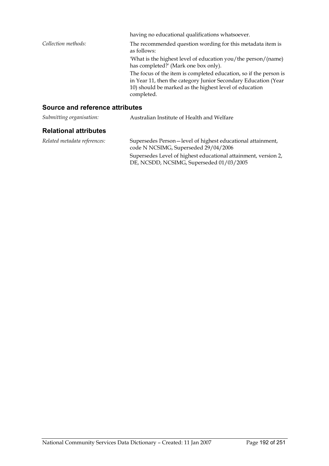|                                 | having no educational qualifications whatsoever.                                                                                                                                                            |
|---------------------------------|-------------------------------------------------------------------------------------------------------------------------------------------------------------------------------------------------------------|
| Collection methods:             | The recommended question wording for this metadata item is<br>as follows:                                                                                                                                   |
|                                 | 'What is the highest level of education you/the person/(name)<br>has completed?' (Mark one box only).                                                                                                       |
|                                 | The focus of the item is completed education, so if the person is<br>in Year 11, then the category Junior Secondary Education (Year<br>10) should be marked as the highest level of education<br>completed. |
| Source and reference attributes |                                                                                                                                                                                                             |
| Submitting organisation:        | Australian Institute of Health and Welfare                                                                                                                                                                  |

#### **Relational attributes**

*Related metadata references:* Supersedes Person—level of highest educational attainment, code N NCSIMG, Superseded 29/04/2006 Supersedes Level of highest educational attainment, version 2, DE, NCSDD, NCSIMG, Superseded 01/03/2005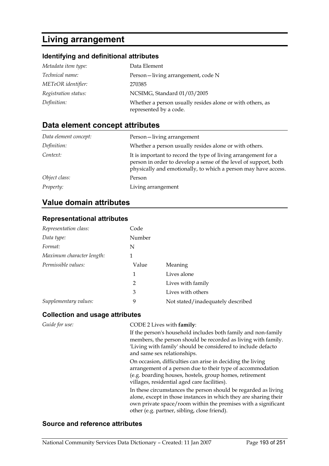# **Living arrangement**

# **Identifying and definitional attributes**

| Metadata item type:  | Data Element                                                                        |
|----------------------|-------------------------------------------------------------------------------------|
| Technical name:      | Person-living arrangement, code N                                                   |
| METeOR identifier:   | 270385                                                                              |
| Registration status: | NCSIMG, Standard 01/03/2005                                                         |
| Definition:          | Whether a person usually resides alone or with others, as<br>represented by a code. |

# **Data element concept attributes**

| Data element concept: | Person-living arrangement                                                                                                                                                                            |
|-----------------------|------------------------------------------------------------------------------------------------------------------------------------------------------------------------------------------------------|
| Definition:           | Whether a person usually resides alone or with others.                                                                                                                                               |
| Context:              | It is important to record the type of living arrangement for a<br>person in order to develop a sense of the level of support, both<br>physically and emotionally, to which a person may have access. |
| Object class:         | Person                                                                                                                                                                                               |
| <i>Property:</i>      | Living arrangement                                                                                                                                                                                   |

# **Value domain attributes**

#### **Representational attributes**

| Representation class:     | Code           |                                   |
|---------------------------|----------------|-----------------------------------|
| Data type:                | Number         |                                   |
| Format:                   | N              |                                   |
| Maximum character length: | 1              |                                   |
| Permissible values:       | Value          | Meaning                           |
|                           | 1              | Lives alone                       |
|                           | $\overline{2}$ | Lives with family                 |
|                           | 3              | Lives with others                 |
| Supplementary values:     | 9              | Not stated/inadequately described |

#### **Collection and usage attributes**

| Guide for use: | CODE 2 Lives with family:                                                                                                                                                                                                                           |
|----------------|-----------------------------------------------------------------------------------------------------------------------------------------------------------------------------------------------------------------------------------------------------|
|                | If the person's household includes both family and non-family<br>members, the person should be recorded as living with family.<br>'Living with family' should be considered to include defacto<br>and same sex relationships.                       |
|                | On occasion, difficulties can arise in deciding the living<br>arrangement of a person due to their type of accommodation<br>(e.g. boarding houses, hostels, group homes, retirement<br>villages, residential aged care facilities).                 |
|                | In these circumstances the person should be regarded as living<br>alone, except in those instances in which they are sharing their<br>own private space/room within the premises with a significant<br>other (e.g. partner, sibling, close friend). |

#### **Source and reference attributes**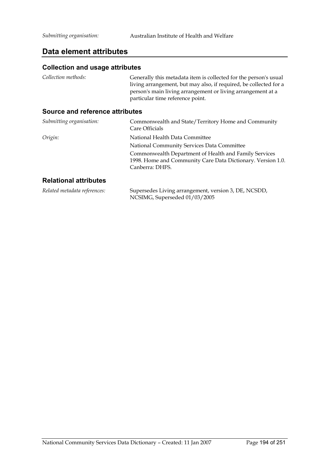#### **Data element attributes**

#### **Collection and usage attributes**

| Collection methods:             | Generally this metadata item is collected for the person's usual<br>living arrangement, but may also, if required, be collected for a<br>person's main living arrangement or living arrangement at a<br>particular time reference point. |
|---------------------------------|------------------------------------------------------------------------------------------------------------------------------------------------------------------------------------------------------------------------------------------|
| Source and reference attributes |                                                                                                                                                                                                                                          |
| Submitting organisation:        | Commonwealth and State/Territory Home and Community<br>Care Officials                                                                                                                                                                    |
| Origin:                         | National Health Data Committee                                                                                                                                                                                                           |
|                                 | National Community Services Data Committee                                                                                                                                                                                               |
|                                 | Commonwealth Department of Health and Family Services                                                                                                                                                                                    |
|                                 | 1998. Home and Community Care Data Dictionary. Version 1.0.                                                                                                                                                                              |
|                                 | Canberra: DHFS.                                                                                                                                                                                                                          |
| <b>Relational attributes</b>    |                                                                                                                                                                                                                                          |
| Related metadata references:    | Supersedes Living arrangement, version 3, DE, NCSDD,                                                                                                                                                                                     |

NCSIMG, Superseded 01/03/2005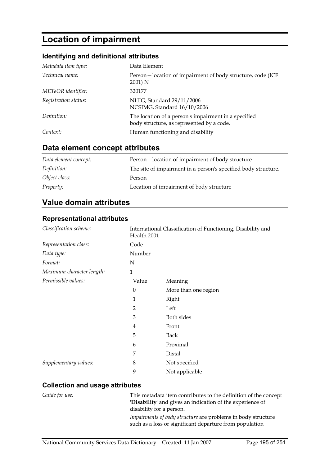# **Location of impairment**

#### **Identifying and definitional attributes**

| Metadata item type:  | Data Element                                                                                      |
|----------------------|---------------------------------------------------------------------------------------------------|
| Technical name:      | Person-location of impairment of body structure, code (ICF)<br>2001) N                            |
| METeOR identifier:   | 320177                                                                                            |
| Registration status: | NHIG, Standard 29/11/2006<br>NCSIMG, Standard 16/10/2006                                          |
| Definition:          | The location of a person's impairment in a specified<br>body structure, as represented by a code. |
| Context:             | Human functioning and disability                                                                  |

# **Data element concept attributes**

| Data element concept: | Person-location of impairment of body structure                |
|-----------------------|----------------------------------------------------------------|
| Definition:           | The site of impairment in a person's specified body structure. |
| Object class:         | Person                                                         |
| <i>Property:</i>      | Location of impairment of body structure                       |

## **Value domain attributes**

#### **Representational attributes**

| Classification scheme:    | Health 2001 | International Classification of Functioning, Disability and |
|---------------------------|-------------|-------------------------------------------------------------|
| Representation class:     | Code        |                                                             |
| Data type:                | Number      |                                                             |
| Format:                   | N           |                                                             |
| Maximum character length: | 1           |                                                             |
| Permissible values:       | Value       | Meaning                                                     |
|                           | 0           | More than one region                                        |
|                           | 1           | Right                                                       |
|                           | 2           | Left                                                        |
|                           | 3           | Both sides                                                  |
|                           | 4           | Front                                                       |
|                           | 5           | <b>Back</b>                                                 |
|                           | 6           | Proximal                                                    |
|                           | 7           | Distal                                                      |
| Supplementary values:     | 8           | Not specified                                               |
|                           | 9           | Not applicable                                              |

#### **Collection and usage attributes**

*Guide for use:* This metadata item contributes to the definition of the concept '**Disability**' and gives an indication of the experience of disability for a person.

> *Impairments of body structure* are problems in body structure such as a loss or significant departure from population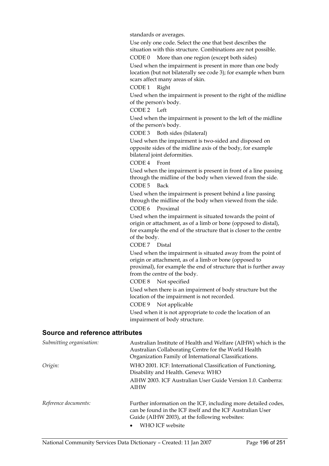standards or averages.

Use only one code. Select the one that best describes the situation with this structure. Combinations are not possible.

CODE 0 More than one region (except both sides) Used when the impairment is present in more than one body location (but not bilaterally see code 3); for example when burn scars affect many areas of skin.

CODE 1 Right

Used when the impairment is present to the right of the midline of the person's body.

CODE 2 Left

Used when the impairment is present to the left of the midline of the person's body.

CODE 3 Both sides (bilateral)

Used when the impairment is two-sided and disposed on opposite sides of the midline axis of the body, for example bilateral joint deformities.

CODE 4 Front

Used when the impairment is present in front of a line passing through the midline of the body when viewed from the side. CODE 5 Back

Used when the impairment is present behind a line passing through the midline of the body when viewed from the side. CODE 6 Proximal

Used when the impairment is situated towards the point of origin or attachment, as of a limb or bone (opposed to distal), for example the end of the structure that is closer to the centre of the body.

CODE 7 Distal

Used when the impairment is situated away from the point of origin or attachment, as of a limb or bone (opposed to proximal), for example the end of structure that is further away from the centre of the body.

CODE 8 Not specified

Used when there is an impairment of body structure but the location of the impairment is not recorded.

CODE 9 Not applicable

Used when it is not appropriate to code the location of an impairment of body structure.

#### **Source and reference attributes**

| Submitting organisation: | Australian Institute of Health and Welfare (AIHW) which is the<br>Australian Collaborating Centre for the World Health<br>Organization Family of International Classifications. |
|--------------------------|---------------------------------------------------------------------------------------------------------------------------------------------------------------------------------|
| Origin:                  | WHO 2001. ICF: International Classification of Functioning,<br>Disability and Health. Geneva: WHO                                                                               |
|                          | AIHW 2003. ICF Australian User Guide Version 1.0. Canberra:<br><b>AIHW</b>                                                                                                      |
| Reference documents:     | Further information on the ICF, including more detailed codes,<br>can be found in the ICF itself and the ICF Australian User<br>Guide (AIHW 2003), at the following websites:   |
|                          | WHO ICF website                                                                                                                                                                 |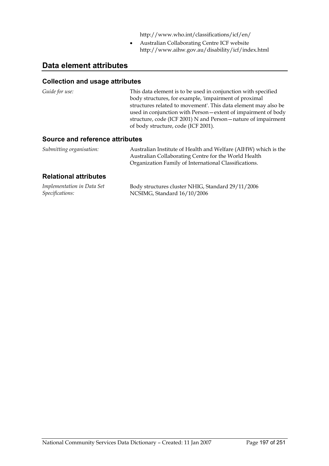http://www.who.int/classifications/icf/en/

• Australian Collaborating Centre ICF website http://www.aihw.gov.au/disability/icf/index.html

# **Data element attributes**

#### **Collection and usage attributes**

| Guide for use: | This data element is to be used in conjunction with specified  |
|----------------|----------------------------------------------------------------|
|                | body structures, for example, 'impairment of proximal          |
|                | structures related to movement'. This data element may also be |
|                | used in conjunction with Person - extent of impairment of body |
|                | structure, code (ICF 2001) N and Person-nature of impairment   |
|                | of body structure, code (ICF 2001).                            |
|                |                                                                |

#### **Source and reference attributes**

| Submitting organisation: | Australian Institute of Health and Welfare (AIHW) which is the |
|--------------------------|----------------------------------------------------------------|
|                          | Australian Collaborating Centre for the World Health           |
|                          | Organization Family of International Classifications.          |

#### **Relational attributes**

| Implementation in Data Set | Body structures cluster NHIG, Standard 29/11/2006 |
|----------------------------|---------------------------------------------------|
| Specifications:            | NCSIMG, Standard 16/10/2006                       |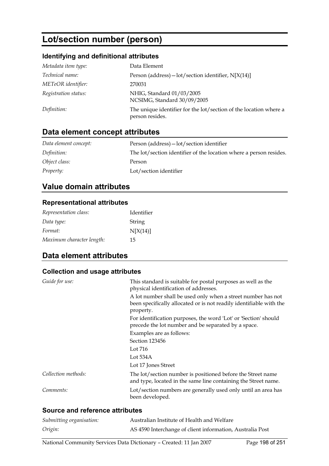# **Lot/section number (person)**

#### **Identifying and definitional attributes**

| Metadata item type:  | Data Element                                                                         |
|----------------------|--------------------------------------------------------------------------------------|
| Technical name:      | Person (address) $-$ lot/section identifier, N[X(14)]                                |
| METeOR identifier:   | 270031                                                                               |
| Registration status: | NHIG, Standard 01/03/2005<br>NCSIMG, Standard 30/09/2005                             |
| Definition:          | The unique identifier for the lot/section of the location where a<br>person resides. |

# **Data element concept attributes**

| Data element concept: | Person (address) - lot/section identifier                          |
|-----------------------|--------------------------------------------------------------------|
| Definition:           | The lot/section identifier of the location where a person resides. |
| Object class:         | Person                                                             |
| <i>Property:</i>      | Lot/section identifier                                             |

# **Value domain attributes**

#### **Representational attributes**

| Representation class:     | Identifier |
|---------------------------|------------|
| Data type:                | String     |
| Format:                   | N[X(14)]   |
| Maximum character length: | 15         |

# **Data element attributes**

#### **Collection and usage attributes**

| Guide for use:      | This standard is suitable for postal purposes as well as the<br>physical identification of addresses.                                            |
|---------------------|--------------------------------------------------------------------------------------------------------------------------------------------------|
|                     | A lot number shall be used only when a street number has not<br>been specifically allocated or is not readily identifiable with the<br>property. |
|                     | For identification purposes, the word 'Lot' or 'Section' should<br>precede the lot number and be separated by a space.                           |
|                     | Examples are as follows:                                                                                                                         |
|                     | Section 123456                                                                                                                                   |
|                     | Lot 716                                                                                                                                          |
|                     | Lot 534A                                                                                                                                         |
|                     | Lot 17 Jones Street                                                                                                                              |
| Collection methods: | The lot/section number is positioned before the Street name<br>and type, located in the same line containing the Street name.                    |
| Comments:           | Lot/section numbers are generally used only until an area has<br>been developed.                                                                 |
|                     |                                                                                                                                                  |

#### **Source and reference attributes**

| Submitting organisation: | Australian Institute of Health and Welfare                |
|--------------------------|-----------------------------------------------------------|
| Origin:                  | AS 4590 Interchange of client information, Australia Post |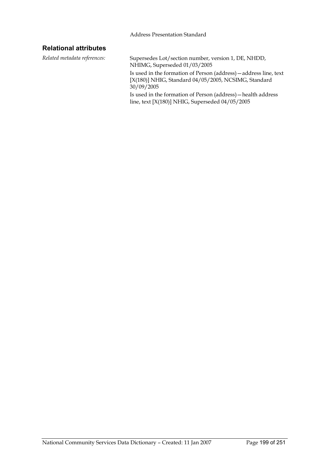#### **Relational attributes**

*Related metadata references:* Supersedes Lot/section number, version 1, DE, NHDD, NHIMG, Superseded 01/03/2005 Is used in the formation of Person (address)—address line, text [X(180)] NHIG, Standard 04/05/2005, NCSIMG, Standard 30/09/2005 Is used in the formation of Person (address)—health address

line, text [X(180)] NHIG, Superseded 04/05/2005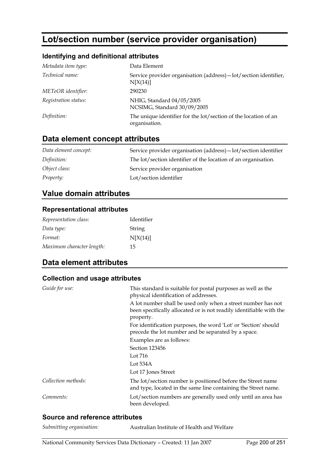# **Lot/section number (service provider organisation)**

#### **Identifying and definitional attributes**

| Metadata item type:  | Data Element                                                                     |
|----------------------|----------------------------------------------------------------------------------|
| Technical name:      | Service provider organisation (address) – lot/section identifier,<br>N[X(14)]    |
| METeOR identifier:   | 290230                                                                           |
| Registration status: | NHIG, Standard 04/05/2005<br>NCSIMG, Standard 30/09/2005                         |
| Definition:          | The unique identifier for the lot/section of the location of an<br>organisation. |

# **Data element concept attributes**

| Data element concept: | Service provider organisation (address) - lot/section identifier |
|-----------------------|------------------------------------------------------------------|
| Definition:           | The lot/section identifier of the location of an organisation.   |
| Object class:         | Service provider organisation                                    |
| <i>Property:</i>      | Lot/section identifier                                           |

## **Value domain attributes**

#### **Representational attributes**

| Representation class:     | Identifier |
|---------------------------|------------|
| Data type:                | String     |
| Format:                   | N[X(14)]   |
| Maximum character length: | 15         |

# **Data element attributes**

#### **Collection and usage attributes**

| Guide for use:      | This standard is suitable for postal purposes as well as the<br>physical identification of addresses.                                            |
|---------------------|--------------------------------------------------------------------------------------------------------------------------------------------------|
|                     | A lot number shall be used only when a street number has not<br>been specifically allocated or is not readily identifiable with the<br>property. |
|                     | For identification purposes, the word 'Lot' or 'Section' should<br>precede the lot number and be separated by a space.                           |
|                     | Examples are as follows:                                                                                                                         |
|                     | Section 123456                                                                                                                                   |
|                     | Lot 716                                                                                                                                          |
|                     | Lot $534A$                                                                                                                                       |
|                     | Lot 17 Jones Street                                                                                                                              |
| Collection methods: | The lot/section number is positioned before the Street name<br>and type, located in the same line containing the Street name.                    |
| Comments:           | Lot/section numbers are generally used only until an area has<br>been developed.                                                                 |

#### **Source and reference attributes**

| Submitting organisation:<br>Australian Institute of Health and Welfare |
|------------------------------------------------------------------------|
|------------------------------------------------------------------------|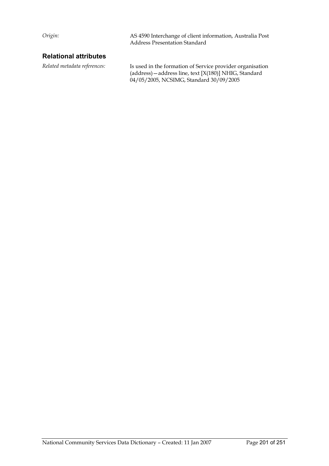*Origin:* AS 4590 Interchange of client information, Australia Post Address Presentation Standard

#### **Relational attributes**

*Related metadata references:* Is used in the formation of Service provider organisation (address)—address line, text [X(180)] NHIG, Standard 04/05/2005, NCSIMG, Standard 30/09/2005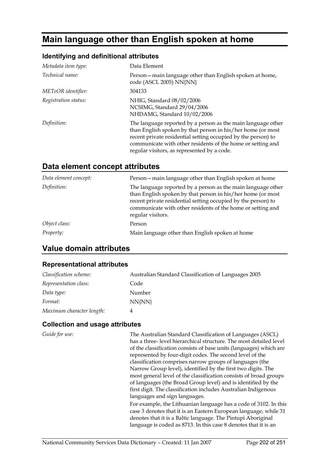# **Main language other than English spoken at home**

#### **Identifying and definitional attributes**

| Metadata item type:  | Data Element                                                                                                                                                                                                                                                                                               |
|----------------------|------------------------------------------------------------------------------------------------------------------------------------------------------------------------------------------------------------------------------------------------------------------------------------------------------------|
| Technical name:      | Person – main language other than English spoken at home,<br>code (ASCL 2005) NN{NN}                                                                                                                                                                                                                       |
| METeOR identifier:   | 304133                                                                                                                                                                                                                                                                                                     |
| Registration status: | NHIG, Standard 08/02/2006<br>NCSIMG, Standard 29/04/2006<br>NHDAMG, Standard 10/02/2006                                                                                                                                                                                                                    |
| Definition:          | The language reported by a person as the main language other<br>than English spoken by that person in his/her home (or most<br>recent private residential setting occupied by the person) to<br>communicate with other residents of the home or setting and<br>regular visitors, as represented by a code. |

## **Data element concept attributes**

| Data element concept: | Person - main language other than English spoken at home                                                                                                                                                                                                                         |
|-----------------------|----------------------------------------------------------------------------------------------------------------------------------------------------------------------------------------------------------------------------------------------------------------------------------|
| Definition:           | The language reported by a person as the main language other<br>than English spoken by that person in his/her home (or most<br>recent private residential setting occupied by the person) to<br>communicate with other residents of the home or setting and<br>regular visitors. |
| Object class:         | Person                                                                                                                                                                                                                                                                           |
| Property:             | Main language other than English spoken at home                                                                                                                                                                                                                                  |

# **Value domain attributes**

#### **Representational attributes**

| Classification scheme:    | Australian Standard Classification of Languages 2005 |
|---------------------------|------------------------------------------------------|
| Representation class:     | Code                                                 |
| Data type:                | Number                                               |
| Format:                   | NN{NN}                                               |
| Maximum character length: | 4                                                    |

#### **Collection and usage attributes**

*Guide for use:* The Australian Standard Classification of Languages (ASCL) has a three- level hierarchical structure. The most detailed level of the classification consists of base units (languages) which are represented by four-digit codes. The second level of the classification comprises narrow groups of languages (the Narrow Group level), identified by the first two digits. The most general level of the classification consists of broad groups of languages (the Broad Group level) and is identified by the first digit. The classification includes Australian Indigenous languages and sign languages. For example, the Lithuanian language has a code of 3102. In this case 3 denotes that it is an Eastern European language, while 31 denotes that it is a Baltic language. The Pintupi Aboriginal language is coded as 8713. In this case 8 denotes that it is an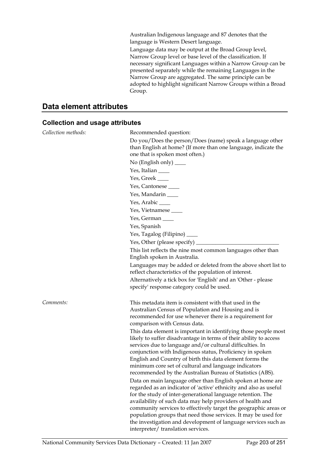Australian Indigenous language and 87 denotes that the language is Western Desert language.

Language data may be output at the Broad Group level, Narrow Group level or base level of the classification. If necessary significant Languages within a Narrow Group can be presented separately while the remaining Languages in the Narrow Group are aggregated. The same principle can be adopted to highlight significant Narrow Groups within a Broad Group.

# **Data element attributes**

#### **Collection and usage attributes**

| Collection methods: | Recommended question:                                                                                                                                                                                                                                                                                                                                                                                                                                                                                                                                                                                                                                                                                                                                                                                                                                                                                                                                         |
|---------------------|---------------------------------------------------------------------------------------------------------------------------------------------------------------------------------------------------------------------------------------------------------------------------------------------------------------------------------------------------------------------------------------------------------------------------------------------------------------------------------------------------------------------------------------------------------------------------------------------------------------------------------------------------------------------------------------------------------------------------------------------------------------------------------------------------------------------------------------------------------------------------------------------------------------------------------------------------------------|
|                     | Do you/Does the person/Does (name) speak a language other<br>than English at home? (If more than one language, indicate the<br>one that is spoken most often.)                                                                                                                                                                                                                                                                                                                                                                                                                                                                                                                                                                                                                                                                                                                                                                                                |
|                     | No (English only) $\_\_$                                                                                                                                                                                                                                                                                                                                                                                                                                                                                                                                                                                                                                                                                                                                                                                                                                                                                                                                      |
|                     | Yes, Italian                                                                                                                                                                                                                                                                                                                                                                                                                                                                                                                                                                                                                                                                                                                                                                                                                                                                                                                                                  |
|                     | Yes, Greek                                                                                                                                                                                                                                                                                                                                                                                                                                                                                                                                                                                                                                                                                                                                                                                                                                                                                                                                                    |
|                     | Yes, Cantonese                                                                                                                                                                                                                                                                                                                                                                                                                                                                                                                                                                                                                                                                                                                                                                                                                                                                                                                                                |
|                     | Yes, Mandarin ____                                                                                                                                                                                                                                                                                                                                                                                                                                                                                                                                                                                                                                                                                                                                                                                                                                                                                                                                            |
|                     | Yes, Arabic $\_\_$                                                                                                                                                                                                                                                                                                                                                                                                                                                                                                                                                                                                                                                                                                                                                                                                                                                                                                                                            |
|                     | Yes, Vietnamese                                                                                                                                                                                                                                                                                                                                                                                                                                                                                                                                                                                                                                                                                                                                                                                                                                                                                                                                               |
|                     | Yes, German                                                                                                                                                                                                                                                                                                                                                                                                                                                                                                                                                                                                                                                                                                                                                                                                                                                                                                                                                   |
|                     | Yes, Spanish                                                                                                                                                                                                                                                                                                                                                                                                                                                                                                                                                                                                                                                                                                                                                                                                                                                                                                                                                  |
|                     | Yes, Tagalog (Filipino) _____                                                                                                                                                                                                                                                                                                                                                                                                                                                                                                                                                                                                                                                                                                                                                                                                                                                                                                                                 |
|                     | Yes, Other (please specify) $_{-}$                                                                                                                                                                                                                                                                                                                                                                                                                                                                                                                                                                                                                                                                                                                                                                                                                                                                                                                            |
|                     | This list reflects the nine most common languages other than<br>English spoken in Australia.                                                                                                                                                                                                                                                                                                                                                                                                                                                                                                                                                                                                                                                                                                                                                                                                                                                                  |
|                     | Languages may be added or deleted from the above short list to<br>reflect characteristics of the population of interest.                                                                                                                                                                                                                                                                                                                                                                                                                                                                                                                                                                                                                                                                                                                                                                                                                                      |
|                     | Alternatively a tick box for 'English' and an 'Other - please<br>specify' response category could be used.                                                                                                                                                                                                                                                                                                                                                                                                                                                                                                                                                                                                                                                                                                                                                                                                                                                    |
| Comments:           | This metadata item is consistent with that used in the<br>Australian Census of Population and Housing and is<br>recommended for use whenever there is a requirement for<br>comparison with Census data.                                                                                                                                                                                                                                                                                                                                                                                                                                                                                                                                                                                                                                                                                                                                                       |
|                     | This data element is important in identifying those people most<br>likely to suffer disadvantage in terms of their ability to access<br>services due to language and/or cultural difficulties. In<br>conjunction with Indigenous status, Proficiency in spoken<br>English and Country of birth this data element forms the<br>minimum core set of cultural and language indicators<br>recommended by the Australian Bureau of Statistics (ABS).<br>Data on main language other than English spoken at home are<br>regarded as an indicator of 'active' ethnicity and also as useful<br>for the study of inter-generational language retention. The<br>availability of such data may help providers of health and<br>community services to effectively target the geographic areas or<br>population groups that need those services. It may be used for<br>the investigation and development of language services such as<br>interpreter/translation services. |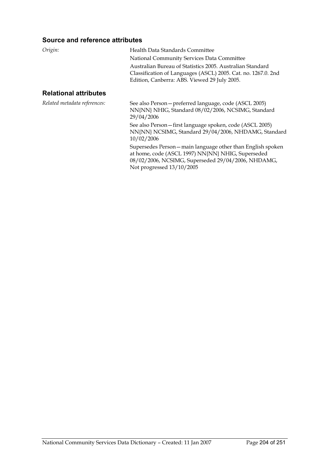#### **Source and reference attributes**

| Origin:                      | Health Data Standards Committee                                                                                                                                            |
|------------------------------|----------------------------------------------------------------------------------------------------------------------------------------------------------------------------|
|                              | National Community Services Data Committee                                                                                                                                 |
|                              | Australian Bureau of Statistics 2005. Australian Standard<br>Classification of Languages (ASCL) 2005. Cat. no. 1267.0. 2nd<br>Edition, Canberra: ABS. Viewed 29 July 2005. |
| <b>Relational attributes</b> |                                                                                                                                                                            |
| Related metadata references: | See also Person - preferred language, code (ASCL 2005)                                                                                                                     |

Not progressed 13/10/2005

29/04/2006

10/02/2006

NN{NN} NHIG, Standard 08/02/2006, NCSIMG, Standard

See also Person—first language spoken, code (ASCL 2005) NN{NN} NCSIMG, Standard 29/04/2006, NHDAMG, Standard

Supersedes Person—main language other than English spoken at home, code (ASCL 1997) NN{NN} NHIG, Superseded 08/02/2006, NCSIMG, Superseded 29/04/2006, NHDAMG,

National Community Services Data Dictionary - Created: 11 Jan 2007 Page 204 of 251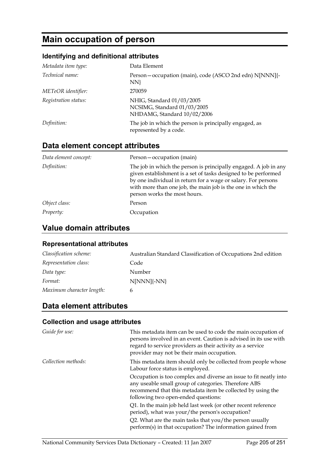# **Main occupation of person**

## **Identifying and definitional attributes**

| Metadata item type:  | Data Element                                                                            |
|----------------------|-----------------------------------------------------------------------------------------|
| Technical name:      | Person-occupation (main), code (ASCO 2nd edn) N[NNN]{-<br>NN                            |
| METeOR identifier:   | 270059                                                                                  |
| Registration status: | NHIG, Standard 01/03/2005<br>NCSIMG, Standard 01/03/2005<br>NHDAMG, Standard 10/02/2006 |
| Definition:          | The job in which the person is principally engaged, as<br>represented by a code.        |

# **Data element concept attributes**

| Data element concept: | Person – occupation (main)                                                                                                                                                                                                                                                                          |
|-----------------------|-----------------------------------------------------------------------------------------------------------------------------------------------------------------------------------------------------------------------------------------------------------------------------------------------------|
| Definition:           | The job in which the person is principally engaged. A job in any<br>given establishment is a set of tasks designed to be performed<br>by one individual in return for a wage or salary. For persons<br>with more than one job, the main job is the one in which the<br>person works the most hours. |
| Object class:         | Person                                                                                                                                                                                                                                                                                              |
| Property:             | Occupation                                                                                                                                                                                                                                                                                          |

# **Value domain attributes**

#### **Representational attributes**

| Classification scheme:    | Australian Standard Classification of Occupations 2nd edition |
|---------------------------|---------------------------------------------------------------|
| Representation class:     | Code                                                          |
| Data type:                | Number                                                        |
| Format:                   | N[NNN]{-NN}                                                   |
| Maximum character length: | 6                                                             |

## **Data element attributes**

#### **Collection and usage attributes**

| Guide for use:      | This metadata item can be used to code the main occupation of<br>persons involved in an event. Caution is advised in its use with<br>regard to service providers as their activity as a service<br>provider may not be their main occupation. |
|---------------------|-----------------------------------------------------------------------------------------------------------------------------------------------------------------------------------------------------------------------------------------------|
| Collection methods: | This metadata item should only be collected from people whose<br>Labour force status is employed.                                                                                                                                             |
|                     | Occupation is too complex and diverse an issue to fit neatly into<br>any useable small group of categories. Therefore ABS<br>recommend that this metadata item be collected by using the<br>following two open-ended questions:               |
|                     | Q1. In the main job held last week (or other recent reference<br>period), what was your/the person's occupation?                                                                                                                              |
|                     | Q2. What are the main tasks that you/the person usually<br>perform(s) in that occupation? The information gained from                                                                                                                         |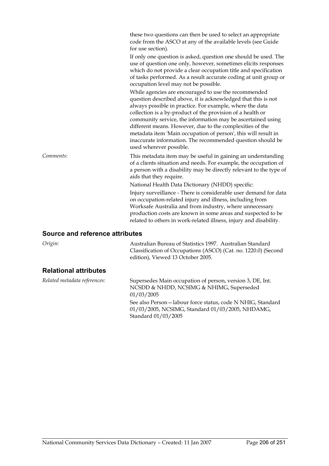|                                        | these two questions can then be used to select an appropriate<br>code from the ASCO at any of the available levels (see Guide<br>for use section).<br>If only one question is asked, question one should be used. The<br>use of question one only, however, sometimes elicits responses<br>which do not provide a clear occupation title and specification<br>of tasks performed. As a result accurate coding at unit group or<br>occupation level may not be possible.                                                               |
|----------------------------------------|---------------------------------------------------------------------------------------------------------------------------------------------------------------------------------------------------------------------------------------------------------------------------------------------------------------------------------------------------------------------------------------------------------------------------------------------------------------------------------------------------------------------------------------|
|                                        | While agencies are encouraged to use the recommended<br>question described above, it is acknowledged that this is not<br>always possible in practice. For example, where the data<br>collection is a by-product of the provision of a health or<br>community service, the information may be ascertained using<br>different means. However, due to the complexities of the<br>metadata item 'Main occupation of person', this will result in<br>inaccurate information. The recommended question should be<br>used wherever possible. |
| Comments:                              | This metadata item may be useful in gaining an understanding<br>of a clients situation and needs. For example, the occupation of<br>a person with a disability may be directly relevant to the type of<br>aids that they require.                                                                                                                                                                                                                                                                                                     |
|                                        | National Health Data Dictionary (NHDD) specific:<br>Injury surveillance - There is considerable user demand for data<br>on occupation-related injury and illness, including from<br>Worksafe Australia and from industry, where unnecessary<br>production costs are known in some areas and suspected to be<br>related to others in work-related illness, injury and disability.                                                                                                                                                      |
| <b>Source and reference attributes</b> |                                                                                                                                                                                                                                                                                                                                                                                                                                                                                                                                       |
| Origin:                                | Australian Bureau of Statistics 1997. Australian Standard<br>Classification of Occupations (ASCO) (Cat. no. 1220.0) (Second                                                                                                                                                                                                                                                                                                                                                                                                           |

#### **Relational attributes**

| Related metadata references: | Supersedes Main occupation of person, version 3, DE, Int.<br>NCSDD & NHDD, NCSIMG & NHIMG, Superseded<br>01/03/2005                   |
|------------------------------|---------------------------------------------------------------------------------------------------------------------------------------|
|                              | See also Person-labour force status, code N NHIG, Standard<br>01/03/2005, NCSIMG, Standard 01/03/2005, NHDAMG,<br>Standard 01/03/2005 |

edition), Viewed 13 October 2005.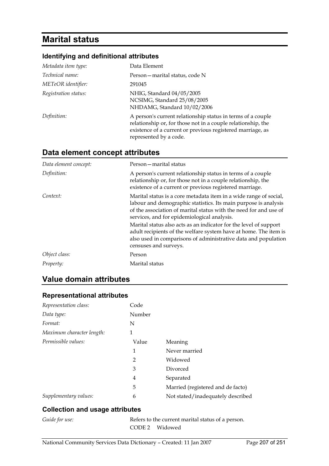# **Marital status**

#### **Identifying and definitional attributes**

| Metadata item type:  | Data Element                                                                                                                                                                                                        |
|----------------------|---------------------------------------------------------------------------------------------------------------------------------------------------------------------------------------------------------------------|
| Technical name:      | Person – marital status, code N                                                                                                                                                                                     |
| METeOR identifier:   | 291045                                                                                                                                                                                                              |
| Registration status: | NHIG, Standard 04/05/2005<br>NCSIMG, Standard 25/08/2005<br>NHDAMG, Standard 10/02/2006                                                                                                                             |
| Definition:          | A person's current relationship status in terms of a couple<br>relationship or, for those not in a couple relationship, the<br>existence of a current or previous registered marriage, as<br>represented by a code. |

# **Data element concept attributes**

| Data element concept: | Person – marital status                                                                                                                                                                                                                                  |  |  |
|-----------------------|----------------------------------------------------------------------------------------------------------------------------------------------------------------------------------------------------------------------------------------------------------|--|--|
| Definition:           | A person's current relationship status in terms of a couple<br>relationship or, for those not in a couple relationship, the<br>existence of a current or previous registered marriage.                                                                   |  |  |
| Context:              | Marital status is a core metadata item in a wide range of social,<br>labour and demographic statistics. Its main purpose is analysis<br>of the association of marital status with the need for and use of<br>services, and for epidemiological analysis. |  |  |
|                       | Marital status also acts as an indicator for the level of support<br>adult recipients of the welfare system have at home. The item is<br>also used in comparisons of administrative data and population<br>censuses and surveys.                         |  |  |
| Object class:         | Person                                                                                                                                                                                                                                                   |  |  |
| Property:             | Marital status                                                                                                                                                                                                                                           |  |  |

# **Value domain attributes**

#### **Representational attributes**

| Representation class:     | Code           |                                   |
|---------------------------|----------------|-----------------------------------|
| Data type:                | Number         |                                   |
| Format:                   | N              |                                   |
| Maximum character length: | 1              |                                   |
| Permissible values:       | Value          | Meaning                           |
|                           | 1              | Never married                     |
|                           | $\overline{2}$ | Widowed                           |
|                           | 3              | Divorced                          |
|                           | 4              | Separated                         |
|                           | 5              | Married (registered and de facto) |
| Supplementary values:     | 6              | Not stated/inadequately described |

#### **Collection and usage attributes**

Guide for use: Refers to the current marital status of a person. CODE 2 Widowed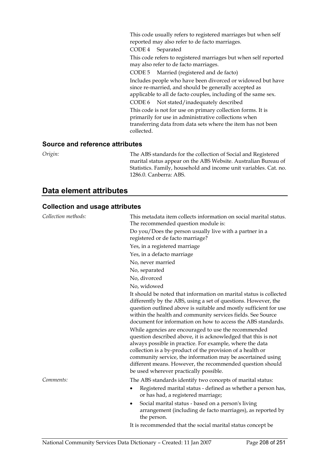This code usually refers to registered marriages but when self reported may also refer to de facto marriages.

CODE 4 Separated

This code refers to registered marriages but when self reported may also refer to de facto marriages.

CODE 5 Married (registered and de facto) Includes people who have been divorced or widowed but have since re-married, and should be generally accepted as

applicable to all de facto couples, including of the same sex.

CODE 6 Not stated/inadequately described

This code is not for use on primary collection forms. It is primarily for use in administrative collections when transferring data from data sets where the item has not been collected.

#### **Source and reference attributes**

*Origin:* The ABS standards for the collection of Social and Registered marital status appear on the ABS Website. Australian Bureau of Statistics. Family, household and income unit variables. Cat. no. 1286.0. Canberra: ABS.

# **Data element attributes**

#### **Collection and usage attributes**

| Collection methods: | This metadata item collects information on social marital status.<br>The recommended question module is:                                                                                                                                                                                                                                                                                                              |  |  |
|---------------------|-----------------------------------------------------------------------------------------------------------------------------------------------------------------------------------------------------------------------------------------------------------------------------------------------------------------------------------------------------------------------------------------------------------------------|--|--|
|                     | Do you/Does the person usually live with a partner in a<br>registered or de facto marriage?                                                                                                                                                                                                                                                                                                                           |  |  |
|                     | Yes, in a registered marriage                                                                                                                                                                                                                                                                                                                                                                                         |  |  |
|                     | Yes, in a defacto marriage                                                                                                                                                                                                                                                                                                                                                                                            |  |  |
|                     | No, never married                                                                                                                                                                                                                                                                                                                                                                                                     |  |  |
|                     | No, separated                                                                                                                                                                                                                                                                                                                                                                                                         |  |  |
|                     | No, divorced                                                                                                                                                                                                                                                                                                                                                                                                          |  |  |
|                     | No, widowed                                                                                                                                                                                                                                                                                                                                                                                                           |  |  |
|                     | It should be noted that information on marital status is collected<br>differently by the ABS, using a set of questions. However, the<br>question outlined above is suitable and mostly sufficient for use<br>within the health and community services fields. See Source<br>document for information on how to access the ABS standards.                                                                              |  |  |
|                     | While agencies are encouraged to use the recommended<br>question described above, it is acknowledged that this is not<br>always possible in practice. For example, where the data<br>collection is a by-product of the provision of a health or<br>community service, the information may be ascertained using<br>different means. However, the recommended question should<br>be used wherever practically possible. |  |  |
| Comments:           | The ABS standards identify two concepts of marital status:                                                                                                                                                                                                                                                                                                                                                            |  |  |
|                     | Registered marital status - defined as whether a person has,<br>or has had, a registered marriage;                                                                                                                                                                                                                                                                                                                    |  |  |
|                     | Social marital status - based on a person's living<br>arrangement (including de facto marriages), as reported by<br>the person.                                                                                                                                                                                                                                                                                       |  |  |
|                     | It is recommended that the social marital status concept be                                                                                                                                                                                                                                                                                                                                                           |  |  |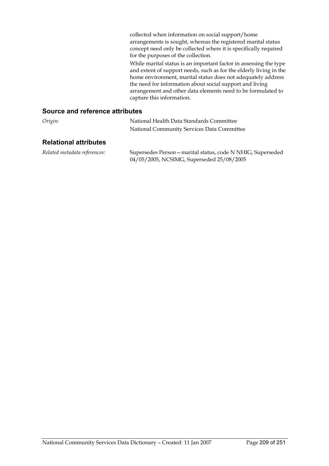collected when information on social support/home arrangements is sought, whereas the registered marital status concept need only be collected where it is specifically required for the purposes of the collection.

While marital status is an important factor in assessing the type and extent of support needs, such as for the elderly living in the home environment, marital status does not adequately address the need for information about social support and living arrangement and other data elements need to be formulated to capture this information.

#### **Source and reference attributes**

| Origin:                      | National Health Data Standards Committee   |
|------------------------------|--------------------------------------------|
|                              | National Community Services Data Committee |
| <b>Relational attributes</b> |                                            |

*Related metadata references:* Supersedes Person—marital status, code N NHIG, Superseded 04/05/2005, NCSIMG, Superseded 25/08/2005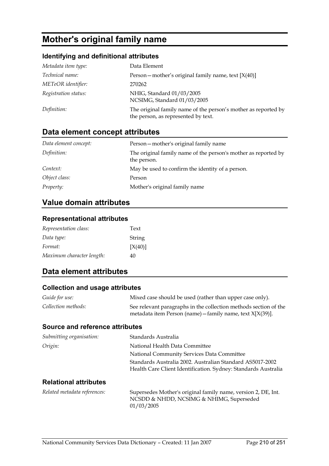# **Mother's original family name**

#### **Identifying and definitional attributes**

| Metadata item type:  | Data Element                                                                                          |
|----------------------|-------------------------------------------------------------------------------------------------------|
| Technical name:      | Person - mother's original family name, text [X(40)]                                                  |
| METeOR identifier:   | 270262                                                                                                |
| Registration status: | NHIG, Standard 01/03/2005<br>NCSIMG, Standard 01/03/2005                                              |
| Definition:          | The original family name of the person's mother as reported by<br>the person, as represented by text. |

# **Data element concept attributes**

| Data element concept: | Person – mother's original family name                                        |
|-----------------------|-------------------------------------------------------------------------------|
| Definition:           | The original family name of the person's mother as reported by<br>the person. |
| Context:              | May be used to confirm the identity of a person.                              |
| Object class:         | Person                                                                        |
| <i>Property:</i>      | Mother's original family name                                                 |

## **Value domain attributes**

#### **Representational attributes**

| Representation class:     | Text    |
|---------------------------|---------|
| Data type:                | String  |
| Format:                   | [X(40)] |
| Maximum character length: | 40      |

# **Data element attributes**

#### **Collection and usage attributes**

| Guide for use:      | Mixed case should be used (rather than upper case only).                                                                         |
|---------------------|----------------------------------------------------------------------------------------------------------------------------------|
| Collection methods: | See relevant paragraphs in the collection methods section of the<br>metadata item Person (name) - family name, text $X[X(39)]$ . |

#### **Source and reference attributes**

| Submitting organisation:     | Standards Australia                                                                                                         |
|------------------------------|-----------------------------------------------------------------------------------------------------------------------------|
| Origin:                      | National Health Data Committee                                                                                              |
|                              | National Community Services Data Committee                                                                                  |
|                              | Standards Australia 2002. Australian Standard AS5017-2002<br>Health Care Client Identification. Sydney: Standards Australia |
| <b>Relational attributes</b> |                                                                                                                             |
| Related metadata references: | Supersedes Mother's original family name, version 2, DE, Int.<br>NCSDD & NHDD, NCSIMG & NHIMG, Superseded                   |

01/03/2005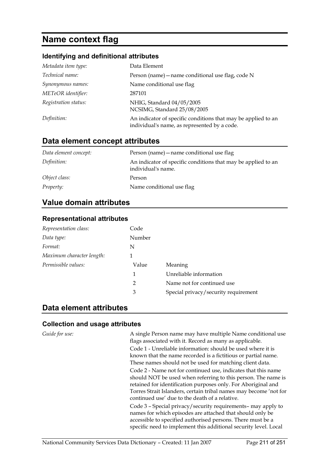# **Name context flag**

#### **Identifying and definitional attributes**

| Metadata item type:  | Data Element                                                                                                  |
|----------------------|---------------------------------------------------------------------------------------------------------------|
| Technical name:      | Person (name) - name conditional use flag, code N                                                             |
| Synonymous names:    | Name conditional use flag                                                                                     |
| METeOR identifier:   | 287101                                                                                                        |
| Registration status: | NHIG, Standard 04/05/2005<br>NCSIMG, Standard 25/08/2005                                                      |
| Definition:          | An indicator of specific conditions that may be applied to an<br>individual's name, as represented by a code. |

# **Data element concept attributes**

| Data element concept: | Person (name) – name conditional use flag                                           |
|-----------------------|-------------------------------------------------------------------------------------|
| Definition:           | An indicator of specific conditions that may be applied to an<br>individual's name. |
| Object class:         | Person                                                                              |
| <i>Property:</i>      | Name conditional use flag                                                           |

## **Value domain attributes**

#### **Representational attributes**

| Code          |                                      |
|---------------|--------------------------------------|
| Number        |                                      |
| N             |                                      |
| 1             |                                      |
| Value         | Meaning                              |
| 1             | Unreliable information               |
| $\mathcal{P}$ | Name not for continued use           |
| 3             | Special privacy/security requirement |
|               |                                      |

## **Data element attributes**

#### **Collection and usage attributes**

*Guide for use:* A single Person name may have multiple Name conditional use flags associated with it. Record as many as applicable. Code 1 - Unreliable information: should be used where it is known that the name recorded is a fictitious or partial name. These names should not be used for matching client data. Code 2 - Name not for continued use, indicates that this name should NOT be used when referring to this person. The name is retained for identification purposes only. For Aboriginal and Torres Strait Islanders, certain tribal names may become 'not for continued use' due to the death of a relative.

Code 3 – Special privacy/security requirements– may apply to names for which episodes are attached that should only be accessible to specified authorised persons. There must be a specific need to implement this additional security level. Local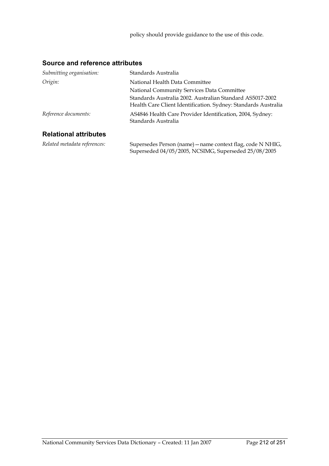Superseded 04/05/2005, NCSIMG, Superseded 25/08/2005

#### **Source and reference attributes**

| Submitting organisation:     | Standards Australia                                                                                                         |  |
|------------------------------|-----------------------------------------------------------------------------------------------------------------------------|--|
| Origin:                      | National Health Data Committee                                                                                              |  |
|                              | National Community Services Data Committee                                                                                  |  |
|                              | Standards Australia 2002. Australian Standard AS5017-2002<br>Health Care Client Identification. Sydney: Standards Australia |  |
| Reference documents:         | AS4846 Health Care Provider Identification, 2004, Sydney:<br>Standards Australia                                            |  |
| <b>Relational attributes</b> |                                                                                                                             |  |
| Related metadata references: | Supersedes Person (name) – name context flag, code N NHIG,                                                                  |  |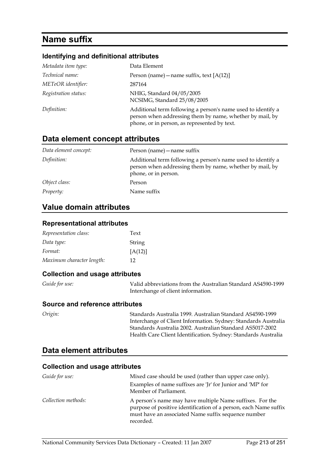# **Name suffix**

#### **Identifying and definitional attributes**

| Metadata item type:  | Data Element                                                                                                                                                             |
|----------------------|--------------------------------------------------------------------------------------------------------------------------------------------------------------------------|
| Technical name:      | Person (name) – name suffix, text $[A(12)]$                                                                                                                              |
| METeOR identifier:   | 287164                                                                                                                                                                   |
| Registration status: | NHIG, Standard 04/05/2005<br>NCSIMG, Standard 25/08/2005                                                                                                                 |
| Definition:          | Additional term following a person's name used to identify a<br>person when addressing them by name, whether by mail, by<br>phone, or in person, as represented by text. |

## **Data element concept attributes**

| Data element concept: | Person (name) – name suffix                                                                                                                      |
|-----------------------|--------------------------------------------------------------------------------------------------------------------------------------------------|
| Definition:           | Additional term following a person's name used to identify a<br>person when addressing them by name, whether by mail, by<br>phone, or in person. |
| Object class:         | Person                                                                                                                                           |
| <i>Property:</i>      | Name suffix                                                                                                                                      |

#### **Value domain attributes**

#### **Representational attributes**

| Representation class:     | Text    |
|---------------------------|---------|
| Data type:                | String  |
| Format:                   | [A(12)] |
| Maximum character length: | 12      |

#### **Collection and usage attributes**

| <i>Guide for use:</i> | Valid abbreviations from the Australian Standard AS4590-1999 |
|-----------------------|--------------------------------------------------------------|
|                       | Interchange of client information.                           |

#### **Source and reference attributes**

*Origin:* Standards Australia 1999. Australian Standard AS4590-1999 Interchange of Client Information. Sydney: Standards Australia Standards Australia 2002. Australian Standard AS5017-2002 Health Care Client Identification. Sydney: Standards Australia

## **Data element attributes**

#### **Collection and usage attributes**

| Guide for use:      | Mixed case should be used (rather than upper case only).                                                                                                                                         |
|---------------------|--------------------------------------------------------------------------------------------------------------------------------------------------------------------------------------------------|
|                     | Examples of name suffixes are 'Jr' for Junior and 'MP' for<br>Member of Parliament.                                                                                                              |
| Collection methods: | A person's name may have multiple Name suffixes. For the<br>purpose of positive identification of a person, each Name suffix<br>must have an associated Name suffix sequence number<br>recorded. |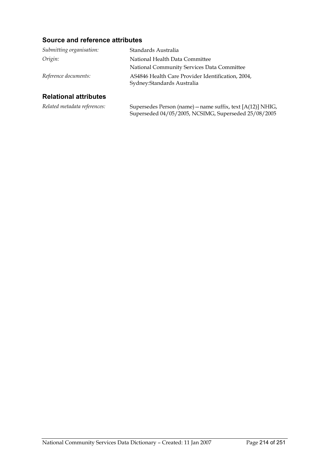## **Source and reference attributes**

| Submitting organisation:     | Standards Australia                                                              |
|------------------------------|----------------------------------------------------------------------------------|
| Origin:                      | National Health Data Committee                                                   |
|                              | National Community Services Data Committee                                       |
| Reference documents:         | AS4846 Health Care Provider Identification, 2004,<br>Sydney: Standards Australia |
| <b>Relational attributes</b> |                                                                                  |

#### **Relational attributes**

| Related metadata references: | Supersedes Person (name) – name suffix, text $[A(12)]$ NHIG, |
|------------------------------|--------------------------------------------------------------|
|                              | Superseded 04/05/2005, NCSIMG, Superseded 25/08/2005         |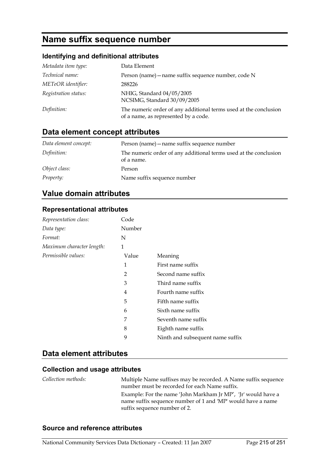# **Name suffix sequence number**

## **Identifying and definitional attributes**

| Metadata item type:  | Data Element                                                                                             |
|----------------------|----------------------------------------------------------------------------------------------------------|
| Technical name:      | Person (name) - name suffix sequence number, code N                                                      |
| METeOR identifier:   | 288226                                                                                                   |
| Registration status: | NHIG, Standard 04/05/2005<br>NCSIMG, Standard 30/09/2005                                                 |
| Definition:          | The numeric order of any additional terms used at the conclusion<br>of a name, as represented by a code. |

# **Data element concept attributes**

| Data element concept: | Person (name) – name suffix sequence number                                    |
|-----------------------|--------------------------------------------------------------------------------|
| Definition:           | The numeric order of any additional terms used at the conclusion<br>of a name. |
| Object class:         | Person                                                                         |
| <i>Property:</i>      | Name suffix sequence number                                                    |

# **Value domain attributes**

#### **Representational attributes**

| Representation class:     | Code   |                                  |
|---------------------------|--------|----------------------------------|
| Data type:                | Number |                                  |
| Format:                   | N      |                                  |
| Maximum character length: | 1      |                                  |
| Permissible values:       | Value  | Meaning                          |
|                           | 1      | First name suffix                |
|                           | 2      | Second name suffix               |
|                           | 3      | Third name suffix                |
|                           | 4      | Fourth name suffix               |
|                           | 5      | Fifth name suffix                |
|                           | 6      | Sixth name suffix                |
|                           | 7      | Seventh name suffix              |
|                           | 8      | Eighth name suffix               |
|                           | 9      | Ninth and subsequent name suffix |

## **Data element attributes**

#### **Collection and usage attributes**

| Collection methods: | Multiple Name suffixes may be recorded. A Name suffix sequence<br>number must be recorded for each Name suffix.              |
|---------------------|------------------------------------------------------------------------------------------------------------------------------|
|                     | Example: For the name 'John Markham Jr MP', 'Jr' would have a<br>name suffix sequence number of 1 and 'MP' would have a name |
|                     | suffix sequence number of 2.                                                                                                 |

#### **Source and reference attributes**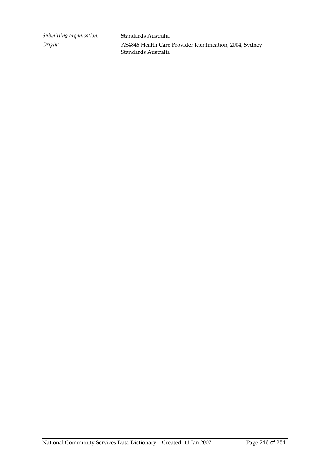*Submitting organisation:* Standards Australia

*Origin:* AS4846 Health Care Provider Identification, 2004, Sydney: Standards Australia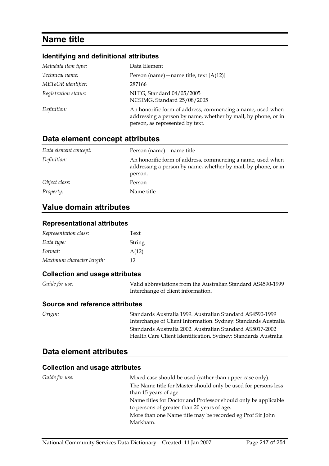# **Name title**

#### **Identifying and definitional attributes**

| Metadata item type:  | Data Element                                                                                                                                                   |
|----------------------|----------------------------------------------------------------------------------------------------------------------------------------------------------------|
| Technical name:      | Person (name) – name title, text $[A(12)]$                                                                                                                     |
| METeOR identifier:   | 287166                                                                                                                                                         |
| Registration status: | NHIG, Standard 04/05/2005<br>NCSIMG, Standard 25/08/2005                                                                                                       |
| Definition:          | An honorific form of address, commencing a name, used when<br>addressing a person by name, whether by mail, by phone, or in<br>person, as represented by text. |

### **Data element concept attributes**

| Data element concept: | Person (name) – name title                                                                                                             |
|-----------------------|----------------------------------------------------------------------------------------------------------------------------------------|
| Definition:           | An honorific form of address, commencing a name, used when<br>addressing a person by name, whether by mail, by phone, or in<br>person. |
| Object class:         | Person                                                                                                                                 |
| <i>Property:</i>      | Name title                                                                                                                             |

### **Value domain attributes**

#### **Representational attributes**

| Representation class:     | Text   |
|---------------------------|--------|
| Data type:                | String |
| Format:                   | A(12)  |
| Maximum character length: | 12     |

#### **Collection and usage attributes**

| <i>Guide for use:</i> | Valid abbreviations from the Australian Standard AS4590-1999 |
|-----------------------|--------------------------------------------------------------|
|                       | Interchange of client information.                           |

#### **Source and reference attributes**

*Origin:* Standards Australia 1999. Australian Standard AS4590-1999 Interchange of Client Information. Sydney: Standards Australia Standards Australia 2002. Australian Standard AS5017-2002 Health Care Client Identification. Sydney: Standards Australia

## **Data element attributes**

| Guide for use: | Mixed case should be used (rather than upper case only).                                                      |
|----------------|---------------------------------------------------------------------------------------------------------------|
|                | The Name title for Master should only be used for persons less                                                |
|                | than 15 years of age.                                                                                         |
|                | Name titles for Doctor and Professor should only be applicable<br>to persons of greater than 20 years of age. |
|                | More than one Name title may be recorded eg Prof Sir John                                                     |
|                | Markham.                                                                                                      |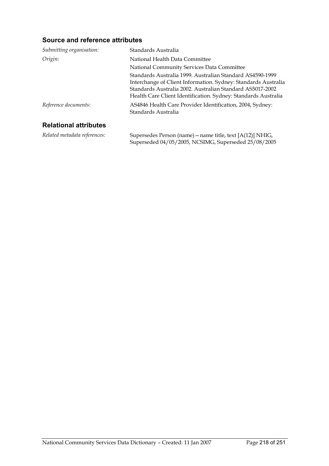| Submitting organisation:     | Standards Australia                                                                                                                                                                                                                                        |
|------------------------------|------------------------------------------------------------------------------------------------------------------------------------------------------------------------------------------------------------------------------------------------------------|
| Origin:                      | National Health Data Committee                                                                                                                                                                                                                             |
|                              | National Community Services Data Committee                                                                                                                                                                                                                 |
|                              | Standards Australia 1999. Australian Standard AS4590-1999<br>Interchange of Client Information. Sydney: Standards Australia<br>Standards Australia 2002. Australian Standard AS5017-2002<br>Health Care Client Identification. Sydney: Standards Australia |
| Reference documents:         | AS4846 Health Care Provider Identification, 2004, Sydney:<br>Standards Australia                                                                                                                                                                           |
| <b>Relational attributes</b> |                                                                                                                                                                                                                                                            |
| Related metadata references: | Supersedes Person (name) – name title, text [A(12)] NHIG,<br>Superseded 04/05/2005, NCSIMG, Superseded 25/08/2005                                                                                                                                          |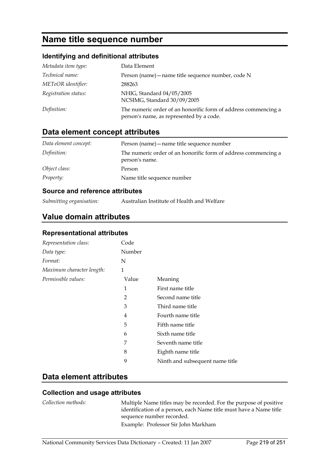# **Name title sequence number**

### **Identifying and definitional attributes**

| Metadata item type:  | Data Element                                                                                               |
|----------------------|------------------------------------------------------------------------------------------------------------|
| Technical name:      | Person (name) – name title sequence number, code N                                                         |
| METeOR identifier:   | 288263                                                                                                     |
| Registration status: | NHIG, Standard 04/05/2005<br>NCSIMG, Standard 30/09/2005                                                   |
| Definition:          | The numeric order of an honorific form of address commencing a<br>person's name, as represented by a code. |

# **Data element concept attributes**

| Data element concept: | Person (name) – name title sequence number                                       |
|-----------------------|----------------------------------------------------------------------------------|
| Definition:           | The numeric order of an honorific form of address commencing a<br>person's name. |
| Object class:         | Person                                                                           |
| <i>Property:</i>      | Name title sequence number                                                       |

#### **Source and reference attributes**

*Submitting organisation:* Australian Institute of Health and Welfare

## **Value domain attributes**

#### **Representational attributes**

| Representation class:     | Code           |                                 |
|---------------------------|----------------|---------------------------------|
| Data type:                | Number         |                                 |
| Format:                   | N              |                                 |
| Maximum character length: | 1              |                                 |
| Permissible values:       | Value          | Meaning                         |
|                           | 1              | First name title                |
|                           | $\overline{2}$ | Second name title               |
|                           | 3              | Third name title                |
|                           | 4              | Fourth name title               |
|                           | 5              | Fifth name title                |
|                           | 6              | Sixth name title                |
|                           | 7              | Seventh name title              |
|                           | 8              | Eighth name title               |
|                           | 9              | Ninth and subsequent name title |

### **Data element attributes**

#### **Collection and usage attributes**

*Collection methods:* Multiple Name titles may be recorded. For the purpose of positive identification of a person, each Name title must have a Name title sequence number recorded. Example: Professor Sir John Markham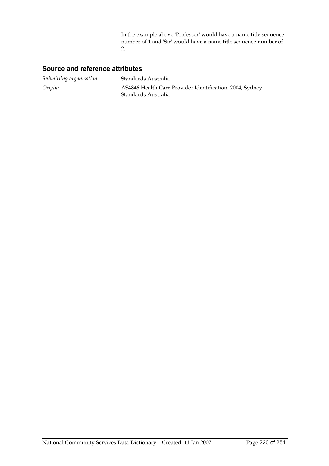In the example above 'Professor' would have a name title sequence number of 1 and 'Sir' would have a name title sequence number of 2.

| Submitting organisation: | Standards Australia                                                              |
|--------------------------|----------------------------------------------------------------------------------|
| Origin:                  | AS4846 Health Care Provider Identification, 2004, Sydney:<br>Standards Australia |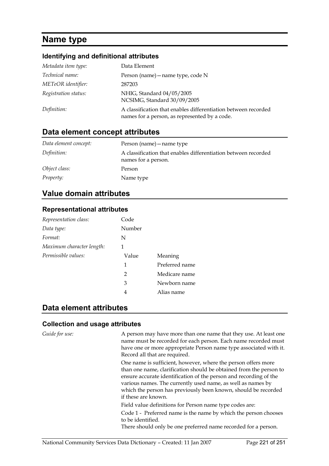# **Name type**

#### **Identifying and definitional attributes**

| Metadata item type:  | Data Element                                                                                                    |
|----------------------|-----------------------------------------------------------------------------------------------------------------|
| Technical name:      | Person (name) – name type, code N                                                                               |
| METeOR identifier:   | 287203                                                                                                          |
| Registration status: | NHIG, Standard 04/05/2005<br>NCSIMG, Standard 30/09/2005                                                        |
| Definition:          | A classification that enables differentiation between recorded<br>names for a person, as represented by a code. |

## **Data element concept attributes**

| Data element concept: | Person (name) – name type                                                             |
|-----------------------|---------------------------------------------------------------------------------------|
| Definition:           | A classification that enables differentiation between recorded<br>names for a person. |
| Object class:         | Person                                                                                |
| <i>Property:</i>      | Name type                                                                             |

## **Value domain attributes**

#### **Representational attributes**

| Representation class:     | Code   |                |
|---------------------------|--------|----------------|
| Data type:                | Number |                |
| Format:                   | N      |                |
| Maximum character length: | 1      |                |
| Permissible values:       | Value  | Meaning        |
|                           | 1      | Preferred name |
|                           | 2      | Medicare name  |
|                           | 3      | Newborn name   |
|                           | 4      | Alias name     |

### **Data element attributes**

#### **Collection and usage attributes**

*Guide for use:* A person may have more than one name that they use. At least one name must be recorded for each person. Each name recorded must have one or more appropriate Person name type associated with it. Record all that are required.

> One name is sufficient, however, where the person offers more than one name, clarification should be obtained from the person to ensure accurate identification of the person and recording of the various names. The currently used name, as well as names by which the person has previously been known, should be recorded if these are known.

Field value definitions for Person name type codes are:

Code 1 - Preferred name is the name by which the person chooses to be identified.

There should only be one preferred name recorded for a person.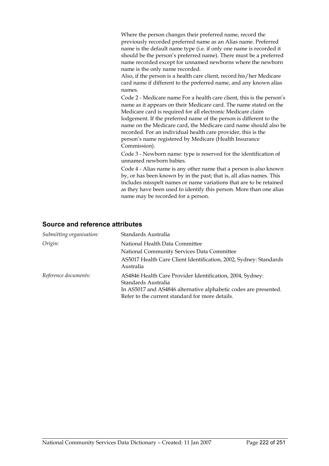Where the person changes their preferred name, record the previously recorded preferred name as an Alias name. Preferred name is the default name type (i.e. if only one name is recorded it should be the person's preferred name). There must be a preferred name recorded except for unnamed newborns where the newborn name is the only name recorded.

Also, if the person is a health care client, record his/her Medicare card name if different to the preferred name, and any known alias names.

Code 2 - Medicare name For a health care client, this is the person's name as it appears on their Medicare card. The name stated on the Medicare card is required for all electronic Medicare claim lodgement. If the preferred name of the person is different to the name on the Medicare card, the Medicare card name should also be recorded. For an individual health care provider, this is the person's name registered by Medicare (Health Insurance Commission).

Code 3 - Newborn name: type is reserved for the identification of unnamed newborn babies.

Code 4 - Alias name is any other name that a person is also known by, or has been known by in the past; that is, all alias names. This includes misspelt names or name variations that are to be retained as they have been used to identify this person. More than one alias name may be recorded for a person.

| Submitting organisation: | Standards Australia                                                                                                                                                                                     |
|--------------------------|---------------------------------------------------------------------------------------------------------------------------------------------------------------------------------------------------------|
| Origin:                  | National Health Data Committee                                                                                                                                                                          |
|                          | National Community Services Data Committee                                                                                                                                                              |
|                          | AS5017 Health Care Client Identification, 2002, Sydney: Standards<br>Australia                                                                                                                          |
| Reference documents:     | AS4846 Health Care Provider Identification, 2004, Sydney:<br>Standards Australia<br>In AS5017 and AS4846 alternative alphabetic codes are presented.<br>Refer to the current standard for more details. |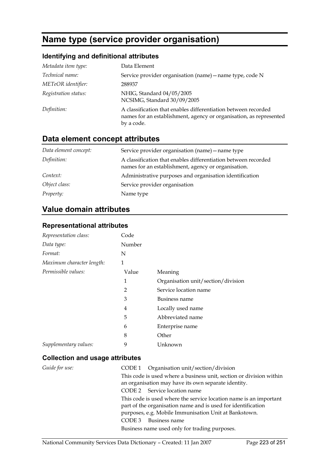# **Name type (service provider organisation)**

## **Identifying and definitional attributes**

| Metadata item type:  | Data Element                                                                                                                                       |
|----------------------|----------------------------------------------------------------------------------------------------------------------------------------------------|
| Technical name:      | Service provider organisation (name) - name type, code N                                                                                           |
| METeOR identifier:   | 288937                                                                                                                                             |
| Registration status: | NHIG, Standard 04/05/2005<br>NCSIMG, Standard 30/09/2005                                                                                           |
| Definition:          | A classification that enables differentiation between recorded<br>names for an establishment, agency or organisation, as represented<br>by a code. |

# **Data element concept attributes**

| Data element concept: | Service provider organisation (name) – name type                                                                      |
|-----------------------|-----------------------------------------------------------------------------------------------------------------------|
| Definition:           | A classification that enables differentiation between recorded<br>names for an establishment, agency or organisation. |
| <i>Context:</i>       | Administrative purposes and organisation identification                                                               |
| Object class:         | Service provider organisation                                                                                         |
| <i>Property:</i>      | Name type                                                                                                             |

# **Value domain attributes**

### **Representational attributes**

| Representation class:     | Code           |                                    |
|---------------------------|----------------|------------------------------------|
| Data type:                | Number         |                                    |
| Format:                   | N              |                                    |
| Maximum character length: | 1              |                                    |
| Permissible values:       | Value          | Meaning                            |
|                           | 1              | Organisation unit/section/division |
|                           | 2              | Service location name              |
|                           | $\mathfrak{B}$ | Business name                      |
|                           | 4              | Locally used name                  |
|                           | 5              | Abbreviated name                   |
|                           | 6              | Enterprise name                    |
|                           | 8              | Other                              |
| Supplementary values:     | 9              | Unknown                            |

| Guide for use: | CODE 1 Organisation unit/section/division                                                                                                                                                  |
|----------------|--------------------------------------------------------------------------------------------------------------------------------------------------------------------------------------------|
|                | This code is used where a business unit, section or division within<br>an organisation may have its own separate identity.                                                                 |
|                | CODE 2 Service location name                                                                                                                                                               |
|                | This code is used where the service location name is an important<br>part of the organisation name and is used for identification<br>purposes, e.g. Mobile Immunisation Unit at Bankstown. |
|                | Business name<br>CODE 3                                                                                                                                                                    |
|                | Business name used only for trading purposes.                                                                                                                                              |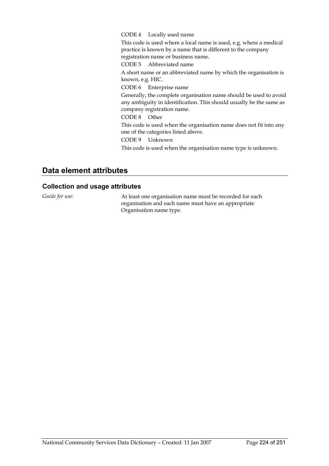#### CODE 4 Locally used name

This code is used where a local name is used, e.g. where a medical practice is known by a name that is different to the company registration name or business name.

CODE 5 Abbreviated name

A short name or an abbreviated name by which the organisation is known, e.g. HIC.

CODE 6 Enterprise name

Generally, the complete organisation name should be used to avoid any ambiguity in identification. This should usually be the same as company registration name.

CODE 8 Other

This code is used when the organisation name does not fit into any one of the categories listed above.

CODE 9 Unknown

This code is used when the organisation name type is unknown.

## **Data element attributes**

#### **Collection and usage attributes**

*Guide for use:* At least one organisation name must be recorded for each organisation and each name must have an appropriate Organisation name type.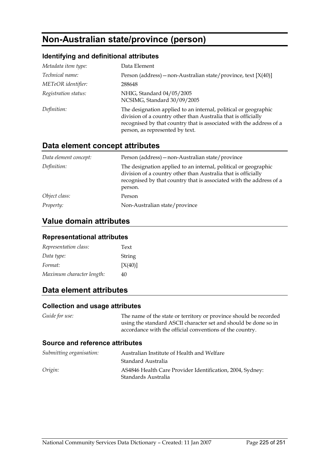# **Non-Australian state/province (person)**

### **Identifying and definitional attributes**

| Metadata item type:  | Data Element                                                                                                                                                                                                                               |
|----------------------|--------------------------------------------------------------------------------------------------------------------------------------------------------------------------------------------------------------------------------------------|
| Technical name:      | Person (address) – non-Australian state/province, text $[X(40)]$                                                                                                                                                                           |
| METeOR identifier:   | 288648                                                                                                                                                                                                                                     |
| Registration status: | NHIG, Standard 04/05/2005<br>NCSIMG, Standard 30/09/2005                                                                                                                                                                                   |
| Definition:          | The designation applied to an internal, political or geographic<br>division of a country other than Australia that is officially<br>recognised by that country that is associated with the address of a<br>person, as represented by text. |

## **Data element concept attributes**

| Data element concept: | Person (address) - non-Australian state/province                                                                                                                                                                   |
|-----------------------|--------------------------------------------------------------------------------------------------------------------------------------------------------------------------------------------------------------------|
| Definition:           | The designation applied to an internal, political or geographic<br>division of a country other than Australia that is officially<br>recognised by that country that is associated with the address of a<br>person. |
| Object class:         | Person                                                                                                                                                                                                             |
| <i>Property:</i>      | Non-Australian state/province                                                                                                                                                                                      |

### **Value domain attributes**

#### **Representational attributes**

| Representation class:     | Text    |
|---------------------------|---------|
| Data type:                | String  |
| Format:                   | [X(40)] |
| Maximum character length: | 40      |

## **Data element attributes**

#### **Collection and usage attributes**

*Guide for use:* The name of the state or territory or province should be recorded using the standard ASCII character set and should be done so in accordance with the official conventions of the country.

| Submitting organisation: | Australian Institute of Health and Welfare                                       |
|--------------------------|----------------------------------------------------------------------------------|
|                          | Standard Australia                                                               |
| Origin:                  | AS4846 Health Care Provider Identification, 2004, Sydney:<br>Standards Australia |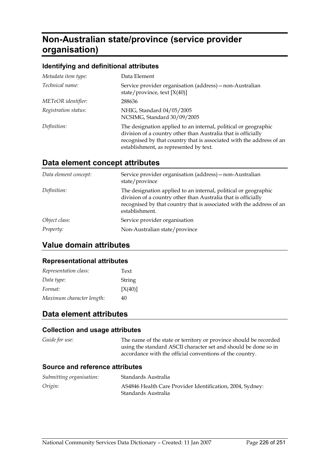# **Non-Australian state/province (service provider organisation)**

#### **Identifying and definitional attributes**

| Metadata item type:  | Data Element                                                                                                                                                                                                                                       |
|----------------------|----------------------------------------------------------------------------------------------------------------------------------------------------------------------------------------------------------------------------------------------------|
| Technical name:      | Service provider organisation (address) - non-Australian<br>state/province, text $[X(40)]$                                                                                                                                                         |
| METeOR identifier:   | 288636                                                                                                                                                                                                                                             |
| Registration status: | NHIG, Standard 04/05/2005<br>NCSIMG, Standard 30/09/2005                                                                                                                                                                                           |
| Definition:          | The designation applied to an internal, political or geographic<br>division of a country other than Australia that is officially<br>recognised by that country that is associated with the address of an<br>establishment, as represented by text. |

## **Data element concept attributes**

| Service provider organisation (address) – non-Australian<br>state/province                                                                                                                                                 |
|----------------------------------------------------------------------------------------------------------------------------------------------------------------------------------------------------------------------------|
| The designation applied to an internal, political or geographic<br>division of a country other than Australia that is officially<br>recognised by that country that is associated with the address of an<br>establishment. |
| Service provider organisation                                                                                                                                                                                              |
| Non-Australian state/province                                                                                                                                                                                              |
|                                                                                                                                                                                                                            |

## **Value domain attributes**

#### **Representational attributes**

| Representation class:     | Text    |
|---------------------------|---------|
| Data type:                | String  |
| Format:                   | [X(40)] |
| Maximum character length: | 40      |

## **Data element attributes**

#### **Collection and usage attributes**

*Guide for use:* The name of the state or territory or province should be recorded using the standard ASCII character set and should be done so in accordance with the official conventions of the country.

| Submitting organisation: | Standards Australia                                                              |
|--------------------------|----------------------------------------------------------------------------------|
| Origin:                  | AS4846 Health Care Provider Identification, 2004, Sydney:<br>Standards Australia |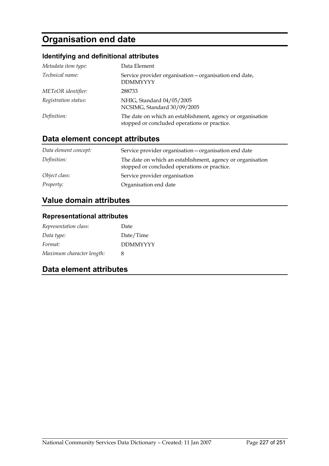# **Organisation end date**

### **Identifying and definitional attributes**

| Metadata item type:  | Data Element                                                                                               |
|----------------------|------------------------------------------------------------------------------------------------------------|
| Technical name:      | Service provider organisation - organisation end date,<br><b>DDMMYYYY</b>                                  |
| METeOR identifier:   | 288733                                                                                                     |
| Registration status: | NHIG, Standard 04/05/2005<br>NCSIMG, Standard 30/09/2005                                                   |
| Definition:          | The date on which an establishment, agency or organisation<br>stopped or concluded operations or practice. |

# **Data element concept attributes**

| Data element concept: | Service provider organisation – organisation end date                                                      |
|-----------------------|------------------------------------------------------------------------------------------------------------|
| Definition:           | The date on which an establishment, agency or organisation<br>stopped or concluded operations or practice. |
| Object class:         | Service provider organisation                                                                              |
| Property:             | Organisation end date                                                                                      |

# **Value domain attributes**

### **Representational attributes**

| Representation class:     | Date            |
|---------------------------|-----------------|
| Data type:                | Date/Time       |
| Format:                   | <b>DDMMYYYY</b> |
| Maximum character length: | 8               |

### **Data element attributes**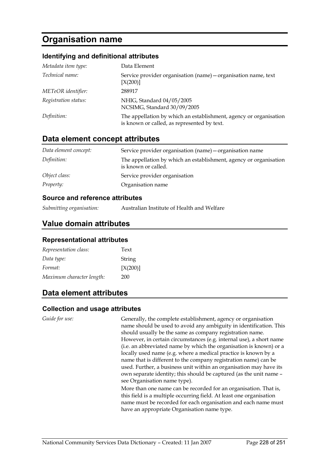# **Organisation name**

#### **Identifying and definitional attributes**

| Metadata item type:  | Data Element                                                                                                     |
|----------------------|------------------------------------------------------------------------------------------------------------------|
| Technical name:      | Service provider organisation (name) – organisation name, text<br>[X(200)]                                       |
| METeOR identifier:   | 288917                                                                                                           |
| Registration status: | NHIG, Standard 04/05/2005<br>NCSIMG, Standard 30/09/2005                                                         |
| Definition:          | The appellation by which an establishment, agency or organisation<br>is known or called, as represented by text. |

### **Data element concept attributes**

| Data element concept: | Service provider organisation (name) – organisation name                                 |
|-----------------------|------------------------------------------------------------------------------------------|
| Definition:           | The appellation by which an establishment, agency or organisation<br>is known or called. |
| Object class:         | Service provider organisation                                                            |
| Property:             | Organisation name                                                                        |

#### **Source and reference attributes**

| Australian Institute of Health and Welfare |
|--------------------------------------------|
|                                            |

### **Value domain attributes**

#### **Representational attributes**

| Representation class:     | Text     |
|---------------------------|----------|
| Data type:                | String   |
| Format:                   | [X(200)] |
| Maximum character length: | 200      |

## **Data element attributes**

#### **Collection and usage attributes**

*Guide for use:* Generally, the complete establishment, agency or organisation name should be used to avoid any ambiguity in identification. This should usually be the same as company registration name. However, in certain circumstances (e.g. internal use), a short name (i.e. an abbreviated name by which the organisation is known) or a locally used name (e.g. where a medical practice is known by a name that is different to the company registration name) can be used. Further, a business unit within an organisation may have its own separate identity; this should be captured (as the unit name – see Organisation name type).

More than one name can be recorded for an organisation. That is, this field is a multiple occurring field. At least one organisation name must be recorded for each organisation and each name must have an appropriate Organisation name type.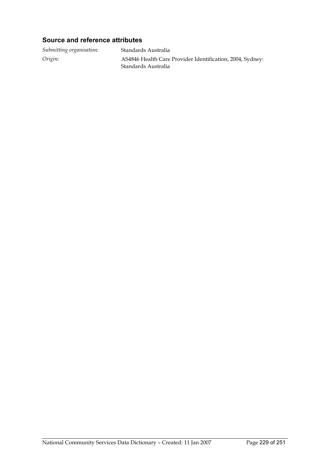### **Source and reference attributes**

*Submitting organisation:* Standards Australia *Origin:* AS4846 Health Care Provider Identification, 2004, Sydney: Standards Australia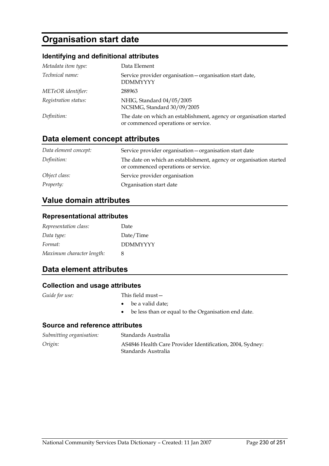# **Organisation start date**

### **Identifying and definitional attributes**

| Metadata item type:  | Data Element                                                                                              |
|----------------------|-----------------------------------------------------------------------------------------------------------|
| Technical name:      | Service provider organisation - organisation start date,<br><b>DDMMYYYY</b>                               |
| METeOR identifier:   | 288963                                                                                                    |
| Registration status: | NHIG, Standard 04/05/2005<br>NCSIMG, Standard 30/09/2005                                                  |
| Definition:          | The date on which an establishment, agency or organisation started<br>or commenced operations or service. |

# **Data element concept attributes**

| Data element concept: | Service provider organisation - organisation start date                                                   |
|-----------------------|-----------------------------------------------------------------------------------------------------------|
| Definition:           | The date on which an establishment, agency or organisation started<br>or commenced operations or service. |
| Object class:         | Service provider organisation                                                                             |
| <i>Property:</i>      | Organisation start date                                                                                   |

## **Value domain attributes**

#### **Representational attributes**

| Representation class:     | Date            |
|---------------------------|-----------------|
| Data type:                | Date/Time       |
| Format:                   | <b>DDMMYYYY</b> |
| Maximum character length: | 8               |

### **Data element attributes**

### **Collection and usage attributes**

- *Guide for use:* This field must—
	- be a valid date;
	- be less than or equal to the Organisation end date.

| Submitting organisation: | Standards Australia                                                              |
|--------------------------|----------------------------------------------------------------------------------|
| Origin:                  | AS4846 Health Care Provider Identification, 2004, Sydney:<br>Standards Australia |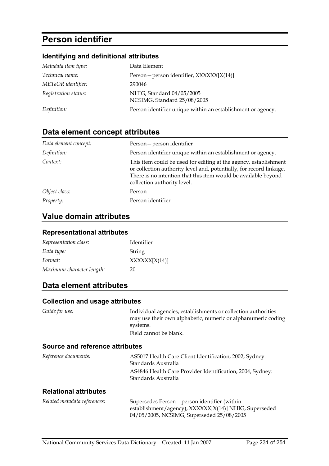# **Person identifier**

## **Identifying and definitional attributes**

| Metadata item type:  | Data Element                                                |
|----------------------|-------------------------------------------------------------|
| Technical name:      | Person – person identifier, XXXXXX[X(14)]                   |
| METeOR identifier:   | 290046                                                      |
| Registration status: | NHIG, Standard 04/05/2005<br>NCSIMG, Standard 25/08/2005    |
| Definition:          | Person identifier unique within an establishment or agency. |

# **Data element concept attributes**

| Data element concept: | Person-person identifier                                                                                                                                                                                                                 |
|-----------------------|------------------------------------------------------------------------------------------------------------------------------------------------------------------------------------------------------------------------------------------|
| Definition:           | Person identifier unique within an establishment or agency.                                                                                                                                                                              |
| Context:              | This item could be used for editing at the agency, establishment<br>or collection authority level and, potentially, for record linkage.<br>There is no intention that this item would be available beyond<br>collection authority level. |
| Object class:         | Person                                                                                                                                                                                                                                   |
| Property:             | Person identifier                                                                                                                                                                                                                        |

# **Value domain attributes**

### **Representational attributes**

| Representation class:     | Identifier   |
|---------------------------|--------------|
| Data type:                | String       |
| Format:                   | XXXXX[X(14)] |
| Maximum character length: | 20           |

## **Data element attributes**

### **Collection and usage attributes**

| Guide for use:                         | Individual agencies, establishments or collection authorities<br>may use their own alphabetic, numeric or alphanumeric coding<br>systems. |
|----------------------------------------|-------------------------------------------------------------------------------------------------------------------------------------------|
|                                        | Field cannot be blank.                                                                                                                    |
| <b>Source and reference attributes</b> |                                                                                                                                           |
| Reference documents:                   | AS5017 Health Care Client Identification, 2002, Sydney:<br>Standards Australia                                                            |
|                                        | AS4846 Health Care Provider Identification, 2004, Sydney:<br>Standards Australia                                                          |

#### **Relational attributes**

| Related metadata references: | Supersedes Person – person identifier (within         |
|------------------------------|-------------------------------------------------------|
|                              | establishment/agency), XXXXXX[X(14)] NHIG, Superseded |
|                              | 04/05/2005, NCSIMG, Superseded 25/08/2005             |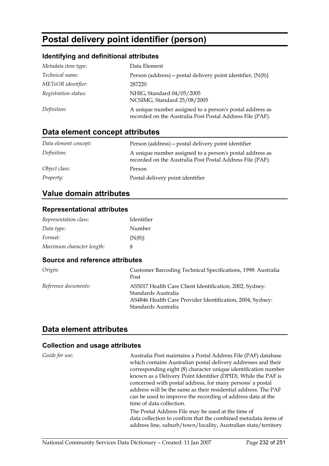# **Postal delivery point identifier (person)**

## **Identifying and definitional attributes**

| Metadata item type:  | Data Element                                                                                                          |
|----------------------|-----------------------------------------------------------------------------------------------------------------------|
| Technical name:      | Person (address) – postal delivery point identifier, ${N(8)}$                                                         |
| METeOR identifier:   | 287220                                                                                                                |
| Registration status: | NHIG, Standard 04/05/2005<br>NCSIMG, Standard 25/08/2005                                                              |
| Definition:          | A unique number assigned to a person's postal address as<br>recorded on the Australia Post Postal Address File (PAF). |

# **Data element concept attributes**

| Data element concept: | Person (address) – postal delivery point identifier                                                                   |
|-----------------------|-----------------------------------------------------------------------------------------------------------------------|
| Definition:           | A unique number assigned to a person's postal address as<br>recorded on the Australia Post Postal Address File (PAF). |
| Object class:         | Person                                                                                                                |
| <i>Property:</i>      | Postal delivery point identifier                                                                                      |

## **Value domain attributes**

#### **Representational attributes**

| Representation class:     | Identifier |
|---------------------------|------------|
| Data type:                | Number     |
| Format:                   | ${N(8)}$   |
| Maximum character length: | 8          |

### **Source and reference attributes**

| Origin:              | Customer Barcoding Technical Specifications, 1998: Australia<br>Post                                                                                               |
|----------------------|--------------------------------------------------------------------------------------------------------------------------------------------------------------------|
| Reference documents: | AS5017 Health Care Client Identification, 2002, Sydney:<br>Standards Australia<br>AS4846 Health Care Provider Identification, 2004, Sydney:<br>Standards Australia |

### **Data element attributes**

| Guide for use: | Australia Post maintains a Postal Address File (PAF) database<br>which contains Australian postal delivery addresses and their |
|----------------|--------------------------------------------------------------------------------------------------------------------------------|
|                | corresponding eight (8) character unique identification number                                                                 |
|                | known as a Delivery Point Identifier (DPID). While the PAF is                                                                  |
|                | concerned with postal address, for many persons' a postal                                                                      |
|                | address will be the same as their residential address. The PAF                                                                 |
|                | can be used to improve the recording of address data at the                                                                    |
|                | time of data collection.                                                                                                       |
|                | The Postal Address File may be used at the time of                                                                             |
|                | data collection to confirm that the combined metadata items of                                                                 |
|                | address line, suburb/town/locality, Australian state/territory                                                                 |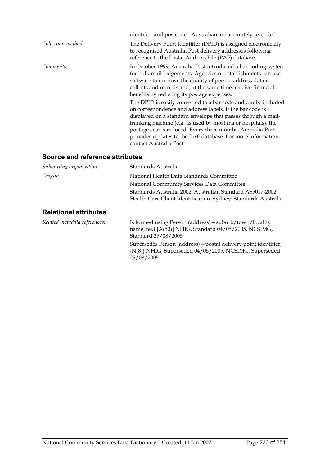|                     | identifier and postcode - Australian are accurately recorded.                                                                                                                                                                                                                                                                                                                                                       |
|---------------------|---------------------------------------------------------------------------------------------------------------------------------------------------------------------------------------------------------------------------------------------------------------------------------------------------------------------------------------------------------------------------------------------------------------------|
| Collection methods: | The Delivery Point Identifier (DPID) is assigned electronically<br>to recognised Australia Post delivery addresses following<br>reference to the Postal Address File (PAF) database.                                                                                                                                                                                                                                |
| Comments:           | In October 1999, Australia Post introduced a bar-coding system<br>for bulk mail lodgements. Agencies or establishments can use<br>software to improve the quality of person address data it<br>collects and records and, at the same time, receive financial<br>benefits by reducing its postage expenses.                                                                                                          |
|                     | The DPID is easily converted to a bar code and can be included<br>on correspondence and address labels. If the bar code is<br>displayed on a standard envelope that passes through a mail-<br>franking machine (e.g. as used by most major hospitals), the<br>postage cost is reduced. Every three months, Australia Post<br>provides updates to the PAF database. For more information,<br>contact Australia Post. |

| Submitting organisation:     | Standards Australia                                                                                                                     |
|------------------------------|-----------------------------------------------------------------------------------------------------------------------------------------|
| Origin:                      | National Health Data Standards Committee                                                                                                |
|                              | National Community Services Data Committee                                                                                              |
|                              | Standards Australia 2002. Australian Standard AS5017-2002                                                                               |
|                              | Health Care Client Identification. Sydney: Standards Australia                                                                          |
| <b>Relational attributes</b> |                                                                                                                                         |
| Related metadata references: | Is formed using Person (address) - suburb/town/locality<br>name, text [A(50)] NHIG, Standard 04/05/2005, NCSIMG,<br>Standard 25/08/2005 |
|                              | Supersedes Person (address) – postal delivery point identifier,<br>{N(8)} NHIG, Superseded 04/05/2005, NCSIMG, Superseded<br>25/08/2005 |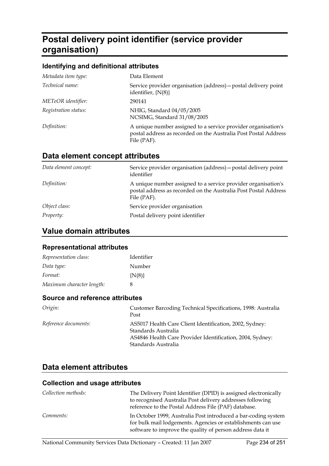# **Postal delivery point identifier (service provider organisation)**

### **Identifying and definitional attributes**

| Metadata item type:  | Data Element                                                                                                                                    |
|----------------------|-------------------------------------------------------------------------------------------------------------------------------------------------|
| Technical name:      | Service provider organisation (address) – postal delivery point<br>identifier, $\{N(8)\}\$                                                      |
| METeOR identifier:   | 290141                                                                                                                                          |
| Registration status: | NHIG, Standard 04/05/2005<br>NCSIMG, Standard 31/08/2005                                                                                        |
| Definition:          | A unique number assigned to a service provider organisation's<br>postal address as recorded on the Australia Post Postal Address<br>File (PAF). |

## **Data element concept attributes**

| Data element concept: | Service provider organisation (address) – postal delivery point<br>identifier                                                                   |
|-----------------------|-------------------------------------------------------------------------------------------------------------------------------------------------|
| Definition:           | A unique number assigned to a service provider organisation's<br>postal address as recorded on the Australia Post Postal Address<br>File (PAF). |
| Object class:         | Service provider organisation                                                                                                                   |
| <i>Property:</i>      | Postal delivery point identifier                                                                                                                |

## **Value domain attributes**

#### **Representational attributes**

| Representation class:     | Identifier |
|---------------------------|------------|
| Data type:                | Number     |
| Format:                   | ${N(8)}$   |
| Maximum character length: | 8          |

#### **Source and reference attributes**

| Origin:              | Customer Barcoding Technical Specifications, 1998: Australia<br>Post                                                                                               |
|----------------------|--------------------------------------------------------------------------------------------------------------------------------------------------------------------|
| Reference documents: | AS5017 Health Care Client Identification, 2002, Sydney:<br>Standards Australia<br>AS4846 Health Care Provider Identification, 2004, Sydney:<br>Standards Australia |

### **Data element attributes**

| Collection methods: | The Delivery Point Identifier (DPID) is assigned electronically                                                                                                                             |
|---------------------|---------------------------------------------------------------------------------------------------------------------------------------------------------------------------------------------|
|                     | to recognised Australia Post delivery addresses following                                                                                                                                   |
|                     | reference to the Postal Address File (PAF) database.                                                                                                                                        |
| Comments:           | In October 1999, Australia Post introduced a bar-coding system<br>for bulk mail lodgements. Agencies or establishments can use<br>software to improve the quality of person address data it |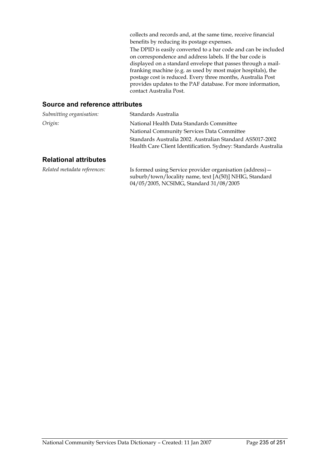collects and records and, at the same time, receive financial benefits by reducing its postage expenses. The DPID is easily converted to a bar code and can be included on correspondence and address labels. If the bar code is displayed on a standard envelope that passes through a mailfranking machine (e.g. as used by most major hospitals), the postage cost is reduced. Every three months, Australia Post provides updates to the PAF database. For more information, contact Australia Post.

#### **Source and reference attributes**

| Submitting organisation: | Standards Australia                                                                                                         |
|--------------------------|-----------------------------------------------------------------------------------------------------------------------------|
| Origin:                  | National Health Data Standards Committee                                                                                    |
|                          | National Community Services Data Committee                                                                                  |
|                          | Standards Australia 2002. Australian Standard AS5017-2002<br>Health Care Client Identification. Sydney: Standards Australia |
| Dalational attributog    |                                                                                                                             |

#### **Relational attributes**

*Related metadata references:* Is formed using Service provider organisation (address) suburb/town/locality name, text [A(50)] NHIG, Standard 04/05/2005, NCSIMG, Standard 31/08/2005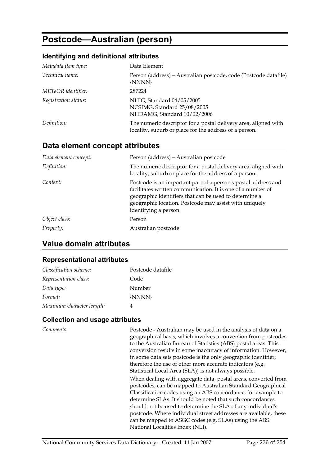# **Postcode—Australian (person)**

#### **Identifying and definitional attributes**

| Metadata item type:  | Data Element                                                                                                              |
|----------------------|---------------------------------------------------------------------------------------------------------------------------|
| Technical name:      | Person (address) – Australian postcode, code (Postcode datafile)<br>{NNNN}                                                |
| METeOR identifier:   | 287224                                                                                                                    |
| Registration status: | NHIG, Standard 04/05/2005<br>NCSIMG, Standard 25/08/2005<br>NHDAMG, Standard 10/02/2006                                   |
| Definition:          | The numeric descriptor for a postal delivery area, aligned with<br>locality, suburb or place for the address of a person. |

## **Data element concept attributes**

| Data element concept: | Person (address) - Australian postcode                                                                                                                                                                                                                                     |
|-----------------------|----------------------------------------------------------------------------------------------------------------------------------------------------------------------------------------------------------------------------------------------------------------------------|
| Definition:           | The numeric descriptor for a postal delivery area, aligned with<br>locality, suburb or place for the address of a person.                                                                                                                                                  |
| Context:              | Postcode is an important part of a person's postal address and<br>facilitates written communication. It is one of a number of<br>geographic identifiers that can be used to determine a<br>geographic location. Postcode may assist with uniquely<br>identifying a person. |
| Object class:         | Person                                                                                                                                                                                                                                                                     |
| Property:             | Australian postcode                                                                                                                                                                                                                                                        |

## **Value domain attributes**

#### **Representational attributes**

| Classification scheme:    | Postcode datafile |
|---------------------------|-------------------|
| Representation class:     | Code              |
| Data type:                | Number            |
| Format:                   | {NNNN}            |
| Maximum character length: |                   |

### **Collection and usage attributes**

*Comments:* Postcode - Australian may be used in the analysis of data on a geographical basis, which involves a conversion from postcodes to the Australian Bureau of Statistics (ABS) postal areas. This conversion results in some inaccuracy of information. However, in some data sets postcode is the only geographic identifier, therefore the use of other more accurate indicators (e.g. Statistical Local Area (SLA)) is not always possible.

When dealing with aggregate data, postal areas, converted from postcodes, can be mapped to Australian Standard Geographical Classification codes using an ABS concordance, for example to determine SLAs. It should be noted that such concordances should not be used to determine the SLA of any individual's postcode. Where individual street addresses are available, these can be mapped to ASGC codes (e.g. SLAs) using the ABS National Localities Index (NLI).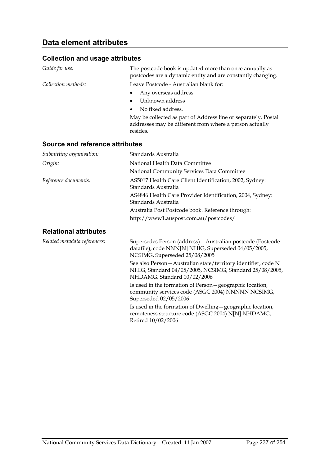#### **Collection and usage attributes**

| Guide for use:      | The postcode book is updated more than once annually as<br>postcodes are a dynamic entity and are constantly changing.                |
|---------------------|---------------------------------------------------------------------------------------------------------------------------------------|
| Collection methods: | Leave Postcode - Australian blank for:                                                                                                |
|                     | Any overseas address<br>$\bullet$                                                                                                     |
|                     | Unknown address<br>$\bullet$                                                                                                          |
|                     | No fixed address.<br>$\bullet$                                                                                                        |
|                     | May be collected as part of Address line or separately. Postal<br>addresses may be different from where a person actually<br>resides. |

#### **Source and reference attributes**

| Submitting organisation:     | Standards Australia                                                                                                                                 |
|------------------------------|-----------------------------------------------------------------------------------------------------------------------------------------------------|
| Origin:                      | National Health Data Committee                                                                                                                      |
|                              | National Community Services Data Committee                                                                                                          |
| Reference documents:         | AS5017 Health Care Client Identification, 2002, Sydney:<br>Standards Australia                                                                      |
|                              | AS4846 Health Care Provider Identification, 2004, Sydney:                                                                                           |
|                              | Standards Australia                                                                                                                                 |
|                              | Australia Post Postcode book. Reference through:                                                                                                    |
|                              | http://www1.auspost.com.au/postcodes/                                                                                                               |
| <b>Relational attributes</b> |                                                                                                                                                     |
| Related metadata references: | Supersedes Person (address) - Australian postcode (Postcode<br>datafile), code NNN[N] NHIG, Superseded 04/05/2005,<br>NCSIMG, Superseded 25/08/2005 |

See also Person—Australian state/territory identifier, code N NHIG, Standard 04/05/2005, NCSIMG, Standard 25/08/2005, NHDAMG, Standard 10/02/2006

Is used in the formation of Person—geographic location, community services code (ASGC 2004) NNNNN NCSIMG, Superseded 02/05/2006

Is used in the formation of Dwelling—geographic location, remoteness structure code (ASGC 2004) N[N] NHDAMG, Retired 10/02/2006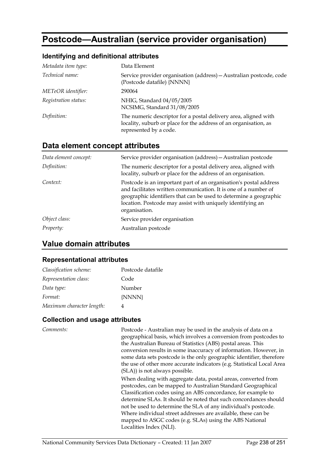# **Postcode—Australian (service provider organisation)**

### **Identifying and definitional attributes**

| Metadata item type:  | Data Element                                                                                                                                                  |
|----------------------|---------------------------------------------------------------------------------------------------------------------------------------------------------------|
| Technical name:      | Service provider organisation (address) - Australian postcode, code<br>(Postcode datafile) {NNNN}                                                             |
| METeOR identifier:   | 290064                                                                                                                                                        |
| Registration status: | NHIG, Standard 04/05/2005<br>NCSIMG, Standard 31/08/2005                                                                                                      |
| Definition:          | The numeric descriptor for a postal delivery area, aligned with<br>locality, suburb or place for the address of an organisation, as<br>represented by a code. |

## **Data element concept attributes**

| Data element concept: | Service provider organisation (address) - Australian postcode                                                                                                                                                                                                                            |
|-----------------------|------------------------------------------------------------------------------------------------------------------------------------------------------------------------------------------------------------------------------------------------------------------------------------------|
| Definition:           | The numeric descriptor for a postal delivery area, aligned with<br>locality, suburb or place for the address of an organisation.                                                                                                                                                         |
| Context:              | Postcode is an important part of an organisation's postal address<br>and facilitates written communication. It is one of a number of<br>geographic identifiers that can be used to determine a geographic<br>location. Postcode may assist with uniquely identifying an<br>organisation. |
| Object class:         | Service provider organisation                                                                                                                                                                                                                                                            |
| <i>Property:</i>      | Australian postcode                                                                                                                                                                                                                                                                      |

# **Value domain attributes**

### **Representational attributes**

| Classification scheme:    | Postcode datafile |
|---------------------------|-------------------|
| Representation class:     | Code              |
| Data type:                | Number            |
| Format:                   | {NNNN}            |
| Maximum character length: |                   |

| Comments: | Postcode - Australian may be used in the analysis of data on a<br>geographical basis, which involves a conversion from postcodes to<br>the Australian Bureau of Statistics (ABS) postal areas. This<br>conversion results in some inaccuracy of information. However, in<br>some data sets postcode is the only geographic identifier, therefore<br>the use of other more accurate indicators (e.g. Statistical Local Area<br>(SLA)) is not always possible.                                 |
|-----------|----------------------------------------------------------------------------------------------------------------------------------------------------------------------------------------------------------------------------------------------------------------------------------------------------------------------------------------------------------------------------------------------------------------------------------------------------------------------------------------------|
|           | When dealing with aggregate data, postal areas, converted from<br>postcodes, can be mapped to Australian Standard Geographical<br>Classification codes using an ABS concordance, for example to<br>determine SLAs. It should be noted that such concordances should<br>not be used to determine the SLA of any individual's postcode.<br>Where individual street addresses are available, these can be<br>mapped to ASGC codes (e.g. SLAs) using the ABS National<br>Localities Index (NLI). |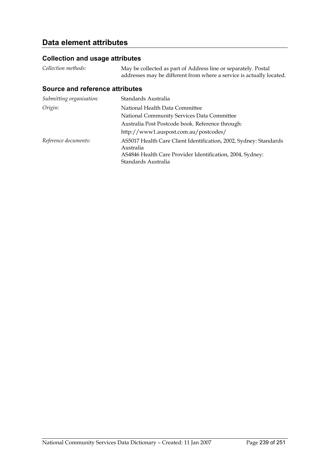# **Data element attributes**

### **Collection and usage attributes**

| Collection methods: | May be collected as part of Address line or separately. Postal       |  |
|---------------------|----------------------------------------------------------------------|--|
|                     | addresses may be different from where a service is actually located. |  |

| Submitting organisation: | Standards Australia                                                                                                                         |
|--------------------------|---------------------------------------------------------------------------------------------------------------------------------------------|
| Origin:                  | National Health Data Committee                                                                                                              |
|                          | National Community Services Data Committee                                                                                                  |
|                          | Australia Post Postcode book. Reference through:                                                                                            |
|                          | http://www1.auspost.com.au/postcodes/                                                                                                       |
| Reference documents:     | AS5017 Health Care Client Identification, 2002, Sydney: Standards<br>Australia<br>AS4846 Health Care Provider Identification, 2004, Sydney: |
|                          | Standards Australia                                                                                                                         |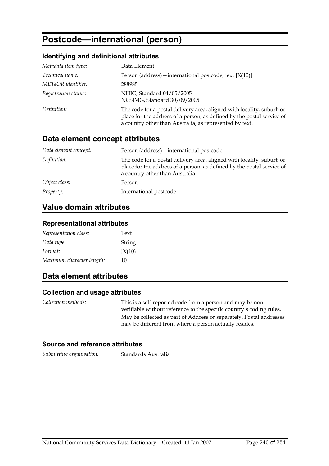# **Postcode—international (person)**

### **Identifying and definitional attributes**

| Metadata item type:  | Data Element                                                                                                                                                                                               |
|----------------------|------------------------------------------------------------------------------------------------------------------------------------------------------------------------------------------------------------|
| Technical name:      | Person (address) – international postcode, text $[X(10)]$                                                                                                                                                  |
| METeOR identifier:   | 288985                                                                                                                                                                                                     |
| Registration status: | NHIG, Standard 04/05/2005<br>NCSIMG, Standard 30/09/2005                                                                                                                                                   |
| Definition:          | The code for a postal delivery area, aligned with locality, suburb or<br>place for the address of a person, as defined by the postal service of<br>a country other than Australia, as represented by text. |

## **Data element concept attributes**

| Data element concept: | Person (address) - international postcode                                                                                                                                          |
|-----------------------|------------------------------------------------------------------------------------------------------------------------------------------------------------------------------------|
| Definition:           | The code for a postal delivery area, aligned with locality, suburb or<br>place for the address of a person, as defined by the postal service of<br>a country other than Australia. |
| Object class:         | Person                                                                                                                                                                             |
| <i>Property:</i>      | International postcode                                                                                                                                                             |

### **Value domain attributes**

#### **Representational attributes**

| Representation class:     | Text    |
|---------------------------|---------|
| Data type:                | String  |
| Format:                   | [X(10)] |
| Maximum character length: | 10      |

## **Data element attributes**

#### **Collection and usage attributes**

| Collection methods: | This is a self-reported code from a person and may be non-<br>verifiable without reference to the specific country's coding rules. |
|---------------------|------------------------------------------------------------------------------------------------------------------------------------|
|                     | May be collected as part of Address or separately. Postal addresses<br>may be different from where a person actually resides.      |

#### **Source and reference attributes**

*Submitting organisation:* Standards Australia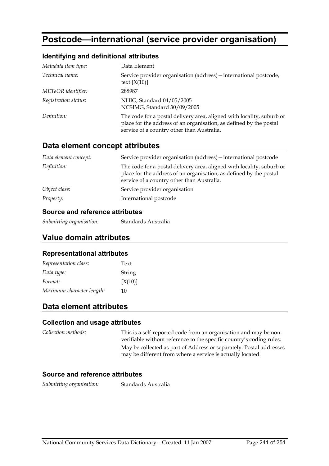# **Postcode—international (service provider organisation)**

#### **Identifying and definitional attributes**

| Metadata item type:  | Data Element                                                                                                                                                                              |
|----------------------|-------------------------------------------------------------------------------------------------------------------------------------------------------------------------------------------|
| Technical name:      | Service provider organisation (address) - international postcode,<br>text $[X(10)]$                                                                                                       |
| METeOR identifier:   | 288987                                                                                                                                                                                    |
| Registration status: | NHIG, Standard 04/05/2005<br>NCSIMG, Standard 30/09/2005                                                                                                                                  |
| Definition:          | The code for a postal delivery area, aligned with locality, suburb or<br>place for the address of an organisation, as defined by the postal<br>service of a country other than Australia. |

### **Data element concept attributes**

| Data element concept: | Service provider organisation (address) – international postcode                                                                                                                          |
|-----------------------|-------------------------------------------------------------------------------------------------------------------------------------------------------------------------------------------|
| Definition:           | The code for a postal delivery area, aligned with locality, suburb or<br>place for the address of an organisation, as defined by the postal<br>service of a country other than Australia. |
| Object class:         | Service provider organisation                                                                                                                                                             |
| <i>Property:</i>      | International postcode                                                                                                                                                                    |

#### **Source and reference attributes**

*Submitting organisation:* Standards Australia

### **Value domain attributes**

#### **Representational attributes**

| Representation class:     | Text    |
|---------------------------|---------|
| Data type:                | String  |
| Format:                   | [X(10)] |
| Maximum character length: | 10      |

## **Data element attributes**

#### **Collection and usage attributes**

*Collection methods:* This is a self-reported code from an organisation and may be nonverifiable without reference to the specific country's coding rules. May be collected as part of Address or separately. Postal addresses may be different from where a service is actually located.

#### **Source and reference attributes**

*Submitting organisation:* Standards Australia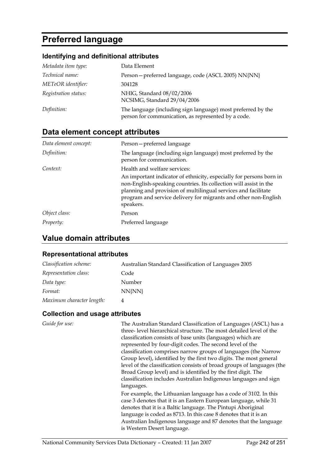# **Preferred language**

## **Identifying and definitional attributes**

| Metadata item type:  | Data Element                                                                                                        |
|----------------------|---------------------------------------------------------------------------------------------------------------------|
| Technical name:      | Person-preferred language, code (ASCL 2005) NN{NN}                                                                  |
| METeOR identifier:   | 304128                                                                                                              |
| Registration status: | NHIG, Standard 08/02/2006<br>NCSIMG, Standard 29/04/2006                                                            |
| Definition:          | The language (including sign language) most preferred by the<br>person for communication, as represented by a code. |

# **Data element concept attributes**

| Data element concept: | Person-preferred language                                                                                                                                                                                                                                                                  |
|-----------------------|--------------------------------------------------------------------------------------------------------------------------------------------------------------------------------------------------------------------------------------------------------------------------------------------|
| Definition:           | The language (including sign language) most preferred by the<br>person for communication.                                                                                                                                                                                                  |
| Context:              | Health and welfare services:                                                                                                                                                                                                                                                               |
|                       | An important indicator of ethnicity, especially for persons born in<br>non-English-speaking countries. Its collection will assist in the<br>planning and provision of multilingual services and facilitate<br>program and service delivery for migrants and other non-English<br>speakers. |
| Object class:         | Person                                                                                                                                                                                                                                                                                     |
| Property:             | Preferred language                                                                                                                                                                                                                                                                         |

# **Value domain attributes**

#### **Representational attributes**

| Classification scheme:    | Australian Standard Classification of Languages 2005 |
|---------------------------|------------------------------------------------------|
| Representation class:     | Code                                                 |
| Data type:                | Number                                               |
| Format:                   | NN{NN}                                               |
| Maximum character length: | 4                                                    |

| Guide for use: | The Australian Standard Classification of Languages (ASCL) has a       |
|----------------|------------------------------------------------------------------------|
|                | three-level hierarchical structure. The most detailed level of the     |
|                | classification consists of base units (languages) which are            |
|                | represented by four-digit codes. The second level of the               |
|                | classification comprises narrow groups of languages (the Narrow        |
|                | Group level), identified by the first two digits. The most general     |
|                | level of the classification consists of broad groups of languages (the |
|                | Broad Group level) and is identified by the first digit. The           |
|                | classification includes Australian Indigenous languages and sign       |
|                | languages.                                                             |
|                | For example, the Lithuanian language has a code of 3102. In this       |
|                | case 3 denotes that it is an Eastern European language, while 31       |
|                | denotes that it is a Baltic language. The Pintupi Aboriginal           |
|                | language is coded as 8713. In this case 8 denotes that it is an        |
|                | Australian Indigenous language and 87 denotes that the language        |
|                | is Western Desert language.                                            |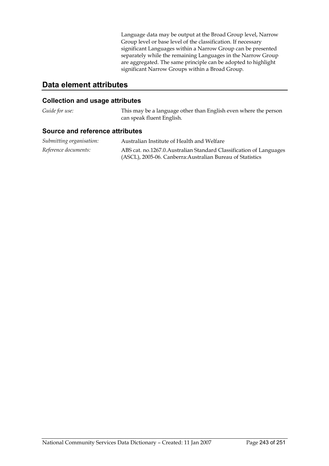Language data may be output at the Broad Group level, Narrow Group level or base level of the classification. If necessary significant Languages within a Narrow Group can be presented separately while the remaining Languages in the Narrow Group are aggregated. The same principle can be adopted to highlight significant Narrow Groups within a Broad Group.

### **Data element attributes**

#### **Collection and usage attributes**

*Guide for use:* This may be a language other than English even where the person can speak fluent English.

| Submitting organisation: | Australian Institute of Health and Welfare                          |
|--------------------------|---------------------------------------------------------------------|
| Reference documents:     | ABS cat. no.1267.0. Australian Standard Classification of Languages |
|                          | (ASCL), 2005-06. Canberra: Australian Bureau of Statistics          |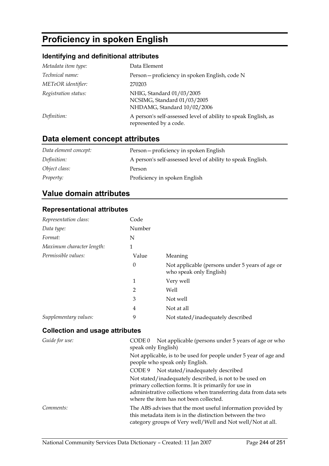# **Proficiency in spoken English**

## **Identifying and definitional attributes**

| Metadata item type:  | Data Element                                                                             |
|----------------------|------------------------------------------------------------------------------------------|
| Technical name:      | Person - proficiency in spoken English, code N                                           |
| METeOR identifier:   | 270203                                                                                   |
| Registration status: | NHIG, Standard 01/03/2005<br>NCSIMG, Standard 01/03/2005<br>NHDAMG, Standard 10/02/2006  |
| Definition:          | A person's self-assessed level of ability to speak English, as<br>represented by a code. |

# **Data element concept attributes**

| Data element concept: | Person-proficiency in spoken English                        |
|-----------------------|-------------------------------------------------------------|
| Definition:           | A person's self-assessed level of ability to speak English. |
| Object class:         | Person                                                      |
| Property:             | Proficiency in spoken English                               |

## **Value domain attributes**

#### **Representational attributes**

| Representation class:     | Code             |                                                                            |
|---------------------------|------------------|----------------------------------------------------------------------------|
| Data type:                | Number           |                                                                            |
| Format:                   | N                |                                                                            |
| Maximum character length: | 1                |                                                                            |
| Permissible values:       | Value            | Meaning                                                                    |
|                           | $\boldsymbol{0}$ | Not applicable (persons under 5 years of age or<br>who speak only English) |
|                           | 1                | Very well                                                                  |
|                           | $\overline{2}$   | Well                                                                       |
|                           | 3                | Not well                                                                   |
|                           | 4                | Not at all                                                                 |
| Supplementary values:     | 9                | Not stated/inadequately described                                          |

| Guide for use: | Not applicable (persons under 5 years of age or who<br>CODE 0<br>speak only English)                                                                                                                                          |
|----------------|-------------------------------------------------------------------------------------------------------------------------------------------------------------------------------------------------------------------------------|
|                | Not applicable, is to be used for people under 5 year of age and<br>people who speak only English.                                                                                                                            |
|                | CODE 9 Not stated/inadequately described                                                                                                                                                                                      |
|                | Not stated/inadequately described, is not to be used on<br>primary collection forms. It is primarily for use in<br>administrative collections when transferring data from data sets<br>where the item has not been collected. |
| Comments:      | The ABS advises that the most useful information provided by<br>this metadata item is in the distinction between the two<br>category groups of Very well/Well and Not well/Not at all.                                        |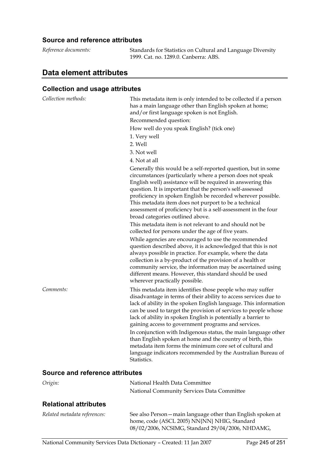#### **Source and reference attributes**

| Reference documents: | Standards for Statistics on Cultural and Language Diversity |
|----------------------|-------------------------------------------------------------|
|                      | 1999. Cat. no. 1289.0. Canberra: ABS.                       |
|                      |                                                             |

# **Data element attributes**

### **Collection and usage attributes**

| Collection methods:                    | This metadata item is only intended to be collected if a person<br>has a main language other than English spoken at home;<br>and/or first language spoken is not English.<br>Recommended question:<br>How well do you speak English? (tick one)<br>1. Very well<br>2. Well<br>3. Not well<br>4. Not at all<br>Generally this would be a self-reported question, but in some<br>circumstances (particularly where a person does not speak<br>English well) assistance will be required in answering this<br>question. It is important that the person's self-assessed<br>proficiency in spoken English be recorded wherever possible.<br>This metadata item does not purport to be a technical<br>assessment of proficiency but is a self-assessment in the four<br>broad categories outlined above.<br>This metadata item is not relevant to and should not be<br>collected for persons under the age of five years.<br>While agencies are encouraged to use the recommended<br>question described above, it is acknowledged that this is not<br>always possible in practice. For example, where the data<br>collection is a by-product of the provision of a health or<br>community service, the information may be ascertained using<br>different means. However, this standard should be used |
|----------------------------------------|--------------------------------------------------------------------------------------------------------------------------------------------------------------------------------------------------------------------------------------------------------------------------------------------------------------------------------------------------------------------------------------------------------------------------------------------------------------------------------------------------------------------------------------------------------------------------------------------------------------------------------------------------------------------------------------------------------------------------------------------------------------------------------------------------------------------------------------------------------------------------------------------------------------------------------------------------------------------------------------------------------------------------------------------------------------------------------------------------------------------------------------------------------------------------------------------------------------------------------------------------------------------------------------------------|
| Comments:                              | wherever practically possible.<br>This metadata item identifies those people who may suffer<br>disadvantage in terms of their ability to access services due to<br>lack of ability in the spoken English language. This information<br>can be used to target the provision of services to people whose<br>lack of ability in spoken English is potentially a barrier to<br>gaining access to government programs and services.<br>In conjunction with Indigenous status, the main language other<br>than English spoken at home and the country of birth, this<br>metadata item forms the minimum core set of cultural and<br>language indicators recommended by the Australian Bureau of<br>Statistics.                                                                                                                                                                                                                                                                                                                                                                                                                                                                                                                                                                                         |
| <b>Source and reference attributes</b> |                                                                                                                                                                                                                                                                                                                                                                                                                                                                                                                                                                                                                                                                                                                                                                                                                                                                                                                                                                                                                                                                                                                                                                                                                                                                                                  |
| Origin:                                | National Health Data Committee                                                                                                                                                                                                                                                                                                                                                                                                                                                                                                                                                                                                                                                                                                                                                                                                                                                                                                                                                                                                                                                                                                                                                                                                                                                                   |

# **Relational attributes**

| Related metadata references: | See also Person – main language other than English spoken at |
|------------------------------|--------------------------------------------------------------|
|                              | home, code (ASCL 2005) NN{NN} NHIG, Standard                 |
|                              | 08/02/2006, NCSIMG, Standard 29/04/2006, NHDAMG,             |

National Community Services Data Committee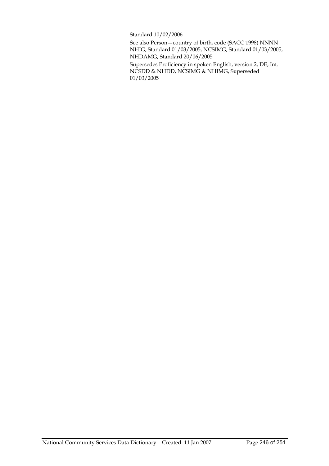Standard 10/02/2006

See also Person—country of birth, code (SACC 1998) NNNN NHIG, Standard 01/03/2005, NCSIMG, Standard 01/03/2005, NHDAMG, Standard 20/06/2005

Supersedes Proficiency in spoken English, version 2, DE, Int. NCSDD & NHDD, NCSIMG & NHIMG, Superseded 01/03/2005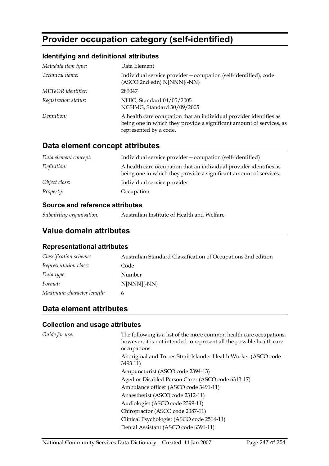# **Provider occupation category (self-identified)**

### **Identifying and definitional attributes**

| Metadata item type:  | Data Element                                                                                                                                                         |
|----------------------|----------------------------------------------------------------------------------------------------------------------------------------------------------------------|
| Technical name:      | Individual service provider – occupation (self-identified), code<br>(ASCO 2nd edn) N[NNN]{-NN}                                                                       |
| METeOR identifier:   | 289047                                                                                                                                                               |
| Registration status: | NHIG, Standard 04/05/2005<br>NCSIMG, Standard 30/09/2005                                                                                                             |
| Definition:          | A health care occupation that an individual provider identifies as<br>being one in which they provide a significant amount of services, as<br>represented by a code. |

## **Data element concept attributes**

| Data element concept: | Individual service provider – occupation (self-identified)                                                                              |
|-----------------------|-----------------------------------------------------------------------------------------------------------------------------------------|
| Definition:           | A health care occupation that an individual provider identifies as<br>being one in which they provide a significant amount of services. |
| Object class:         | Individual service provider                                                                                                             |
| <i>Property:</i>      | Occupation                                                                                                                              |

### **Source and reference attributes**

*Submitting organisation:* Australian Institute of Health and Welfare

## **Value domain attributes**

#### **Representational attributes**

| Classification scheme:    | Australian Standard Classification of Occupations 2nd edition |
|---------------------------|---------------------------------------------------------------|
| Representation class:     | Code                                                          |
| Data type:                | Number                                                        |
| Format:                   | $N[NNN]{-NN}$                                                 |
| Maximum character length: | 6                                                             |

# **Data element attributes**

| Guide for use: | The following is a list of the more common health care occupations,<br>however, it is not intended to represent all the possible health care<br>occupations: |
|----------------|--------------------------------------------------------------------------------------------------------------------------------------------------------------|
|                | Aboriginal and Torres Strait Islander Health Worker (ASCO code<br>3493 11)                                                                                   |
|                | Acupuncturist (ASCO code 2394-13)                                                                                                                            |
|                | Aged or Disabled Person Carer (ASCO code 6313-17)                                                                                                            |
|                | Ambulance officer (ASCO code 3491-11)                                                                                                                        |
|                | Anaesthetist (ASCO code 2312-11)                                                                                                                             |
|                | Audiologist (ASCO code 2399-11)                                                                                                                              |
|                | Chiropractor (ASCO code 2387-11)                                                                                                                             |
|                | Clinical Psychologist (ASCO code 2514-11)                                                                                                                    |
|                | Dental Assistant (ASCO code 6391-11)                                                                                                                         |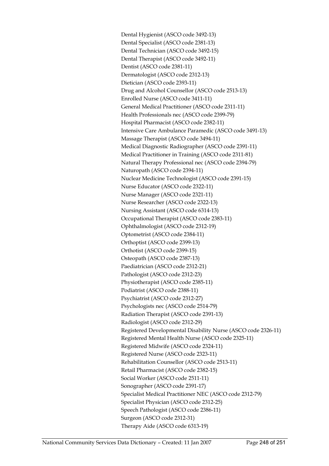Dental Hygienist (ASCO code 3492-13) Dental Specialist (ASCO code 2381-13) Dental Technician (ASCO code 3492-15) Dental Therapist (ASCO code 3492-11) Dentist (ASCO code 2381-11) Dermatologist (ASCO code 2312-13) Dietician (ASCO code 2393-11) Drug and Alcohol Counsellor (ASCO code 2513-13) Enrolled Nurse (ASCO code 3411-11) General Medical Practitioner (ASCO code 2311-11) Health Professionals nec (ASCO code 2399-79) Hospital Pharmacist (ASCO code 2382-11) Intensive Care Ambulance Paramedic (ASCO code 3491-13) Massage Therapist (ASCO code 3494-11) Medical Diagnostic Radiographer (ASCO code 2391-11) Medical Practitioner in Training (ASCO code 2311-81) Natural Therapy Professional nec (ASCO code 2394-79) Naturopath (ASCO code 2394-11) Nuclear Medicine Technologist (ASCO code 2391-15) Nurse Educator (ASCO code 2322-11) Nurse Manager (ASCO code 2321-11) Nurse Researcher (ASCO code 2322-13) Nursing Assistant (ASCO code 6314-13) Occupational Therapist (ASCO code 2383-11) Ophthalmologist (ASCO code 2312-19) Optometrist (ASCO code 2384-11) Orthoptist (ASCO code 2399-13) Orthotist (ASCO code 2399-15) Osteopath (ASCO code 2387-13) Paediatrician (ASCO code 2312-21) Pathologist (ASCO code 2312-23) Physiotherapist (ASCO code 2385-11) Podiatrist (ASCO code 2388-11) Psychiatrist (ASCO code 2312-27) Psychologists nec (ASCO code 2514-79) Radiation Therapist (ASCO code 2391-13) Radiologist (ASCO code 2312-29) Registered Developmental Disability Nurse (ASCO code 2326-11) Registered Mental Health Nurse (ASCO code 2325-11) Registered Midwife (ASCO code 2324-11) Registered Nurse (ASCO code 2323-11) Rehabilitation Counsellor (ASCO code 2513-11) Retail Pharmacist (ASCO code 2382-15) Social Worker (ASCO code 2511-11) Sonographer (ASCO code 2391-17) Specialist Medical Practitioner NEC (ASCO code 2312-79) Specialist Physician (ASCO code 2312-25) Speech Pathologist (ASCO code 2386-11) Surgeon (ASCO code 2312-31) Therapy Aide (ASCO code 6313-19)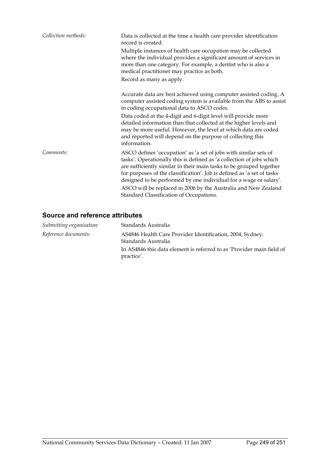| Collection methods: | Data is collected at the time a health care provider identification<br>record is created.<br>Multiple instances of health care occupation may be collected<br>where the individual provides a significant amount of services in<br>more than one category. For example, a dentist who is also a<br>medical practitioner may practice as both.<br>Record as many as apply.                                                                                                    |
|---------------------|------------------------------------------------------------------------------------------------------------------------------------------------------------------------------------------------------------------------------------------------------------------------------------------------------------------------------------------------------------------------------------------------------------------------------------------------------------------------------|
|                     | Accurate data are best achieved using computer assisted coding. A<br>computer assisted coding system is available from the ABS to assist<br>in coding occupational data to ASCO codes.<br>Data coded at the 4-digit and 6-digit level will provide more<br>detailed information than that collected at the higher levels and<br>may be more useful. However, the level at which data are coded<br>and reported will depend on the purpose of collecting this<br>information. |
| Comments:           | ASCO defines 'occupation' as 'a set of jobs with similar sets of<br>tasks'. Operationally this is defined as 'a collection of jobs which<br>are sufficiently similar in their main tasks to be grouped together<br>for purposes of the classification'. Job is defined as 'a set of tasks<br>designed to be performed by one individual for a wage or salary'.<br>ASCO will be replaced in 2006 by the Australia and New Zealand<br>Standard Classification of Occupations.  |

| Submitting organisation: | Standards Australia                                                                 |
|--------------------------|-------------------------------------------------------------------------------------|
| Reference documents:     | AS4846 Health Care Provider Identification, 2004, Sydney:<br>Standards Australia.   |
|                          | In AS4846 this data element is referred to as 'Provider main field of<br>practice'. |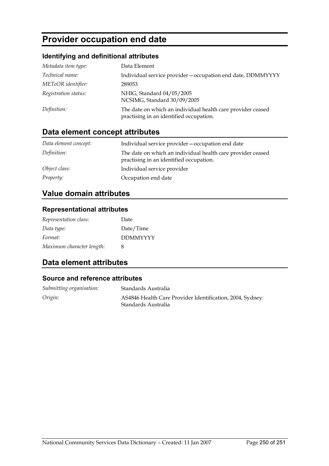# **Provider occupation end date**

## **Identifying and definitional attributes**

| Metadata item type:  | Data Element                                                                                           |
|----------------------|--------------------------------------------------------------------------------------------------------|
| Technical name:      | Individual service provider - occupation end date, DDMMYYYY                                            |
| METeOR identifier:   | 289053                                                                                                 |
| Registration status: | NHIG, Standard 04/05/2005<br>NCSIMG, Standard 30/09/2005                                               |
| Definition:          | The date on which an individual health care provider ceased<br>practising in an identified occupation. |

# **Data element concept attributes**

| Data element concept: | Individual service provider – occupation end date                                                      |
|-----------------------|--------------------------------------------------------------------------------------------------------|
| Definition:           | The date on which an individual health care provider ceased<br>practising in an identified occupation. |
| Object class:         | Individual service provider                                                                            |
| Property:             | Occupation end date                                                                                    |

# **Value domain attributes**

### **Representational attributes**

| Representation class:     | Date            |
|---------------------------|-----------------|
| Data type:                | Date/Time       |
| Format:                   | <b>DDMMYYYY</b> |
| Maximum character length: | x               |

# **Data element attributes**

| Submitting organisation: | Standards Australia                                                              |
|--------------------------|----------------------------------------------------------------------------------|
| Origin:                  | AS4846 Health Care Provider Identification, 2004, Sydney:<br>Standards Australia |